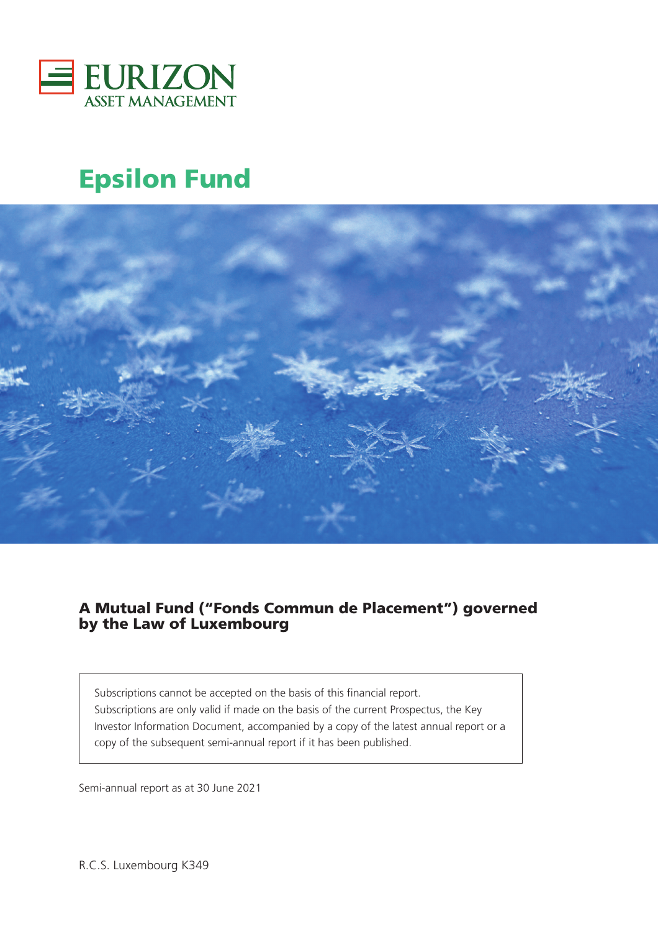

# **Epsilon Fund**



### **A Mutual Fund ("Fonds Commun de Placement") governed by the Law of Luxembourg**

Subscriptions cannot be accepted on the basis of this financial report. Subscriptions are only valid if made on the basis of the current Prospectus, the Key Investor Information Document, accompanied by a copy of the latest annual report or a copy of the subsequent semi-annual report if it has been published.

Semi-annual report as at 30 June 2021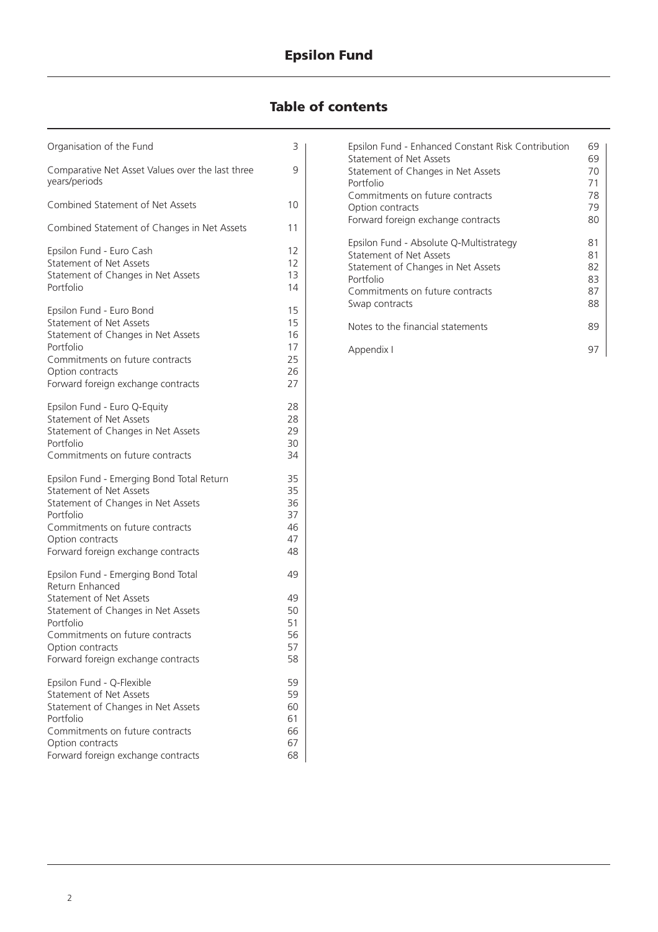### **Epsilon Fund**

## **Table of contents**

| Organisation of the Fund                                                                                                                                                                                                    | 3                                      |
|-----------------------------------------------------------------------------------------------------------------------------------------------------------------------------------------------------------------------------|----------------------------------------|
| Comparative Net Asset Values over the last three<br>years/periods                                                                                                                                                           | 9                                      |
| Combined Statement of Net Assets                                                                                                                                                                                            | 10                                     |
| Combined Statement of Changes in Net Assets                                                                                                                                                                                 | 11                                     |
| Epsilon Fund - Euro Cash<br>Statement of Net Assets<br>Statement of Changes in Net Assets<br>Portfolio                                                                                                                      | 12<br>$12 \overline{ }$<br>13<br>14    |
| Epsilon Fund - Euro Bond<br>Statement of Net Assets<br>Statement of Changes in Net Assets<br>Portfolio<br>Commitments on future contracts<br>Option contracts<br>Forward foreign exchange contracts                         | 15<br>15<br>16<br>17<br>25<br>26<br>27 |
| Epsilon Fund - Euro Q-Equity<br><b>Statement of Net Assets</b><br>Statement of Changes in Net Assets<br>Portfolio<br>Commitments on future contracts                                                                        | 28<br>28<br>29<br>30<br>34             |
| Epsilon Fund - Emerging Bond Total Return<br><b>Statement of Net Assets</b><br>Statement of Changes in Net Assets<br>Portfolio<br>Commitments on future contracts<br>Option contracts<br>Forward foreign exchange contracts | 35<br>35<br>36<br>37<br>46<br>47<br>48 |
| Epsilon Fund - Emerging Bond Total                                                                                                                                                                                          | 49                                     |
| Return Enhanced<br><b>Statement of Net Assets</b><br>Statement of Changes in Net Assets<br>Portfolio<br>Commitments on future contracts<br>Option contracts<br>Forward foreign exchange contracts                           | 49<br>50<br>51<br>56<br>57<br>58       |
| Epsilon Fund - Q-Flexible<br>Statement of Net Assets<br>Statement of Changes in Net Assets<br>Portfolio<br>Commitments on future contracts<br>Option contracts<br>Forward foreign exchange contracts                        | 59<br>59<br>60<br>61<br>66<br>67<br>68 |

| Epsilon Fund - Enhanced Constant Risk Contribution | 69 |
|----------------------------------------------------|----|
| Statement of Net Assets                            | 69 |
| Statement of Changes in Net Assets                 | 70 |
| Portfolio                                          | 71 |
| Commitments on future contracts                    | 78 |
| Option contracts                                   | 79 |
| Forward foreign exchange contracts                 | 80 |
|                                                    |    |
| Epsilon Fund - Absolute Q-Multistrategy            | 81 |
| Statement of Net Assets                            | 81 |
| Statement of Changes in Net Assets                 | 82 |
| Portfolio                                          | 83 |
| Commitments on future contracts                    | 87 |
| Swap contracts                                     | 88 |
|                                                    |    |
| Notes to the financial statements                  | 89 |
|                                                    |    |
| Appendix I                                         | 97 |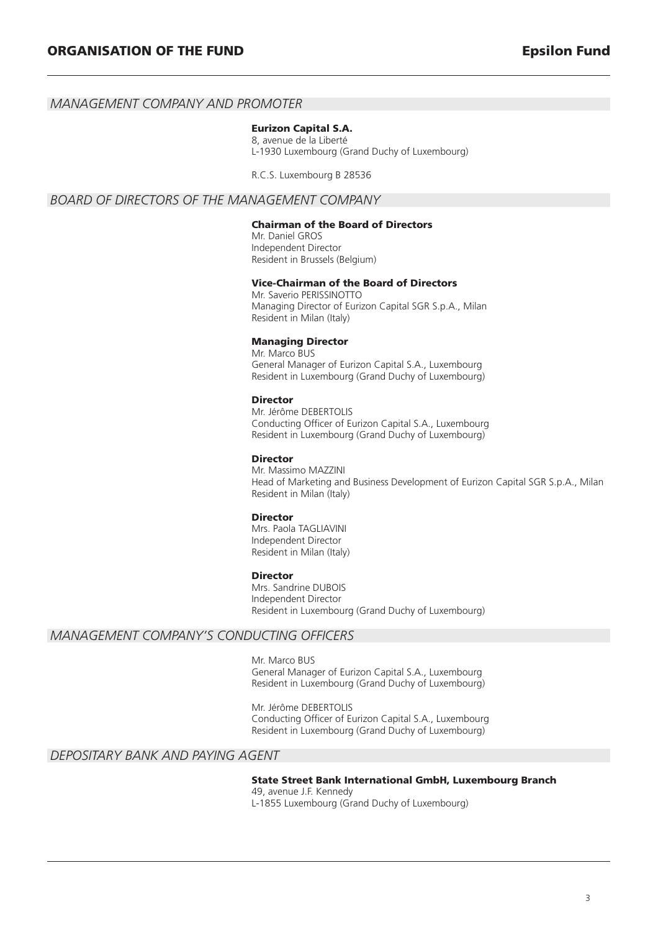#### *MANAGEMENT COMPANY AND PROMOTER*

#### **Eurizon Capital S.A.**

8, avenue de la Liberté L-1930 Luxembourg (Grand Duchy of Luxembourg)

R.C.S. Luxembourg B 28536

#### *BOARD OF DIRECTORS OF THE MANAGEMENT COMPANY*

#### **Chairman of the Board of Directors**

Mr. Daniel GROS Independent Director Resident in Brussels (Belgium)

#### **Vice-Chairman of the Board of Directors**

Mr. Saverio PERISSINOTTO Managing Director of Eurizon Capital SGR S.p.A., Milan Resident in Milan (Italy)

#### **Managing Director**

Mr. Marco BUS General Manager of Eurizon Capital S.A., Luxembourg Resident in Luxembourg (Grand Duchy of Luxembourg)

#### **Director**

Mr. Jérôme DEBERTOLIS Conducting Officer of Eurizon Capital S.A., Luxembourg Resident in Luxembourg (Grand Duchy of Luxembourg)

#### **Director**

Mr. Massimo MAZZINI Head of Marketing and Business Development of Eurizon Capital SGR S.p.A., Milan Resident in Milan (Italy)

#### **Director**

Mrs. Paola TAGLIAVINI Independent Director Resident in Milan (Italy)

#### **Director**

Mrs. Sandrine DUBOIS Independent Director Resident in Luxembourg (Grand Duchy of Luxembourg)

#### *MANAGEMENT COMPANY'S CONDUCTING OFFICERS*

Mr. Marco BUS General Manager of Eurizon Capital S.A., Luxembourg Resident in Luxembourg (Grand Duchy of Luxembourg)

Mr. Jérôme DEBERTOLIS Conducting Officer of Eurizon Capital S.A., Luxembourg Resident in Luxembourg (Grand Duchy of Luxembourg)

#### *DEPOSITARY BANK AND PAYING AGENT*

#### **State Street Bank International GmbH, Luxembourg Branch**

49, avenue J.F. Kennedy L-1855 Luxembourg (Grand Duchy of Luxembourg)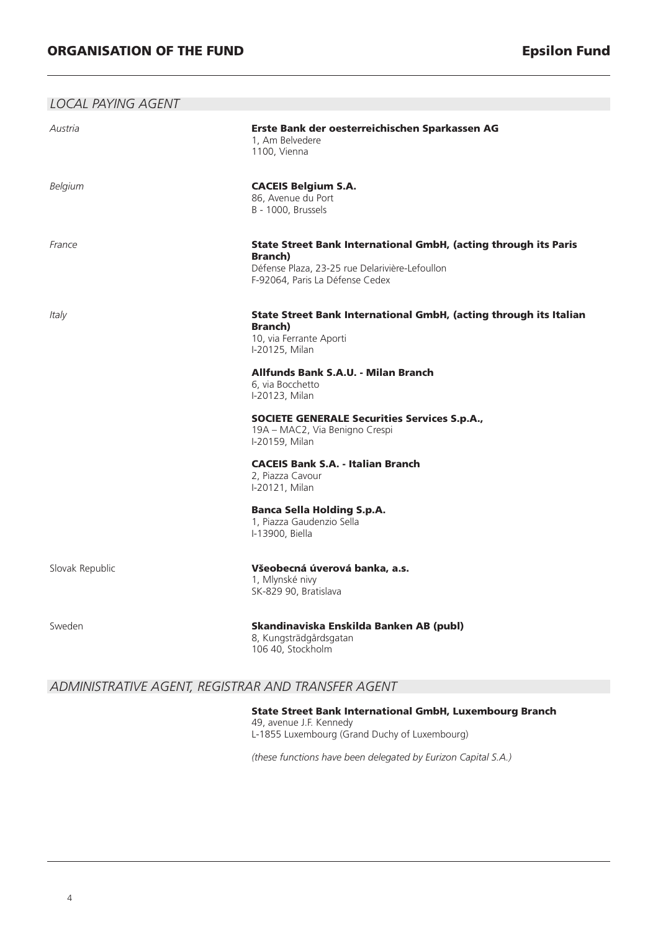| <b>LOCAL PAYING AGENT</b> |                                                                                                                                                                                                                                                                                                                                                                                                                                                                                                  |
|---------------------------|--------------------------------------------------------------------------------------------------------------------------------------------------------------------------------------------------------------------------------------------------------------------------------------------------------------------------------------------------------------------------------------------------------------------------------------------------------------------------------------------------|
| Austria                   | Erste Bank der oesterreichischen Sparkassen AG<br>1, Am Belvedere<br>1100, Vienna                                                                                                                                                                                                                                                                                                                                                                                                                |
| Belgium                   | <b>CACEIS Belgium S.A.</b><br>86, Avenue du Port<br>B - 1000, Brussels                                                                                                                                                                                                                                                                                                                                                                                                                           |
| France                    | State Street Bank International GmbH, (acting through its Paris<br><b>Branch</b> )<br>Défense Plaza, 23-25 rue Delarivière-Lefoullon<br>F-92064, Paris La Défense Cedex                                                                                                                                                                                                                                                                                                                          |
| Italy                     | State Street Bank International GmbH, (acting through its Italian<br><b>Branch</b> )<br>10, via Ferrante Aporti<br>I-20125, Milan<br>Allfunds Bank S.A.U. - Milan Branch<br>6, via Bocchetto<br>I-20123, Milan<br><b>SOCIETE GENERALE Securities Services S.p.A.,</b><br>19A - MAC2, Via Benigno Crespi<br>I-20159, Milan<br><b>CACEIS Bank S.A. - Italian Branch</b><br>2, Piazza Cavour<br>I-20121, Milan<br><b>Banca Sella Holding S.p.A.</b><br>1, Piazza Gaudenzio Sella<br>I-13900, Biella |
| Slovak Republic           | Všeobecná úverová banka, a.s.<br>1, Mlynské nivy<br>SK-829 90, Bratislava                                                                                                                                                                                                                                                                                                                                                                                                                        |
| Sweden                    | Skandinaviska Enskilda Banken AB (publ)<br>8, Kungsträdgårdsgatan<br>106 40, Stockholm                                                                                                                                                                                                                                                                                                                                                                                                           |

#### *ADMINISTRATIVE AGENT, REGISTRAR AND TRANSFER AGENT*

**State Street Bank International GmbH, Luxembourg Branch** 49, avenue J.F. Kennedy L-1855 Luxembourg (Grand Duchy of Luxembourg)

*(these functions have been delegated by Eurizon Capital S.A.)*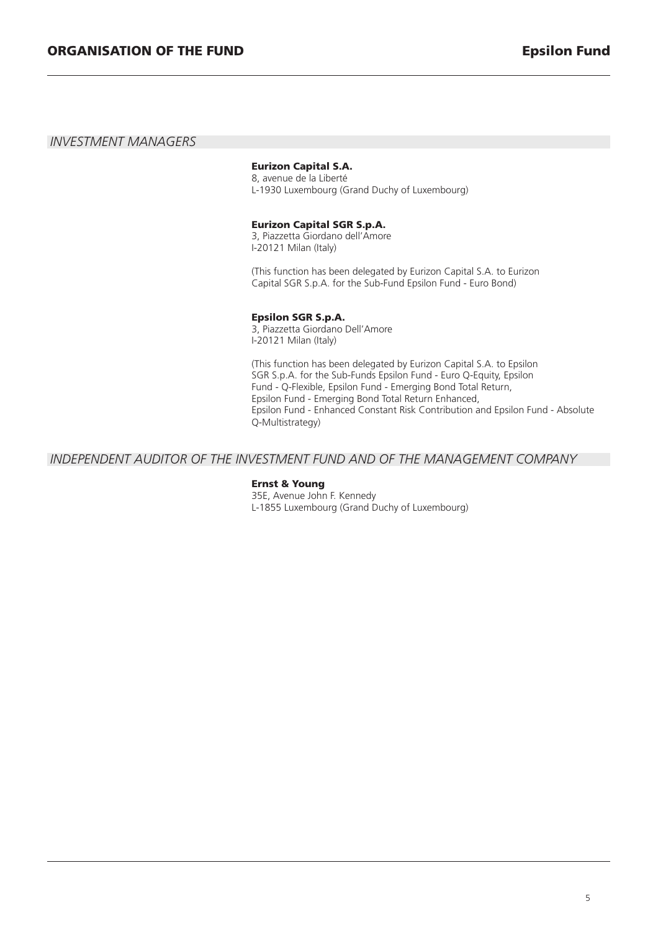#### *INVESTMENT MANAGERS*

#### **Eurizon Capital S.A.**

8, avenue de la Liberté L-1930 Luxembourg (Grand Duchy of Luxembourg)

#### **Eurizon Capital SGR S.p.A.**

3, Piazzetta Giordano dell'Amore I-20121 Milan (Italy)

(This function has been delegated by Eurizon Capital S.A. to Eurizon Capital SGR S.p.A. for the Sub-Fund Epsilon Fund - Euro Bond)

#### **Epsilon SGR S.p.A.**

3, Piazzetta Giordano Dell'Amore I-20121 Milan (Italy)

(This function has been delegated by Eurizon Capital S.A. to Epsilon SGR S.p.A. for the Sub-Funds Epsilon Fund - Euro Q-Equity, Epsilon Fund - Q-Flexible, Epsilon Fund - Emerging Bond Total Return, Epsilon Fund - Emerging Bond Total Return Enhanced, Epsilon Fund - Enhanced Constant Risk Contribution and Epsilon Fund - Absolute Q-Multistrategy)

#### *INDEPENDENT AUDITOR OF THE INVESTMENT FUND AND OF THE MANAGEMENT COMPANY*

#### **Ernst & Young**

35E, Avenue John F. Kennedy L-1855 Luxembourg (Grand Duchy of Luxembourg)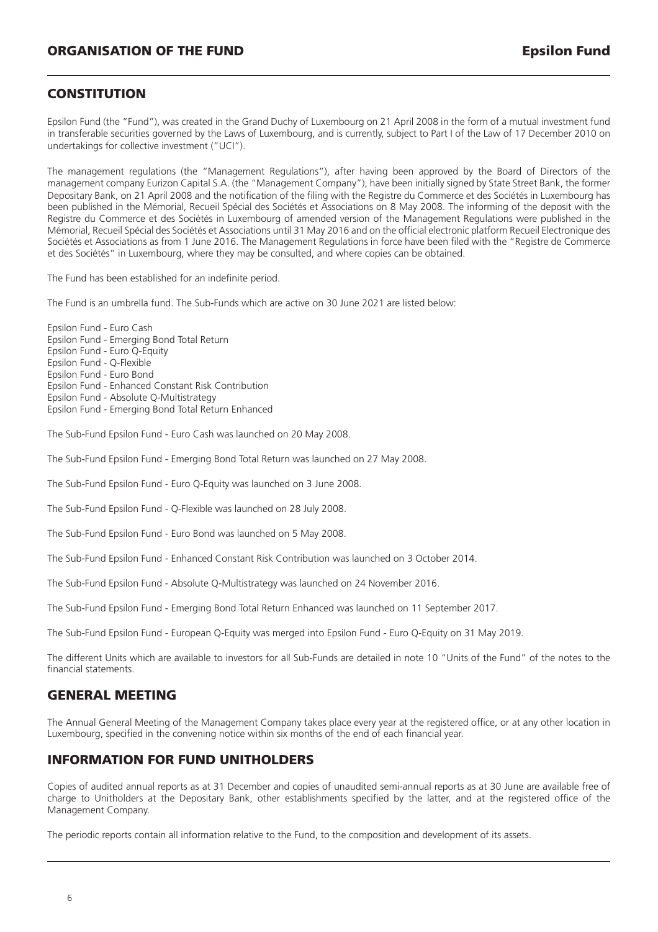#### **CONSTITUTION**

Epsilon Fund (the "Fund"), was created in the Grand Duchy of Luxembourg on 21 April 2008 in the form of a mutual investment fund in transferable securities governed by the Laws of Luxembourg, and is currently, subject to Part I of the Law of 17 December 2010 on undertakings for collective investment ("UCI").

The management regulations (the "Management Regulations"), after having been approved by the Board of Directors of the management company Eurizon Capital S.A. (the "Management Company"), have been initially signed by State Street Bank, the former Depositary Bank, on 21 April 2008 and the notification of the filing with the Registre du Commerce et des Sociétés in Luxembourg has been published in the Mémorial, Recueil Spécial des Sociétés et Associations on 8 May 2008. The informing of the deposit with the Registre du Commerce et des Sociétés in Luxembourg of amended version of the Management Regulations were published in the Mémorial, Recueil Spécial des Sociétés et Associations until 31 May 2016 and on the official electronic platform Recueil Electronique des Sociétés et Associations as from 1 June 2016. The Management Regulations in force have been filed with the "Registre de Commerce et des Sociétés" in Luxembourg, where they may be consulted, and where copies can be obtained.

The Fund has been established for an indefinite period.

The Fund is an umbrella fund. The Sub-Funds which are active on 30 June 2021 are listed below:

Epsilon Fund - Euro Cash Epsilon Fund - Emerging Bond Total Return Epsilon Fund - Euro Q-Equity Epsilon Fund - Q-Flexible Epsilon Fund - Euro Bond Epsilon Fund - Enhanced Constant Risk Contribution Epsilon Fund - Absolute Q-Multistrategy Epsilon Fund - Emerging Bond Total Return Enhanced

The Sub-Fund Epsilon Fund - Euro Cash was launched on 20 May 2008.

The Sub-Fund Epsilon Fund - Emerging Bond Total Return was launched on 27 May 2008.

The Sub-Fund Epsilon Fund - Euro Q-Equity was launched on 3 June 2008.

The Sub-Fund Epsilon Fund - Q-Flexible was launched on 28 July 2008.

The Sub-Fund Epsilon Fund - Euro Bond was launched on 5 May 2008.

The Sub-Fund Epsilon Fund - Enhanced Constant Risk Contribution was launched on 3 October 2014.

The Sub-Fund Epsilon Fund - Absolute Q-Multistrategy was launched on 24 November 2016.

The Sub-Fund Epsilon Fund - Emerging Bond Total Return Enhanced was launched on 11 September 2017.

The Sub-Fund Epsilon Fund - European Q-Equity was merged into Epsilon Fund - Euro Q-Equity on 31 May 2019.

The different Units which are available to investors for all Sub-Funds are detailed in note 10 "Units of the Fund" of the notes to the financial statements.

#### **GENERAL MEETING**

The Annual General Meeting of the Management Company takes place every year at the registered office, or at any other location in Luxembourg, specified in the convening notice within six months of the end of each financial year.

#### **INFORMATION FOR FUND UNITHOLDERS**

Copies of audited annual reports as at 31 December and copies of unaudited semi-annual reports as at 30 June are available free of charge to Unitholders at the Depositary Bank, other establishments specified by the latter, and at the registered office of the Management Company.

The periodic reports contain all information relative to the Fund, to the composition and development of its assets.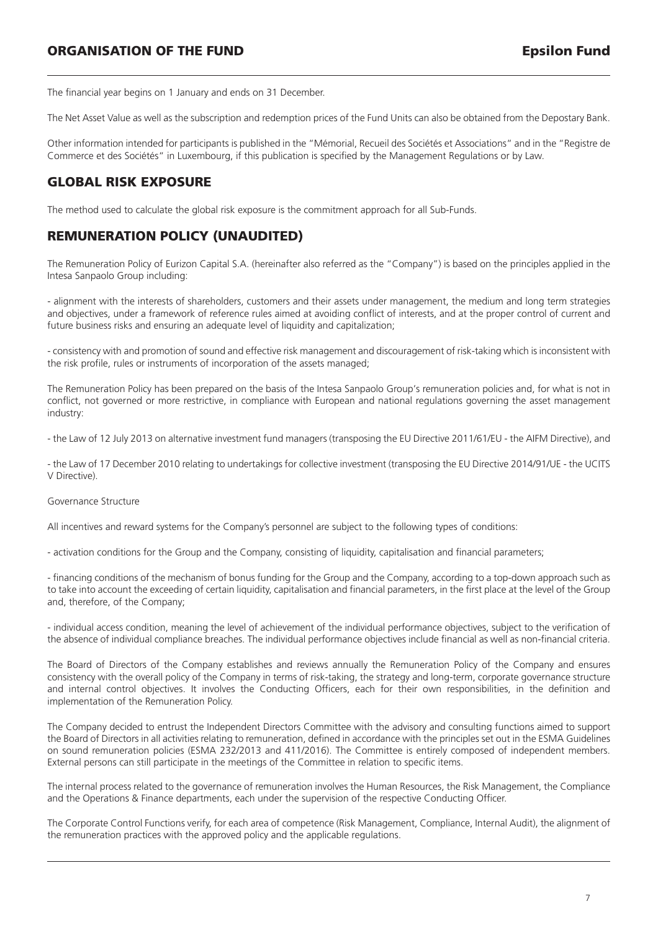The financial year begins on 1 January and ends on 31 December.

The Net Asset Value as well as the subscription and redemption prices of the Fund Units can also be obtained from the Depostary Bank.

Other information intended for participants is published in the "Mémorial, Recueil des Sociétés et Associations" and in the "Registre de Commerce et des Sociétés" in Luxembourg, if this publication is specified by the Management Regulations or by Law.

#### **GLOBAL RISK EXPOSURE**

The method used to calculate the global risk exposure is the commitment approach for all Sub-Funds.

#### **REMUNERATION POLICY (UNAUDITED)**

The Remuneration Policy of Eurizon Capital S.A. (hereinafter also referred as the "Company") is based on the principles applied in the Intesa Sanpaolo Group including:

- alignment with the interests of shareholders, customers and their assets under management, the medium and long term strategies and objectives, under a framework of reference rules aimed at avoiding conflict of interests, and at the proper control of current and future business risks and ensuring an adequate level of liquidity and capitalization;

- consistency with and promotion of sound and effective risk management and discouragement of risk-taking which is inconsistent with the risk profile, rules or instruments of incorporation of the assets managed;

The Remuneration Policy has been prepared on the basis of the Intesa Sanpaolo Group's remuneration policies and, for what is not in conflict, not governed or more restrictive, in compliance with European and national regulations governing the asset management industry:

- the Law of 12 July 2013 on alternative investment fund managers (transposing the EU Directive 2011/61/EU - the AIFM Directive), and

- the Law of 17 December 2010 relating to undertakings for collective investment (transposing the EU Directive 2014/91/UE - the UCITS V Directive).

#### Governance Structure

All incentives and reward systems for the Company's personnel are subject to the following types of conditions:

- activation conditions for the Group and the Company, consisting of liquidity, capitalisation and financial parameters;

- financing conditions of the mechanism of bonus funding for the Group and the Company, according to a top-down approach such as to take into account the exceeding of certain liquidity, capitalisation and financial parameters, in the first place at the level of the Group and, therefore, of the Company;

- individual access condition, meaning the level of achievement of the individual performance objectives, subject to the verification of the absence of individual compliance breaches. The individual performance objectives include financial as well as non-financial criteria.

The Board of Directors of the Company establishes and reviews annually the Remuneration Policy of the Company and ensures consistency with the overall policy of the Company in terms of risk-taking, the strategy and long-term, corporate governance structure and internal control objectives. It involves the Conducting Officers, each for their own responsibilities, in the definition and implementation of the Remuneration Policy.

The Company decided to entrust the Independent Directors Committee with the advisory and consulting functions aimed to support the Board of Directors in all activities relating to remuneration, defined in accordance with the principles set out in the ESMA Guidelines on sound remuneration policies (ESMA 232/2013 and 411/2016). The Committee is entirely composed of independent members. External persons can still participate in the meetings of the Committee in relation to specific items.

The internal process related to the governance of remuneration involves the Human Resources, the Risk Management, the Compliance and the Operations & Finance departments, each under the supervision of the respective Conducting Officer.

The Corporate Control Functions verify, for each area of competence (Risk Management, Compliance, Internal Audit), the alignment of the remuneration practices with the approved policy and the applicable regulations.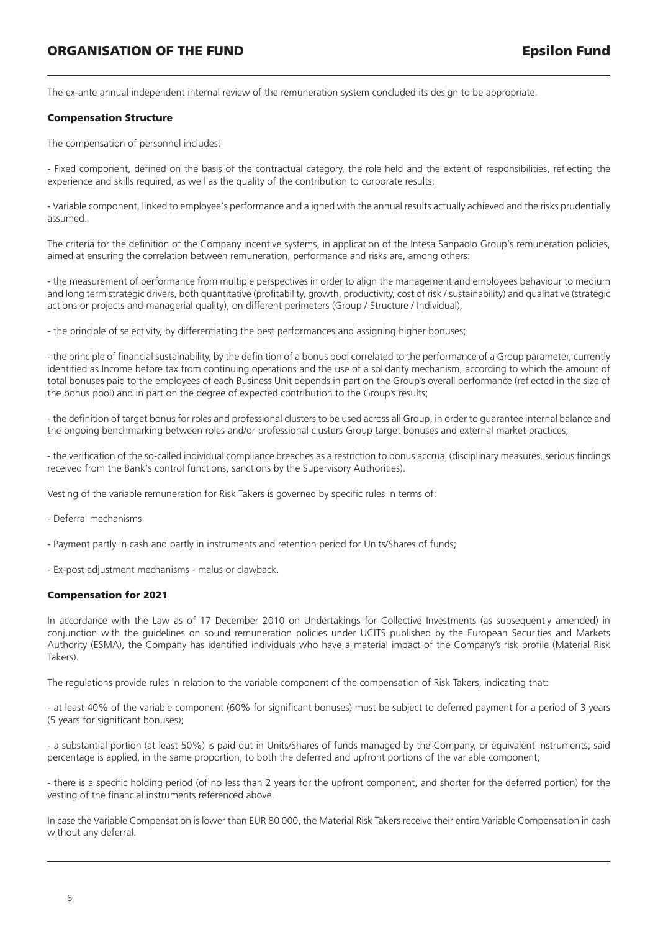The ex-ante annual independent internal review of the remuneration system concluded its design to be appropriate.

#### **Compensation Structure**

The compensation of personnel includes:

- Fixed component, defined on the basis of the contractual category, the role held and the extent of responsibilities, reflecting the experience and skills required, as well as the quality of the contribution to corporate results;

- Variable component, linked to employee's performance and aligned with the annual results actually achieved and the risks prudentially assumed.

The criteria for the definition of the Company incentive systems, in application of the Intesa Sanpaolo Group's remuneration policies, aimed at ensuring the correlation between remuneration, performance and risks are, among others:

- the measurement of performance from multiple perspectives in order to align the management and employees behaviour to medium and long term strategic drivers, both quantitative (profitability, growth, productivity, cost of risk / sustainability) and qualitative (strategic actions or projects and managerial quality), on different perimeters (Group / Structure / Individual);

- the principle of selectivity, by differentiating the best performances and assigning higher bonuses;

- the principle of financial sustainability, by the definition of a bonus pool correlated to the performance of a Group parameter, currently identified as Income before tax from continuing operations and the use of a solidarity mechanism, according to which the amount of total bonuses paid to the employees of each Business Unit depends in part on the Group's overall performance (reflected in the size of the bonus pool) and in part on the degree of expected contribution to the Group's results;

- the definition of target bonus for roles and professional clusters to be used across all Group, in order to guarantee internal balance and the ongoing benchmarking between roles and/or professional clusters Group target bonuses and external market practices;

- the verification of the so-called individual compliance breaches as a restriction to bonus accrual (disciplinary measures, serious findings received from the Bank's control functions, sanctions by the Supervisory Authorities).

Vesting of the variable remuneration for Risk Takers is governed by specific rules in terms of:

- Deferral mechanisms
- Payment partly in cash and partly in instruments and retention period for Units/Shares of funds;
- Ex-post adjustment mechanisms malus or clawback.

#### **Compensation for 2021**

In accordance with the Law as of 17 December 2010 on Undertakings for Collective Investments (as subsequently amended) in conjunction with the guidelines on sound remuneration policies under UCITS published by the European Securities and Markets Authority (ESMA), the Company has identified individuals who have a material impact of the Company's risk profile (Material Risk Takers).

The regulations provide rules in relation to the variable component of the compensation of Risk Takers, indicating that:

- at least 40% of the variable component (60% for significant bonuses) must be subject to deferred payment for a period of 3 years (5 years for significant bonuses);

- a substantial portion (at least 50%) is paid out in Units/Shares of funds managed by the Company, or equivalent instruments; said percentage is applied, in the same proportion, to both the deferred and upfront portions of the variable component;

- there is a specific holding period (of no less than 2 years for the upfront component, and shorter for the deferred portion) for the vesting of the financial instruments referenced above.

In case the Variable Compensation is lower than EUR 80 000, the Material Risk Takers receive their entire Variable Compensation in cash without any deferral.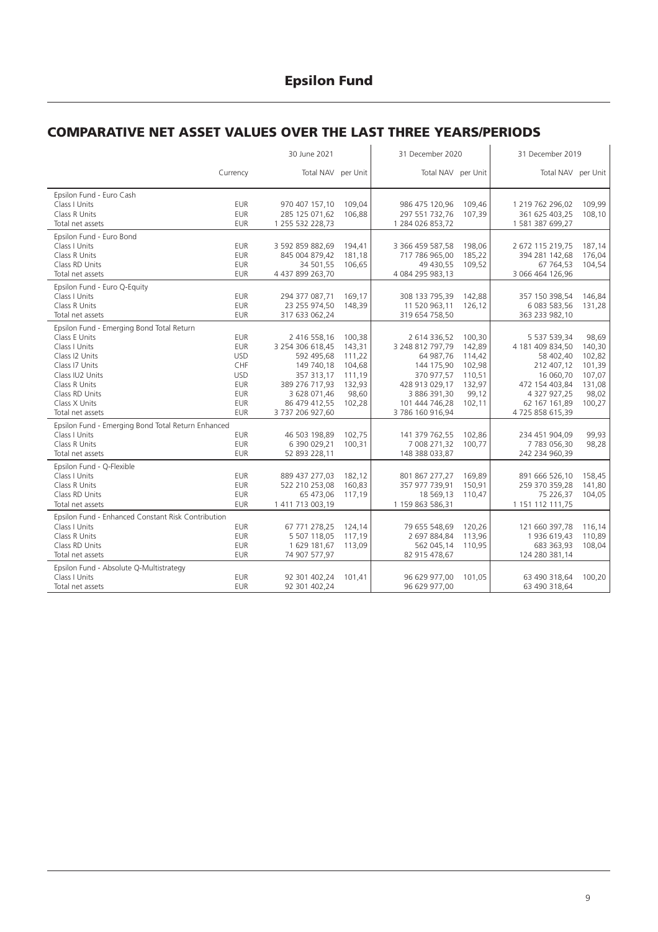### **COMPARATIVE NET ASSET VALUES OVER THE LAST THREE YEARS/PERIODS**

|                                                                                                                                                                                                            |                                                                                                                     | 30 June 2021                                                                                                                                      |                                                                             | 31 December 2020                                                                                                                               |                                                                             | 31 December 2019                                                                                                                             |                                                                            |
|------------------------------------------------------------------------------------------------------------------------------------------------------------------------------------------------------------|---------------------------------------------------------------------------------------------------------------------|---------------------------------------------------------------------------------------------------------------------------------------------------|-----------------------------------------------------------------------------|------------------------------------------------------------------------------------------------------------------------------------------------|-----------------------------------------------------------------------------|----------------------------------------------------------------------------------------------------------------------------------------------|----------------------------------------------------------------------------|
|                                                                                                                                                                                                            | Currency                                                                                                            | Total NAV per Unit                                                                                                                                |                                                                             | Total NAV per Unit                                                                                                                             |                                                                             | Total NAV per Unit                                                                                                                           |                                                                            |
| Epsilon Fund - Euro Cash<br>Class I Units<br>Class R Units<br>Total net assets                                                                                                                             | <b>EUR</b><br><b>EUR</b><br><b>EUR</b>                                                                              | 970 407 157,10<br>285 125 071,62<br>1 255 532 228,73                                                                                              | 109,04<br>106.88                                                            | 986 475 120,96<br>297 551 732,76<br>1 284 026 853,72                                                                                           | 109,46<br>107.39                                                            | 1 219 762 296,02<br>361 625 403.25<br>1 581 387 699,27                                                                                       | 109,99<br>108.10                                                           |
| Epsilon Fund - Euro Bond<br>Class I Units<br>Class R Units<br>Class RD Units<br>Total net assets                                                                                                           | <b>EUR</b><br><b>EUR</b><br><b>EUR</b><br><b>EUR</b>                                                                | 3 592 859 882,69<br>845 004 879,42<br>34 501,55<br>4 437 899 263,70                                                                               | 194.41<br>181,18<br>106,65                                                  | 3 366 459 587,58<br>717 786 965,00<br>49 430,55<br>4 084 295 983,13                                                                            | 198.06<br>185,22<br>109,52                                                  | 2 672 115 219,75<br>394 281 142,68<br>67 764,53<br>3 066 464 126,96                                                                          | 187,14<br>176.04<br>104,54                                                 |
| Epsilon Fund - Euro Q-Equity<br>Class I Units<br>Class R Units<br>Total net assets                                                                                                                         | <b>EUR</b><br><b>EUR</b><br><b>EUR</b>                                                                              | 294 377 087,71<br>23 255 974,50<br>317 633 062,24                                                                                                 | 169,17<br>148,39                                                            | 308 133 795,39<br>11 520 963,11<br>319 654 758,50                                                                                              | 142,88<br>126,12                                                            | 357 150 398,54<br>6 083 583,56<br>363 233 982,10                                                                                             | 146,84<br>131,28                                                           |
| Epsilon Fund - Emerging Bond Total Return<br>Class E Units<br>Class I Units<br>Class 12 Units<br>Class I7 Units<br>Class IU2 Units<br>Class R Units<br>Class RD Units<br>Class X Units<br>Total net assets | <b>EUR</b><br><b>EUR</b><br><b>USD</b><br>CHF<br><b>USD</b><br><b>EUR</b><br><b>EUR</b><br><b>EUR</b><br><b>EUR</b> | 2 416 558,16<br>3 254 306 618,45<br>592 495,68<br>149 740,18<br>357 313.17<br>389 276 717,93<br>3 628 071,46<br>86 479 412,55<br>3 737 206 927,60 | 100,38<br>143.31<br>111,22<br>104,68<br>111.19<br>132,93<br>98,60<br>102,28 | 2 614 336,52<br>3 248 812 797,79<br>64 987,76<br>144 175,90<br>370 977.57<br>428 913 029,17<br>3 886 391,30<br>101 444 746,28<br>3786160916,94 | 100,30<br>142.89<br>114,42<br>102,98<br>110.51<br>132,97<br>99,12<br>102,11 | 5 537 539,34<br>4 181 409 834,50<br>58 402,40<br>212 407,12<br>16 060.70<br>472 154 403,84<br>4 327 927,25<br>62 167 161,89<br>4725858615,39 | 98,69<br>140.30<br>102,82<br>101,39<br>107.07<br>131,08<br>98,02<br>100,27 |
| Epsilon Fund - Emerging Bond Total Return Enhanced<br>Class I Units<br>Class R Units<br>Total net assets                                                                                                   | <b>EUR</b><br><b>EUR</b><br><b>EUR</b>                                                                              | 46 503 198,89<br>6 390 029,21<br>52 893 228,11                                                                                                    | 102,75<br>100.31                                                            | 141 379 762,55<br>7 008 271,32<br>148 388 033,87                                                                                               | 102,86<br>100.77                                                            | 234 451 904,09<br>7783056.30<br>242 234 960,39                                                                                               | 99,93<br>98,28                                                             |
| Epsilon Fund - Q-Flexible<br>Class I Units<br>Class R Units<br>Class RD Units<br>Total net assets                                                                                                          | <b>EUR</b><br><b>EUR</b><br><b>EUR</b><br><b>EUR</b>                                                                | 889 437 277,03<br>522 210 253,08<br>65 473,06<br>1 411 713 003,19                                                                                 | 182,12<br>160,83<br>117,19                                                  | 801 867 277,27<br>357 977 739,91<br>18 569,13<br>1 159 863 586,31                                                                              | 169.89<br>150,91<br>110,47                                                  | 891 666 526,10<br>259 370 359,28<br>75 226,37<br>1 151 112 111,75                                                                            | 158,45<br>141,80<br>104,05                                                 |
| Epsilon Fund - Enhanced Constant Risk Contribution<br>Class I Units<br>Class R Units<br>Class RD Units<br>Total net assets                                                                                 | <b>EUR</b><br><b>EUR</b><br><b>EUR</b><br><b>EUR</b>                                                                | 67 771 278,25<br>5 507 118.05<br>1 629 181,67<br>74 907 577,97                                                                                    | 124,14<br>117.19<br>113,09                                                  | 79 655 548,69<br>2 697 884.84<br>562 045,14<br>82 915 478,67                                                                                   | 120,26<br>113.96<br>110.95                                                  | 121 660 397,78<br>1936 619.43<br>683 363,93<br>124 280 381,14                                                                                | 116,14<br>110,89<br>108,04                                                 |
| Epsilon Fund - Absolute Q-Multistrategy<br>Class   Units<br>Total net assets                                                                                                                               | <b>EUR</b><br><b>EUR</b>                                                                                            | 92 301 402,24<br>92 301 402,24                                                                                                                    | 101.41                                                                      | 96 629 977,00<br>96 629 977,00                                                                                                                 | 101.05                                                                      | 63 490 318.64<br>63 490 318,64                                                                                                               | 100,20                                                                     |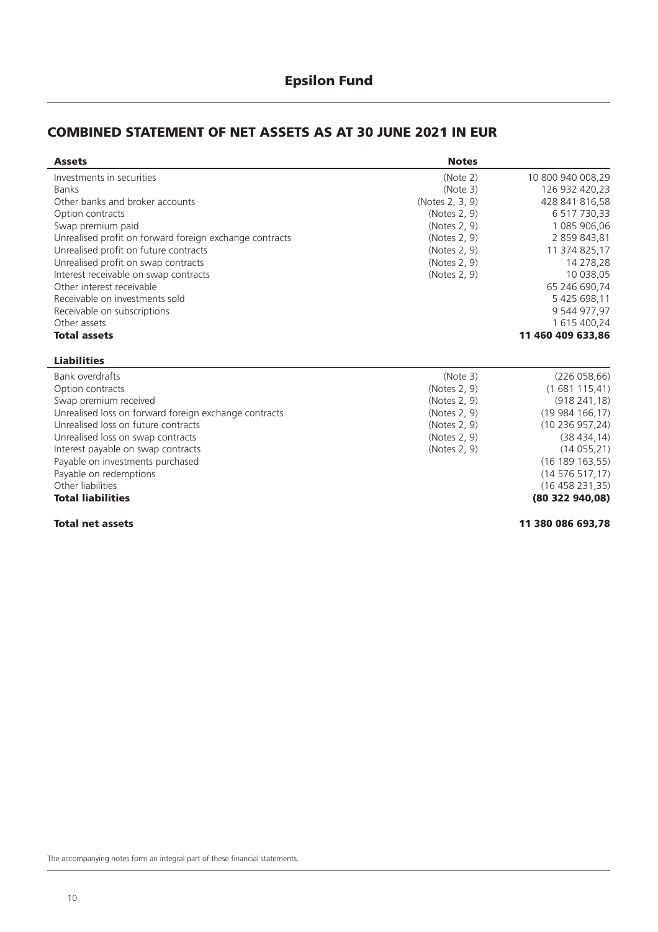#### **Epsilon Fund**

#### **COMBINED STATEMENT OF NET ASSETS AS AT 30 JUNE 2021 IN EUR**

| <b>Assets</b>                                           | <b>Notes</b>    |                   |
|---------------------------------------------------------|-----------------|-------------------|
| Investments in securities                               | (Note 2)        | 10 800 940 008,29 |
| <b>Banks</b>                                            | (Note 3)        | 126 932 420,23    |
| Other banks and broker accounts                         | (Notes 2, 3, 9) | 428 841 816.58    |
| Option contracts                                        | (Notes 2, 9)    | 6 517 730,33      |
| Swap premium paid                                       | (Notes 2, 9)    | 1 085 906,06      |
| Unrealised profit on forward foreign exchange contracts | (Notes 2, 9)    | 2 859 843,81      |
| Unrealised profit on future contracts                   | (Notes 2, 9)    | 11 374 825,17     |
| Unrealised profit on swap contracts                     | (Notes 2, 9)    | 14 278,28         |
| Interest receivable on swap contracts                   | (Notes 2, 9)    | 10 038,05         |
| Other interest receivable                               |                 | 65 246 690.74     |
| Receivable on investments sold                          |                 | 5 425 698,11      |
| Receivable on subscriptions                             |                 | 9 544 977,97      |
| Other assets                                            |                 | 1 615 400,24      |
| <b>Total assets</b>                                     |                 | 11 460 409 633.86 |
| <b>Liabilities</b>                                      |                 |                   |
| <b>Bank overdrafts</b>                                  | (Note 3)        | (226058, 66)      |
| Option contracts                                        | (Notes 2, 9)    | (1681115,41)      |
| Swap premium received                                   | (Notes 2, 9)    | (918241,18)       |
| Unrealised loss on forward foreign exchange contracts   | (Notes 2, 9)    | (19984166,17)     |
| Unrealised loss on future contracts                     | (Notes 2, 9)    | (10236957,24)     |
| Unrealised loss on swap contracts                       | (Notes 2, 9)    | (38434, 14)       |
| Interest payable on swap contracts                      | (Notes 2, 9)    | (14055, 21)       |
| Payable on investments purchased                        |                 | (16 189 163, 55)  |
| Payable on redemptions                                  |                 | (14576517,17)     |
| Other liabilities                                       |                 | (16458231,35)     |
| <b>Total liabilities</b>                                |                 | (80 322 940,08)   |

**Total net assets 11 380 086 693,78**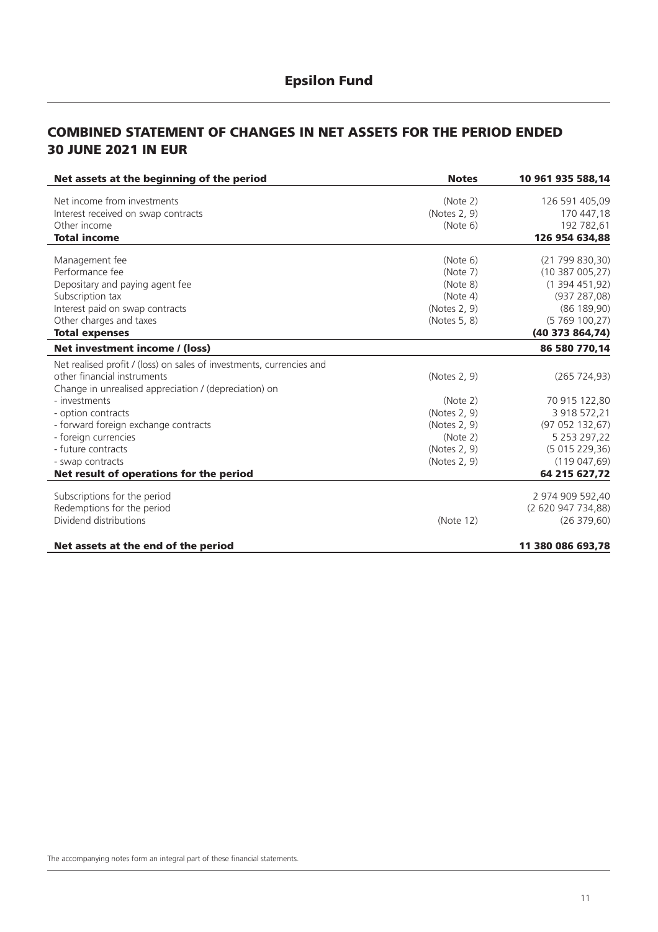#### **COMBINED STATEMENT OF CHANGES IN NET ASSETS FOR THE PERIOD ENDED 30 JUNE 2021 IN EUR**

| Net assets at the beginning of the period                            | <b>Notes</b> | 10 961 935 588,14  |
|----------------------------------------------------------------------|--------------|--------------------|
| Net income from investments                                          | (Note 2)     | 126 591 405,09     |
| Interest received on swap contracts                                  | (Notes 2, 9) | 170 447,18         |
| Other income                                                         | (Note 6)     | 192 782,61         |
| <b>Total income</b>                                                  |              | 126 954 634,88     |
| Management fee                                                       | (Note 6)     | (21799830,30)      |
| Performance fee                                                      | (Note 7)     | (10387005,27)      |
| Depositary and paying agent fee                                      | (Note 8)     | (1394451,92)       |
| Subscription tax                                                     | (Note 4)     | (937 287,08)       |
| Interest paid on swap contracts                                      | (Notes 2, 9) | (86 189, 90)       |
| Other charges and taxes                                              | (Notes 5, 8) | (5769100,27)       |
| <b>Total expenses</b>                                                |              | (40373864,74)      |
| Net investment income / (loss)                                       |              | 86 580 770,14      |
| Net realised profit / (loss) on sales of investments, currencies and |              |                    |
| other financial instruments                                          | (Notes 2, 9) | (265 724, 93)      |
| Change in unrealised appreciation / (depreciation) on                |              |                    |
| - investments                                                        | (Note 2)     | 70 915 122,80      |
| - option contracts                                                   | (Notes 2, 9) | 3 918 572,21       |
| - forward foreign exchange contracts                                 | (Notes 2, 9) | (97052132,67)      |
| - foreign currencies                                                 | (Note 2)     | 5 253 297,22       |
| - future contracts                                                   | (Notes 2, 9) | (5015229,36)       |
| - swap contracts                                                     | (Notes 2, 9) | (119047,69)        |
| Net result of operations for the period                              |              | 64 215 627,72      |
| Subscriptions for the period                                         |              | 2 974 909 592,40   |
| Redemptions for the period                                           |              | (2 620 947 734,88) |
| Dividend distributions                                               | (Note 12)    | (26 379, 60)       |
| Net assets at the end of the period                                  |              | 11 380 086 693,78  |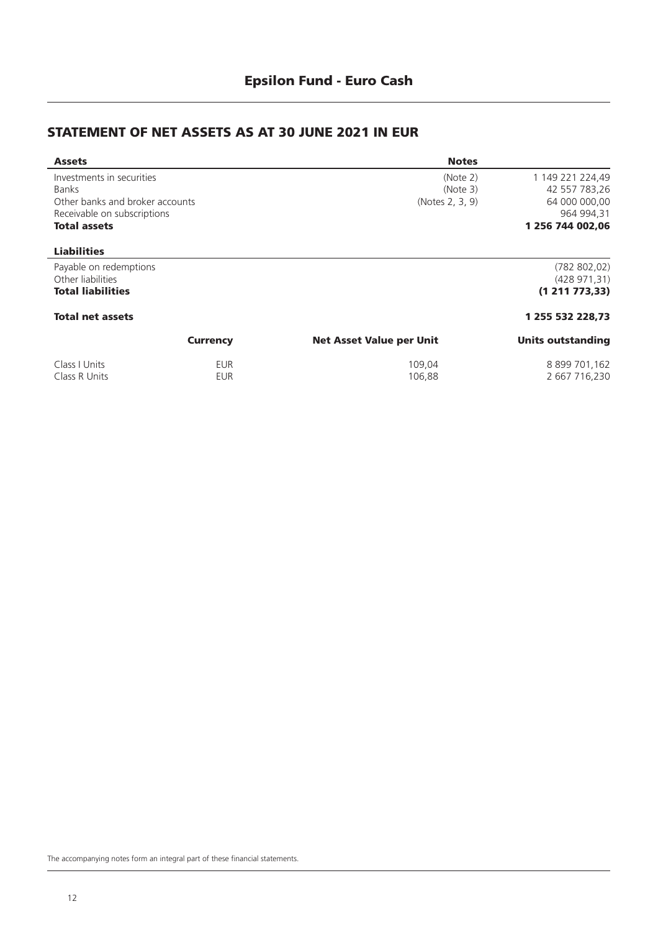### **STATEMENT OF NET ASSETS AS AT 30 JUNE 2021 IN EUR**

| <b>Assets</b>                   |                 | <b>Notes</b>                    |                          |
|---------------------------------|-----------------|---------------------------------|--------------------------|
| Investments in securities       |                 | (Note 2)                        | 1 149 221 224,49         |
| <b>Banks</b>                    |                 | (Note 3)                        | 42 557 783,26            |
| Other banks and broker accounts |                 | (Notes 2, 3, 9)                 | 64 000 000,00            |
| Receivable on subscriptions     |                 |                                 | 964 994,31               |
| <b>Total assets</b>             |                 |                                 | 1 256 744 002,06         |
| <b>Liabilities</b>              |                 |                                 |                          |
| Payable on redemptions          |                 |                                 | (782 802, 02)            |
| Other liabilities               |                 |                                 | (428971,31)              |
| <b>Total liabilities</b>        |                 |                                 | (1 211 773, 33)          |
| <b>Total net assets</b>         |                 |                                 | 1 255 532 228,73         |
|                                 | <b>Currency</b> | <b>Net Asset Value per Unit</b> | <b>Units outstanding</b> |
| Class I Units                   | <b>EUR</b>      | 109,04                          | 8 899 701,162            |
| Class R Units                   | EUR             | 106,88                          | 2 667 716,230            |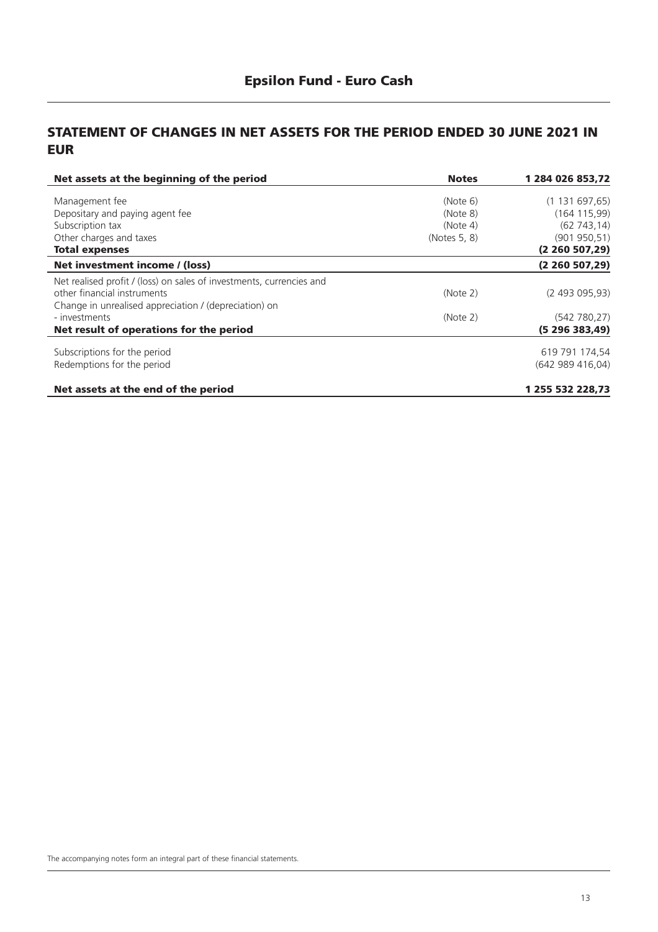#### **STATEMENT OF CHANGES IN NET ASSETS FOR THE PERIOD ENDED 30 JUNE 2021 IN EUR**

| Net assets at the beginning of the period                            | <b>Notes</b> | 1 284 026 853,72  |
|----------------------------------------------------------------------|--------------|-------------------|
| Management fee                                                       | (Note 6)     | (1131697,65)      |
| Depositary and paying agent fee                                      | (Note 8)     | (164 115,99)      |
| Subscription tax                                                     | (Note 4)     | (62743, 14)       |
| Other charges and taxes                                              | (Notes 5, 8) | (901950,51)       |
| <b>Total expenses</b>                                                |              | (2 260 507, 29)   |
| Net investment income / (loss)                                       |              | (2260507,29)      |
| Net realised profit / (loss) on sales of investments, currencies and |              |                   |
| other financial instruments                                          | (Note 2)     | (2, 493, 095, 93) |
| Change in unrealised appreciation / (depreciation) on                |              |                   |
| - investments                                                        | (Note 2)     | (542 780, 27)     |
| Net result of operations for the period                              |              | (5296383,49)      |
| Subscriptions for the period                                         |              | 619 791 174,54    |
| Redemptions for the period                                           |              | (642989416,04)    |
| Net assets at the end of the period                                  |              | 1 255 532 228,73  |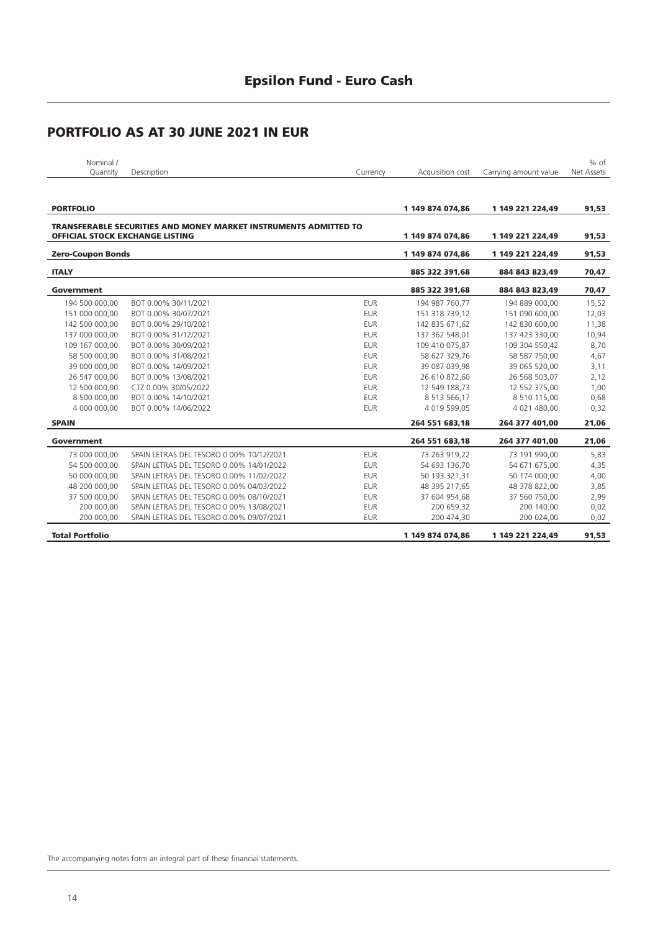| Nominal /                |                                                                                                                   |            |                  |                       | $%$ of     |
|--------------------------|-------------------------------------------------------------------------------------------------------------------|------------|------------------|-----------------------|------------|
| Quantity                 | Description                                                                                                       | Currency   | Acquisition cost | Carrying amount value | Net Assets |
| <b>PORTFOLIO</b>         |                                                                                                                   |            | 1 149 874 074.86 | 1 149 221 224.49      | 91,53      |
|                          | <b>TRANSFERABLE SECURITIES AND MONEY MARKET INSTRUMENTS ADMITTED TO</b><br><b>OFFICIAL STOCK EXCHANGE LISTING</b> |            | 1 149 874 074,86 | 1 149 221 224,49      | 91,53      |
| <b>Zero-Coupon Bonds</b> |                                                                                                                   |            | 1 149 874 074.86 | 1 149 221 224.49      | 91,53      |
| <b>ITALY</b>             |                                                                                                                   |            | 885 322 391.68   | 884 843 823.49        | 70,47      |
| Government               |                                                                                                                   |            | 885 322 391.68   | 884 843 823.49        | 70,47      |
| 194 500 000,00           | BOT 0.00% 30/11/2021                                                                                              | <b>EUR</b> | 194 987 760,77   | 194 889 000,00        | 15,52      |
| 151 000 000.00           | BOT 0.00% 30/07/2021                                                                                              | <b>EUR</b> | 151 318 739.12   | 151 090 600.00        | 12,03      |
| 142 500 000.00           | BOT 0.00% 29/10/2021                                                                                              | <b>EUR</b> | 142 835 671.62   | 142 830 600.00        | 11,38      |
| 137 000 000.00           | BOT 0.00% 31/12/2021                                                                                              | <b>EUR</b> | 137 362 548.01   | 137 423 330.00        | 10,94      |
| 109 167 000.00           | BOT 0.00% 30/09/2021                                                                                              | <b>EUR</b> | 109 410 075,87   | 109 304 550,42        | 8,70       |
| 58 500 000.00            | BOT 0.00% 31/08/2021                                                                                              | <b>EUR</b> | 58 627 329.76    | 58 587 750,00         | 4,67       |
| 39 000 000,00            | BOT 0.00% 14/09/2021                                                                                              | <b>EUR</b> | 39 087 039.98    | 39 065 520,00         | 3,11       |
| 26 547 000.00            | BOT 0.00% 13/08/2021                                                                                              | <b>EUR</b> | 26 610 872,60    | 26 568 503,07         | 2,12       |
| 12 500 000.00            | CTZ 0.00% 30/05/2022                                                                                              | <b>EUR</b> | 12 549 188.73    | 12 552 375.00         | 1,00       |
| 8 500 000,00             | BOT 0.00% 14/10/2021                                                                                              | <b>EUR</b> | 8 513 566.17     | 8 510 115,00          | 0,68       |
| 4 000 000,00             | BOT 0.00% 14/06/2022                                                                                              | <b>EUR</b> | 4 019 599,05     | 4 021 480,00          | 0,32       |
| <b>SPAIN</b>             |                                                                                                                   |            | 264 551 683.18   | 264 377 401.00        | 21,06      |
|                          |                                                                                                                   |            |                  |                       |            |

| Government             |                                          |            | 264 551 683.18   | 264 377 401.00   | 21,06 |
|------------------------|------------------------------------------|------------|------------------|------------------|-------|
| 73 000 000.00          | SPAIN LETRAS DEL TESORO 0.00% 10/12/2021 | <b>EUR</b> | 73 263 919.22    | 73 191 990.00    | 5,83  |
| 54 500 000.00          | SPAIN LETRAS DEL TESORO 0.00% 14/01/2022 | <b>EUR</b> | 54 693 136.70    | 54 671 675.00    | 4,35  |
| 50 000 000.00          | SPAIN LETRAS DEL TESORO 0.00% 11/02/2022 | <b>EUR</b> | 50 193 321.31    | 50 174 000,00    | 4,00  |
| 48 200 000.00          | SPAIN LETRAS DEL TESORO 0.00% 04/03/2022 | <b>EUR</b> | 48 395 217.65    | 48 378 822.00    | 3,85  |
| 37 500 000.00          | SPAIN LETRAS DEL TESORO 0.00% 08/10/2021 | <b>EUR</b> | 37 604 954.68    | 37 560 750.00    | 2,99  |
| 200 000.00             | SPAIN LETRAS DEL TESORO 0.00% 13/08/2021 | <b>EUR</b> | 200 659.32       | 200 140,00       | 0,02  |
| 200 000,00             | SPAIN LETRAS DEL TESORO 0.00% 09/07/2021 | <b>EUR</b> | 200 474.30       | 200 024.00       | 0,02  |
| <b>Total Portfolio</b> |                                          |            | 1 149 874 074.86 | 1 149 221 224.49 | 91.53 |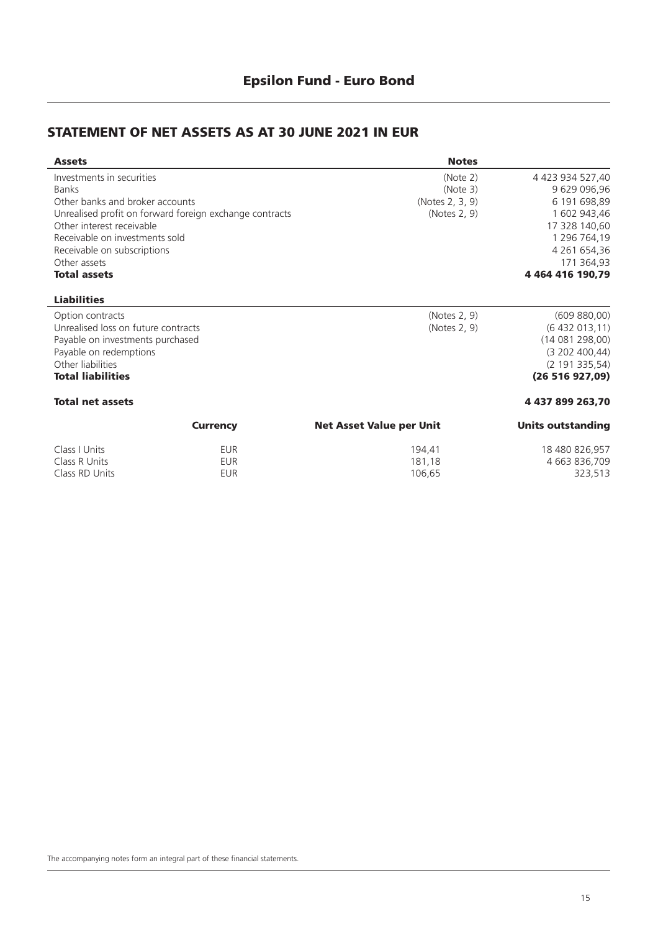### **STATEMENT OF NET ASSETS AS AT 30 JUNE 2021 IN EUR**

| <b>Assets</b>                       |                                                         | <b>Notes</b>                    |                          |
|-------------------------------------|---------------------------------------------------------|---------------------------------|--------------------------|
| Investments in securities           |                                                         | (Note 2)                        | 4 423 934 527,40         |
| <b>Banks</b>                        |                                                         | (Note 3)                        | 9 629 096,96             |
| Other banks and broker accounts     |                                                         | (Notes 2, 3, 9)                 | 6 191 698,89             |
|                                     | Unrealised profit on forward foreign exchange contracts | (Notes 2, 9)                    | 1 602 943,46             |
| Other interest receivable           |                                                         |                                 | 17 328 140,60            |
| Receivable on investments sold      |                                                         |                                 | 1 296 764,19             |
| Receivable on subscriptions         |                                                         |                                 | 4 261 654,36             |
| Other assets                        |                                                         |                                 | 171 364,93               |
| <b>Total assets</b>                 |                                                         |                                 | 4 464 416 190,79         |
| <b>Liabilities</b>                  |                                                         |                                 |                          |
| Option contracts                    |                                                         | (Notes 2, 9)                    | (609 880,00)             |
| Unrealised loss on future contracts |                                                         | (Notes 2, 9)                    | (6432013,11)             |
| Payable on investments purchased    |                                                         |                                 | (14081298,00)            |
| Payable on redemptions              |                                                         |                                 | (3 202 400, 44)          |
| Other liabilities                   |                                                         |                                 | (2 191 335, 54)          |
| <b>Total liabilities</b>            |                                                         |                                 | (26 516 927,09)          |
| <b>Total net assets</b>             |                                                         |                                 | 4 437 899 263,70         |
|                                     | <b>Currency</b>                                         | <b>Net Asset Value per Unit</b> | <b>Units outstanding</b> |
| Class   Units                       | <b>EUR</b>                                              | 194,41                          | 18 480 826,957           |
| Class R Units                       | <b>EUR</b>                                              | 181,18                          | 4 663 836,709            |
| Class RD Units                      | <b>EUR</b>                                              | 106,65                          | 323,513                  |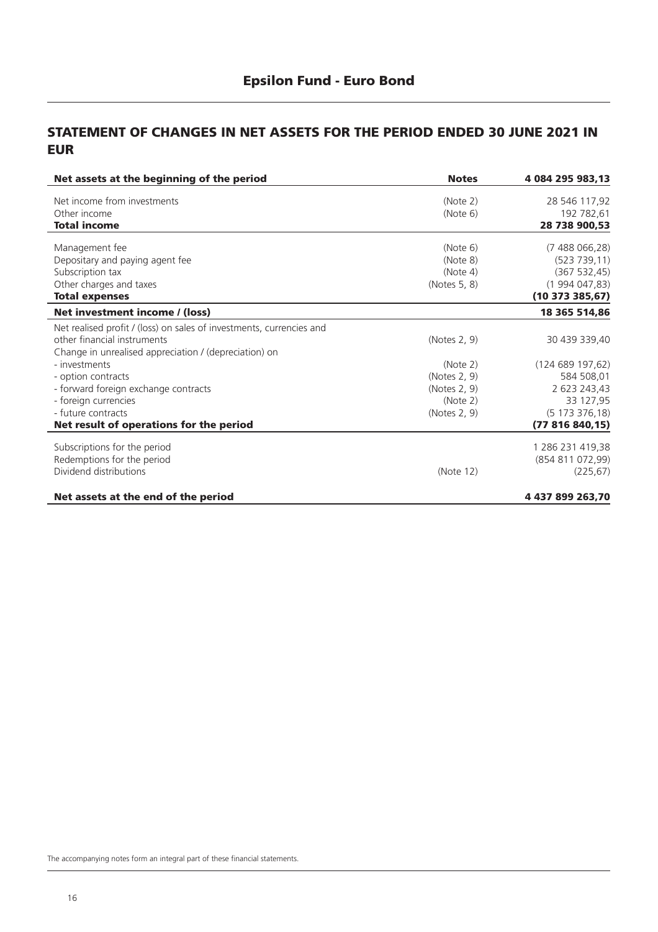#### **STATEMENT OF CHANGES IN NET ASSETS FOR THE PERIOD ENDED 30 JUNE 2021 IN EUR**

| Net assets at the beginning of the period                            | <b>Notes</b> | 4 084 295 983,13    |
|----------------------------------------------------------------------|--------------|---------------------|
| Net income from investments                                          | (Note 2)     | 28 546 117,92       |
| Other income                                                         | (Note 6)     | 192 782,61          |
| <b>Total income</b>                                                  |              | 28 738 900,53       |
| Management fee                                                       | (Note 6)     | (7488066,28)        |
| Depositary and paying agent fee                                      | (Note 8)     | (523 739, 11)       |
| Subscription tax                                                     | (Note 4)     | (367 532, 45)       |
| Other charges and taxes                                              | (Notes 5, 8) | (1994047,83)        |
| <b>Total expenses</b>                                                |              | $(10\ 373\ 385,67)$ |
| Net investment income / (loss)                                       |              | 18 365 514,86       |
| Net realised profit / (loss) on sales of investments, currencies and |              |                     |
| other financial instruments                                          | (Notes 2, 9) | 30 439 339,40       |
| Change in unrealised appreciation / (depreciation) on                |              |                     |
| - investments                                                        | (Note 2)     | (124689197,62)      |
| - option contracts                                                   | (Notes 2, 9) | 584 508,01          |
| - forward foreign exchange contracts                                 | (Notes 2, 9) | 2 623 243,43        |
| - foreign currencies                                                 | (Note 2)     | 33 127,95           |
| - future contracts                                                   | (Notes 2, 9) | (5173376,18)        |
| Net result of operations for the period                              |              | (77816840, 15)      |
| Subscriptions for the period                                         |              | 1 286 231 419,38    |
| Redemptions for the period                                           |              | (854 811 072,99)    |
| Dividend distributions                                               | (Note 12)    | (225, 67)           |
| Net assets at the end of the period                                  |              | 4 437 899 263,70    |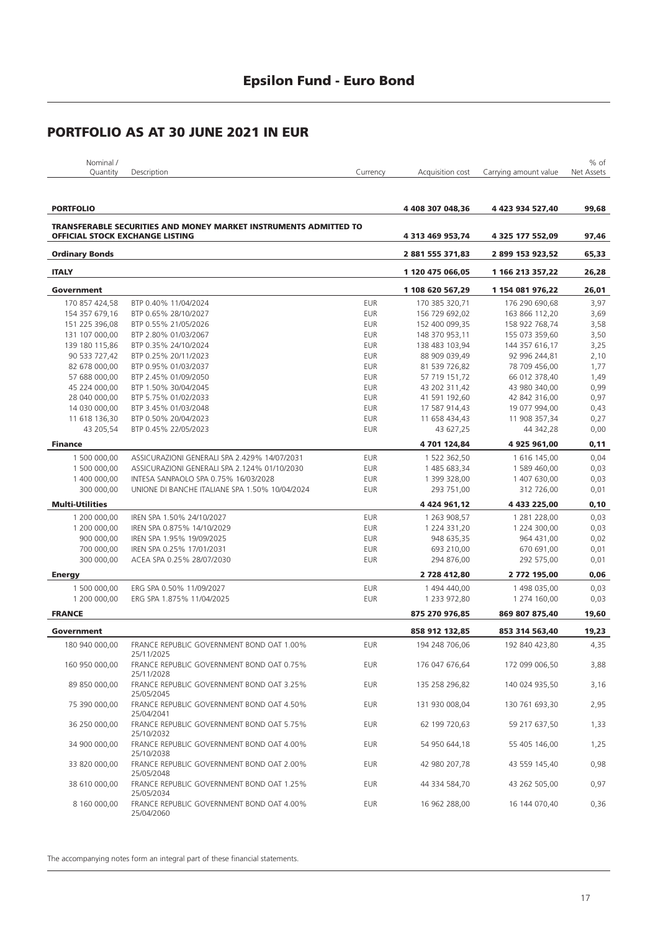| Nominal /       |             |          |                                                   | $%$ of |
|-----------------|-------------|----------|---------------------------------------------------|--------|
| <b>Quantity</b> | Description | Currencv | Acquisition cost Carrying amount value Net Assets |        |
|                 |             |          |                                                   |        |

| <b>PORTFOLIO</b>                       |                                                                         |            | 4 408 307 048,36    | 4 423 934 527,40 | 99,68 |
|----------------------------------------|-------------------------------------------------------------------------|------------|---------------------|------------------|-------|
|                                        | <b>TRANSFERABLE SECURITIES AND MONEY MARKET INSTRUMENTS ADMITTED TO</b> |            |                     |                  |       |
| <b>OFFICIAL STOCK EXCHANGE LISTING</b> |                                                                         |            | 4 313 469 953,74    | 4 325 177 552,09 | 97,46 |
| <b>Ordinary Bonds</b>                  |                                                                         |            | 2 881 555 371,83    | 2 899 153 923,52 | 65,33 |
| <b>ITALY</b>                           |                                                                         |            | 1 120 475 066,05    | 1 166 213 357,22 | 26,28 |
| Government                             |                                                                         |            | 1 108 620 567,29    | 1 154 081 976,22 | 26,01 |
| 170 857 424,58                         | BTP 0.40% 11/04/2024                                                    | <b>EUR</b> | 170 385 320,71      | 176 290 690,68   | 3,97  |
| 154 357 679,16                         | BTP 0.65% 28/10/2027                                                    | <b>EUR</b> | 156 729 692,02      | 163 866 112,20   | 3,69  |
| 151 225 396,08                         | BTP 0.55% 21/05/2026                                                    | <b>EUR</b> | 152 400 099,35      | 158 922 768.74   | 3,58  |
| 131 107 000,00                         | BTP 2.80% 01/03/2067                                                    | <b>EUR</b> | 148 370 953,11      | 155 073 359,60   | 3,50  |
| 139 180 115,86                         | BTP 0.35% 24/10/2024                                                    | EUR        | 138 483 103,94      | 144 357 616,17   | 3,25  |
| 90 533 727,42                          | BTP 0.25% 20/11/2023                                                    | <b>EUR</b> | 88 909 039,49       | 92 996 244,81    | 2,10  |
| 82 678 000,00                          | BTP 0.95% 01/03/2037                                                    | <b>EUR</b> | 81 539 726,82       | 78 709 456,00    | 1,77  |
| 57 688 000,00                          | BTP 2.45% 01/09/2050                                                    | <b>EUR</b> | 57 719 151,72       | 66 012 378,40    | 1,49  |
| 45 224 000,00                          | BTP 1.50% 30/04/2045                                                    | <b>EUR</b> | 43 202 311,42       | 43 980 340,00    | 0,99  |
| 28 040 000,00                          | BTP 5.75% 01/02/2033                                                    | <b>EUR</b> | 41 591 192,60       | 42 842 316,00    | 0,97  |
| 14 030 000,00                          | BTP 3.45% 01/03/2048                                                    | <b>EUR</b> | 17 587 914,43       | 19 077 994,00    | 0,43  |
| 11 618 136,30                          | BTP 0.50% 20/04/2023                                                    | <b>EUR</b> | 11 658 434,43       | 11 908 357,34    | 0,27  |
| 43 205,54                              | BTP 0.45% 22/05/2023                                                    | <b>EUR</b> | 43 627,25           | 44 342,28        | 0,00  |
| <b>Finance</b>                         |                                                                         |            | 4 701 124,84        | 4 925 961,00     | 0, 11 |
| 1 500 000,00                           | ASSICURAZIONI GENERALI SPA 2.429% 14/07/2031                            | <b>EUR</b> | 1 522 362,50        | 1 616 145,00     | 0,04  |
| 1 500 000,00                           | ASSICURAZIONI GENERALI SPA 2.124% 01/10/2030                            | <b>EUR</b> | 1 485 683,34        | 1 589 460,00     | 0,03  |
| 1 400 000,00                           | INTESA SANPAOLO SPA 0.75% 16/03/2028                                    | <b>EUR</b> | 1 399 328,00        | 1 407 630,00     | 0,03  |
| 300 000,00                             | UNIONE DI BANCHE ITALIANE SPA 1.50% 10/04/2024                          | <b>EUR</b> | 293 751,00          | 312 726,00       | 0,01  |
| <b>Multi-Utilities</b>                 |                                                                         |            | 4 4 2 4 9 6 1 , 1 2 | 4 433 225,00     | 0, 10 |
| 1 200 000,00                           | IREN SPA 1.50% 24/10/2027                                               | <b>EUR</b> | 1 263 908,57        | 1 281 228,00     | 0,03  |
| 1 200 000,00                           | IREN SPA 0.875% 14/10/2029                                              | <b>EUR</b> | 1 224 331,20        | 1 224 300,00     | 0,03  |
| 900 000,00                             | IREN SPA 1.95% 19/09/2025                                               | <b>EUR</b> | 948 635,35          | 964 431,00       | 0,02  |
| 700 000,00                             | IREN SPA 0.25% 17/01/2031                                               | EUR        | 693 210,00          | 670 691,00       | 0,01  |
| 300 000,00                             | ACEA SPA 0.25% 28/07/2030                                               | <b>EUR</b> | 294 876,00          | 292 575,00       | 0,01  |
|                                        |                                                                         |            | 2 728 412,80        |                  | 0,06  |
| <b>Energy</b>                          |                                                                         |            |                     | 2 772 195,00     |       |
| 1 500 000,00                           | ERG SPA 0.50% 11/09/2027                                                | <b>EUR</b> | 1 494 440,00        | 1498 035,00      | 0,03  |
| 1 200 000,00                           | ERG SPA 1.875% 11/04/2025                                               | <b>EUR</b> | 1 233 972,80        | 1 274 160,00     | 0,03  |
| <b>FRANCE</b>                          |                                                                         |            | 875 270 976,85      | 869 807 875,40   | 19,60 |
| Government                             |                                                                         |            | 858 912 132,85      | 853 314 563,40   | 19,23 |
| 180 940 000,00                         | FRANCE REPUBLIC GOVERNMENT BOND OAT 1.00%<br>25/11/2025                 | <b>EUR</b> | 194 248 706,06      | 192 840 423,80   | 4,35  |
| 160 950 000,00                         | FRANCE REPUBLIC GOVERNMENT BOND OAT 0.75%<br>25/11/2028                 | <b>EUR</b> | 176 047 676,64      | 172 099 006,50   | 3,88  |
| 89 850 000,00                          | FRANCE REPUBLIC GOVERNMENT BOND OAT 3.25%<br>25/05/2045                 | <b>EUR</b> | 135 258 296.82      | 140 024 935.50   | 3,16  |
| 75 390 000,00                          | FRANCE REPUBLIC GOVERNMENT BOND OAT 4.50%<br>25/04/2041                 | <b>EUR</b> | 131 930 008,04      | 130 761 693,30   | 2,95  |
| 36 250 000,00                          | FRANCE REPUBLIC GOVERNMENT BOND OAT 5.75%<br>25/10/2032                 | <b>EUR</b> | 62 199 720,63       | 59 217 637,50    | 1,33  |
| 34 900 000.00                          | FRANCE REPUBLIC GOVERNMENT BOND OAT 4.00%<br>25/10/2038                 | <b>EUR</b> | 54 950 644,18       | 55 405 146,00    | 1,25  |
| 33 820 000,00                          | FRANCE REPUBLIC GOVERNMENT BOND OAT 2.00%<br>25/05/2048                 | <b>EUR</b> | 42 980 207,78       | 43 559 145,40    | 0,98  |
| 38 610 000,00                          | FRANCE REPUBLIC GOVERNMENT BOND OAT 1.25%<br>25/05/2034                 | <b>EUR</b> | 44 334 584,70       | 43 262 505,00    | 0,97  |
| 8 160 000,00                           | FRANCE REPUBLIC GOVERNMENT BOND OAT 4.00%<br>25/04/2060                 | <b>EUR</b> | 16 962 288,00       | 16 144 070,40    | 0,36  |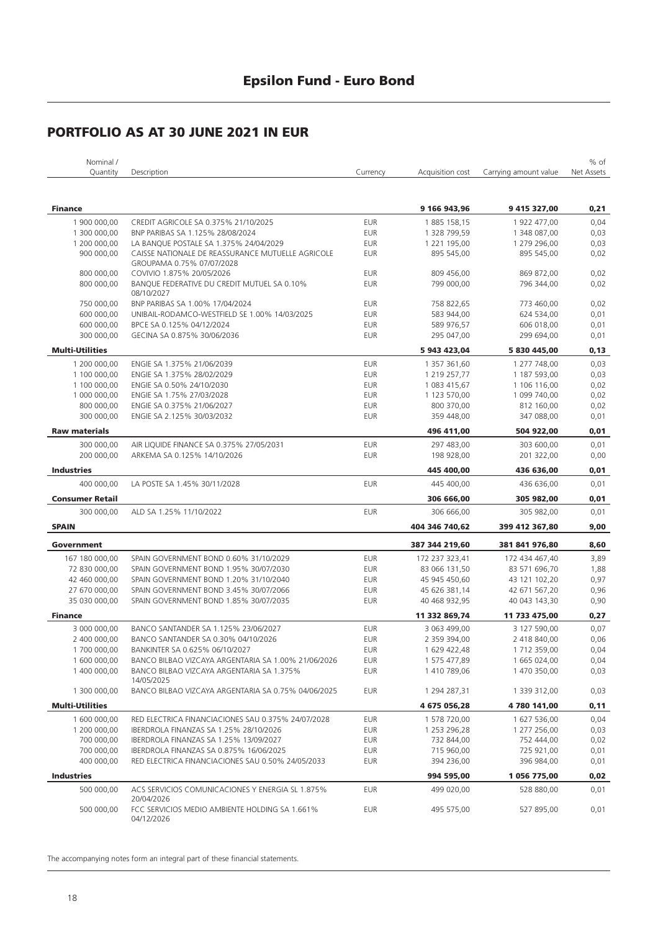### **Epsilon Fund - Euro Bond**

### **PORTFOLIO AS AT 30 JUNE 2021 IN EUR**

| Nominal /              |                                                                                |            |                  |                       | % of       |
|------------------------|--------------------------------------------------------------------------------|------------|------------------|-----------------------|------------|
| Quantity               | Description                                                                    | Currency   | Acquisition cost | Carrying amount value | Net Assets |
|                        |                                                                                |            |                  |                       |            |
| <b>Finance</b>         |                                                                                |            | 9 166 943,96     | 9 415 327,00          | 0,21       |
| 1 900 000,00           | CREDIT AGRICOLE SA 0.375% 21/10/2025                                           | <b>EUR</b> | 1885 158,15      | 1 922 477,00          | 0,04       |
| 1 300 000,00           | BNP PARIBAS SA 1.125% 28/08/2024                                               | <b>EUR</b> | 1 328 799,59     | 1 348 087,00          | 0,03       |
| 1 200 000,00           | LA BANQUE POSTALE SA 1.375% 24/04/2029                                         | <b>EUR</b> | 1 221 195,00     | 1 279 296,00          | 0,03       |
| 900 000,00             | CAISSE NATIONALE DE REASSURANCE MUTUELLE AGRICOLE<br>GROUPAMA 0.75% 07/07/2028 | <b>EUR</b> | 895 545,00       | 895 545,00            | 0,02       |
| 800 000,00             | COVIVIO 1.875% 20/05/2026                                                      | <b>EUR</b> | 809 456,00       | 869 872,00            | 0,02       |
| 800 000,00             | BANQUE FEDERATIVE DU CREDIT MUTUEL SA 0.10%<br>08/10/2027                      | <b>EUR</b> | 799 000,00       | 796 344,00            | 0,02       |
| 750 000,00             | BNP PARIBAS SA 1.00% 17/04/2024                                                | <b>EUR</b> | 758 822,65       | 773 460,00            | 0,02       |
| 600 000,00             | UNIBAIL-RODAMCO-WESTFIELD SE 1.00% 14/03/2025                                  | <b>EUR</b> | 583 944,00       | 624 534,00            | 0,01       |
| 600 000,00             | BPCE SA 0.125% 04/12/2024                                                      | <b>EUR</b> | 589 976,57       | 606 018,00            | 0,01       |
| 300 000,00             | GECINA SA 0.875% 30/06/2036                                                    | <b>EUR</b> | 295 047,00       | 299 694,00            | 0,01       |
| <b>Multi-Utilities</b> |                                                                                |            | 5 943 423,04     | 5 830 445,00          | 0,13       |
| 1 200 000,00           | ENGIE SA 1.375% 21/06/2039                                                     | <b>EUR</b> | 1 357 361,60     | 1 277 748,00          | 0,03       |
| 1 100 000,00           | ENGIE SA 1.375% 28/02/2029                                                     | <b>EUR</b> | 1 219 257,77     | 1 187 593,00          | 0,03       |
| 1 100 000,00           | ENGIE SA 0.50% 24/10/2030                                                      | <b>EUR</b> | 1 083 415,67     | 1 106 116,00          | 0,02       |
| 1 000 000,00           | ENGIE SA 1.75% 27/03/2028                                                      | <b>EUR</b> | 1 123 570,00     | 1 099 740,00          | 0,02       |
| 800 000,00             | ENGIE SA 0.375% 21/06/2027                                                     | <b>EUR</b> | 800 370,00       | 812 160,00            | 0,02       |
| 300 000,00             | ENGIE SA 2.125% 30/03/2032                                                     | <b>EUR</b> | 359 448,00       | 347 088,00            | 0,01       |
| <b>Raw materials</b>   |                                                                                |            | 496 411,00       | 504 922,00            | 0,01       |
| 300 000,00             | AIR LIQUIDE FINANCE SA 0.375% 27/05/2031                                       | <b>EUR</b> | 297 483,00       | 303 600.00            | 0,01       |
| 200 000,00             | ARKEMA SA 0.125% 14/10/2026                                                    | <b>EUR</b> | 198 928,00       | 201 322,00            | 0,00       |
| <b>Industries</b>      |                                                                                |            | 445 400,00       | 436 636,00            | 0,01       |
| 400 000,00             | LA POSTE SA 1.45% 30/11/2028                                                   | <b>EUR</b> | 445 400,00       | 436 636,00            | 0,01       |
| <b>Consumer Retail</b> |                                                                                |            | 306 666,00       | 305 982,00            | 0,01       |
| 300 000,00             | ALD SA 1.25% 11/10/2022                                                        | <b>EUR</b> | 306 666,00       | 305 982,00            | 0,01       |
| <b>SPAIN</b>           |                                                                                |            | 404 346 740,62   | 399 412 367,80        | 9,00       |
| Government             |                                                                                |            | 387 344 219,60   | 381 841 976,80        | 8,60       |
| 167 180 000,00         | SPAIN GOVERNMENT BOND 0.60% 31/10/2029                                         | EUR        | 172 237 323,41   | 172 434 467,40        | 3,89       |
| 72 830 000,00          | SPAIN GOVERNMENT BOND 1.95% 30/07/2030                                         | EUR        | 83 066 131,50    | 83 571 696,70         | 1,88       |
| 42 460 000,00          | SPAIN GOVERNMENT BOND 1.20% 31/10/2040                                         | EUR        | 45 945 450,60    | 43 121 102,20         | 0,97       |
| 27 670 000.00          | SPAIN GOVERNMENT BOND 3.45% 30/07/2066                                         | EUR        | 45 626 381,14    | 42 671 567,20         | 0,96       |
| 35 030 000,00          | SPAIN GOVERNMENT BOND 1.85% 30/07/2035                                         | EUR        | 40 468 932,95    | 40 043 143,30         | 0,90       |
| <b>Finance</b>         |                                                                                |            | 11 332 869,74    | 11 733 475,00         | 0,27       |
| 3 000 000,00           | BANCO SANTANDER SA 1.125% 23/06/2027                                           | <b>EUR</b> | 3 063 499,00     | 3 127 590,00          | 0,07       |
| 2 400 000.00           | BANCO SANTANDER SA 0.30% 04/10/2026                                            | <b>EUR</b> | 2 359 394,00     | 2 418 840,00          | 0,06       |
| 1 700 000,00           | BANKINTER SA 0.625% 06/10/2027                                                 | <b>EUR</b> | 1 629 422.48     | 1 712 359,00          | 0,04       |
| 1 600 000,00           | BANCO BILBAO VIZCAYA ARGENTARIA SA 1.00% 21/06/2026                            | <b>EUR</b> | 1 575 477,89     | 1 665 024,00          | 0,04       |
| 1 400 000,00           | BANCO BILBAO VIZCAYA ARGENTARIA SA 1.375%<br>14/05/2025                        | <b>EUR</b> | 1 410 789,06     | 1 470 350,00          | 0,03       |
| 1 300 000,00           | BANCO BILBAO VIZCAYA ARGENTARIA SA 0.75% 04/06/2025                            | EUR        | 1 294 287,31     | 1 339 312,00          | 0,03       |
| <b>Multi-Utilities</b> |                                                                                |            | 4 675 056,28     | 4 780 141,00          | 0,11       |
| 1 600 000,00           | RED ELECTRICA FINANCIACIONES SAU 0.375% 24/07/2028                             | <b>EUR</b> | 1 578 720,00     | 1 627 536,00          | 0,04       |
| 1 200 000,00           | IBERDROLA FINANZAS SA 1.25% 28/10/2026                                         | EUR        | 1 253 296,28     | 1 277 256,00          | 0,03       |
| 700 000,00             | IBERDROLA FINANZAS SA 1.25% 13/09/2027                                         | EUR        | 732 844,00       | 752 444,00            | 0,02       |
| 700 000,00             | IBERDROLA FINANZAS SA 0.875% 16/06/2025                                        | EUR        | 715 960,00       | 725 921,00            | 0,01       |
| 400 000,00             | RED ELECTRICA FINANCIACIONES SAU 0.50% 24/05/2033                              | <b>EUR</b> | 394 236,00       | 396 984,00            | 0,01       |
| <b>Industries</b>      |                                                                                |            | 994 595,00       | 1 056 775,00          | 0,02       |
| 500 000,00             | ACS SERVICIOS COMUNICACIONES Y ENERGIA SL 1.875%<br>20/04/2026                 | <b>EUR</b> | 499 020,00       | 528 880,00            | 0,01       |
| 500 000,00             | FCC SERVICIOS MEDIO AMBIENTE HOLDING SA 1.661%<br>04/12/2026                   | EUR        | 495 575,00       | 527 895,00            | 0,01       |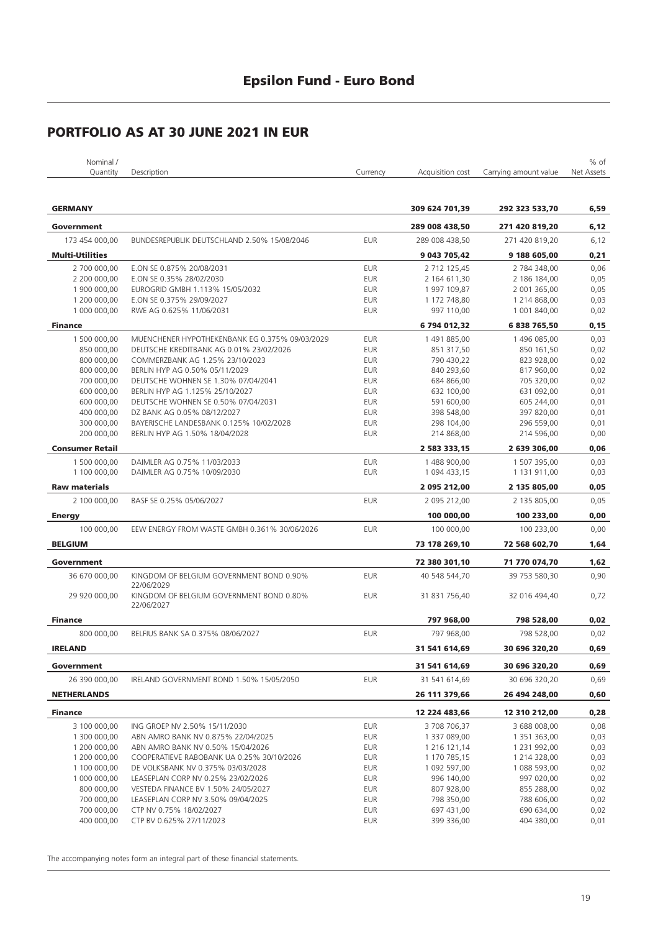| Nominal /              |                                                                        |            |                  |                       | % of       |
|------------------------|------------------------------------------------------------------------|------------|------------------|-----------------------|------------|
| Quantity               | Description                                                            | Currency   | Acquisition cost | Carrying amount value | Net Assets |
|                        |                                                                        |            |                  |                       |            |
| <b>GERMANY</b>         |                                                                        |            | 309 624 701,39   | 292 323 533,70        | 6,59       |
| Government             |                                                                        |            | 289 008 438,50   | 271 420 819,20        | 6,12       |
| 173 454 000,00         | BUNDESREPUBLIK DEUTSCHLAND 2.50% 15/08/2046                            | <b>EUR</b> | 289 008 438,50   | 271 420 819,20        | 6,12       |
| <b>Multi-Utilities</b> |                                                                        |            | 9 043 705,42     | 9 188 605,00          | 0,21       |
| 2 700 000,00           | E.ON SE 0.875% 20/08/2031                                              | <b>EUR</b> | 2 712 125,45     | 2 784 348,00          | 0,06       |
| 2 200 000,00           | E.ON SE 0.35% 28/02/2030                                               | <b>EUR</b> | 2 164 611,30     | 2 186 184,00          | 0,05       |
| 1 900 000,00           | EUROGRID GMBH 1.113% 15/05/2032                                        | <b>EUR</b> | 1997 109,87      | 2 001 365,00          | 0,05       |
| 1 200 000,00           | E.ON SE 0.375% 29/09/2027                                              | <b>EUR</b> | 1 172 748,80     | 1 214 868,00          | 0,03       |
| 1 000 000,00           | RWE AG 0.625% 11/06/2031                                               | <b>EUR</b> | 997 110,00       | 1 001 840,00          | 0,02       |
| <b>Finance</b>         |                                                                        |            | 6 794 012,32     | 6 838 765,50          | 0,15       |
| 1 500 000,00           | MUENCHENER HYPOTHEKENBANK EG 0.375% 09/03/2029                         | <b>EUR</b> | 1491885,00       | 1 496 085,00          | 0,03       |
| 850 000,00             | DEUTSCHE KREDITBANK AG 0.01% 23/02/2026                                | <b>EUR</b> | 851 317,50       | 850 161,50            | 0,02       |
| 800 000,00             | COMMERZBANK AG 1.25% 23/10/2023                                        | <b>EUR</b> | 790 430,22       | 823 928,00            | 0,02       |
| 800 000,00             | BERLIN HYP AG 0.50% 05/11/2029                                         | <b>EUR</b> | 840 293,60       | 817 960,00            | 0,02       |
| 700 000,00             | DEUTSCHE WOHNEN SE 1.30% 07/04/2041                                    | <b>EUR</b> | 684 866,00       | 705 320,00            | 0,02       |
|                        |                                                                        |            |                  |                       |            |
| 600 000,00             | BERLIN HYP AG 1.125% 25/10/2027<br>DEUTSCHE WOHNEN SE 0.50% 07/04/2031 | <b>EUR</b> | 632 100,00       | 631 092,00            | 0,01       |
| 600 000,00             |                                                                        | <b>EUR</b> | 591 600,00       | 605 244,00            | 0,01       |
| 400 000,00             | DZ BANK AG 0.05% 08/12/2027                                            | <b>EUR</b> | 398 548,00       | 397 820,00            | 0,01       |
| 300 000,00             | BAYERISCHE LANDESBANK 0.125% 10/02/2028                                | <b>EUR</b> | 298 104,00       | 296 559,00            | 0,01       |
| 200 000,00             | BERLIN HYP AG 1.50% 18/04/2028                                         | <b>EUR</b> | 214 868,00       | 214 596,00            | 0,00       |
| <b>Consumer Retail</b> |                                                                        |            | 2 583 333,15     | 2 639 306,00          | 0,06       |
| 1 500 000,00           | DAIMLER AG 0.75% 11/03/2033                                            | <b>EUR</b> | 1 488 900,00     | 1 507 395,00          | 0,03       |
| 1 100 000,00           | DAIMLER AG 0.75% 10/09/2030                                            | <b>EUR</b> | 1 094 433,15     | 1 131 911,00          | 0,03       |
| <b>Raw materials</b>   |                                                                        |            | 2 095 212,00     | 2 135 805,00          | 0,05       |
| 2 100 000,00           | BASF SE 0.25% 05/06/2027                                               | <b>EUR</b> | 2 095 212,00     | 2 135 805,00          | 0,05       |
| <b>Energy</b>          |                                                                        |            | 100 000,00       | 100 233,00            | 0,00       |
| 100 000,00             | EEW ENERGY FROM WASTE GMBH 0.361% 30/06/2026                           | <b>EUR</b> | 100 000,00       | 100 233,00            | 0,00       |
| <b>BELGIUM</b>         |                                                                        |            | 73 178 269,10    | 72 568 602,70         | 1,64       |
|                        |                                                                        |            |                  |                       |            |
| Government             |                                                                        |            | 72 380 301,10    | 71 770 074,70         | 1,62       |
| 36 670 000,00          | KINGDOM OF BELGIUM GOVERNMENT BOND 0.90%<br>22/06/2029                 | <b>EUR</b> | 40 548 544,70    | 39 753 580,30         | 0,90       |
| 29 920 000,00          | KINGDOM OF BELGIUM GOVERNMENT BOND 0.80%<br>22/06/2027                 | <b>EUR</b> | 31 831 756,40    | 32 016 494,40         | 0,72       |
| <b>Finance</b>         |                                                                        |            | 797 968,00       | 798 528,00            | 0,02       |
| 800 000,00             | BELFIUS BANK SA 0.375% 08/06/2027                                      | <b>EUR</b> | 797 968,00       | 798 528,00            | 0,02       |
| <b>IRELAND</b>         |                                                                        |            | 31 541 614.69    | 30 696 320,20         | 0,69       |
| Government             |                                                                        |            | 31 541 614,69    | 30 696 320,20         | 0,69       |
| 26 390 000,00          | IRELAND GOVERNMENT BOND 1.50% 15/05/2050                               | <b>EUR</b> | 31 541 614,69    | 30 696 320,20         | 0,69       |
| <b>NETHERLANDS</b>     |                                                                        |            | 26 111 379,66    | 26 494 248,00         | 0,60       |
|                        |                                                                        |            |                  |                       |            |
| <b>Finance</b>         |                                                                        |            | 12 224 483,66    | 12 310 212,00         | 0,28       |
| 3 100 000,00           | ING GROEP NV 2.50% 15/11/2030                                          | <b>EUR</b> | 3 708 706,37     | 3 688 008,00          | 0,08       |
| 1 300 000,00           | ABN AMRO BANK NV 0.875% 22/04/2025                                     | <b>EUR</b> | 1 337 089,00     | 1 351 363,00          | 0,03       |
| 1 200 000,00           | ABN AMRO BANK NV 0.50% 15/04/2026                                      | EUR        | 1 216 121,14     | 1 231 992,00          | 0,03       |
| 1 200 000,00           | COOPERATIEVE RABOBANK UA 0.25% 30/10/2026                              | EUR        | 1 170 785,15     | 1 214 328,00          | 0,03       |
| 1 100 000,00           | DE VOLKSBANK NV 0.375% 03/03/2028                                      | <b>EUR</b> | 1 092 597,00     | 1 088 593,00          | 0,02       |
| 1 000 000,00           | LEASEPLAN CORP NV 0.25% 23/02/2026                                     | <b>EUR</b> | 996 140,00       | 997 020,00            | 0,02       |
| 800 000,00             | VESTEDA FINANCE BV 1.50% 24/05/2027                                    | EUR        | 807 928,00       | 855 288,00            | 0,02       |
| 700 000,00             | LEASEPLAN CORP NV 3.50% 09/04/2025                                     | <b>EUR</b> | 798 350,00       | 788 606,00            | 0,02       |
| 700 000,00             | CTP NV 0.75% 18/02/2027                                                | <b>EUR</b> | 697 431,00       | 690 634,00            | 0,02       |
| 400 000,00             | CTP BV 0.625% 27/11/2023                                               | EUR        | 399 336,00       | 404 380,00            | 0,01       |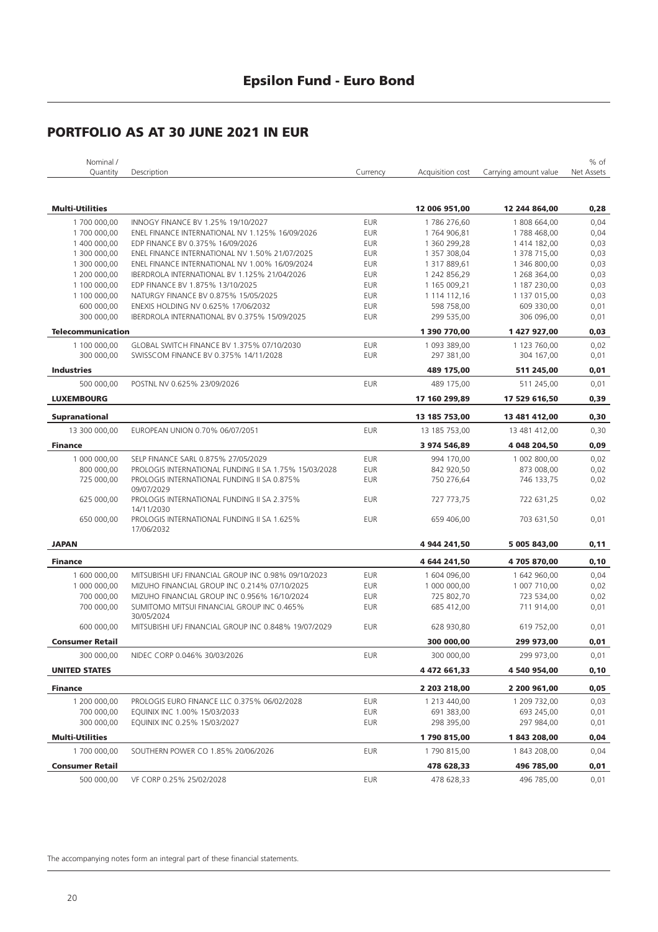| Nominal /                |                                                                                       |            |                            |                            | % of         |
|--------------------------|---------------------------------------------------------------------------------------|------------|----------------------------|----------------------------|--------------|
| Quantity                 | Description                                                                           | Currency   | Acquisition cost           | Carrying amount value      | Net Assets   |
|                          |                                                                                       |            |                            |                            |              |
| <b>Multi-Utilities</b>   |                                                                                       |            | 12 006 951,00              | 12 244 864,00              | 0,28         |
| 1700 000,00              |                                                                                       | <b>EUR</b> |                            |                            |              |
| 1700 000,00              | INNOGY FINANCE BV 1.25% 19/10/2027<br>ENEL FINANCE INTERNATIONAL NV 1.125% 16/09/2026 | <b>EUR</b> | 1786 276,60<br>1764 906,81 | 1808 664,00<br>1788 468,00 | 0,04<br>0,04 |
| 1 400 000,00             | EDP FINANCE BV 0.375% 16/09/2026                                                      | <b>EUR</b> | 1 360 299,28               | 1 414 182,00               | 0,03         |
| 1 300 000,00             | ENEL FINANCE INTERNATIONAL NV 1.50% 21/07/2025                                        | <b>EUR</b> | 1 357 308,04               | 1 378 715,00               | 0,03         |
| 1 300 000,00             | ENEL FINANCE INTERNATIONAL NV 1.00% 16/09/2024                                        | <b>EUR</b> | 1 317 889,61               | 1 346 800,00               | 0,03         |
| 1 200 000,00             | IBERDROLA INTERNATIONAL BV 1.125% 21/04/2026                                          | <b>EUR</b> | 1 242 856,29               | 1 268 364,00               | 0,03         |
| 1 100 000,00             | EDP FINANCE BV 1.875% 13/10/2025                                                      | <b>EUR</b> | 1 165 009,21               | 1 187 230,00               | 0,03         |
| 1 100 000,00             | NATURGY FINANCE BV 0.875% 15/05/2025                                                  | <b>EUR</b> | 1 114 112,16               | 1 137 015,00               | 0,03         |
| 600 000,00               | ENEXIS HOLDING NV 0.625% 17/06/2032                                                   | <b>EUR</b> | 598 758,00                 | 609 330,00                 | 0,01         |
| 300 000,00               | IBERDROLA INTERNATIONAL BV 0.375% 15/09/2025                                          | <b>EUR</b> | 299 535,00                 | 306 096,00                 | 0,01         |
| <b>Telecommunication</b> |                                                                                       |            | 1 390 770,00               | 1 427 927,00               | 0,03         |
|                          |                                                                                       |            |                            |                            |              |
| 1 100 000,00             | GLOBAL SWITCH FINANCE BV 1.375% 07/10/2030                                            | <b>EUR</b> | 1 093 389,00               | 1 123 760,00               | 0,02         |
| 300 000,00               | SWISSCOM FINANCE BV 0.375% 14/11/2028                                                 | <b>EUR</b> | 297 381,00                 | 304 167,00                 | 0,01         |
| <b>Industries</b>        |                                                                                       |            | 489 175,00                 | 511 245,00                 | 0,01         |
| 500 000.00               | POSTNL NV 0.625% 23/09/2026                                                           | <b>EUR</b> | 489 175,00                 | 511 245,00                 | 0,01         |
| <b>LUXEMBOURG</b>        |                                                                                       |            | 17 160 299,89              | 17 529 616,50              | 0,39         |
|                          |                                                                                       |            |                            |                            |              |
| <b>Supranational</b>     |                                                                                       |            | 13 185 753,00              | 13 481 412,00              | 0,30         |
| 13 300 000,00            | EUROPEAN UNION 0.70% 06/07/2051                                                       | <b>EUR</b> | 13 185 753,00              | 13 481 412,00              | 0,30         |
| <b>Finance</b>           |                                                                                       |            | 3 974 546,89               | 4 048 204,50               | 0,09         |
| 1 000 000,00             | SELP FINANCE SARL 0.875% 27/05/2029                                                   | <b>EUR</b> | 994 170,00                 | 1 002 800,00               | 0,02         |
| 800 000,00               | PROLOGIS INTERNATIONAL FUNDING II SA 1.75% 15/03/2028                                 | <b>EUR</b> | 842 920,50                 | 873 008,00                 | 0,02         |
| 725 000,00               | PROLOGIS INTERNATIONAL FUNDING II SA 0.875%<br>09/07/2029                             | <b>EUR</b> | 750 276,64                 | 746 133,75                 | 0,02         |
| 625 000,00               | PROLOGIS INTERNATIONAL FUNDING II SA 2.375%<br>14/11/2030                             | <b>EUR</b> | 727 773,75                 | 722 631,25                 | 0,02         |
| 650 000,00               | PROLOGIS INTERNATIONAL FUNDING II SA 1.625%<br>17/06/2032                             | <b>EUR</b> | 659 406,00                 | 703 631,50                 | 0,01         |
| <b>JAPAN</b>             |                                                                                       |            | 4 944 241,50               | 5 005 843,00               | 0,11         |
| <b>Finance</b>           |                                                                                       |            | 4 644 241,50               | 4705870,00                 | 0, 10        |
| 1 600 000,00             | MITSUBISHI UFJ FINANCIAL GROUP INC 0.98% 09/10/2023                                   | <b>EUR</b> | 1 604 096,00               | 1 642 960,00               | 0,04         |
| 1 000 000,00             | MIZUHO FINANCIAL GROUP INC 0.214% 07/10/2025                                          | <b>EUR</b> | 1 000 000,00               | 1 007 710,00               | 0,02         |
| 700 000.00               | MIZUHO FINANCIAL GROUP INC 0.956% 16/10/2024                                          | <b>EUR</b> | 725 802,70                 | 723 534,00                 | 0,02         |
| 700 000,00               | SUMITOMO MITSUI FINANCIAL GROUP INC 0.465%<br>30/05/2024                              | <b>EUR</b> | 685 412,00                 | 711 914,00                 | 0,01         |
| 600 000,00               | MITSUBISHI UFJ FINANCIAL GROUP INC 0.848% 19/07/2029                                  | <b>EUR</b> | 628 930,80                 | 619 752,00                 | 0,01         |
| <b>Consumer Retail</b>   |                                                                                       |            | 300 000,00                 | 299 973,00                 | 0,01         |
| 300 000,00               | NIDEC CORP 0.046% 30/03/2026                                                          | <b>EUR</b> | 300 000,00                 | 299 973,00                 | 0,01         |
| <b>UNITED STATES</b>     |                                                                                       |            | 4 472 661,33               | 4 540 954,00               | 0, 10        |
| <b>Finance</b>           |                                                                                       |            | 2 203 218,00               | 2 200 961,00               | 0,05         |
| 1 200 000,00             | PROLOGIS EURO FINANCE LLC 0.375% 06/02/2028                                           | <b>EUR</b> | 1 213 440,00               | 1 209 732,00               | 0,03         |
| 700 000,00               | EQUINIX INC 1.00% 15/03/2033                                                          | <b>EUR</b> | 691 383,00                 | 693 245,00                 | 0,01         |
| 300 000,00               | EQUINIX INC 0.25% 15/03/2027                                                          | <b>EUR</b> | 298 395,00                 | 297 984,00                 | 0,01         |
|                          |                                                                                       |            |                            |                            |              |
| <b>Multi-Utilities</b>   |                                                                                       |            | 1790815,00                 | 1843 208,00                | 0,04         |
| 1700 000,00              | SOUTHERN POWER CO 1.85% 20/06/2026                                                    | <b>EUR</b> | 1790 815,00                | 1 843 208,00               | 0,04         |
| <b>Consumer Retail</b>   |                                                                                       |            | 478 628,33                 | 496 785,00                 | 0,01         |
| 500 000,00               | VF CORP 0.25% 25/02/2028                                                              | <b>EUR</b> | 478 628,33                 | 496 785,00                 | 0,01         |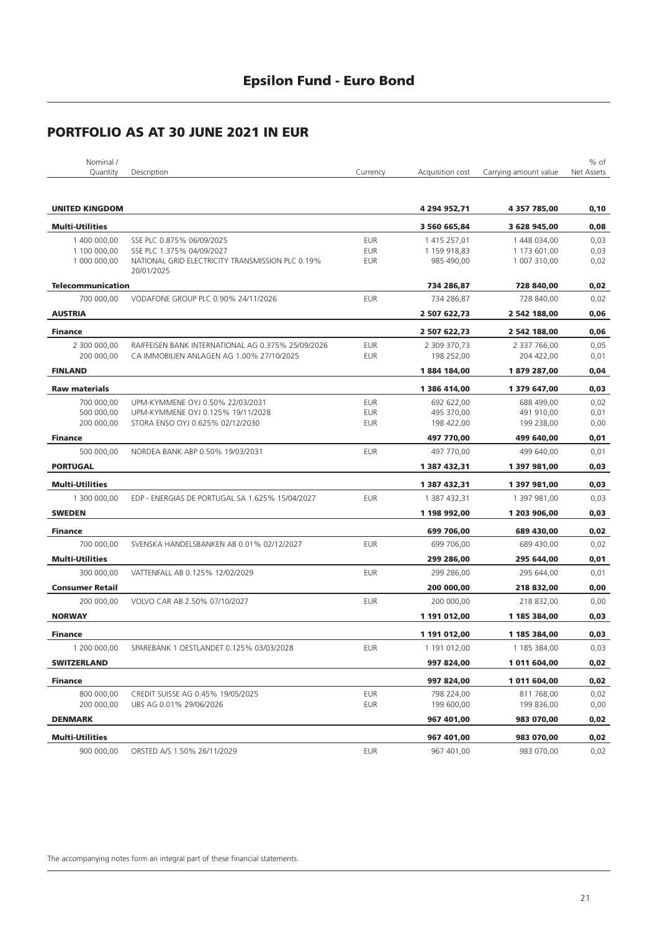| Nominal /                    |                                                                               |                          |                            |                              | % of         |
|------------------------------|-------------------------------------------------------------------------------|--------------------------|----------------------------|------------------------------|--------------|
| Quantity                     | Description                                                                   | Currency                 | Acquisition cost           | Carrying amount value        | Net Assets   |
|                              |                                                                               |                          |                            |                              |              |
| <b>UNITED KINGDOM</b>        |                                                                               |                          | 4 294 952,71               | 4 357 785,00                 | 0,10         |
|                              |                                                                               |                          |                            |                              |              |
| <b>Multi-Utilities</b>       |                                                                               |                          | 3 560 665,84               | 3 628 945,00                 | 0,08         |
| 1 400 000,00                 | SSE PLC 0.875% 06/09/2025                                                     | <b>EUR</b>               | 1 415 257,01               | 1 448 034,00                 | 0,03         |
| 1 100 000,00<br>1 000 000,00 | SSE PLC 1.375% 04/09/2027<br>NATIONAL GRID ELECTRICITY TRANSMISSION PLC 0.19% | <b>EUR</b><br><b>EUR</b> | 1 159 918,83<br>985 490,00 | 1 173 601,00<br>1 007 310,00 | 0,03<br>0,02 |
|                              | 20/01/2025                                                                    |                          |                            |                              |              |
| <b>Telecommunication</b>     |                                                                               |                          | 734 286,87                 | 728 840,00                   | 0,02         |
| 700 000,00                   | VODAFONE GROUP PLC 0.90% 24/11/2026                                           | <b>EUR</b>               | 734 286,87                 | 728 840,00                   | 0,02         |
| <b>AUSTRIA</b>               |                                                                               |                          | 2 507 622,73               | 2 542 188,00                 | 0,06         |
| <b>Finance</b>               |                                                                               |                          | 2 507 622,73               | 2 542 188,00                 | 0,06         |
| 2 300 000,00                 | RAIFFEISEN BANK INTERNATIONAL AG 0.375% 25/09/2026                            | <b>EUR</b>               | 2 309 370,73               | 2 337 766,00                 | 0,05         |
| 200 000,00                   | CA IMMOBILIEN ANLAGEN AG 1.00% 27/10/2025                                     | EUR                      | 198 252,00                 | 204 422,00                   | 0,01         |
| <b>FINLAND</b>               |                                                                               |                          | 1884 184,00                | 1879 287,00                  | 0,04         |
| <b>Raw materials</b>         |                                                                               |                          | 1 386 414,00               | 1 379 647,00                 | 0,03         |
| 700 000,00                   | UPM-KYMMENE OYJ 0.50% 22/03/2031                                              | <b>EUR</b>               | 692 622,00                 | 688 499,00                   | 0,02         |
| 500 000.00                   | UPM-KYMMENE OYJ 0.125% 19/11/2028                                             | <b>EUR</b>               | 495 370,00                 | 491 910,00                   | 0,01         |
| 200 000.00                   | STORA ENSO OYJ 0.625% 02/12/2030                                              | <b>EUR</b>               | 198 422,00                 | 199 238,00                   | 0,00         |
| <b>Finance</b>               |                                                                               |                          | 497 770,00                 | 499 640,00                   | 0,01         |
| 500 000,00                   | NORDEA BANK ABP 0.50% 19/03/2031                                              | <b>EUR</b>               | 497 770,00                 | 499 640,00                   | 0,01         |
| <b>PORTUGAL</b>              |                                                                               |                          | 1 387 432,31               | 1 397 981,00                 | 0,03         |
| <b>Multi-Utilities</b>       |                                                                               |                          | 1 387 432,31               | 1 397 981,00                 | 0,03         |
| 1 300 000,00                 | EDP - ENERGIAS DE PORTUGAL SA 1.625% 15/04/2027                               | <b>EUR</b>               | 1 387 432,31               | 1 397 981,00                 | 0,03         |
| <b>SWEDEN</b>                |                                                                               |                          | 1 198 992,00               | 1 203 906,00                 | 0,03         |
| <b>Finance</b>               |                                                                               |                          | 699 706,00                 | 689 430,00                   | 0,02         |
| 700 000,00                   | SVENSKA HANDELSBANKEN AB 0.01% 02/12/2027                                     | <b>EUR</b>               | 699 706,00                 | 689 430,00                   | 0,02         |
| <b>Multi-Utilities</b>       |                                                                               |                          | 299 286,00                 | 295 644,00                   | 0,01         |
| 300 000,00                   | VATTENFALL AB 0.125% 12/02/2029                                               | <b>EUR</b>               | 299 286,00                 | 295 644,00                   | 0,01         |
| <b>Consumer Retail</b>       |                                                                               |                          | 200 000,00                 | 218 832,00                   | 0,00         |
| 200 000,00                   | VOLVO CAR AB 2.50% 07/10/2027                                                 | <b>EUR</b>               | 200 000,00                 | 218 832,00                   | 0,00         |
| <b>NORWAY</b>                |                                                                               |                          | 1 191 012,00               | 1 185 384,00                 | 0,03         |
| <b>Finance</b>               |                                                                               |                          | 1 191 012,00               | 1 185 384,00                 | 0,03         |
| 1 200 000,00                 | SPAREBANK 1 OESTLANDET 0.125% 03/03/2028                                      | <b>EUR</b>               | 1 191 012,00               | 1 185 384,00                 | 0,03         |
| <b>SWITZERLAND</b>           |                                                                               |                          | 997 824,00                 | 1 011 604,00                 | 0,02         |
|                              |                                                                               |                          |                            |                              |              |
| <b>Finance</b>               |                                                                               |                          | 997 824,00                 | 1 011 604,00                 | 0,02         |
| 800 000,00<br>200 000,00     | CREDIT SUISSE AG 0.45% 19/05/2025<br>UBS AG 0.01% 29/06/2026                  | EUR<br>EUR               | 798 224,00<br>199 600,00   | 811 768,00<br>199 836,00     | 0,02<br>0,00 |
| <b>DENMARK</b>               |                                                                               |                          | 967 401,00                 | 983 070,00                   | 0,02         |
|                              |                                                                               |                          |                            |                              |              |
| <b>Multi-Utilities</b>       |                                                                               |                          | 967 401,00                 | 983 070,00                   | 0,02         |
| 900 000,00                   | ORSTED A/S 1.50% 26/11/2029                                                   | <b>EUR</b>               | 967 401,00                 | 983 070,00                   | 0,02         |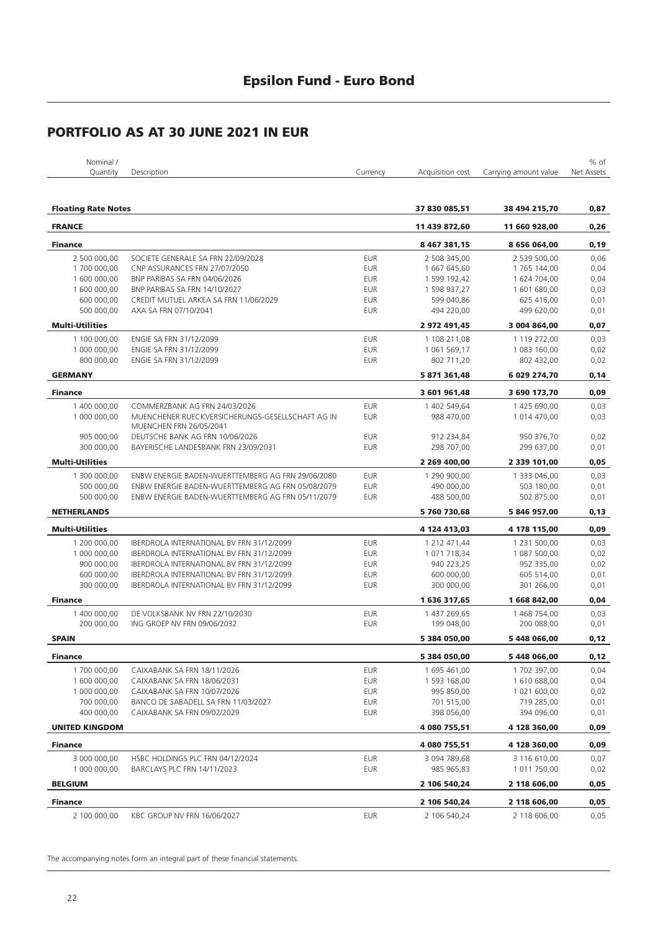| Nominal /                  |                                                   |            |                  |                       | % of       |
|----------------------------|---------------------------------------------------|------------|------------------|-----------------------|------------|
| Quantity                   | Description                                       | Currency   | Acquisition cost | Carrying amount value | Net Assets |
|                            |                                                   |            |                  |                       |            |
|                            |                                                   |            |                  |                       |            |
| <b>Floating Rate Notes</b> |                                                   |            | 37 830 085,51    | 38 494 215,70         | 0,87       |
| <b>FRANCE</b>              |                                                   |            | 11 439 872.60    | 11 660 928,00         | 0,26       |
| <b>Finance</b>             |                                                   |            | 8 467 381,15     | 8 656 064,00          | 0, 19      |
| 2 500 000,00               | SOCIETE GENERALE SA FRN 22/09/2028                | <b>EUR</b> | 2 508 345,00     | 2 539 500,00          | 0,06       |
| 1700 000,00                | CNP ASSURANCES FRN 27/07/2050                     | <b>EUR</b> | 1 667 645,60     | 1765 144,00           | 0,04       |
| 1 600 000,00               | BNP PARIBAS SA FRN 04/06/2026                     | <b>EUR</b> | 1 599 192,42     |                       | 0,04       |
|                            | BNP PARIBAS SA FRN 14/10/2027                     | <b>EUR</b> |                  | 1624704,00            | 0,03       |
| 1 600 000,00               |                                                   | <b>EUR</b> | 1 598 937,27     | 1601680,00            | 0,01       |
| 600 000,00                 | CREDIT MUTUEL ARKEA SA FRN 11/06/2029             |            | 599 040,86       | 625 416,00            |            |
| 500 000,00                 | AXA SA FRN 07/10/2041                             | <b>EUR</b> | 494 220,00       | 499 620,00            | 0,01       |
| <b>Multi-Utilities</b>     |                                                   |            | 2 972 491,45     | 3 004 864,00          | 0,07       |
| 1 100 000,00               | ENGIE SA FRN 31/12/2099                           | <b>EUR</b> | 1 108 211,08     | 1 119 272,00          | 0,03       |
| 1 000 000,00               | ENGIE SA FRN 31/12/2099                           | <b>EUR</b> | 1 061 569,17     | 1 083 160,00          | 0,02       |
| 800 000,00                 | ENGIE SA FRN 31/12/2099                           | <b>EUR</b> | 802 711,20       | 802 432,00            | 0,02       |
| <b>GERMANY</b>             |                                                   |            | 5 871 361,48     | 6 029 274,70          | 0,14       |
| <b>Finance</b>             |                                                   |            | 3 601 961,48     | 3 690 173,70          | 0,09       |
| 1 400 000,00               | COMMERZBANK AG FRN 24/03/2026                     | <b>EUR</b> | 1 402 549,64     | 1425 690,00           | 0,03       |
| 1 000 000,00               | MUENCHENER RUECKVERSICHERUNGS-GESELLSCHAFT AG IN  | <b>EUR</b> | 988 470,00       | 1 014 470,00          | 0,03       |
|                            | MUENCHEN FRN 26/05/2041                           |            |                  |                       |            |
| 905 000,00                 | DEUTSCHE BANK AG FRN 10/06/2026                   | <b>EUR</b> | 912 234,84       | 950 376,70            | 0,02       |
| 300 000,00                 | BAYERISCHE LANDESBANK FRN 23/09/2031              | <b>EUR</b> | 298 707,00       | 299 637,00            | 0,01       |
| <b>Multi-Utilities</b>     |                                                   |            | 2 269 400,00     | 2 339 101.00          | 0,05       |
| 1 300 000,00               | ENBW ENERGIE BADEN-WUERTTEMBERG AG FRN 29/06/2080 | <b>EUR</b> | 1 290 900,00     | 1 333 046,00          | 0,03       |
| 500 000,00                 | ENBW ENERGIE BADEN-WUERTTEMBERG AG FRN 05/08/2079 | <b>EUR</b> | 490 000,00       | 503 180,00            | 0,01       |
| 500 000,00                 | ENBW ENERGIE BADEN-WUERTTEMBERG AG FRN 05/11/2079 | <b>EUR</b> | 488 500,00       | 502 875,00            | 0,01       |
|                            |                                                   |            |                  |                       |            |
| <b>NETHERLANDS</b>         |                                                   |            | 5760730,68       | 5 846 957,00          | 0,13       |
| <b>Multi-Utilities</b>     |                                                   |            | 4 124 413,03     | 4 178 115,00          | 0,09       |
| 1 200 000,00               | IBERDROLA INTERNATIONAL BV FRN 31/12/2099         | <b>EUR</b> | 1 212 471,44     | 1 231 500,00          | 0,03       |
| 1 000 000,00               | IBERDROLA INTERNATIONAL BV FRN 31/12/2099         | <b>EUR</b> | 1 071 718,34     | 1 087 500,00          | 0,02       |
| 900 000,00                 | IBERDROLA INTERNATIONAL BV FRN 31/12/2099         | <b>EUR</b> | 940 223,25       | 952 335,00            | 0,02       |
| 600 000,00                 | IBERDROLA INTERNATIONAL BV FRN 31/12/2099         | <b>EUR</b> | 600 000,00       | 605 514,00            | 0,01       |
| 300 000,00                 | IBERDROLA INTERNATIONAL BV FRN 31/12/2099         | <b>EUR</b> | 300 000,00       | 301 266,00            | 0,01       |
| <b>Finance</b>             |                                                   |            | 1 636 317,65     | 1 668 842,00          | 0,04       |
| 1 400 000,00               | DE VOLKSBANK NV FRN 22/10/2030                    | <b>EUR</b> | 1 437 269,65     | 1 468 754,00          | 0,03       |
| 200 000.00                 | ING GROEP NV FRN 09/06/2032                       | <b>EUR</b> | 199 048,00       | 200 088,00            | 0,01       |
| <b>SPAIN</b>               |                                                   |            | 5 384 050,00     | 5 448 066,00          | 0,12       |
|                            |                                                   |            |                  |                       |            |
| Finance                    |                                                   |            | 5 384 050,00     | 5448066,00            | 0,12       |
| 1700 000,00                | CAIXABANK SA FRN 18/11/2026                       | <b>EUR</b> | 1 695 461,00     | 1702 397,00           | 0,04       |
| 1 600 000,00               | CAIXABANK SA FRN 18/06/2031                       | <b>EUR</b> | 1 593 168,00     | 1610688,00            | 0,04       |
| 1 000 000,00               | CAIXABANK SA FRN 10/07/2026                       | <b>EUR</b> | 995 850,00       | 1 021 600,00          | 0,02       |
| 700 000,00                 | BANCO DE SABADELL SA FRN 11/03/2027               | <b>EUR</b> | 701 515,00       | 719 285,00            | 0,01       |
| 400 000,00                 | CAIXABANK SA FRN 09/02/2029                       | <b>EUR</b> | 398 056,00       | 394 096,00            | 0,01       |
| <b>UNITED KINGDOM</b>      |                                                   |            | 4 080 755,51     | 4 128 360,00          | 0,09       |
| <b>Finance</b>             |                                                   |            | 4 080 755,51     | 4 128 360,00          | 0,09       |
| 3 000 000,00               | HSBC HOLDINGS PLC FRN 04/12/2024                  | <b>EUR</b> | 3 094 789,68     | 3 116 610,00          | 0,07       |
| 1 000 000,00               | BARCLAYS PLC FRN 14/11/2023                       | <b>EUR</b> | 985 965,83       | 1 011 750,00          | 0,02       |
|                            |                                                   |            |                  |                       |            |
| <b>BELGIUM</b>             |                                                   |            | 2 106 540,24     | 2 118 606,00          | 0,05       |
| <b>Finance</b>             |                                                   |            | 2 106 540,24     | 2 118 606,00          | 0,05       |
| 2 100 000,00               | KBC GROUP NV FRN 16/06/2027                       | <b>EUR</b> | 2 106 540,24     | 2 118 606,00          | 0,05       |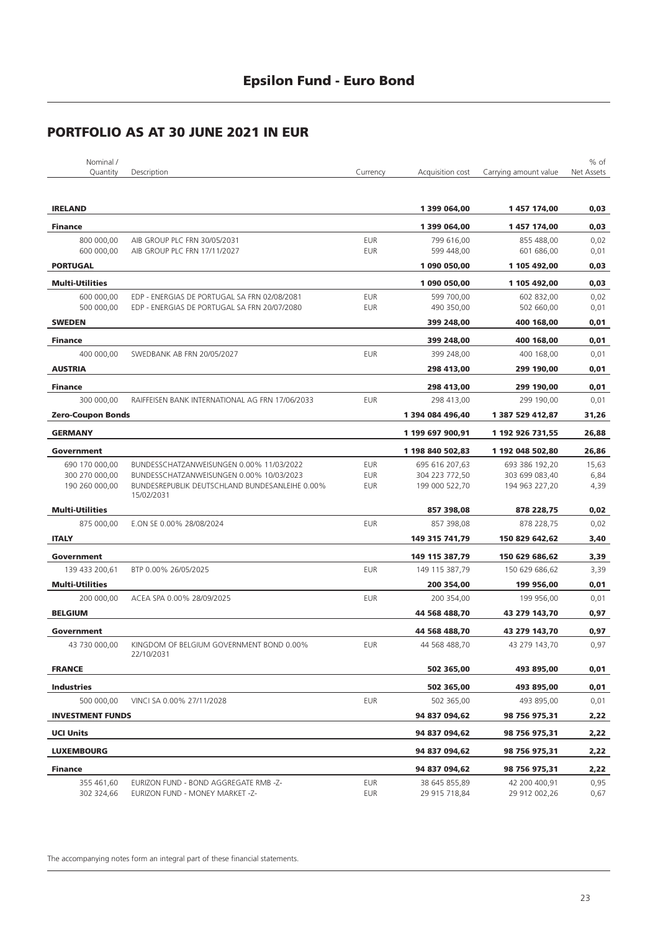| Nominal /<br>Quantity    | Description                                                              | Currency   | Acquisition cost               | Carrying amount value          | % of<br><b>Net Assets</b> |
|--------------------------|--------------------------------------------------------------------------|------------|--------------------------------|--------------------------------|---------------------------|
|                          |                                                                          |            |                                |                                |                           |
| <b>IRELAND</b>           |                                                                          |            | 1 399 064,00                   | 1457174,00                     | 0,03                      |
| <b>Finance</b>           |                                                                          |            | 1 399 064,00                   | 1457174,00                     | 0,03                      |
| 800 000,00               | AIB GROUP PLC FRN 30/05/2031                                             | <b>EUR</b> | 799 616,00                     | 855 488,00                     | 0,02                      |
| 600 000,00               | AIB GROUP PLC FRN 17/11/2027                                             | <b>EUR</b> | 599 448,00                     | 601 686,00                     | 0,01                      |
| <b>PORTUGAL</b>          |                                                                          |            | 1 090 050,00                   | 1 105 492,00                   | 0,03                      |
| <b>Multi-Utilities</b>   |                                                                          |            | 1 090 050,00                   | 1 105 492,00                   | 0,03                      |
| 600 000,00               | EDP - ENERGIAS DE PORTUGAL SA FRN 02/08/2081                             | <b>EUR</b> | 599 700,00                     | 602 832,00                     | 0,02                      |
| 500 000,00               | EDP - ENERGIAS DE PORTUGAL SA FRN 20/07/2080                             | <b>EUR</b> | 490 350,00                     | 502 660,00                     | 0,01                      |
| <b>SWEDEN</b>            |                                                                          |            | 399 248,00                     | 400 168,00                     | 0,01                      |
| <b>Finance</b>           |                                                                          |            | 399 248,00                     | 400 168,00                     | 0,01                      |
| 400 000,00               | SWEDBANK AB FRN 20/05/2027                                               | <b>EUR</b> | 399 248,00                     | 400 168,00                     | 0,01                      |
| <b>AUSTRIA</b>           |                                                                          |            | 298 413,00                     | 299 190,00                     | 0,01                      |
| <b>Finance</b>           |                                                                          |            | 298 413,00                     | 299 190,00                     | 0,01                      |
| 300 000,00               | RAIFFEISEN BANK INTERNATIONAL AG FRN 17/06/2033                          | <b>EUR</b> | 298 413,00                     | 299 190.00                     | 0,01                      |
| <b>Zero-Coupon Bonds</b> |                                                                          |            | 1 394 084 496,40               | 1 387 529 412,87               | 31,26                     |
| <b>GERMANY</b>           |                                                                          |            | 1 199 697 900,91               | 1 192 926 731,55               | 26,88                     |
| Government               |                                                                          |            | 1 198 840 502,83               | 1 192 048 502,80               | 26,86                     |
| 690 170 000,00           | BUNDESSCHATZANWEISUNGEN 0.00% 11/03/2022                                 | <b>EUR</b> | 695 616 207,63                 | 693 386 192,20                 | 15,63                     |
| 300 270 000,00           | BUNDESSCHATZANWEISUNGEN 0.00% 10/03/2023                                 | <b>EUR</b> | 304 223 772,50                 | 303 699 083,40                 | 6,84                      |
| 190 260 000,00           | BUNDESREPUBLIK DEUTSCHLAND BUNDESANLEIHE 0.00%<br>15/02/2031             | <b>EUR</b> | 199 000 522,70                 | 194 963 227,20                 | 4,39                      |
| <b>Multi-Utilities</b>   |                                                                          |            | 857 398,08                     | 878 228,75                     | 0,02                      |
| 875 000,00               | E.ON SE 0.00% 28/08/2024                                                 | <b>EUR</b> | 857 398,08                     | 878 228,75                     | 0,02                      |
| <b>ITALY</b>             |                                                                          |            | 149 315 741,79                 | 150 829 642,62                 | 3,40                      |
| Government               |                                                                          |            | 149 115 387,79                 | 150 629 686,62                 | 3,39                      |
| 139 433 200,61           | BTP 0.00% 26/05/2025                                                     | <b>EUR</b> | 149 115 387,79                 | 150 629 686,62                 | 3,39                      |
| <b>Multi-Utilities</b>   |                                                                          |            | 200 354,00                     | 199 956,00                     | 0,01                      |
| 200 000,00               | ACEA SPA 0.00% 28/09/2025                                                | <b>EUR</b> | 200 354,00                     | 199 956,00                     | 0,01                      |
| <b>BELGIUM</b>           |                                                                          |            | 44 568 488,70                  | 43 279 143,70                  | 0,97                      |
| Government               |                                                                          |            | 44 568 488,70                  | 43 279 143,70                  | 0,97                      |
| 43 730 000,00            | KINGDOM OF BELGIUM GOVERNMENT BOND 0.00%<br>22/10/2031                   | <b>EUR</b> | 44 568 488,70                  | 43 279 143,70                  | 0,97                      |
| <b>FRANCE</b>            |                                                                          |            | 502 365,00                     | 493 895,00                     | 0,01                      |
| <b>Industries</b>        |                                                                          |            | 502 365,00                     | 493 895,00                     | 0,01                      |
| 500 000.00               | VINCI SA 0.00% 27/11/2028                                                | <b>EUR</b> | 502 365,00                     | 493 895,00                     | 0,01                      |
| <b>INVESTMENT FUNDS</b>  |                                                                          |            | 94 837 094,62                  | 98 756 975,31                  | 2,22                      |
| <b>UCI Units</b>         |                                                                          |            | 94 837 094,62                  |                                |                           |
|                          |                                                                          |            |                                | 98 756 975,31                  | 2,22                      |
| <b>LUXEMBOURG</b>        |                                                                          |            | 94 837 094,62                  | 98 756 975,31                  | 2,22                      |
| <b>Finance</b>           |                                                                          |            | 94 837 094,62                  | 98 756 975,31                  | 2,22                      |
| 355 461,60<br>302 324,66 | EURIZON FUND - BOND AGGREGATE RMB -Z-<br>EURIZON FUND - MONEY MARKET -Z- | EUR<br>EUR | 38 645 855,89<br>29 915 718,84 | 42 200 400,91<br>29 912 002,26 | 0,95<br>0,67              |
|                          |                                                                          |            |                                |                                |                           |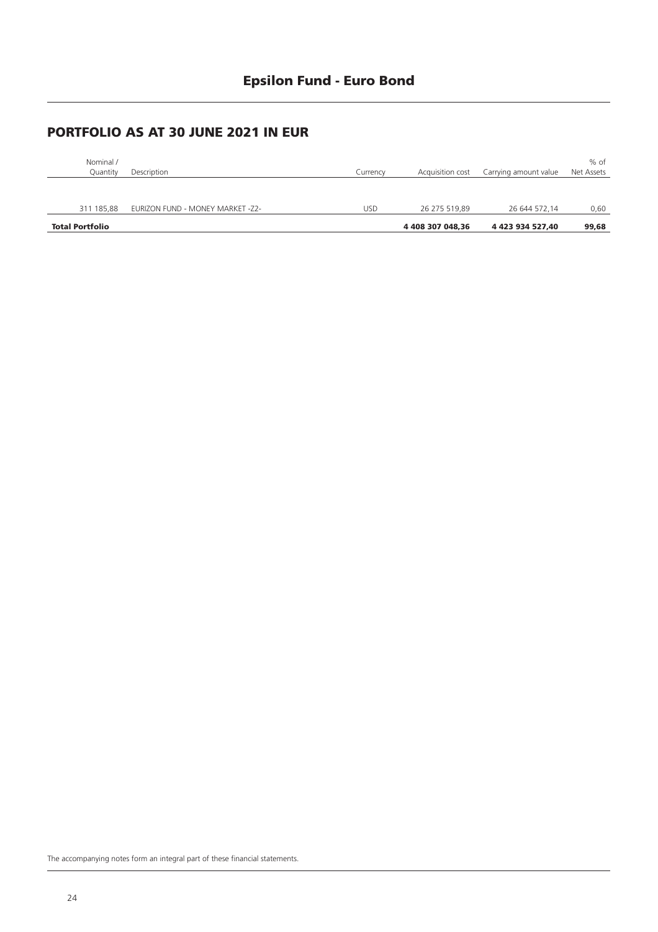| Nominal /<br>Quantity  | Description                      | Currency | Acquisition cost | Carrying amount value | % of<br>Net Assets |
|------------------------|----------------------------------|----------|------------------|-----------------------|--------------------|
|                        |                                  |          |                  |                       |                    |
| 311 185.88             | EURIZON FUND - MONEY MARKET -Z2- | USD      | 26 275 519.89    | 26 644 572.14         | 0,60               |
| <b>Total Portfolio</b> |                                  |          | 4 408 307 048.36 | 4 423 934 527.40      | 99,68              |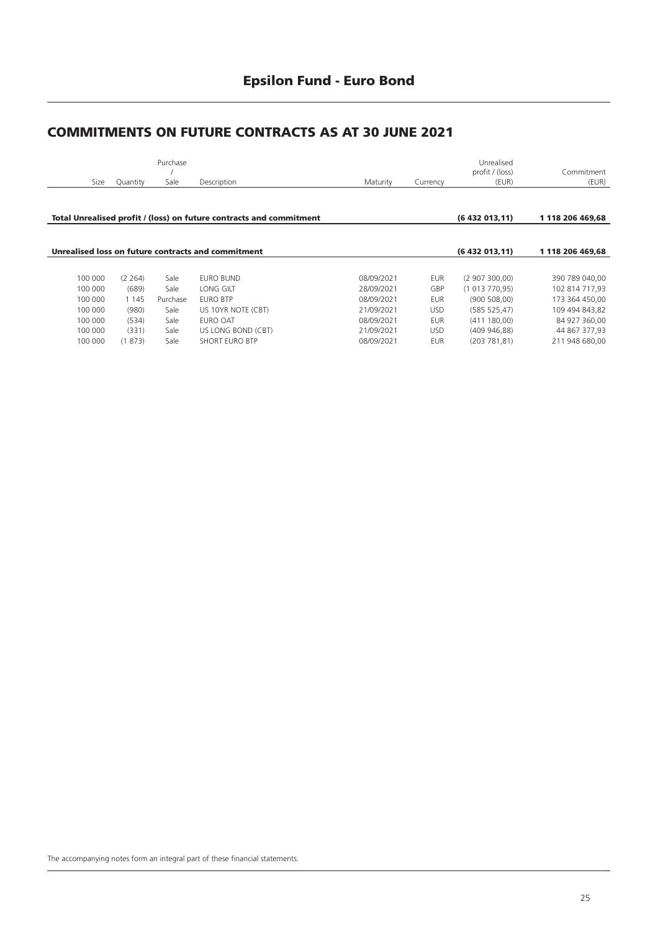### **Epsilon Fund - Euro Bond**

#### **COMMITMENTS ON FUTURE CONTRACTS AS AT 30 JUNE 2021**

|         |          | Purchase |                                                                     |            |            | Unrealised<br>profit / (loss) | Commitment       |
|---------|----------|----------|---------------------------------------------------------------------|------------|------------|-------------------------------|------------------|
| Size    | Quantity | Sale     | Description                                                         | Maturity   | Currency   | (EUR)                         | (EUR)            |
|         |          |          |                                                                     |            |            |                               |                  |
|         |          |          | Total Unrealised profit / (loss) on future contracts and commitment |            |            | (6432013,11)                  | 1 118 206 469.68 |
|         |          |          |                                                                     |            |            |                               |                  |
|         |          |          | Unrealised loss on future contracts and commitment                  |            |            | (6432013,11)                  | 1 118 206 469.68 |
|         |          |          |                                                                     |            |            |                               |                  |
| 100 000 | (2, 264) | Sale     | <b>EURO BUND</b>                                                    | 08/09/2021 | <b>EUR</b> | (2907300.00)                  | 390 789 040,00   |
| 100 000 | (689)    | Sale     | LONG GILT                                                           | 28/09/2021 | GBP        | (1013770.95)                  | 102 814 717,93   |
| 100 000 | 1 1 4 5  | Purchase | <b>EURO BTP</b>                                                     | 08/09/2021 | <b>EUR</b> | (900 508,00)                  | 173 364 450,00   |
| 100 000 | (980)    | Sale     | US 10YR NOTE (CBT)                                                  | 21/09/2021 | <b>USD</b> | (585 525, 47)                 | 109 494 843,82   |
| 100 000 | (534)    | Sale     | EURO OAT                                                            | 08/09/2021 | EUR        | (411180,00)                   | 84 927 360,00    |
| 100 000 | (331)    | Sale     | US LONG BOND (CBT)                                                  | 21/09/2021 | <b>USD</b> | (409946,88)                   | 44 867 377,93    |
| 100 000 | (1873)   | Sale     | <b>SHORT EURO BTP</b>                                               | 08/09/2021 | <b>EUR</b> | (203781,81)                   | 211 948 680.00   |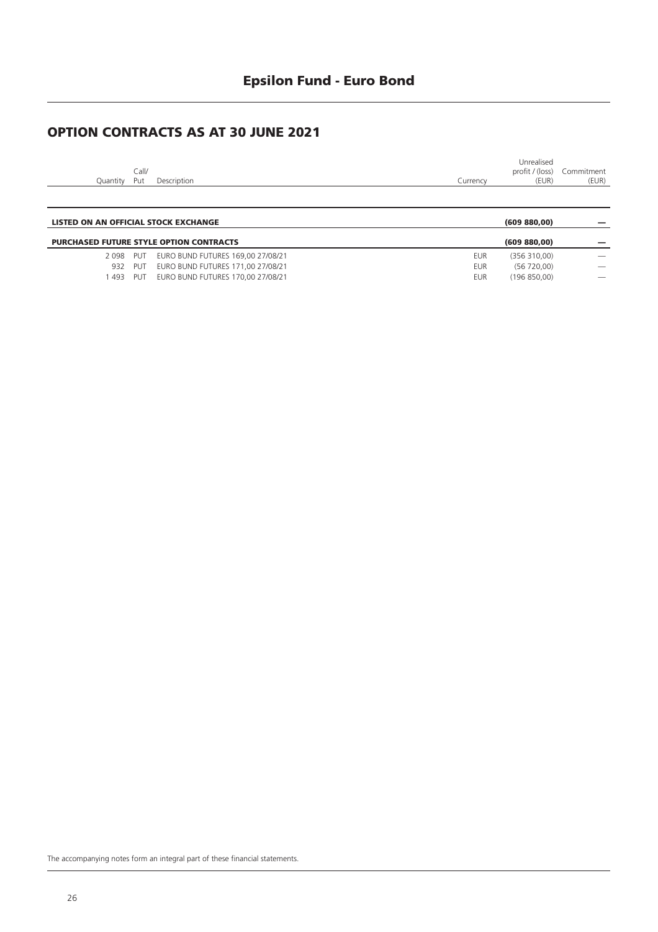### **Epsilon Fund - Euro Bond**

### **OPTION CONTRACTS AS AT 30 JUNE 2021**

|          |       |             |          | Unrealised      |            |
|----------|-------|-------------|----------|-----------------|------------|
|          | ⊆all∕ |             |          | profit / (loss) | Commitment |
| Ouantitv | Put   | Description | Currencv | (EUR)           | (EUR)      |
|          |       |             |          |                 |            |

| LISTED ON AN OFFICIAL STOCK EXCHANGE |     |                                                |            | (609 880,00) |                          |
|--------------------------------------|-----|------------------------------------------------|------------|--------------|--------------------------|
|                                      |     | <b>PURCHASED FUTURE STYLE OPTION CONTRACTS</b> |            | (609 880.00) |                          |
| 2098 PUT                             |     | EURO BUND FUTURES 169,00 27/08/21              | EUR        | (356310.00)  |                          |
| 932                                  | PUT | EURO BUND FUTURES 171,00 27/08/21              | <b>EUR</b> | (56720.00)   |                          |
| 493                                  | PUT | EURO BUND FUTURES 170,00 27/08/21              | <b>EUR</b> | (196 850.00) | $\overline{\phantom{a}}$ |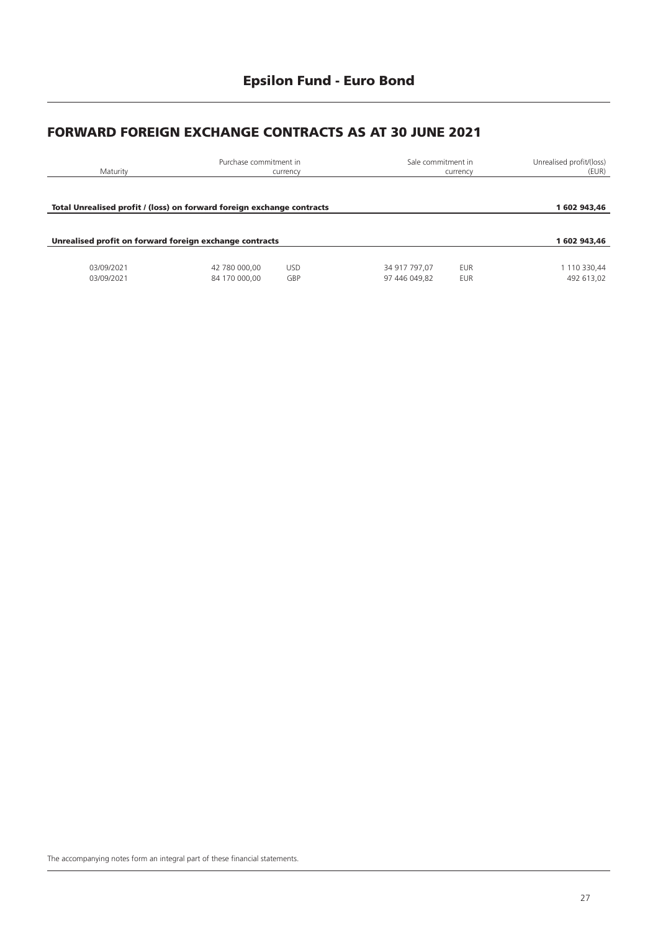### **FORWARD FOREIGN EXCHANGE CONTRACTS AS AT 30 JUNE 2021**

| Maturity                                                               | Purchase commitment in         | currency          | Sale commitment in             | currency          | Unrealised profit/(loss)<br>(EUR) |
|------------------------------------------------------------------------|--------------------------------|-------------------|--------------------------------|-------------------|-----------------------------------|
| Total Unrealised profit / (loss) on forward foreign exchange contracts |                                |                   |                                |                   | 1 602 943,46                      |
| Unrealised profit on forward foreign exchange contracts                |                                |                   |                                |                   | 1 602 943.46                      |
| 03/09/2021<br>03/09/2021                                               | 42 780 000.00<br>84 170 000,00 | <b>USD</b><br>GBP | 34 917 797.07<br>97 446 049.82 | EUR<br><b>EUR</b> | 1 110 330,44<br>492 613,02        |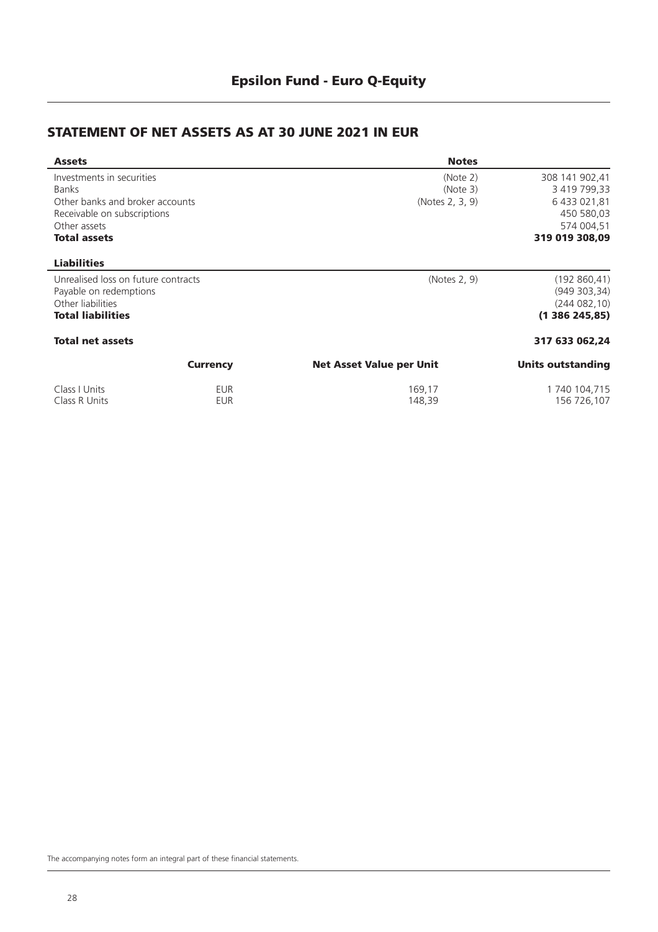#### **STATEMENT OF NET ASSETS AS AT 30 JUNE 2021 IN EUR**

| <b>Assets</b>                                                                                                                                      |                 | <b>Notes</b>                            |                                                                                              |
|----------------------------------------------------------------------------------------------------------------------------------------------------|-----------------|-----------------------------------------|----------------------------------------------------------------------------------------------|
| Investments in securities<br><b>Banks</b><br>Other banks and broker accounts<br>Receivable on subscriptions<br>Other assets<br><b>Total assets</b> |                 | (Note 2)<br>(Note 3)<br>(Notes 2, 3, 9) | 308 141 902,41<br>3 419 799,33<br>6 433 021,81<br>450 580,03<br>574 004,51<br>319 019 308,09 |
| <b>Liabilities</b>                                                                                                                                 |                 |                                         |                                                                                              |
| Unrealised loss on future contracts<br>Payable on redemptions<br>Other liabilities<br><b>Total liabilities</b>                                     |                 | (Notes 2, 9)                            | (192860, 41)<br>(949303,34)<br>(244082,10)<br>(1386245,85)                                   |
| <b>Total net assets</b>                                                                                                                            |                 |                                         | 317 633 062,24                                                                               |
|                                                                                                                                                    | <b>Currency</b> | <b>Net Asset Value per Unit</b>         | <b>Units outstanding</b>                                                                     |
| Class I Units                                                                                                                                      | EUR             | 169,17                                  | 1 740 104,715                                                                                |

Class R Units EUR 148,39 156 726,107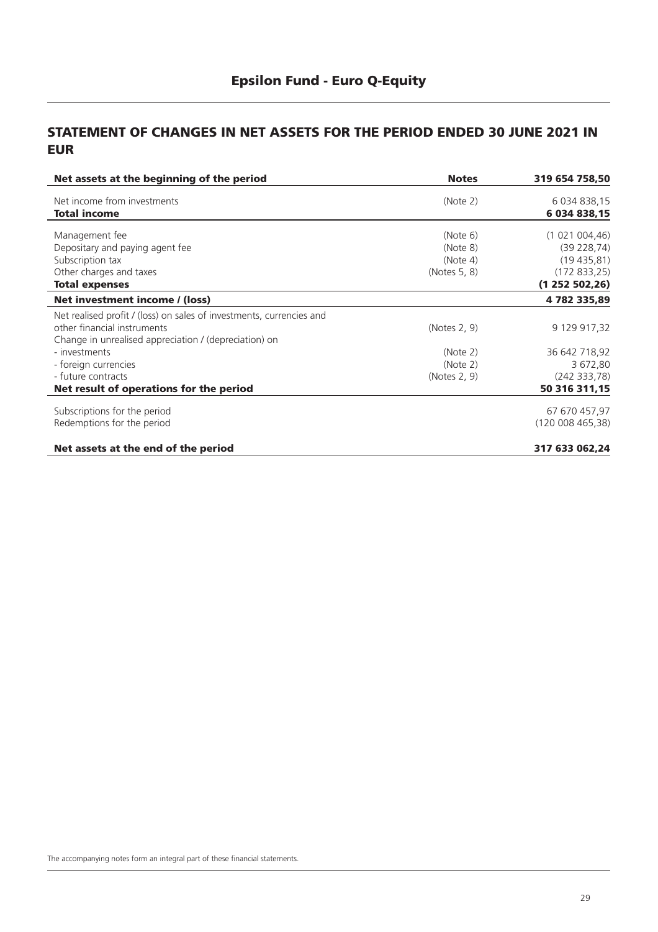#### **STATEMENT OF CHANGES IN NET ASSETS FOR THE PERIOD ENDED 30 JUNE 2021 IN EUR**

| <b>Notes</b> | 319 654 758,50                                                                                       |
|--------------|------------------------------------------------------------------------------------------------------|
|              | 6 034 838,15                                                                                         |
|              | 6 034 838,15                                                                                         |
|              | (1 021 004, 46)                                                                                      |
|              |                                                                                                      |
|              | (39 228, 74)                                                                                         |
|              | (19435,81)                                                                                           |
|              | (172833,25)                                                                                          |
|              | (1252502,26)                                                                                         |
|              | 4782335,89                                                                                           |
|              |                                                                                                      |
| (Notes 2, 9) | 9 129 917,32                                                                                         |
|              |                                                                                                      |
|              | 36 642 718,92                                                                                        |
|              | 3 672,80                                                                                             |
|              | (242 333, 78)                                                                                        |
|              | 50 316 311,15                                                                                        |
|              |                                                                                                      |
|              | 67 670 457,97                                                                                        |
|              | (120008465,38)                                                                                       |
|              | 317 633 062,24                                                                                       |
|              | (Note 2)<br>(Note 6)<br>(Note 8)<br>(Note 4)<br>(Notes 5, 8)<br>(Note 2)<br>(Note 2)<br>(Notes 2, 9) |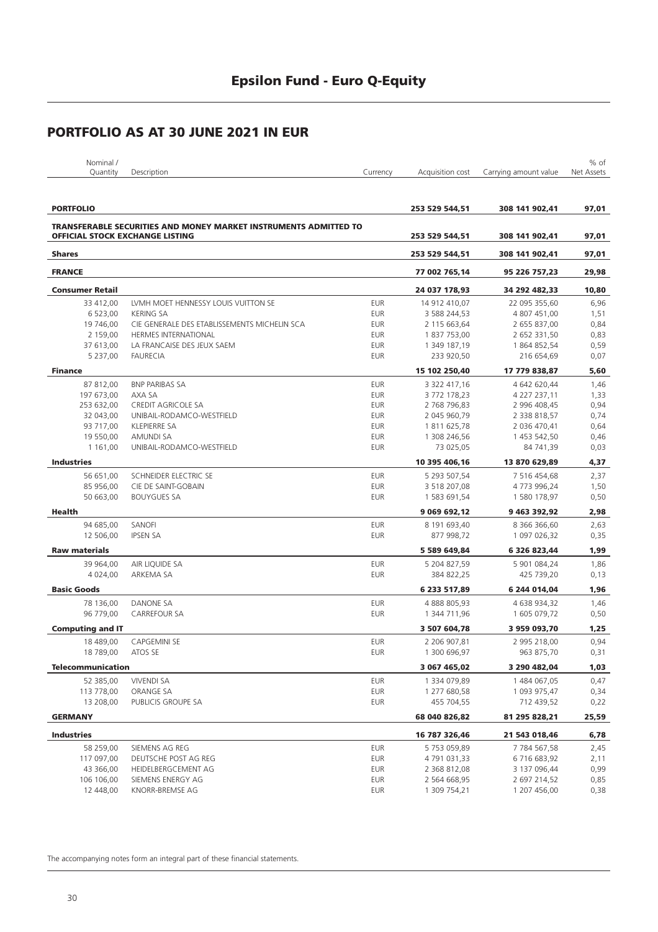| Nominal, |             |          |                  |                       | $%$ of     |
|----------|-------------|----------|------------------|-----------------------|------------|
| Quantity | Description | Iurrencv | Acauisition cost | Carrying amount value | Net Assets |
|          |             |          |                  |                       |            |

| <b>PORTFOLIO</b>                       |                                                                         |                          | 253 529 544,51               | 308 141 902,41               | 97,01        |
|----------------------------------------|-------------------------------------------------------------------------|--------------------------|------------------------------|------------------------------|--------------|
|                                        | <b>TRANSFERABLE SECURITIES AND MONEY MARKET INSTRUMENTS ADMITTED TO</b> |                          |                              |                              |              |
| <b>OFFICIAL STOCK EXCHANGE LISTING</b> |                                                                         |                          | 253 529 544,51               | 308 141 902,41               | 97,01        |
| <b>Shares</b>                          |                                                                         |                          | 253 529 544,51               | 308 141 902,41               | 97,01        |
| <b>FRANCE</b>                          |                                                                         |                          | 77 002 765,14                | 95 226 757,23                | 29,98        |
| <b>Consumer Retail</b>                 |                                                                         |                          | 24 037 178,93                | 34 292 482,33                | 10,80        |
| 33 412,00                              | LVMH MOET HENNESSY LOUIS VUITTON SE                                     | <b>EUR</b>               | 14 912 410,07                | 22 095 355,60                | 6,96         |
| 6 523,00                               | <b>KERING SA</b>                                                        | <b>EUR</b>               | 3 588 244,53                 | 4 807 451,00                 | 1,51         |
| 19 746,00                              | CIE GENERALE DES ETABLISSEMENTS MICHELIN SCA                            | <b>EUR</b>               | 2 115 663,64                 | 2 655 837,00                 | 0,84         |
| 2 159,00                               | <b>HERMES INTERNATIONAL</b>                                             | <b>EUR</b>               | 1837753,00                   | 2 652 331,50                 | 0,83         |
| 37 613,00                              | LA FRANCAISE DES JEUX SAEM                                              | <b>EUR</b>               | 1 349 187,19                 | 1864852,54                   | 0,59         |
| 5 237,00                               | <b>FAURECIA</b>                                                         | <b>EUR</b>               | 233 920,50                   | 216 654,69                   | 0,07         |
| <b>Finance</b>                         |                                                                         |                          | 15 102 250,40                | 17 779 838,87                | 5,60         |
|                                        |                                                                         |                          |                              |                              |              |
| 87 812,00                              | <b>BNP PARIBAS SA</b>                                                   | <b>EUR</b>               | 3 322 417,16                 | 4 642 620,44                 | 1,46         |
| 197 673,00                             | AXA SA                                                                  | <b>EUR</b>               | 3 772 178,23                 | 4 227 237,11                 | 1,33         |
| 253 632,00                             | <b>CREDIT AGRICOLE SA</b>                                               | <b>EUR</b>               | 2 768 796,83                 | 2 996 408,45                 | 0,94         |
| 32 043,00                              | UNIBAIL-RODAMCO-WESTFIELD                                               | <b>EUR</b>               | 2 045 960,79                 | 2 338 818,57                 | 0,74         |
| 93 717,00                              | <b>KLEPIERRE SA</b>                                                     | <b>EUR</b>               | 1811625,78                   | 2 036 470,41                 | 0,64         |
| 19 550,00                              | AMUNDI SA                                                               | <b>EUR</b>               | 1 308 246,56                 | 1 453 542,50                 | 0,46         |
| 1 1 6 1 , 0 0                          | UNIBAIL-RODAMCO-WESTFIELD                                               | <b>EUR</b>               | 73 025,05                    | 84 741,39                    | 0,03         |
| <b>Industries</b>                      |                                                                         |                          | 10 395 406,16                | 13 870 629,89                | 4,37         |
| 56 651,00                              | SCHNEIDER ELECTRIC SE                                                   | <b>EUR</b>               | 5 293 507,54                 | 7 516 454,68                 | 2,37         |
| 85 956,00                              | CIE DE SAINT-GOBAIN                                                     | <b>EUR</b>               | 3 518 207,08                 | 4773996,24                   | 1,50         |
| 50 663.00                              | <b>BOUYGUES SA</b>                                                      | <b>EUR</b>               | 1 583 691,54                 | 1580 178,97                  | 0,50         |
| Health                                 |                                                                         |                          | 9 069 692,12                 | 9 463 392,92                 | 2,98         |
| 94 685.00                              | SANOFI                                                                  | <b>EUR</b>               | 8 191 693,40                 | 8 366 366,60                 | 2,63         |
| 12 506,00                              | <b>IPSEN SA</b>                                                         | <b>EUR</b>               | 877 998,72                   | 1 097 026,32                 | 0,35         |
| <b>Raw materials</b>                   |                                                                         |                          | 5 589 649,84                 | 6 326 823,44                 | 1,99         |
| 39 964,00                              | AIR LIQUIDE SA                                                          | <b>EUR</b>               | 5 204 827,59                 | 5 901 084,24                 | 1,86         |
| 4 0 24,00                              | ARKEMA SA                                                               | <b>EUR</b>               | 384 822,25                   | 425 739,20                   | 0,13         |
| <b>Basic Goods</b>                     |                                                                         |                          | 6 233 517,89                 | 6 244 014,04                 | 1,96         |
|                                        |                                                                         |                          |                              |                              |              |
| 78 136,00                              | <b>DANONE SA</b>                                                        | <b>EUR</b>               | 4888805,93                   | 4 638 934,32                 | 1,46         |
| 96 779,00                              | <b>CARREFOUR SA</b>                                                     | <b>EUR</b>               | 1 344 711,96                 | 1 605 079,72                 | 0,50         |
| <b>Computing and IT</b>                |                                                                         |                          | 3 507 604,78                 | 3 959 093,70                 | 1,25         |
| 18 489,00                              | <b>CAPGEMINI SE</b>                                                     | <b>EUR</b>               | 2 206 907,81                 | 2 995 218,00                 | 0,94         |
| 18 789,00                              | ATOS SE                                                                 | <b>EUR</b>               | 1 300 696,97                 | 963 875,70                   | 0,31         |
| <b>Telecommunication</b>               |                                                                         |                          | 3 067 465,02                 | 3 290 482,04                 | 1,03         |
| 52 385,00                              | <b>VIVENDI SA</b>                                                       | <b>EUR</b>               | 1 334 079,89                 | 1 484 067,05                 | 0,47         |
| 113 778,00                             | ORANGE SA                                                               | <b>EUR</b>               | 1 277 680,58                 | 1 093 975,47                 | 0,34         |
| 13 208,00                              | PUBLICIS GROUPE SA                                                      | <b>EUR</b>               | 455 704,55                   | 712 439,52                   | 0,22         |
| <b>GERMANY</b>                         |                                                                         |                          | 68 040 826,82                | 81 295 828,21                | 25,59        |
| <b>Industries</b>                      |                                                                         |                          |                              |                              |              |
|                                        |                                                                         |                          | 16 787 326,46                | 21 543 018,46                | 6,78         |
| 58 259,00                              | SIEMENS AG REG                                                          | <b>EUR</b><br><b>EUR</b> | 5753059,89                   | 7 784 567,58                 | 2,45         |
| 117 097,00                             | DEUTSCHE POST AG REG                                                    |                          | 4 791 031,33                 | 6716683,92                   | 2,11         |
| 43 366,00                              | HEIDELBERGCEMENT AG                                                     | <b>EUR</b>               | 2 368 812,08                 | 3 137 096,44                 | 0,99         |
| 106 106,00<br>12 448,00                | SIEMENS ENERGY AG<br>KNORR-BREMSE AG                                    | EUR<br><b>EUR</b>        | 2 564 668,95<br>1 309 754,21 | 2 697 214,52<br>1 207 456,00 | 0,85<br>0,38 |
|                                        |                                                                         |                          |                              |                              |              |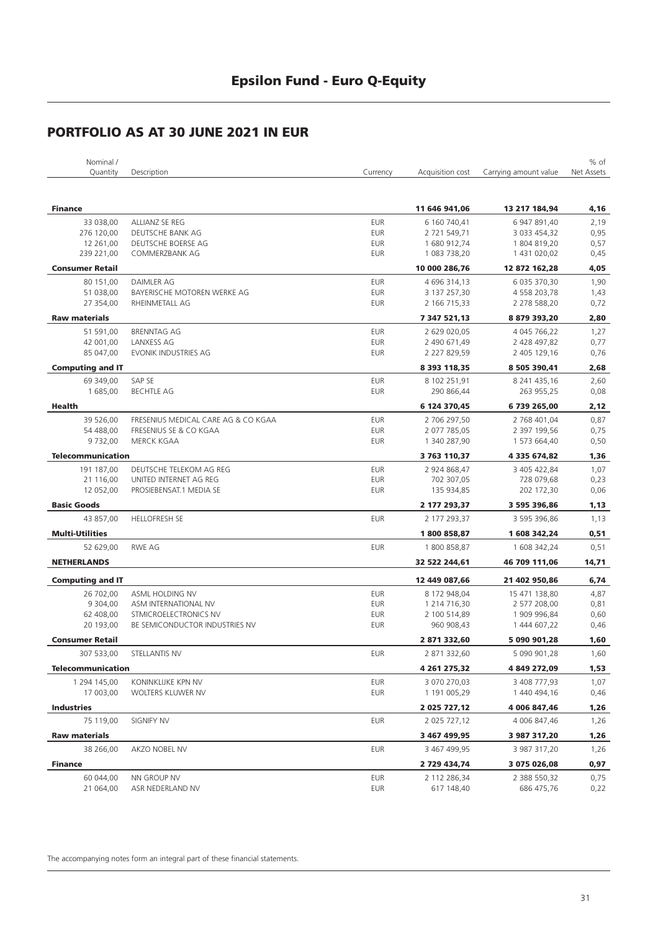| Nominal /                |                                      |                          |                              |                              | % of       |
|--------------------------|--------------------------------------|--------------------------|------------------------------|------------------------------|------------|
| Quantity                 | Description                          | Currency                 | Acquisition cost             | Carrying amount value        | Net Assets |
|                          |                                      |                          |                              |                              |            |
|                          |                                      |                          |                              |                              |            |
| <b>Finance</b>           |                                      |                          | 11 646 941,06                | 13 217 184,94                | 4,16       |
| 33 038,00                | ALLIANZ SE REG                       | <b>EUR</b>               | 6 160 740,41                 | 6 947 891,40                 | 2,19       |
| 276 120,00               | DEUTSCHE BANK AG                     | <b>EUR</b>               | 2 721 549,71                 | 3 033 454,32                 | 0,95       |
| 12 261,00                | DEUTSCHE BOERSE AG                   | <b>EUR</b>               | 1680 912,74                  | 1804819,20                   | 0,57       |
| 239 221,00               | COMMERZBANK AG                       | <b>EUR</b>               | 1 083 738,20                 | 1 431 020,02                 | 0,45       |
| <b>Consumer Retail</b>   |                                      |                          | 10 000 286,76                | 12 872 162,28                | 4,05       |
| 80 151,00                | <b>DAIMLER AG</b>                    | <b>EUR</b>               | 4 696 314,13                 | 6 035 370,30                 | 1,90       |
| 51 038,00                | BAYERISCHE MOTOREN WERKE AG          | <b>EUR</b>               | 3 137 257,30                 | 4 558 203,78                 | 1,43       |
| 27 354,00                | RHEINMETALL AG                       | <b>EUR</b>               | 2 166 715,33                 | 2 278 588,20                 | 0,72       |
| <b>Raw materials</b>     |                                      |                          | 7 347 521,13                 | 8879393,20                   | 2,80       |
| 51 591,00                | <b>BRENNTAG AG</b>                   | <b>EUR</b>               | 2 629 020,05                 | 4 045 766,22                 | 1,27       |
| 42 001,00                | LANXESS AG                           | <b>EUR</b>               | 2 490 671,49                 | 2 428 497,82                 | 0,77       |
| 85 047,00                | EVONIK INDUSTRIES AG                 | <b>EUR</b>               | 2 227 829,59                 | 2 405 129,16                 | 0,76       |
| <b>Computing and IT</b>  |                                      |                          | 8 393 118,35                 | 8 505 390,41                 | 2,68       |
| 69 349,00                | SAP SE                               | <b>EUR</b>               | 8 102 251,91                 | 8 241 435,16                 | 2,60       |
| 1 685,00                 | <b>BECHTLE AG</b>                    | <b>EUR</b>               | 290 866,44                   | 263 955,25                   | 0,08       |
| Health                   |                                      |                          |                              |                              |            |
|                          |                                      |                          | 6 124 370,45                 | 6739265,00                   | 2,12       |
| 39 526,00                | FRESENIUS MEDICAL CARE AG & CO KGAA  | <b>EUR</b>               | 2 706 297,50                 | 2 768 401,04                 | 0,87       |
| 54 488,00<br>9 732,00    | FRESENIUS SE & CO KGAA<br>MERCK KGAA | <b>EUR</b><br><b>EUR</b> | 2 077 785,05<br>1 340 287,90 | 2 397 199,56<br>1 573 664,40 | 0,75       |
|                          |                                      |                          |                              |                              | 0,50       |
| <b>Telecommunication</b> |                                      |                          | 3 763 110,37                 | 4 335 674,82                 | 1,36       |
| 191 187,00               | DEUTSCHE TELEKOM AG REG              | <b>EUR</b>               | 2 924 868,47                 | 3 405 422,84                 | 1,07       |
| 21 116,00                | UNITED INTERNET AG REG               | <b>EUR</b>               | 702 307,05                   | 728 079,68                   | 0,23       |
| 12 052,00                | PROSIEBENSAT.1 MEDIA SE              | <b>EUR</b>               | 135 934,85                   | 202 172,30                   | 0,06       |
| <b>Basic Goods</b>       |                                      |                          | 2 177 293,37                 | 3 595 396,86                 | 1,13       |
| 43 857,00                | <b>HELLOFRESH SE</b>                 | <b>EUR</b>               | 2 177 293,37                 | 3 595 396,86                 | 1,13       |
| <b>Multi-Utilities</b>   |                                      |                          | 1800858,87                   | 1 608 342,24                 | 0,51       |
| 52 629,00                | <b>RWE AG</b>                        | <b>EUR</b>               | 1800858,87                   | 1 608 342,24                 | 0,51       |
| <b>NETHERLANDS</b>       |                                      |                          | 32 522 244,61                | 46 709 111,06                | 14,71      |
|                          |                                      |                          |                              |                              |            |
| <b>Computing and IT</b>  |                                      |                          | 12 449 087,66                | 21 402 950,86                | 6,74       |
| 26 702,00                | ASML HOLDING NV                      | <b>EUR</b>               | 8 172 948,04                 | 15 471 138,80                | 4,87       |
| 9 304,00                 | ASM INTERNATIONAL NV                 | <b>EUR</b>               | 1 214 716,30                 | 2 577 208,00                 | 0,81       |
| 62 408,00                | STMICROELECTRONICS NV                | <b>EUR</b>               | 2 100 514,89                 | 1 909 996,84                 | 0,60       |
| 20 193,00                | BE SEMICONDUCTOR INDUSTRIES NV       | <b>EUR</b>               | 960 908,43                   | 1 444 607,22                 | 0,46       |
| <b>Consumer Retail</b>   |                                      |                          | 2 871 332,60                 | 5 090 901,28                 | 1,60       |
| 307 533,00               | STELLANTIS NV                        | <b>EUR</b>               | 2 871 332,60                 | 5 090 901,28                 | 1,60       |
| <b>Telecommunication</b> |                                      |                          | 4 261 275,32                 | 4 849 272,09                 | 1,53       |
| 1 294 145,00             | KONINKLIJKE KPN NV                   | <b>EUR</b>               | 3 070 270,03                 | 3 408 777.93                 | 1,07       |
| 17 003,00                | WOLTERS KLUWER NV                    | <b>EUR</b>               | 1 191 005,29                 | 1 440 494,16                 | 0,46       |
|                          |                                      |                          |                              |                              |            |
| <b>Industries</b>        |                                      |                          | 2 025 727,12                 | 4 006 847,46                 | 1,26       |
| 75 119,00                | SIGNIFY NV                           | <b>EUR</b>               | 2 025 727,12                 | 4 006 847,46                 | 1,26       |
| <b>Raw materials</b>     |                                      |                          | 3 467 499,95                 | 3 987 317,20                 | 1,26       |
| 38 266,00                | AKZO NOBEL NV                        | <b>EUR</b>               | 3 467 499,95                 | 3 987 317,20                 | 1,26       |
| <b>Finance</b>           |                                      |                          | 2 729 434,74                 | 3 075 026,08                 | 0,97       |
| 60 044,00                | NN GROUP NV                          | EUR                      | 2 112 286,34                 | 2 388 550,32                 | 0,75       |
| 21 064,00                | ASR NEDERLAND NV                     | EUR                      | 617 148,40                   | 686 475,76                   | 0,22       |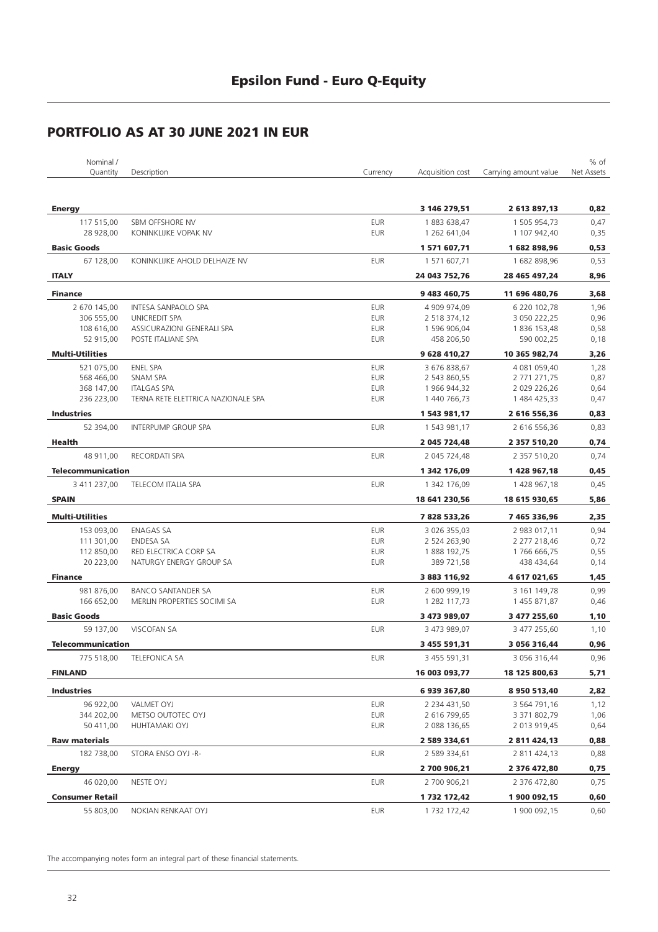| Nominal /                |                                    |            |                     |                       | % of       |
|--------------------------|------------------------------------|------------|---------------------|-----------------------|------------|
| Quantity                 | Description                        | Currency   | Acquisition cost    | Carrying amount value | Net Assets |
|                          |                                    |            |                     |                       |            |
| <b>Energy</b>            |                                    |            | 3 146 279,51        | 2 613 897,13          | 0,82       |
| 117 515,00               | SBM OFFSHORE NV                    | <b>EUR</b> | 1883 638,47         | 1 505 954,73          | 0,47       |
| 28 928,00                | KONINKLIJKE VOPAK NV               | <b>EUR</b> | 1 262 641,04        | 1 107 942,40          | 0,35       |
| <b>Basic Goods</b>       |                                    |            | 1 571 607,71        | 1682898,96            | 0,53       |
| 67 128,00                | KONINKLIJKE AHOLD DELHAIZE NV      | <b>EUR</b> | 1 571 607,71        | 1682898,96            | 0,53       |
| <b>ITALY</b>             |                                    |            | 24 043 752,76       | 28 465 497,24         | 8,96       |
| <b>Finance</b>           |                                    |            | 9 483 460,75        | 11 696 480,76         | 3,68       |
| 2 670 145,00             | INTESA SANPAOLO SPA                | <b>EUR</b> | 4 909 974,09        | 6 220 102,78          | 1,96       |
| 306 555,00               | <b>UNICREDIT SPA</b>               | <b>EUR</b> | 2 518 374,12        | 3 050 222,25          | 0,96       |
| 108 616,00               | ASSICURAZIONI GENERALI SPA         | <b>EUR</b> | 1 596 906,04        | 1836 153,48           | 0,58       |
| 52 915,00                | POSTE ITALIANE SPA                 | <b>EUR</b> | 458 206,50          | 590 002,25            | 0,18       |
| <b>Multi-Utilities</b>   |                                    |            | 9 628 410,27        | 10 365 982,74         | 3,26       |
| 521 075,00               | <b>ENEL SPA</b>                    | <b>EUR</b> | 3 676 838,67        | 4 081 059,40          | 1,28       |
| 568 466,00               | SNAM SPA                           | <b>EUR</b> | 2 543 860,55        | 2 771 271,75          | 0,87       |
| 368 147,00               | <b>ITALGAS SPA</b>                 | <b>EUR</b> | 1 966 944,32        | 2 029 226,26          | 0,64       |
| 236 223,00               | TERNA RETE ELETTRICA NAZIONALE SPA | EUR        | 1 440 766,73        | 1 484 425,33          | 0,47       |
| <b>Industries</b>        |                                    |            | 1 543 981,17        | 2 616 556,36          | 0,83       |
| 52 394.00                | <b>INTERPUMP GROUP SPA</b>         | <b>EUR</b> | 1 543 981,17        | 2 616 556,36          | 0,83       |
| <b>Health</b>            |                                    |            | 2 045 724,48        | 2 357 510,20          | 0,74       |
| 48 911,00                | <b>RECORDATI SPA</b>               | <b>EUR</b> | 2 045 724,48        | 2 357 510,20          | 0,74       |
| <b>Telecommunication</b> |                                    |            | 1 342 176,09        | 1428967,18            | 0,45       |
| 3 411 237,00             | <b>TELECOM ITALIA SPA</b>          | <b>EUR</b> | 1 342 176,09        | 1 428 967,18          | 0,45       |
| <b>SPAIN</b>             |                                    |            | 18 641 230,56       | 18 615 930,65         | 5,86       |
| <b>Multi-Utilities</b>   |                                    |            | 7828533,26          | 7 465 336,96          | 2,35       |
| 153 093,00               | <b>ENAGAS SA</b>                   | <b>EUR</b> | 3 026 355,03        | 2 983 017,11          | 0,94       |
| 111 301,00               | <b>ENDESA SA</b>                   | <b>EUR</b> | 2 524 263,90        | 2 277 218,46          | 0,72       |
| 112 850,00               | RED ELECTRICA CORP SA              | EUR        | 1888 192,75         | 1766 666,75           | 0,55       |
| 20 223,00                | NATURGY ENERGY GROUP SA            | <b>EUR</b> | 389 721,58          | 438 434,64            | 0,14       |
| <b>Finance</b>           |                                    |            | 3 883 116,92        | 4 617 021,65          | 1,45       |
| 981 876,00               | <b>BANCO SANTANDER SA</b>          | <b>EUR</b> | 2 600 999,19        | 3 161 149,78          | 0,99       |
| 166 652,00               | MERLIN PROPERTIES SOCIMI SA        | <b>EUR</b> | 1 282 117,73        | 1455871,87            | 0,46       |
| <b>Basic Goods</b>       |                                    |            | 3 473 989,07        | 3 477 255,60          | 1,10       |
| 59 137,00                | <b>VISCOFAN SA</b>                 | <b>EUR</b> | 3 473 989,07        | 3 477 255,60          | 1,10       |
| <b>Telecommunication</b> |                                    |            | 3 455 591,31        | 3 056 316,44          | 0,96       |
| 775 518,00               | <b>TELEFONICA SA</b>               | EUR        | 3 455 591,31        | 3 056 316,44          | 0,96       |
| <b>FINLAND</b>           |                                    |            | 16 003 093,77       | 18 125 800,63         | 5,71       |
| <b>Industries</b>        |                                    |            | 6 939 367,80        | 8 950 513,40          | 2,82       |
| 96 922,00                | VALMET OYJ                         | EUR        | 2 2 3 4 4 3 1 , 5 0 | 3 564 791,16          | 1,12       |
| 344 202,00               | METSO OUTOTEC OYJ                  | EUR        | 2 616 799,65        | 3 371 802,79          | 1,06       |
| 50 411,00                | HUHTAMAKI OYJ                      | EUR        | 2 088 136,65        | 2 013 919,45          | 0,64       |
| <b>Raw materials</b>     |                                    |            | 2 589 334,61        | 2 811 424,13          | 0,88       |
| 182 738,00               | STORA ENSO OYJ -R-                 | EUR        | 2 589 334,61        | 2 811 424,13          | 0,88       |
| <b>Energy</b>            |                                    |            | 2 700 906,21        | 2 376 472,80          | 0,75       |
| 46 020,00                | NESTE OYJ                          | EUR        | 2 700 906,21        | 2 376 472,80          | 0,75       |
| <b>Consumer Retail</b>   |                                    |            | 1 732 172,42        | 1 900 092,15          | 0,60       |
| 55 803,00                | NOKIAN RENKAAT OYJ                 | <b>EUR</b> | 1 7 3 2 1 7 2 , 4 2 | 1 900 092,15          | 0,60       |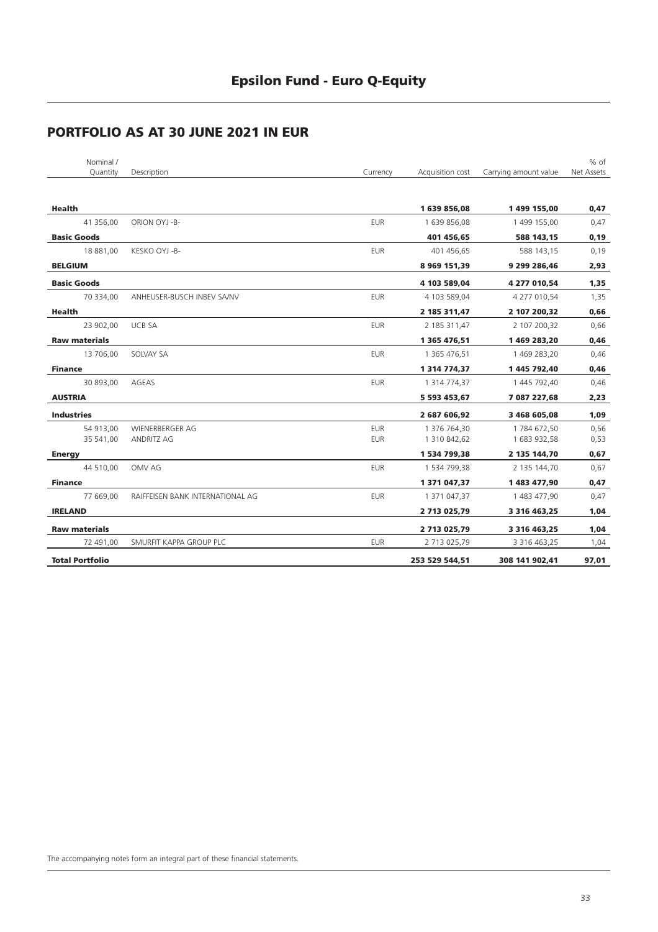| Nominal /              |                                  |            |                    |                       | $%$ of     |
|------------------------|----------------------------------|------------|--------------------|-----------------------|------------|
| Quantity               | Description                      | Currency   | Acquisition cost   | Carrying amount value | Net Assets |
| Health                 |                                  |            | 1639856,08         | 1 499 155,00          | 0,47       |
| 41 356,00              | ORION OYJ -B-                    | <b>EUR</b> | 1 639 856,08       | 1 499 155,00          | 0,47       |
| <b>Basic Goods</b>     |                                  |            | 401 456,65         | 588 143,15            | 0, 19      |
| 18 881,00              | KESKO OYJ -B-                    | <b>EUR</b> | 401 456,65         | 588 143,15            | 0,19       |
| <b>BELGIUM</b>         |                                  |            | 8 969 151,39       | 9 299 286,46          | 2,93       |
| <b>Basic Goods</b>     |                                  |            | 4 103 589,04       | 4 277 010,54          | 1,35       |
| 70 334,00              | ANHEUSER-BUSCH INBEV SA/NV       | <b>EUR</b> | 4 103 589,04       | 4 277 010,54          | 1,35       |
| Health                 |                                  |            | 2 185 311,47       | 2 107 200,32          | 0,66       |
| 23 902,00              | <b>UCB SA</b>                    | <b>EUR</b> | 2 185 311,47       | 2 107 200,32          | 0,66       |
| <b>Raw materials</b>   |                                  |            | 1 365 476,51       | 1469283,20            | 0,46       |
| 13 706,00              | SOLVAY SA                        | <b>EUR</b> | 1 365 476,51       | 1 469 283,20          | 0,46       |
| <b>Finance</b>         |                                  |            | 1 3 14 7 7 4 , 3 7 | 1 445 792,40          | 0,46       |
| 30 893,00              | AGEAS                            | <b>EUR</b> | 1 314 774,37       | 1 445 792,40          | 0,46       |
| <b>AUSTRIA</b>         |                                  |            | 5 593 453,67       | 7 087 227,68          | 2,23       |
| <b>Industries</b>      |                                  |            | 2 687 606,92       | 3 468 605,08          | 1,09       |
| 54 913,00              | <b>WIENERBERGER AG</b>           | <b>EUR</b> | 1 376 764,30       | 1784 672,50           | 0,56       |
| 35 541,00              | <b>ANDRITZ AG</b>                | <b>EUR</b> | 1 310 842,62       | 1 683 932,58          | 0,53       |
| <b>Energy</b>          |                                  |            | 1 534 799,38       | 2 135 144,70          | 0,67       |
| 44 510,00              | OMV AG                           | <b>EUR</b> | 1 534 799,38       | 2 135 144,70          | 0,67       |
| <b>Finance</b>         |                                  |            | 1 371 047,37       | 1483477,90            | 0,47       |
| 77 669,00              | RAIFFEISEN BANK INTERNATIONAL AG | <b>EUR</b> | 1 371 047,37       | 1 483 477,90          | 0,47       |
| <b>IRELAND</b>         |                                  |            | 2 713 025,79       | 3 3 16 4 63, 25       | 1,04       |
| <b>Raw materials</b>   |                                  |            | 2 713 025,79       | 3 3 16 4 63, 25       | 1,04       |
| 72 491,00              | SMURFIT KAPPA GROUP PLC          | <b>EUR</b> | 2 713 025,79       | 3 316 463,25          | 1,04       |
| <b>Total Portfolio</b> |                                  |            | 253 529 544,51     | 308 141 902,41        | 97,01      |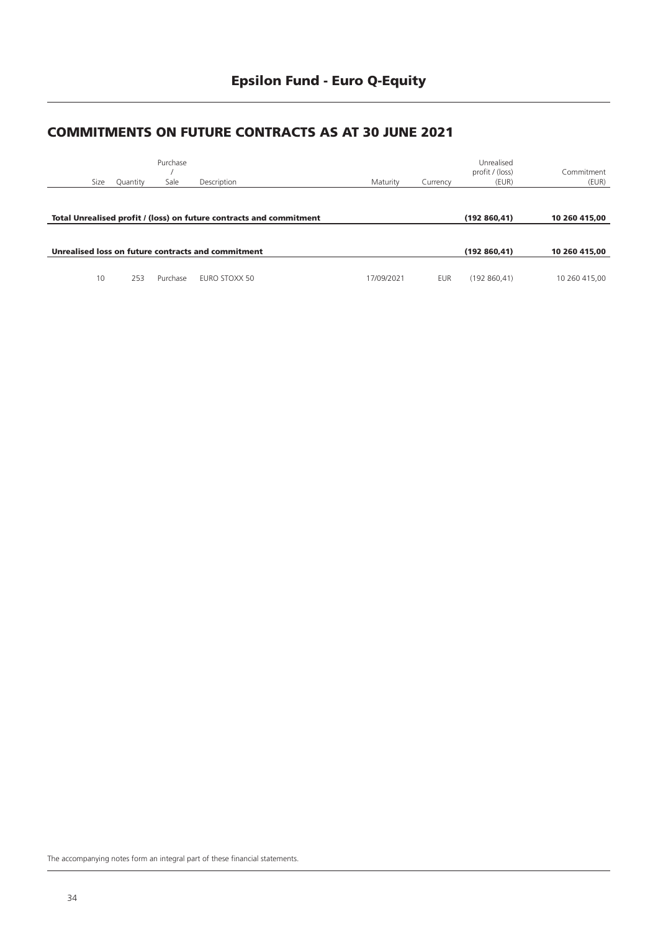### **Epsilon Fund - Euro Q-Equity**

#### **COMMITMENTS ON FUTURE CONTRACTS AS AT 30 JUNE 2021**

| Size | Quantity | Purchase<br>Sale | Description                                                         | Maturity   | Currency   | Unrealised<br>profit / (loss)<br>(EUR) | Commitment<br>(EUR) |
|------|----------|------------------|---------------------------------------------------------------------|------------|------------|----------------------------------------|---------------------|
|      |          |                  | Total Unrealised profit / (loss) on future contracts and commitment |            |            | (192860, 41)                           | 10 260 415.00       |
|      |          |                  | Unrealised loss on future contracts and commitment                  |            |            | (192860, 41)                           | 10 260 415.00       |
| 10   | 253      | Purchase         | EURO STOXX 50                                                       | 17/09/2021 | <b>EUR</b> | (192860, 41)                           | 10 260 415,00       |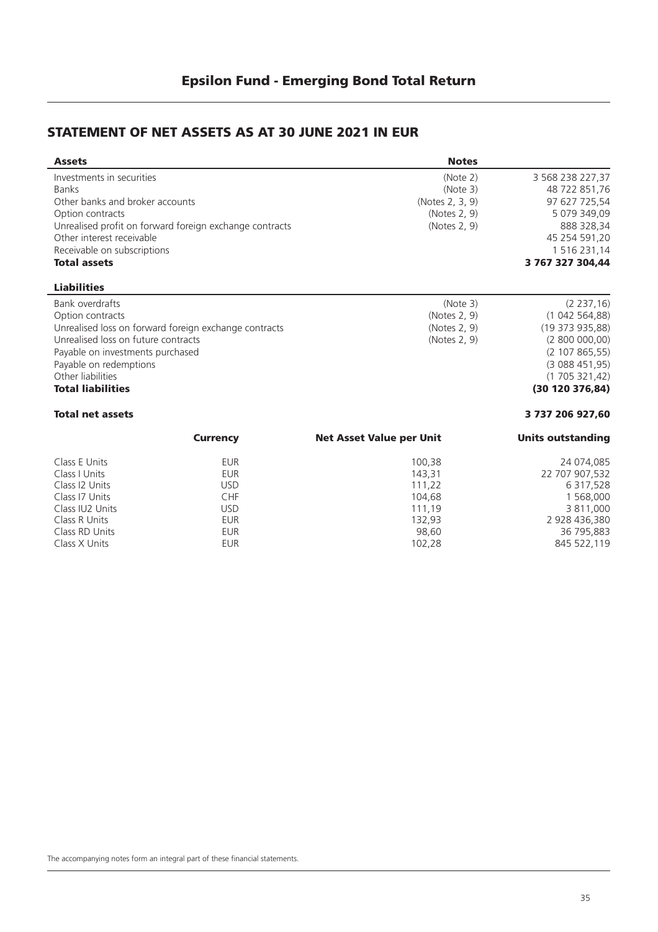#### **STATEMENT OF NET ASSETS AS AT 30 JUNE 2021 IN EUR**

| <b>Assets</b>                       |                                                         | <b>Notes</b>                    |                          |
|-------------------------------------|---------------------------------------------------------|---------------------------------|--------------------------|
| Investments in securities           |                                                         | (Note 2)                        | 3 568 238 227,37         |
| <b>Banks</b>                        |                                                         | (Note 3)                        | 48 722 851,76            |
| Other banks and broker accounts     |                                                         | (Notes 2, 3, 9)                 | 97 627 725,54            |
| Option contracts                    |                                                         | (Notes 2, 9)                    | 5 079 349,09             |
|                                     | Unrealised profit on forward foreign exchange contracts | (Notes 2, 9)                    | 888 328,34               |
| Other interest receivable           |                                                         |                                 | 45 254 591,20            |
| Receivable on subscriptions         |                                                         |                                 | 1 516 231,14             |
| <b>Total assets</b>                 |                                                         |                                 | 3 767 327 304.44         |
| <b>Liabilities</b>                  |                                                         |                                 |                          |
| Bank overdrafts                     |                                                         | (Note 3)                        | (2 237, 16)              |
| Option contracts                    |                                                         | (Notes 2, 9)                    | (1042564,88)             |
|                                     | Unrealised loss on forward foreign exchange contracts   | (Notes 2, 9)                    | (19373935,88)            |
| Unrealised loss on future contracts |                                                         | (Notes 2, 9)                    | (2800000,00)             |
| Payable on investments purchased    |                                                         |                                 | (2 107 865, 55)          |
| Payable on redemptions              |                                                         |                                 | (3088451,95)             |
| Other liabilities                   |                                                         |                                 | (1705321,42)             |
| <b>Total liabilities</b>            |                                                         |                                 | (30 120 376, 84)         |
| <b>Total net assets</b>             |                                                         |                                 | 3 737 206 927,60         |
|                                     | <b>Currency</b>                                         | <b>Net Asset Value per Unit</b> | <b>Units outstanding</b> |
| Class E Units                       | <b>EUR</b>                                              | 100,38                          | 24 074,085               |
| Class I Units                       | <b>EUR</b>                                              | 143,31                          | 22 707 907,532           |
| Class I2 Units                      | <b>USD</b>                                              | 111,22                          | 6 317,528                |
| Class I7 Units                      | CHF                                                     | 104,68                          | 1 568,000                |
| Class IU2 Units                     | <b>USD</b>                                              | 111,19                          | 3 811,000                |
| Class R Units                       | <b>EUR</b>                                              | 132,93                          | 2 928 436,380            |
| Class RD Units                      | <b>EUR</b>                                              | 98,60                           | 36 795,883               |
| Class X Units                       | <b>EUR</b>                                              | 102,28                          | 845 522,119              |
|                                     |                                                         |                                 |                          |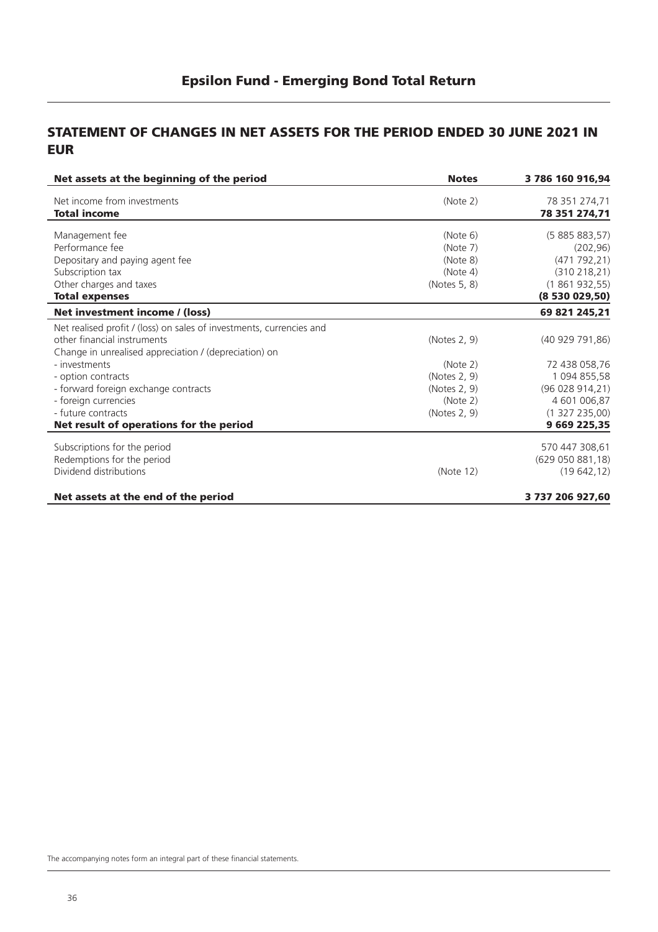#### **STATEMENT OF CHANGES IN NET ASSETS FOR THE PERIOD ENDED 30 JUNE 2021 IN EUR**

| Net assets at the beginning of the period                            | <b>Notes</b> | 3 786 160 916,94  |  |
|----------------------------------------------------------------------|--------------|-------------------|--|
| Net income from investments                                          | (Note 2)     | 78 351 274,71     |  |
| <b>Total income</b>                                                  |              | 78 351 274,71     |  |
| Management fee                                                       | (Note 6)     | (5885883,57)      |  |
| Performance fee                                                      | (Note 7)     | (202, 96)         |  |
| Depositary and paying agent fee                                      | (Note 8)     | (471792,21)       |  |
| Subscription tax                                                     | (Note 4)     | (310 218, 21)     |  |
| Other charges and taxes                                              | (Notes 5, 8) | (1861932,55)      |  |
| <b>Total expenses</b>                                                |              | (8530029,50)      |  |
| Net investment income / (loss)                                       |              | 69 821 245,21     |  |
| Net realised profit / (loss) on sales of investments, currencies and |              |                   |  |
| other financial instruments                                          | (Notes 2, 9) | (40929791,86)     |  |
| Change in unrealised appreciation / (depreciation) on                |              |                   |  |
| - investments                                                        | (Note 2)     | 72 438 058,76     |  |
| - option contracts                                                   | (Notes 2, 9) | 1 094 855,58      |  |
| - forward foreign exchange contracts                                 | (Notes 2, 9) | (96 028 914, 21)  |  |
| - foreign currencies                                                 | (Note 2)     | 4 601 006,87      |  |
| - future contracts                                                   | (Notes 2, 9) | (1327235,00)      |  |
| Net result of operations for the period                              |              | 9 669 225,35      |  |
| Subscriptions for the period                                         |              | 570 447 308,61    |  |
| Redemptions for the period                                           |              | (629 050 881, 18) |  |
| Dividend distributions                                               | (Note 12)    | (19642, 12)       |  |
| Net assets at the end of the period                                  |              | 3 737 206 927,60  |  |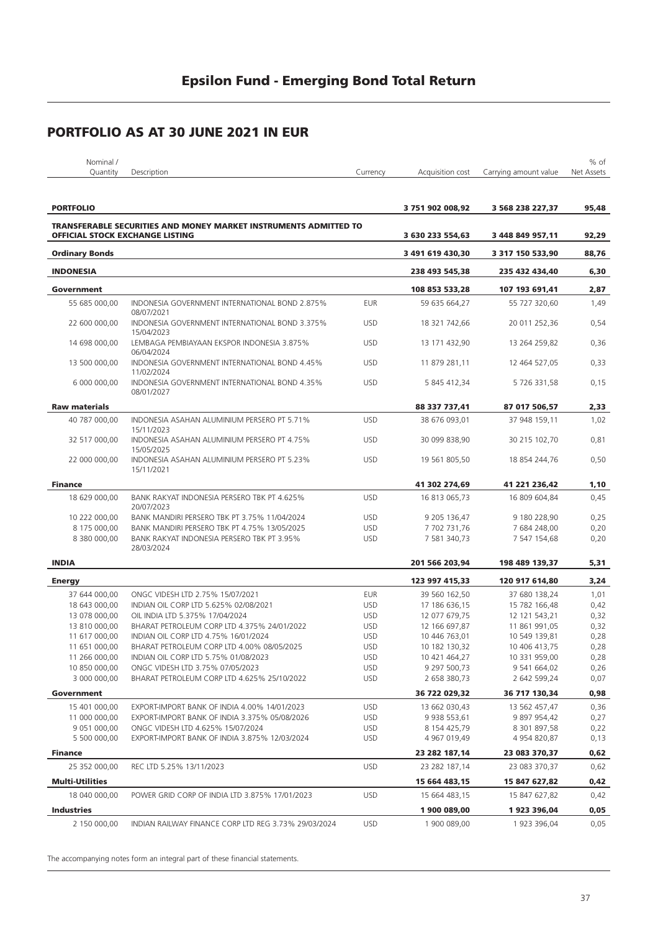| Nominal /                              |                                                                         |            |                    |                       | % of       |
|----------------------------------------|-------------------------------------------------------------------------|------------|--------------------|-----------------------|------------|
| Quantity                               | Description                                                             | Currency   | Acquisition cost   | Carrying amount value | Net Assets |
|                                        |                                                                         |            |                    |                       |            |
|                                        |                                                                         |            |                    |                       |            |
| <b>PORTFOLIO</b>                       |                                                                         |            | 3751902008,92      | 3 568 238 227,37      | 95,48      |
|                                        | <b>TRANSFERABLE SECURITIES AND MONEY MARKET INSTRUMENTS ADMITTED TO</b> |            |                    |                       |            |
| <b>OFFICIAL STOCK EXCHANGE LISTING</b> |                                                                         |            | 3 630 233 554,63   | 3 448 849 957,11      | 92,29      |
| <b>Ordinary Bonds</b>                  |                                                                         |            | 3 491 619 430,30   | 3 317 150 533,90      | 88,76      |
| <b>INDONESIA</b>                       |                                                                         |            | 238 493 545,38     | 235 432 434,40        | 6,30       |
| Government                             |                                                                         |            | 108 853 533,28     | 107 193 691,41        | 2,87       |
|                                        |                                                                         |            | 59 635 664,27      |                       |            |
| 55 685 000,00                          | INDONESIA GOVERNMENT INTERNATIONAL BOND 2.875%<br>08/07/2021            | <b>EUR</b> |                    | 55 727 320,60         | 1,49       |
| 22 600 000,00                          | INDONESIA GOVERNMENT INTERNATIONAL BOND 3.375%<br>15/04/2023            | <b>USD</b> | 18 321 742,66      | 20 011 252,36         | 0,54       |
| 14 698 000,00                          | LEMBAGA PEMBIAYAAN EKSPOR INDONESIA 3.875%<br>06/04/2024                | <b>USD</b> | 13 171 432,90      | 13 264 259,82         | 0,36       |
| 13 500 000,00                          | INDONESIA GOVERNMENT INTERNATIONAL BOND 4.45%<br>11/02/2024             | <b>USD</b> | 11 879 281,11      | 12 464 527,05         | 0,33       |
| 6 000 000,00                           | INDONESIA GOVERNMENT INTERNATIONAL BOND 4.35%<br>08/01/2027             | <b>USD</b> | 5 845 412,34       | 5 726 331,58          | 0,15       |
| <b>Raw materials</b>                   |                                                                         |            | 88 337 737,41      | 87 017 506,57         | 2,33       |
| 40 787 000,00                          | INDONESIA ASAHAN ALUMINIUM PERSERO PT 5.71%                             | <b>USD</b> | 38 676 093,01      | 37 948 159,11         | 1,02       |
|                                        | 15/11/2023                                                              |            |                    |                       |            |
| 32 517 000,00                          | INDONESIA ASAHAN ALUMINIUM PERSERO PT 4.75%<br>15/05/2025               | <b>USD</b> | 30 099 838,90      | 30 215 102,70         | 0,81       |
| 22 000 000,00                          | INDONESIA ASAHAN ALUMINIUM PERSERO PT 5.23%<br>15/11/2021               | <b>USD</b> | 19 561 805,50      | 18 854 244,76         | 0,50       |
| <b>Finance</b>                         |                                                                         |            | 41 302 274,69      | 41 221 236,42         | 1,10       |
| 18 629 000,00                          | BANK RAKYAT INDONESIA PERSERO TBK PT 4.625%                             | <b>USD</b> | 16 813 065,73      | 16 809 604,84         | 0,45       |
|                                        | 20/07/2023                                                              |            |                    |                       |            |
| 10 222 000,00                          | BANK MANDIRI PERSERO TBK PT 3.75% 11/04/2024                            | <b>USD</b> | 9 205 136,47       | 9 180 228,90          | 0,25       |
| 8 175 000,00                           | BANK MANDIRI PERSERO TBK PT 4.75% 13/05/2025                            | <b>USD</b> | 7 702 731,76       | 7 684 248,00          | 0,20       |
| 8 380 000,00                           | BANK RAKYAT INDONESIA PERSERO TBK PT 3.95%<br>28/03/2024                | <b>USD</b> | 7 581 340,73       | 7 547 154,68          | 0,20       |
| <b>INDIA</b>                           |                                                                         |            | 201 566 203,94     | 198 489 139,37        | 5,31       |
| <b>Energy</b>                          |                                                                         |            | 123 997 415,33     | 120 917 614,80        | 3,24       |
| 37 644 000,00                          | ONGC VIDESH LTD 2.75% 15/07/2021                                        | <b>EUR</b> | 39 560 162,50      | 37 680 138,24         | 1,01       |
| 18 643 000,00                          | INDIAN OIL CORP LTD 5.625% 02/08/2021                                   | <b>USD</b> | 17 186 636,15      | 15 782 166,48         | 0,42       |
| 13 078 000,00                          | OIL INDIA LTD 5.375% 17/04/2024                                         | <b>USD</b> | 12 077 679,75      | 12 121 543,21         | 0,32       |
| 13 810 000,00                          | BHARAT PETROLEUM CORP LTD 4.375% 24/01/2022                             | <b>USD</b> | 12 166 697,87      | 11 861 991,05         | 0,32       |
| 11 617 000,00                          | INDIAN OIL CORP LTD 4.75% 16/01/2024                                    | <b>USD</b> | 10 446 763,01      | 10 549 139,81         | 0,28       |
| 11 651 000,00                          | BHARAT PETROLEUM CORP LTD 4.00% 08/05/2025                              | <b>USD</b> | 10 182 130,32      | 10 406 413,75         | 0,28       |
| 11 266 000,00                          | INDIAN OIL CORP LTD 5.75% 01/08/2023                                    | <b>USD</b> | 10 421 464,27      | 10 331 959,00         | 0,28       |
| 10 850 000,00                          | ONGC VIDESH LTD 3.75% 07/05/2023                                        | <b>USD</b> | 9 297 500,73       | 9 541 664,02          | 0,26       |
| 3 000 000,00                           | BHARAT PETROLEUM CORP LTD 4.625% 25/10/2022                             | <b>USD</b> | 2 658 380,73       | 2 642 599,24          | 0,07       |
| Government                             |                                                                         |            | 36 722 029,32      | 36 717 130,34         | 0,98       |
| 15 401 000,00                          | EXPORT-IMPORT BANK OF INDIA 4.00% 14/01/2023                            | <b>USD</b> | 13 662 030,43      | 13 562 457,47         | 0,36       |
| 11 000 000,00                          | EXPORT-IMPORT BANK OF INDIA 3.375% 05/08/2026                           | <b>USD</b> | 9 9 38 5 5 3 , 6 1 | 9 897 954,42          | 0,27       |
| 9 051 000,00                           | ONGC VIDESH LTD 4.625% 15/07/2024                                       | <b>USD</b> | 8 154 425,79       | 8 301 897,58          | 0,22       |
| 5 500 000,00                           | EXPORT-IMPORT BANK OF INDIA 3.875% 12/03/2024                           | <b>USD</b> | 4 967 019,49       | 4 954 820,87          | 0,13       |
|                                        |                                                                         |            | 23 282 187,14      | 23 083 370,37         |            |
| <b>Finance</b><br>25 352 000,00        | REC LTD 5.25% 13/11/2023                                                | <b>USD</b> | 23 282 187,14      |                       | 0,62       |
|                                        |                                                                         |            |                    | 23 083 370,37         | 0,62       |
| <b>Multi-Utilities</b>                 |                                                                         |            | 15 664 483,15      | 15 847 627,82         | 0,42       |
| 18 040 000,00                          | POWER GRID CORP OF INDIA LTD 3.875% 17/01/2023                          | <b>USD</b> | 15 664 483,15      | 15 847 627,82         | 0,42       |
| <b>Industries</b>                      |                                                                         |            | 1900 089,00        | 1923 396,04           | 0,05       |
| 2 150 000,00                           | INDIAN RAILWAY FINANCE CORP LTD REG 3.73% 29/03/2024                    | <b>USD</b> | 1 900 089,00       | 1 923 396,04          | 0,05       |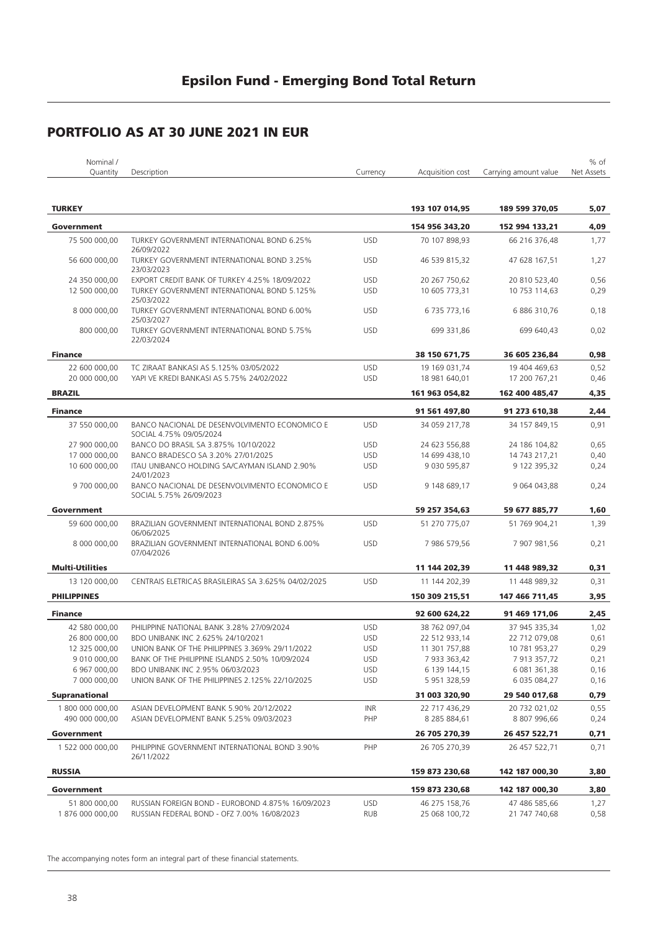### **PORTFOLIO AS AT 30 JUNE 2021 IN EUR**

| Nominal /              |                                                                          |            |                  |                       | % of       |
|------------------------|--------------------------------------------------------------------------|------------|------------------|-----------------------|------------|
| Quantity               | Description                                                              | Currency   | Acquisition cost | Carrying amount value | Net Assets |
| <b>TURKEY</b>          |                                                                          |            | 193 107 014,95   | 189 599 370,05        | 5,07       |
| Government             |                                                                          |            | 154 956 343,20   | 152 994 133.21        | 4,09       |
| 75 500 000,00          | TURKEY GOVERNMENT INTERNATIONAL BOND 6.25%                               | <b>USD</b> | 70 107 898,93    | 66 216 376,48         | 1,77       |
| 56 600 000,00          | 26/09/2022<br>TURKEY GOVERNMENT INTERNATIONAL BOND 3.25%                 | <b>USD</b> | 46 539 815,32    | 47 628 167,51         | 1,27       |
|                        | 23/03/2023                                                               |            |                  |                       |            |
| 24 350 000.00          | EXPORT CREDIT BANK OF TURKEY 4.25% 18/09/2022                            | <b>USD</b> | 20 267 750,62    | 20 810 523,40         | 0,56       |
| 12 500 000.00          | TURKEY GOVERNMENT INTERNATIONAL BOND 5.125%<br>25/03/2022                | <b>USD</b> | 10 605 773,31    | 10 753 114,63         | 0,29       |
| 8 000 000,00           | TURKEY GOVERNMENT INTERNATIONAL BOND 6.00%<br>25/03/2027                 | <b>USD</b> | 6 735 773,16     | 6 886 310,76          | 0,18       |
| 800 000,00             | TURKEY GOVERNMENT INTERNATIONAL BOND 5.75%<br>22/03/2024                 | <b>USD</b> | 699 331,86       | 699 640,43            | 0,02       |
| <b>Finance</b>         |                                                                          |            | 38 150 671,75    | 36 605 236,84         | 0,98       |
| 22 600 000,00          | TC ZIRAAT BANKASI AS 5.125% 03/05/2022                                   | <b>USD</b> | 19 169 031,74    | 19 404 469,63         | 0,52       |
| 20 000 000,00          | YAPI VE KREDI BANKASI AS 5.75% 24/02/2022                                | <b>USD</b> | 18 981 640,01    | 17 200 767,21         | 0,46       |
| <b>BRAZIL</b>          |                                                                          |            | 161 963 054,82   | 162 400 485,47        | 4,35       |
| <b>Finance</b>         |                                                                          |            | 91 561 497,80    | 91 273 610,38         | 2,44       |
| 37 550 000,00          | BANCO NACIONAL DE DESENVOLVIMENTO ECONOMICO E                            | <b>USD</b> | 34 059 217,78    | 34 157 849,15         | 0,91       |
|                        | SOCIAL 4.75% 09/05/2024                                                  |            |                  |                       |            |
| 27 900 000.00          | BANCO DO BRASIL SA 3.875% 10/10/2022                                     | <b>USD</b> | 24 623 556,88    | 24 186 104,82         | 0,65       |
| 17 000 000.00          | BANCO BRADESCO SA 3.20% 27/01/2025                                       | <b>USD</b> | 14 699 438,10    | 14 743 217,21         | 0,40       |
| 10 600 000,00          | ITAU UNIBANCO HOLDING SA/CAYMAN ISLAND 2.90%<br>24/01/2023               | <b>USD</b> | 9 030 595,87     | 9 122 395,32          | 0,24       |
| 9700000,00             | BANCO NACIONAL DE DESENVOLVIMENTO ECONOMICO E<br>SOCIAL 5.75% 26/09/2023 | <b>USD</b> | 9 148 689,17     | 9 064 043,88          | 0,24       |
| Government             |                                                                          |            | 59 257 354,63    | 59 677 885,77         | 1,60       |
| 59 600 000,00          | BRAZILIAN GOVERNMENT INTERNATIONAL BOND 2.875%                           | <b>USD</b> | 51 270 775,07    | 51 769 904,21         | 1,39       |
|                        | 06/06/2025                                                               |            |                  |                       |            |
| 8 000 000,00           | BRAZILIAN GOVERNMENT INTERNATIONAL BOND 6.00%<br>07/04/2026              | <b>USD</b> | 7 986 579,56     | 7 907 981,56          | 0,21       |
| <b>Multi-Utilities</b> |                                                                          |            | 11 144 202,39    | 11 448 989,32         | 0,31       |
| 13 120 000,00          | CENTRAIS ELETRICAS BRASILEIRAS SA 3.625% 04/02/2025                      | <b>USD</b> | 11 144 202,39    | 11 448 989,32         | 0,31       |
| <b>PHILIPPINES</b>     |                                                                          |            | 150 309 215,51   | 147 466 711,45        | 3,95       |
| <b>Finance</b>         |                                                                          |            | 92 600 624,22    | 91 469 171,06         | 2,45       |
| 42 580 000,00          | PHILIPPINE NATIONAL BANK 3.28% 27/09/2024                                | <b>USD</b> | 38 762 097,04    | 37 945 335,34         | 1,02       |
| 26 800 000,00          | BDO UNIBANK INC 2.625% 24/10/2021                                        | <b>USD</b> | 22 512 933.14    | 22 712 079,08         | 0,61       |
| 12 325 000,00          | UNION BANK OF THE PHILIPPINES 3.369% 29/11/2022                          | <b>USD</b> | 11 301 757,88    | 10 781 953,27         | 0,29       |
| 9 010 000,00           | BANK OF THE PHILIPPINE ISLANDS 2.50% 10/09/2024                          | <b>USD</b> | 7 933 363,42     | 7 913 357,72          | 0,21       |
| 6 967 000,00           | BDO UNIBANK INC 2.95% 06/03/2023                                         | <b>USD</b> | 6 139 144,15     | 6 081 361,38          | 0,16       |
| 7 000 000,00           | UNION BANK OF THE PHILIPPINES 2.125% 22/10/2025                          | <b>USD</b> | 5 951 328,59     | 6 035 084,27          | 0,16       |
| <b>Supranational</b>   |                                                                          |            | 31 003 320,90    | 29 540 017,68         | 0,79       |
| 1 800 000 000,00       | ASIAN DEVELOPMENT BANK 5.90% 20/12/2022                                  | <b>INR</b> | 22 717 436,29    | 20 732 021,02         | 0,55       |
| 490 000 000,00         | ASIAN DEVELOPMENT BANK 5.25% 09/03/2023                                  | PHP        | 8 285 884,61     | 8 807 996,66          | 0,24       |
| Government             |                                                                          |            | 26 705 270,39    | 26 457 522,71         | 0,71       |
| 1 522 000 000,00       | PHILIPPINE GOVERNMENT INTERNATIONAL BOND 3.90%<br>26/11/2022             | PHP        | 26 705 270,39    | 26 457 522,71         | 0,71       |
| <b>RUSSIA</b>          |                                                                          |            | 159 873 230,68   | 142 187 000,30        | 3,80       |
| Government             |                                                                          |            | 159 873 230,68   | 142 187 000,30        | 3,80       |
| 51 800 000,00          | RUSSIAN FOREIGN BOND - EUROBOND 4.875% 16/09/2023                        | <b>USD</b> | 46 275 158,76    | 47 486 585,66         | 1,27       |
| 1876 000 000,00        | RUSSIAN FEDERAL BOND - OFZ 7.00% 16/08/2023                              | <b>RUB</b> | 25 068 100,72    | 21 747 740,68         | 0,58       |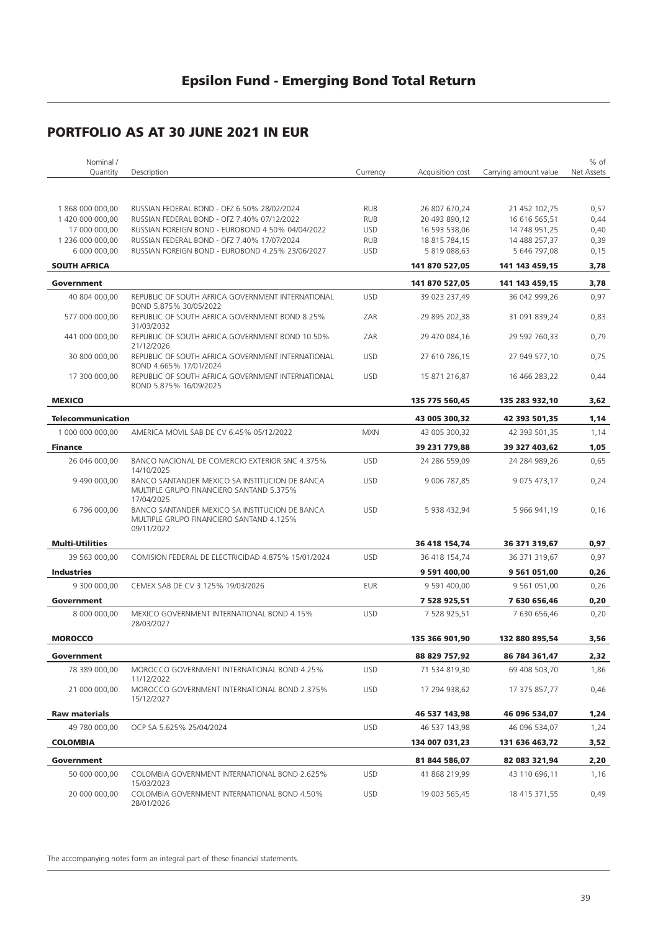| Nominal /                         |                                                                                                          |                          |                                |                                | % of         |
|-----------------------------------|----------------------------------------------------------------------------------------------------------|--------------------------|--------------------------------|--------------------------------|--------------|
| Quantity                          | Description                                                                                              | Currency                 | Acquisition cost               | Carrying amount value          | Net Assets   |
|                                   |                                                                                                          |                          |                                |                                |              |
|                                   |                                                                                                          |                          |                                |                                |              |
| 1868000000,00<br>1 420 000 000,00 | RUSSIAN FEDERAL BOND - OFZ 6.50% 28/02/2024<br>RUSSIAN FEDERAL BOND - OFZ 7.40% 07/12/2022               | <b>RUB</b><br><b>RUB</b> | 26 807 670,24<br>20 493 890,12 | 21 452 102,75<br>16 616 565,51 | 0,57<br>0,44 |
| 17 000 000.00                     | RUSSIAN FOREIGN BOND - EUROBOND 4.50% 04/04/2022                                                         | <b>USD</b>               | 16 593 538,06                  | 14 748 951,25                  | 0,40         |
| 1 236 000 000,00                  | RUSSIAN FEDERAL BOND - OFZ 7.40% 17/07/2024                                                              | <b>RUB</b>               | 18 815 784,15                  | 14 488 257,37                  | 0,39         |
| 6 000 000,00                      | RUSSIAN FOREIGN BOND - EUROBOND 4.25% 23/06/2027                                                         | <b>USD</b>               | 5 819 088,63                   | 5 646 797,08                   | 0,15         |
| <b>SOUTH AFRICA</b>               |                                                                                                          |                          | 141 870 527,05                 | 141 143 459,15                 | 3,78         |
| Government                        |                                                                                                          |                          | 141 870 527,05                 | 141 143 459,15                 | 3,78         |
|                                   |                                                                                                          |                          |                                |                                |              |
| 40 804 000,00                     | REPUBLIC OF SOUTH AFRICA GOVERNMENT INTERNATIONAL<br>BOND 5.875% 30/05/2022                              | <b>USD</b>               | 39 023 237,49                  | 36 042 999,26                  | 0,97         |
| 577 000 000,00                    | REPUBLIC OF SOUTH AFRICA GOVERNMENT BOND 8.25%<br>31/03/2032                                             | ZAR                      | 29 895 202,38                  | 31 091 839,24                  | 0,83         |
| 441 000 000,00                    | REPUBLIC OF SOUTH AFRICA GOVERNMENT BOND 10.50%<br>21/12/2026                                            | ZAR                      | 29 470 084,16                  | 29 592 760,33                  | 0,79         |
| 30 800 000,00                     | REPUBLIC OF SOUTH AFRICA GOVERNMENT INTERNATIONAL<br>BOND 4.665% 17/01/2024                              | <b>USD</b>               | 27 610 786,15                  | 27 949 577,10                  | 0,75         |
| 17 300 000,00                     | REPUBLIC OF SOUTH AFRICA GOVERNMENT INTERNATIONAL<br>BOND 5.875% 16/09/2025                              | <b>USD</b>               | 15 871 216,87                  | 16 466 283,22                  | 0,44         |
| <b>MEXICO</b>                     |                                                                                                          |                          | 135 775 560,45                 | 135 283 932,10                 | 3,62         |
| <b>Telecommunication</b>          |                                                                                                          |                          | 43 005 300.32                  | 42 393 501,35                  | 1,14         |
| 1 000 000 000,00                  | AMERICA MOVIL SAB DE CV 6.45% 05/12/2022                                                                 | <b>MXN</b>               | 43 005 300,32                  | 42 393 501,35                  | 1,14         |
| <b>Finance</b>                    |                                                                                                          |                          | 39 231 779,88                  | 39 327 403,62                  | 1,05         |
| 26 046 000,00                     | BANCO NACIONAL DE COMERCIO EXTERIOR SNC 4.375%                                                           | <b>USD</b>               | 24 286 559,09                  | 24 284 989,26                  | 0,65         |
| 9 490 000,00                      | 14/10/2025<br>BANCO SANTANDER MEXICO SA INSTITUCION DE BANCA                                             | <b>USD</b>               | 9 006 787,85                   | 9 075 473,17                   | 0,24         |
|                                   | MULTIPLE GRUPO FINANCIERO SANTAND 5.375%<br>17/04/2025                                                   |                          |                                |                                |              |
| 6796000,00                        | BANCO SANTANDER MEXICO SA INSTITUCION DE BANCA<br>MULTIPLE GRUPO FINANCIERO SANTAND 4.125%<br>09/11/2022 | <b>USD</b>               | 5 938 432,94                   | 5 966 941,19                   | 0,16         |
| <b>Multi-Utilities</b>            |                                                                                                          |                          | 36 418 154,74                  | 36 371 319,67                  | 0,97         |
| 39 563 000,00                     | COMISION FEDERAL DE ELECTRICIDAD 4.875% 15/01/2024                                                       | <b>USD</b>               | 36 418 154,74                  | 36 371 319,67                  | 0,97         |
|                                   |                                                                                                          |                          |                                |                                |              |
| <b>Industries</b>                 |                                                                                                          |                          | 9 591 400,00                   | 9 561 051,00                   | 0,26         |
| 9 300 000,00                      | CEMEX SAB DE CV 3.125% 19/03/2026                                                                        | <b>EUR</b>               | 9 591 400,00                   | 9 561 051,00                   | 0,26         |
| Government                        |                                                                                                          |                          | 7 528 925,51                   | 7 630 656,46                   | 0,20         |
| 8 000 000,00                      | MEXICO GOVERNMENT INTERNATIONAL BOND 4.15%<br>28/03/2027                                                 | <b>USD</b>               | 7 528 925,51                   | 7 630 656,46                   | 0,20         |
| <b>MOROCCO</b>                    |                                                                                                          |                          | 135 366 901,90                 | 132 880 895,54                 | 3,56         |
| Government                        |                                                                                                          |                          | 88 829 757,92                  | 86 784 361,47                  | 2,32         |
| 78 389 000.00                     | MOROCCO GOVERNMENT INTERNATIONAL BOND 4.25%<br>11/12/2022                                                | <b>USD</b>               | 71 534 819,30                  | 69 408 503,70                  | 1,86         |
| 21 000 000,00                     | MOROCCO GOVERNMENT INTERNATIONAL BOND 2.375%<br>15/12/2027                                               | <b>USD</b>               | 17 294 938,62                  | 17 375 857,77                  | 0,46         |
| <b>Raw materials</b>              |                                                                                                          |                          | 46 537 143,98                  | 46 096 534,07                  | 1,24         |
| 49 780 000,00                     | OCP SA 5.625% 25/04/2024                                                                                 | <b>USD</b>               | 46 537 143,98                  | 46 096 534,07                  | 1,24         |
| <b>COLOMBIA</b>                   |                                                                                                          |                          | 134 007 031,23                 | 131 636 463,72                 | 3,52         |
|                                   |                                                                                                          |                          |                                |                                |              |
| Government                        |                                                                                                          |                          | 81 844 586,07                  | 82 083 321,94                  | 2,20         |
| 50 000 000,00                     | COLOMBIA GOVERNMENT INTERNATIONAL BOND 2.625%<br>15/03/2023                                              | <b>USD</b>               | 41 868 219,99                  | 43 110 696,11                  | 1,16         |
| 20 000 000,00                     | COLOMBIA GOVERNMENT INTERNATIONAL BOND 4.50%<br>28/01/2026                                               | <b>USD</b>               | 19 003 565,45                  | 18 415 371,55                  | 0,49         |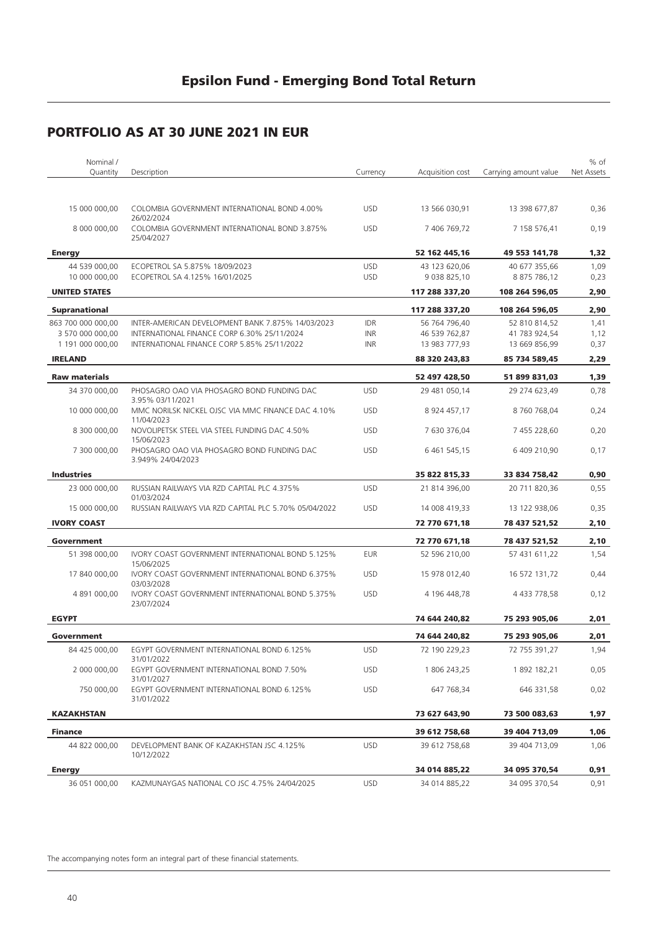| Nominal /            |                                                                 |                            |                  |                       | % of       |
|----------------------|-----------------------------------------------------------------|----------------------------|------------------|-----------------------|------------|
| Quantity             | Description                                                     | Currency                   | Acquisition cost | Carrying amount value | Net Assets |
|                      |                                                                 |                            |                  |                       |            |
| 15 000 000,00        | COLOMBIA GOVERNMENT INTERNATIONAL BOND 4.00%<br>26/02/2024      | <b>USD</b>                 | 13 566 030,91    | 13 398 677,87         | 0,36       |
| 8 000 000,00         | COLOMBIA GOVERNMENT INTERNATIONAL BOND 3.875%<br>25/04/2027     | <b>USD</b>                 | 7 406 769,72     | 7 158 576,41          | 0,19       |
| <b>Energy</b>        |                                                                 |                            | 52 162 445,16    | 49 553 141,78         | 1,32       |
| 44 539 000,00        | ECOPETROL SA 5.875% 18/09/2023                                  | <b>USD</b>                 | 43 123 620,06    | 40 677 355,66         | 1,09       |
| 10 000 000,00        | ECOPETROL SA 4.125% 16/01/2025                                  | <b>USD</b>                 | 9 038 825,10     | 8 875 786,12          | 0,23       |
| <b>UNITED STATES</b> |                                                                 |                            | 117 288 337,20   | 108 264 596,05        | 2,90       |
| <b>Supranational</b> |                                                                 |                            | 117 288 337,20   | 108 264 596,05        | 2,90       |
| 863 700 000 000,00   | INTER-AMERICAN DEVELOPMENT BANK 7.875% 14/03/2023               | <b>IDR</b>                 | 56 764 796,40    | 52 810 814,52         | 1,41       |
| 3 570 000 000,00     | INTERNATIONAL FINANCE CORP 6.30% 25/11/2024                     | <b>INR</b>                 | 46 539 762,87    | 41 783 924,54         | 1,12       |
| 1 191 000 000,00     | INTERNATIONAL FINANCE CORP 5.85% 25/11/2022                     | INR                        | 13 983 777,93    | 13 669 856,99         | 0,37       |
| <b>IRELAND</b>       |                                                                 |                            | 88 320 243,83    | 85 734 589,45         | 2,29       |
| <b>Raw materials</b> |                                                                 |                            | 52 497 428,50    | 51 899 831,03         | 1,39       |
| 34 370 000,00        | PHOSAGRO OAO VIA PHOSAGRO BOND FUNDING DAC<br>3.95% 03/11/2021  | <b>USD</b>                 | 29 481 050,14    | 29 274 623,49         | 0,78       |
| 10 000 000,00        | MMC NORILSK NICKEL OJSC VIA MMC FINANCE DAC 4.10%<br>11/04/2023 | <b>USD</b>                 | 8 924 457,17     | 8 760 768,04          | 0,24       |
| 8 300 000,00         | NOVOLIPETSK STEEL VIA STEEL FUNDING DAC 4.50%<br>15/06/2023     | <b>USD</b><br>7 630 376,04 |                  | 7 455 228,60          | 0,20       |
| 7 300 000,00         | PHOSAGRO OAO VIA PHOSAGRO BOND FUNDING DAC<br>3.949% 24/04/2023 | <b>USD</b>                 | 6 461 545,15     | 6 409 210,90          | 0,17       |
| <b>Industries</b>    |                                                                 |                            | 35 822 815,33    | 33 834 758,42         | 0,90       |
| 23 000 000,00        | RUSSIAN RAILWAYS VIA RZD CAPITAL PLC 4.375%<br>01/03/2024       | <b>USD</b>                 | 21 814 396,00    | 20 711 820,36         | 0,55       |
| 15 000 000,00        | RUSSIAN RAILWAYS VIA RZD CAPITAL PLC 5.70% 05/04/2022           | <b>USD</b>                 | 14 008 419,33    | 13 122 938,06         | 0,35       |
| <b>IVORY COAST</b>   |                                                                 |                            | 72 770 671,18    | 78 437 521,52         | 2,10       |
| Government           |                                                                 |                            | 72 770 671,18    | 78 437 521,52         | 2,10       |
| 51 398 000,00        | IVORY COAST GOVERNMENT INTERNATIONAL BOND 5.125%<br>15/06/2025  | <b>EUR</b>                 | 52 596 210,00    | 57 431 611,22         | 1,54       |
| 17 840 000,00        | IVORY COAST GOVERNMENT INTERNATIONAL BOND 6.375%<br>03/03/2028  | <b>USD</b>                 | 15 978 012,40    | 16 572 131,72         | 0,44       |
| 4 891 000,00         | IVORY COAST GOVERNMENT INTERNATIONAL BOND 5.375%<br>23/07/2024  | <b>USD</b>                 | 4 196 448,78     | 4 433 778,58          | 0,12       |
| <b>EGYPT</b>         |                                                                 |                            | 74 644 240,82    | 75 293 905,06         | 2,01       |
| Government           |                                                                 |                            | 74 644 240,82    | 75 293 905,06         | 2,01       |
| 84 425 000.00        | EGYPT GOVERNMENT INTERNATIONAL BOND 6.125%<br>31/01/2022        | <b>USD</b>                 | 72 190 229,23    | 72 755 391,27         | 1,94       |
| 2 000 000,00         | EGYPT GOVERNMENT INTERNATIONAL BOND 7.50%<br>31/01/2027         | <b>USD</b>                 | 1 806 243,25     | 1892 182,21           | 0,05       |
| 750 000,00           | EGYPT GOVERNMENT INTERNATIONAL BOND 6.125%<br>31/01/2022        | <b>USD</b>                 | 647 768,34       | 646 331,58            | 0,02       |
| <b>KAZAKHSTAN</b>    |                                                                 |                            | 73 627 643,90    | 73 500 083,63         | 1,97       |
| <b>Finance</b>       |                                                                 |                            | 39 612 758,68    | 39 404 713,09         | 1,06       |
| 44 822 000,00        | DEVELOPMENT BANK OF KAZAKHSTAN JSC 4.125%<br>10/12/2022         | <b>USD</b>                 | 39 612 758,68    | 39 404 713,09         | 1,06       |
| <b>Energy</b>        |                                                                 |                            | 34 014 885,22    | 34 095 370,54         | 0,91       |
| 36 051 000,00        | KAZMUNAYGAS NATIONAL CO JSC 4.75% 24/04/2025                    | <b>USD</b>                 | 34 014 885,22    | 34 095 370,54         | 0,91       |
|                      |                                                                 |                            |                  |                       |            |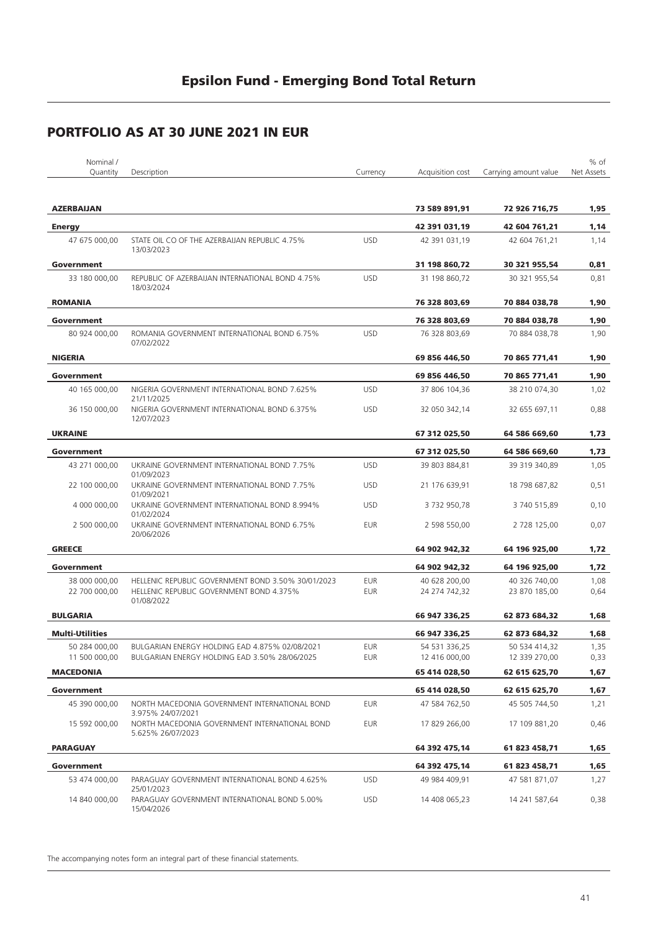| Nominal /              |                                                                          |            |                  |                       | % of       |
|------------------------|--------------------------------------------------------------------------|------------|------------------|-----------------------|------------|
| Quantity               | Description                                                              | Currency   | Acquisition cost | Carrying amount value | Net Assets |
| <b>AZERBAIJAN</b>      |                                                                          |            | 73 589 891,91    | 72 926 716,75         | 1,95       |
| <b>Energy</b>          |                                                                          |            | 42 391 031,19    | 42 604 761,21         | 1,14       |
| 47 675 000,00          | STATE OIL CO OF THE AZERBAIJAN REPUBLIC 4.75%<br>13/03/2023              | <b>USD</b> | 42 391 031,19    | 42 604 761,21         | 1,14       |
| Government             |                                                                          |            | 31 198 860,72    | 30 321 955,54         | 0,81       |
| 33 180 000,00          | REPUBLIC OF AZERBAIJAN INTERNATIONAL BOND 4.75%<br>18/03/2024            | <b>USD</b> | 31 198 860,72    | 30 321 955,54         | 0,81       |
| <b>ROMANIA</b>         |                                                                          |            | 76 328 803,69    | 70 884 038,78         | 1,90       |
| Government             |                                                                          |            | 76 328 803,69    | 70 884 038,78         | 1,90       |
| 80 924 000,00          | ROMANIA GOVERNMENT INTERNATIONAL BOND 6.75%<br>07/02/2022                | <b>USD</b> | 76 328 803,69    | 70 884 038,78         | 1,90       |
| <b>NIGERIA</b>         |                                                                          |            | 69 856 446,50    | 70 865 771,41         | 1,90       |
| Government             |                                                                          |            | 69 856 446,50    | 70 865 771,41         | 1,90       |
| 40 165 000,00          | NIGERIA GOVERNMENT INTERNATIONAL BOND 7.625%                             | <b>USD</b> | 37 806 104,36    | 38 210 074,30         | 1,02       |
| 36 150 000,00          | 21/11/2025<br>NIGERIA GOVERNMENT INTERNATIONAL BOND 6.375%<br>12/07/2023 | <b>USD</b> | 32 050 342,14    | 32 655 697,11         | 0,88       |
| <b>UKRAINE</b>         |                                                                          |            | 67 312 025,50    | 64 586 669,60         | 1,73       |
| Government             |                                                                          |            | 67 312 025,50    | 64 586 669,60         | 1,73       |
| 43 271 000,00          | UKRAINE GOVERNMENT INTERNATIONAL BOND 7.75%                              | <b>USD</b> | 39 803 884,81    | 39 319 340.89         | 1,05       |
| 22 100 000,00          | 01/09/2023<br>UKRAINE GOVERNMENT INTERNATIONAL BOND 7.75%                | <b>USD</b> | 21 176 639,91    | 18 798 687,82         | 0,51       |
| 4 000 000,00           | 01/09/2021<br>UKRAINE GOVERNMENT INTERNATIONAL BOND 8.994%<br>01/02/2024 | <b>USD</b> | 3 732 950,78     | 3 740 515,89          | 0,10       |
| 2 500 000,00           | UKRAINE GOVERNMENT INTERNATIONAL BOND 6.75%<br>20/06/2026                | <b>EUR</b> | 2 598 550,00     | 2 728 125,00          | 0,07       |
| <b>GREECE</b>          |                                                                          |            | 64 902 942,32    | 64 196 925,00         | 1,72       |
| Government             |                                                                          |            | 64 902 942,32    | 64 196 925,00         | 1,72       |
| 38 000 000,00          | HELLENIC REPUBLIC GOVERNMENT BOND 3.50% 30/01/2023                       | <b>EUR</b> | 40 628 200,00    | 40 326 740,00         | 1,08       |
| 22 700 000,00          | HELLENIC REPUBLIC GOVERNMENT BOND 4.375%<br>01/08/2022                   | <b>EUR</b> | 24 274 742,32    | 23 870 185,00         | 0,64       |
| <b>BULGARIA</b>        |                                                                          |            | 66 947 336,25    | 62 873 684,32         | 1,68       |
| <b>Multi-Utilities</b> |                                                                          |            | 66 947 336,25    | 62 873 684,32         | 1,68       |
| 50 284 000,00          | BULGARIAN ENERGY HOLDING EAD 4.875% 02/08/2021                           | <b>EUR</b> | 54 531 336,25    | 50 534 414,32         | 1,35       |
| 11 500 000,00          | BULGARIAN ENERGY HOLDING EAD 3.50% 28/06/2025                            | <b>EUR</b> | 12 416 000,00    | 12 339 270,00         | 0,33       |
| <b>MACEDONIA</b>       |                                                                          |            | 65 414 028,50    | 62 615 625,70         | 1,67       |
| Government             |                                                                          |            | 65 414 028,50    | 62 615 625,70         | 1,67       |
| 45 390 000,00          | NORTH MACEDONIA GOVERNMENT INTERNATIONAL BOND<br>3.975% 24/07/2021       | <b>EUR</b> | 47 584 762,50    | 45 505 744,50         | 1,21       |
| 15 592 000,00          | NORTH MACEDONIA GOVERNMENT INTERNATIONAL BOND<br>5.625% 26/07/2023       | <b>EUR</b> | 17 829 266,00    | 17 109 881,20         | 0,46       |
| <b>PARAGUAY</b>        |                                                                          |            | 64 392 475,14    | 61 823 458,71         | 1,65       |
| Government             |                                                                          |            | 64 392 475,14    | 61 823 458,71         | 1,65       |
| 53 474 000,00          | PARAGUAY GOVERNMENT INTERNATIONAL BOND 4.625%<br>25/01/2023              | <b>USD</b> | 49 984 409,91    | 47 581 871,07         | 1,27       |
| 14 840 000,00          | PARAGUAY GOVERNMENT INTERNATIONAL BOND 5.00%<br>15/04/2026               | <b>USD</b> | 14 408 065,23    | 14 241 587,64         | 0,38       |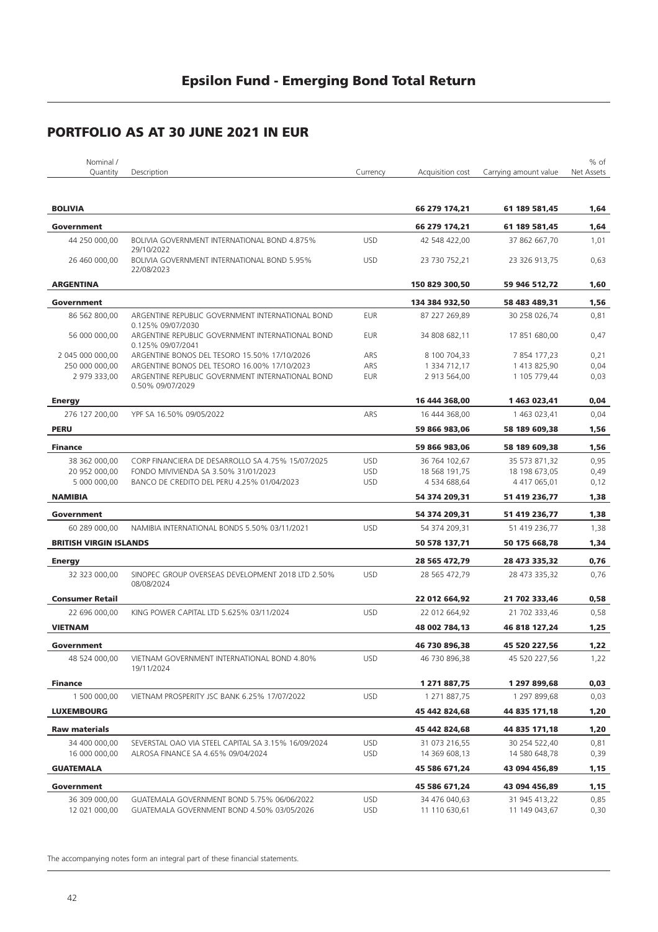| Nominal /<br>Quantity                 | Description                                                             | Currency   | Acquisition cost               | Carrying amount value          | % of<br>Net Assets |
|---------------------------------------|-------------------------------------------------------------------------|------------|--------------------------------|--------------------------------|--------------------|
|                                       |                                                                         |            |                                |                                |                    |
| <b>BOLIVIA</b>                        |                                                                         |            | 66 279 174,21                  | 61 189 581,45                  | 1,64               |
| Government                            |                                                                         |            | 66 279 174,21                  | 61 189 581,45                  | 1,64               |
| 44 250 000,00                         | <b>BOLIVIA GOVERNMENT INTERNATIONAL BOND 4.875%</b>                     | <b>USD</b> | 42 548 422,00                  | 37 862 667,70                  | 1,01               |
| 26 460 000,00                         | 29/10/2022<br>BOLIVIA GOVERNMENT INTERNATIONAL BOND 5.95%<br>22/08/2023 | <b>USD</b> | 23 730 752,21                  | 23 326 913,75                  | 0,63               |
| <b>ARGENTINA</b>                      |                                                                         |            | 150 829 300,50                 | 59 946 512,72                  | 1,60               |
| Government                            |                                                                         |            | 134 384 932,50                 | 58 483 489,31                  | 1,56               |
| 86 562 800,00                         | ARGENTINE REPUBLIC GOVERNMENT INTERNATIONAL BOND<br>0.125% 09/07/2030   | <b>EUR</b> | 87 227 269,89                  | 30 258 026,74                  | 0,81               |
| 56 000 000,00                         | ARGENTINE REPUBLIC GOVERNMENT INTERNATIONAL BOND<br>0.125% 09/07/2041   | EUR        | 34 808 682,11                  | 17 851 680,00                  | 0,47               |
| 2 045 000 000,00                      | ARGENTINE BONOS DEL TESORO 15.50% 17/10/2026                            | ARS        | 8 100 704,33                   | 7 854 177,23                   | 0,21               |
| 250 000 000,00                        | ARGENTINE BONOS DEL TESORO 16.00% 17/10/2023                            | ARS        | 1 334 712,17                   | 1413825,90                     | 0,04               |
| 2 979 333,00                          | ARGENTINE REPUBLIC GOVERNMENT INTERNATIONAL BOND<br>0.50% 09/07/2029    | <b>EUR</b> | 2 913 564,00                   | 1 105 779,44                   | 0,03               |
| <b>Energy</b>                         |                                                                         |            | 16 444 368,00                  | 1463023,41                     | 0,04               |
| 276 127 200,00                        | YPF SA 16.50% 09/05/2022                                                | ARS        | 16 444 368,00                  | 1 463 023,41                   | 0,04               |
| <b>PERU</b>                           |                                                                         |            | 59 866 983,06                  | 58 189 609,38                  | 1,56               |
| <b>Finance</b>                        |                                                                         |            | 59 866 983,06                  | 58 189 609,38                  | 1,56               |
| 38 362 000,00                         | CORP FINANCIERA DE DESARROLLO SA 4.75% 15/07/2025                       | <b>USD</b> | 36 764 102,67                  | 35 573 871,32                  | 0,95               |
| 20 952 000,00                         | FONDO MIVIVIENDA SA 3.50% 31/01/2023                                    | <b>USD</b> | 18 568 191,75                  | 18 198 673,05                  | 0,49               |
| 5 000 000,00                          | BANCO DE CREDITO DEL PERU 4.25% 01/04/2023                              | <b>USD</b> | 4 534 688,64                   | 4 417 065,01                   | 0,12               |
| <b>NAMIBIA</b>                        |                                                                         |            | 54 374 209,31                  | 51 419 236,77                  | 1,38               |
| Government                            |                                                                         |            | 54 374 209,31                  | 51 419 236,77                  | 1,38               |
| 60 289 000,00                         | NAMIBIA INTERNATIONAL BONDS 5.50% 03/11/2021                            | <b>USD</b> | 54 374 209,31                  | 51 419 236,77                  | 1,38               |
| <b>BRITISH VIRGIN ISLANDS</b>         |                                                                         |            | 50 578 137,71                  | 50 175 668,78                  | 1,34               |
| <b>Energy</b>                         |                                                                         |            | 28 565 472,79                  | 28 473 335,32                  | 0,76               |
| 32 323 000,00                         | SINOPEC GROUP OVERSEAS DEVELOPMENT 2018 LTD 2.50%<br>08/08/2024         | <b>USD</b> | 28 565 472,79                  | 28 473 335,32                  | 0,76               |
| <b>Consumer Retail</b>                |                                                                         |            | 22 012 664,92                  | 21 702 333,46                  | 0,58               |
| 22 696 000,00                         | KING POWER CAPITAL LTD 5.625% 03/11/2024                                | <b>USD</b> | 22 012 664,92                  | 21 702 333,46                  | 0,58               |
| <b>VIETNAM</b>                        |                                                                         |            | 48 002 784,13                  | 46 818 127,24                  | 1,25               |
| Government                            |                                                                         |            | 46 730 896.38                  | 45 520 227,56                  | 1,22               |
| 48 524 000,00                         | VIETNAM GOVERNMENT INTERNATIONAL BOND 4.80%<br>19/11/2024               | <b>USD</b> | 46 730 896,38                  | 45 520 227,56                  | 1,22               |
| <b>Finance</b>                        |                                                                         |            | 1 271 887,75                   | 1 297 899,68                   | 0,03               |
| 1 500 000,00                          | VIETNAM PROSPERITY JSC BANK 6.25% 17/07/2022                            | <b>USD</b> | 1 271 887,75                   | 1 297 899,68                   | 0,03               |
| <b>LUXEMBOURG</b>                     |                                                                         |            | 45 442 824,68                  | 44 835 171,18                  | 1,20               |
|                                       |                                                                         |            |                                |                                |                    |
| <b>Raw materials</b><br>34 400 000,00 | SEVERSTAL OAO VIA STEEL CAPITAL SA 3.15% 16/09/2024                     | <b>USD</b> | 45 442 824,68                  | 44 835 171,18                  | 1,20               |
| 16 000 000,00                         | ALROSA FINANCE SA 4.65% 09/04/2024                                      | <b>USD</b> | 31 073 216,55<br>14 369 608,13 | 30 254 522,40<br>14 580 648,78 | 0,81<br>0,39       |
| <b>GUATEMALA</b>                      |                                                                         |            | 45 586 671,24                  | 43 094 456,89                  | 1,15               |
| Government                            |                                                                         |            | 45 586 671,24                  | 43 094 456,89                  | 1,15               |
| 36 309 000,00                         | GUATEMALA GOVERNMENT BOND 5.75% 06/06/2022                              | <b>USD</b> | 34 476 040,63                  | 31 945 413,22                  | 0,85               |
| 12 021 000,00                         | GUATEMALA GOVERNMENT BOND 4.50% 03/05/2026                              | <b>USD</b> | 11 110 630,61                  | 11 149 043,67                  | 0,30               |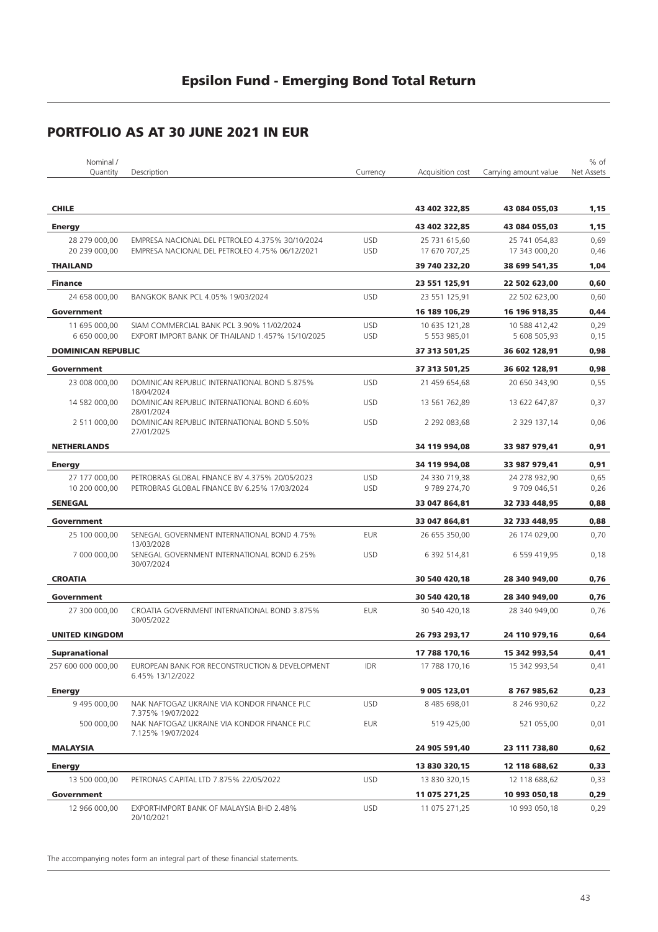| Nominal /<br>Quantity          | Description                                                                                       | Currency                 | Acquisition cost               | Carrying amount value          | % of<br>Net Assets |
|--------------------------------|---------------------------------------------------------------------------------------------------|--------------------------|--------------------------------|--------------------------------|--------------------|
|                                |                                                                                                   |                          |                                |                                |                    |
| <b>CHILE</b>                   |                                                                                                   |                          | 43 402 322,85                  | 43 084 055,03                  | 1,15               |
| <b>Energy</b>                  |                                                                                                   |                          | 43 402 322.85                  | 43 084 055,03                  | 1,15               |
| 28 279 000,00<br>20 239 000,00 | EMPRESA NACIONAL DEL PETROLEO 4.375% 30/10/2024<br>EMPRESA NACIONAL DEL PETROLEO 4.75% 06/12/2021 | <b>USD</b><br><b>USD</b> | 25 731 615,60<br>17 670 707,25 | 25 741 054,83<br>17 343 000,20 | 0,69<br>0,46       |
| <b>THAILAND</b>                |                                                                                                   |                          | 39 740 232,20                  | 38 699 541,35                  | 1,04               |
| <b>Finance</b>                 |                                                                                                   |                          | 23 551 125,91                  | 22 502 623,00                  | 0,60               |
| 24 658 000.00                  | BANGKOK BANK PCL 4.05% 19/03/2024                                                                 | <b>USD</b>               | 23 551 125,91                  | 22 502 623,00                  | 0,60               |
| Government                     |                                                                                                   |                          | 16 189 106,29                  | 16 196 918,35                  | 0,44               |
| 11 695 000,00<br>6 650 000,00  | SIAM COMMERCIAL BANK PCL 3.90% 11/02/2024<br>EXPORT IMPORT BANK OF THAILAND 1.457% 15/10/2025     | <b>USD</b><br><b>USD</b> | 10 635 121,28<br>5 553 985,01  | 10 588 412,42<br>5 608 505,93  | 0,29<br>0,15       |
| <b>DOMINICAN REPUBLIC</b>      |                                                                                                   |                          | 37 313 501,25                  | 36 602 128,91                  | 0,98               |
| Government                     |                                                                                                   |                          | 37 313 501,25                  | 36 602 128,91                  | 0,98               |
| 23 008 000,00                  | DOMINICAN REPUBLIC INTERNATIONAL BOND 5.875%                                                      | <b>USD</b>               | 21 459 654,68                  | 20 650 343,90                  | 0,55               |
| 14 582 000,00                  | 18/04/2024<br>DOMINICAN REPUBLIC INTERNATIONAL BOND 6.60%<br>28/01/2024                           | <b>USD</b>               | 13 561 762,89                  | 13 622 647,87                  | 0,37               |
| 2 511 000,00                   | DOMINICAN REPUBLIC INTERNATIONAL BOND 5.50%<br>27/01/2025                                         | <b>USD</b>               | 2 292 083,68                   | 2 329 137,14                   | 0,06               |
| <b>NETHERLANDS</b>             |                                                                                                   |                          | 34 119 994,08                  | 33 987 979,41                  | 0,91               |
| <b>Energy</b>                  |                                                                                                   |                          | 34 119 994,08                  | 33 987 979,41                  | 0,91               |
| 27 177 000,00<br>10 200 000,00 | PETROBRAS GLOBAL FINANCE BV 4.375% 20/05/2023<br>PETROBRAS GLOBAL FINANCE BV 6.25% 17/03/2024     | <b>USD</b><br><b>USD</b> | 24 330 719,38<br>9789274,70    | 24 278 932,90<br>9 709 046,51  | 0,65<br>0,26       |
| <b>SENEGAL</b>                 |                                                                                                   |                          | 33 047 864,81                  | 32 733 448,95                  | 0,88               |
| Government                     |                                                                                                   |                          | 33 047 864,81                  | 32 733 448,95                  | 0,88               |
| 25 100 000,00                  | SENEGAL GOVERNMENT INTERNATIONAL BOND 4.75%<br>13/03/2028                                         | <b>EUR</b>               | 26 655 350,00                  | 26 174 029,00                  | 0,70               |
| 7 000 000,00                   | SENEGAL GOVERNMENT INTERNATIONAL BOND 6.25%<br>30/07/2024                                         | <b>USD</b>               | 6 392 514,81                   | 6 559 419,95                   | 0,18               |
| <b>CROATIA</b>                 |                                                                                                   |                          | 30 540 420,18                  | 28 340 949,00                  | 0,76               |
| Government                     |                                                                                                   |                          | 30 540 420,18                  | 28 340 949,00                  | 0,76               |
| 27 300 000,00                  | CROATIA GOVERNMENT INTERNATIONAL BOND 3.875%<br>30/05/2022                                        | <b>EUR</b>               | 30 540 420,18                  | 28 340 949,00                  | 0,76               |
| <b>UNITED KINGDOM</b>          |                                                                                                   |                          | 26 793 293,17                  | 24 110 979,16                  | 0,64               |
| <b>Supranational</b>           |                                                                                                   |                          | 17 788 170,16                  | 15 342 993,54                  | 0,41               |
| 257 600 000 000,00             | EUROPEAN BANK FOR RECONSTRUCTION & DEVELOPMENT<br>6.45% 13/12/2022                                | <b>IDR</b>               | 17 788 170,16                  | 15 342 993,54                  | 0,41               |
| <b>Energy</b>                  |                                                                                                   |                          | 9 005 123,01                   | 8767985,62                     | 0,23               |
| 9 495 000,00                   | NAK NAFTOGAZ UKRAINE VIA KONDOR FINANCE PLC<br>7.375% 19/07/2022                                  | <b>USD</b>               | 8 485 698,01                   | 8 246 930,62                   | 0,22               |
| 500 000,00                     | NAK NAFTOGAZ UKRAINE VIA KONDOR FINANCE PLC<br>7.125% 19/07/2024                                  | <b>EUR</b>               | 519 425,00                     | 521 055,00                     | 0,01               |
| <b>MALAYSIA</b>                |                                                                                                   |                          | 24 905 591,40                  | 23 111 738,80                  | 0,62               |
| <b>Energy</b>                  |                                                                                                   |                          | 13 830 320,15                  | 12 118 688,62                  | 0,33               |
| 13 500 000,00                  | PETRONAS CAPITAL LTD 7.875% 22/05/2022                                                            | <b>USD</b>               | 13 830 320,15                  | 12 118 688,62                  | 0,33               |
| Government                     |                                                                                                   |                          | 11 075 271,25                  | 10 993 050,18                  | 0,29               |
| 12 966 000,00                  | EXPORT-IMPORT BANK OF MALAYSIA BHD 2.48%<br>20/10/2021                                            | <b>USD</b>               | 11 075 271,25                  | 10 993 050,18                  | 0,29               |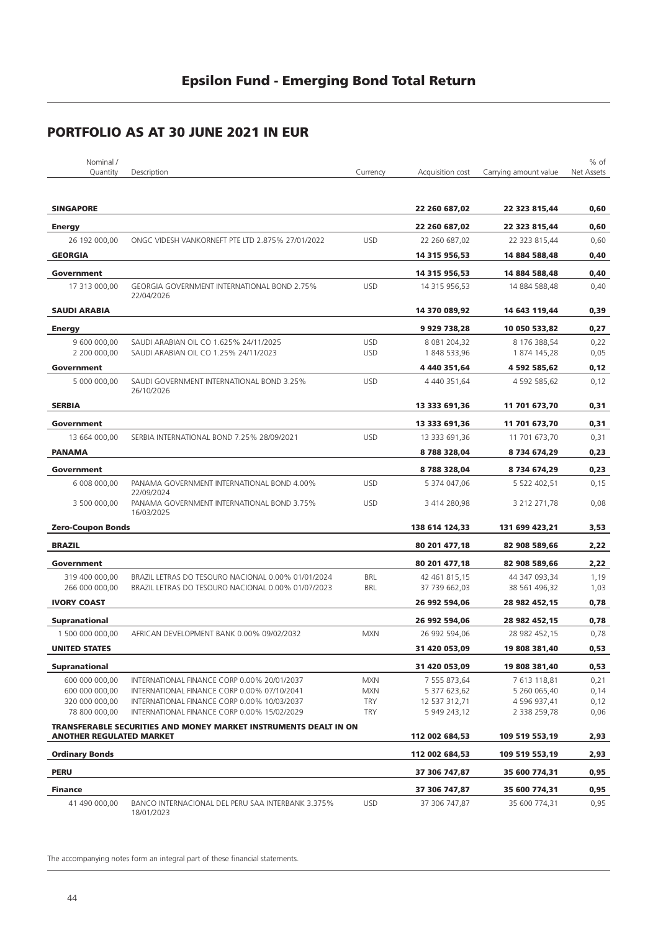| Nominal /                       |                                                                  |            |                  |                       | % of       |
|---------------------------------|------------------------------------------------------------------|------------|------------------|-----------------------|------------|
| Quantity                        | Description                                                      | Currency   | Acquisition cost | Carrying amount value | Net Assets |
| <b>SINGAPORE</b>                |                                                                  |            | 22 260 687,02    | 22 323 815,44         | 0,60       |
| <b>Energy</b>                   |                                                                  |            | 22 260 687,02    | 22 323 815,44         | 0,60       |
| 26 192 000,00                   | ONGC VIDESH VANKORNEFT PTE LTD 2.875% 27/01/2022                 | <b>USD</b> | 22 260 687,02    | 22 323 815,44         | 0,60       |
| <b>GEORGIA</b>                  |                                                                  |            | 14 315 956,53    | 14 884 588,48         | 0,40       |
| Government                      |                                                                  |            | 14 315 956,53    | 14 884 588,48         | 0,40       |
| 17 313 000,00                   | <b>GEORGIA GOVERNMENT INTERNATIONAL BOND 2.75%</b><br>22/04/2026 | <b>USD</b> | 14 315 956,53    | 14 884 588,48         | 0,40       |
| <b>SAUDI ARABIA</b>             |                                                                  |            | 14 370 089,92    | 14 643 119,44         | 0,39       |
| <b>Energy</b>                   |                                                                  |            | 9 929 738,28     | 10 050 533,82         | 0,27       |
| 9 600 000,00                    | SAUDI ARABIAN OIL CO 1.625% 24/11/2025                           | <b>USD</b> | 8 081 204,32     | 8 176 388,54          | 0,22       |
| 2 200 000,00                    | SAUDI ARABIAN OIL CO 1.25% 24/11/2023                            | <b>USD</b> | 1848 533,96      | 1 874 145,28          | 0,05       |
| Government                      |                                                                  |            | 4 440 351,64     | 4 592 585,62          | 0,12       |
| 5 000 000,00                    | SAUDI GOVERNMENT INTERNATIONAL BOND 3.25%<br>26/10/2026          | <b>USD</b> | 4 440 351.64     | 4 592 585,62          | 0,12       |
| <b>SERBIA</b>                   |                                                                  |            | 13 333 691,36    | 11 701 673,70         | 0,31       |
| Government                      |                                                                  |            | 13 333 691,36    | 11 701 673,70         | 0,31       |
| 13 664 000,00                   | SERBIA INTERNATIONAL BOND 7.25% 28/09/2021                       | <b>USD</b> | 13 333 691,36    | 11 701 673,70         | 0,31       |
| <b>PANAMA</b>                   |                                                                  |            | 8788328,04       | 8 734 674,29          | 0,23       |
| Government                      |                                                                  |            | 8788328,04       | 8 734 674,29          | 0,23       |
| 6 008 000,00                    | PANAMA GOVERNMENT INTERNATIONAL BOND 4.00%<br>22/09/2024         | <b>USD</b> | 5 374 047,06     | 5 522 402,51          | 0,15       |
| 3 500 000,00                    | PANAMA GOVERNMENT INTERNATIONAL BOND 3.75%<br>16/03/2025         | <b>USD</b> | 3 414 280,98     | 3 212 271,78          | 0,08       |
| <b>Zero-Coupon Bonds</b>        |                                                                  |            | 138 614 124,33   | 131 699 423,21        | 3,53       |
| <b>BRAZIL</b>                   |                                                                  |            | 80 201 477,18    | 82 908 589,66         | 2,22       |
| Government                      |                                                                  |            | 80 201 477,18    | 82 908 589,66         | 2,22       |
| 319 400 000,00                  | BRAZIL LETRAS DO TESOURO NACIONAL 0.00% 01/01/2024               | <b>BRL</b> | 42 461 815,15    | 44 347 093,34         | 1,19       |
| 266 000 000,00                  | BRAZIL LETRAS DO TESOURO NACIONAL 0.00% 01/07/2023               | BRL        | 37 739 662,03    | 38 561 496,32         | 1,03       |
| <b>IVORY COAST</b>              |                                                                  |            | 26 992 594,06    | 28 982 452,15         | 0,78       |
| <b>Supranational</b>            |                                                                  |            | 26 992 594,06    | 28 982 452,15         | 0,78       |
| 1 500 000 000,00                | AFRICAN DEVELOPMENT BANK 0.00% 09/02/2032                        | <b>MXN</b> | 26 992 594,06    | 28 982 452,15         | 0,78       |
| <b>UNITED STATES</b>            |                                                                  |            | 31 420 053,09    | 19 808 381,40         | 0,53       |
| <b>Supranational</b>            |                                                                  |            | 31 420 053,09    | 19 808 381,40         | 0,53       |
| 600 000 000,00                  | INTERNATIONAL FINANCE CORP 0.00% 20/01/2037                      | <b>MXN</b> | 7 555 873,64     | 7 613 118,81          | 0,21       |
| 600 000 000,00                  | INTERNATIONAL FINANCE CORP 0.00% 07/10/2041                      | <b>MXN</b> | 5 377 623,62     | 5 260 065,40          | 0,14       |
| 320 000 000,00                  | INTERNATIONAL FINANCE CORP 0.00% 10/03/2037                      | <b>TRY</b> | 12 537 312,71    | 4 596 937,41          | 0,12       |
| 78 800 000,00                   | INTERNATIONAL FINANCE CORP 0.00% 15/02/2029                      | <b>TRY</b> | 5 949 243,12     | 2 338 259,78          | 0,06       |
| <b>ANOTHER REGULATED MARKET</b> | TRANSFERABLE SECURITIES AND MONEY MARKET INSTRUMENTS DEALT IN ON |            | 112 002 684,53   | 109 519 553,19        | 2,93       |
| <b>Ordinary Bonds</b>           |                                                                  |            | 112 002 684,53   | 109 519 553,19        | 2,93       |
| <b>PERU</b>                     |                                                                  |            | 37 306 747,87    | 35 600 774,31         | 0,95       |
| <b>Finance</b>                  |                                                                  |            | 37 306 747,87    | 35 600 774,31         | 0,95       |
| 41 490 000,00                   | BANCO INTERNACIONAL DEL PERU SAA INTERBANK 3.375%<br>18/01/2023  | <b>USD</b> | 37 306 747,87    | 35 600 774,31         | 0,95       |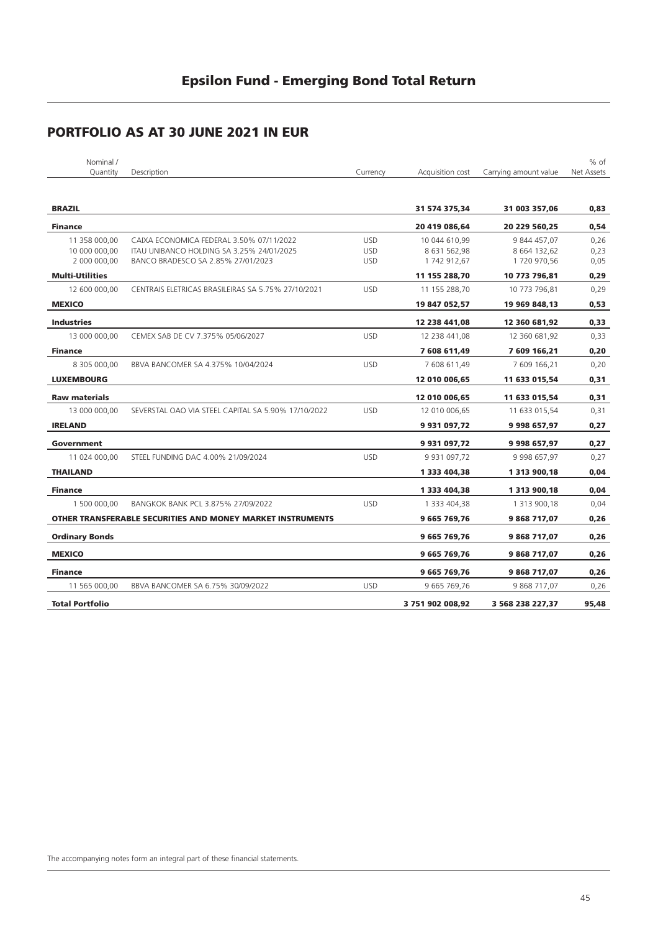## **PORTFOLIO AS AT 30 JUNE 2021 IN EUR**

| Nominal /<br>Quantity  | Description                                                | Currency   | Acquisition cost  | Carrying amount value | % of<br>Net Assets |
|------------------------|------------------------------------------------------------|------------|-------------------|-----------------------|--------------------|
|                        |                                                            |            |                   |                       |                    |
| <b>BRAZIL</b>          |                                                            |            | 31 574 375,34     | 31 003 357,06         | 0,83               |
| <b>Finance</b>         |                                                            |            | 20 419 086,64     | 20 229 560,25         | 0,54               |
| 11 358 000,00          | CAIXA ECONOMICA FEDERAL 3.50% 07/11/2022                   | <b>USD</b> | 10 044 610,99     | 9 844 457,07          | 0,26               |
| 10 000 000,00          | ITAU UNIBANCO HOLDING SA 3.25% 24/01/2025                  | <b>USD</b> | 8 631 562,98      | 8 664 132,62          | 0,23               |
| 2 000 000,00           | BANCO BRADESCO SA 2.85% 27/01/2023                         | <b>USD</b> | 1742 912,67       | 1720 970,56           | 0,05               |
| <b>Multi-Utilities</b> |                                                            |            | 11 155 288,70     | 10 773 796,81         | 0,29               |
| 12 600 000,00          | CENTRAIS ELETRICAS BRASILEIRAS SA 5.75% 27/10/2021         | <b>USD</b> | 11 155 288,70     | 10 773 796,81         | 0,29               |
| <b>MEXICO</b>          |                                                            |            | 19 847 052,57     | 19 969 848,13         | 0,53               |
| <b>Industries</b>      |                                                            |            | 12 238 441,08     | 12 360 681,92         | 0,33               |
| 13 000 000,00          | CEMEX SAB DE CV 7.375% 05/06/2027                          | <b>USD</b> | 12 238 441,08     | 12 360 681,92         | 0,33               |
| <b>Finance</b>         |                                                            |            | 7 608 611,49      | 7 609 166,21          | 0,20               |
| 8 305 000,00           | BBVA BANCOMER SA 4.375% 10/04/2024                         | <b>USD</b> | 7 608 611,49      | 7 609 166,21          | 0,20               |
| <b>LUXEMBOURG</b>      |                                                            |            | 12 010 006,65     | 11 633 015,54         | 0,31               |
| <b>Raw materials</b>   |                                                            |            | 12 010 006,65     | 11 633 015,54         | 0,31               |
| 13 000 000,00          | SEVERSTAL OAO VIA STEEL CAPITAL SA 5.90% 17/10/2022        | <b>USD</b> | 12 010 006,65     | 11 633 015,54         | 0,31               |
| <b>IRELAND</b>         |                                                            |            | 9 931 097,72      | 9 998 657,97          | 0,27               |
| Government             |                                                            |            | 9 931 097,72      | 9 998 657,97          | 0,27               |
| 11 024 000,00          | STEEL FUNDING DAC 4.00% 21/09/2024                         | <b>USD</b> | 9 9 31 0 9 7, 7 2 | 9 9 9 6 5 7, 9 7      | 0,27               |
| <b>THAILAND</b>        |                                                            |            | 1 333 404,38      | 1 3 1 3 9 0 0 , 1 8   | 0,04               |
| <b>Finance</b>         |                                                            |            | 1 333 404,38      | 1 313 900,18          | 0,04               |
| 1 500 000.00           | BANGKOK BANK PCL 3.875% 27/09/2022                         | <b>USD</b> | 1 333 404,38      | 1 313 900,18          | 0,04               |
|                        | OTHER TRANSFERABLE SECURITIES AND MONEY MARKET INSTRUMENTS |            | 9 665 769,76      | 9868717,07            | 0,26               |
| <b>Ordinary Bonds</b>  |                                                            |            | 9 665 769,76      | 9868717,07            | 0,26               |
| <b>MEXICO</b>          |                                                            |            | 9 665 769,76      | 9868717,07            | 0,26               |
| <b>Finance</b>         |                                                            |            | 9 665 769,76      | 9868717,07            | 0,26               |
| 11 565 000,00          | BBVA BANCOMER SA 6.75% 30/09/2022                          | <b>USD</b> | 9 665 769,76      | 9 868 717,07          | 0,26               |
| <b>Total Portfolio</b> |                                                            |            | 3 751 902 008,92  | 3 568 238 227,37      | 95,48              |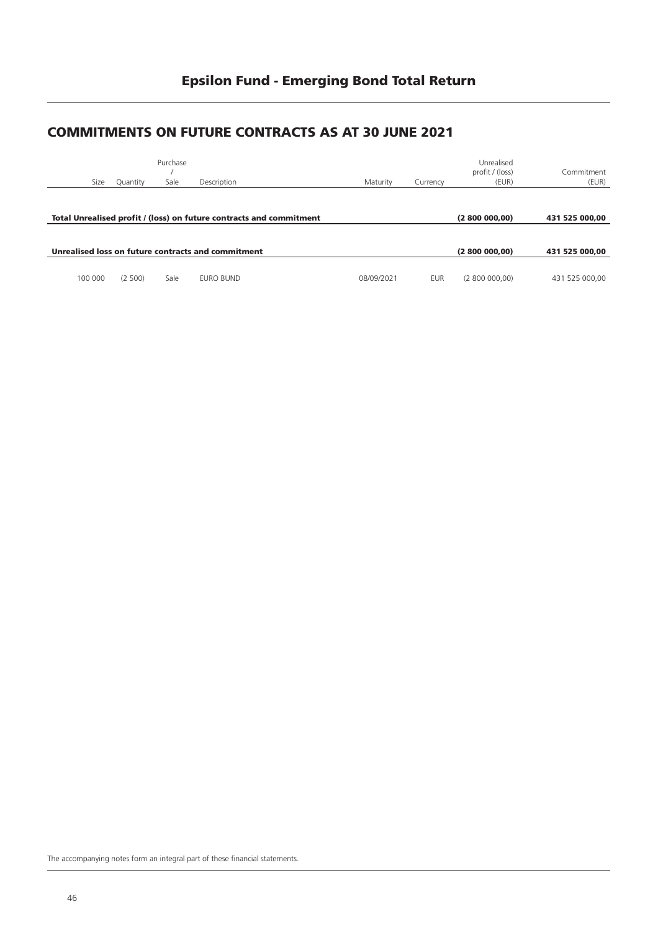#### **COMMITMENTS ON FUTURE CONTRACTS AS AT 30 JUNE 2021**

|         |          | Purchase |                                                                     |            |            | Unrealised<br>profit / (loss) | Commitment     |
|---------|----------|----------|---------------------------------------------------------------------|------------|------------|-------------------------------|----------------|
| Size    | Quantity | Sale     | Description                                                         | Maturity   | Currency   | (EUR)                         | (EUR)          |
|         |          |          | Total Unrealised profit / (loss) on future contracts and commitment |            |            | (2800000,00)                  | 431 525 000.00 |
|         |          |          | Unrealised loss on future contracts and commitment                  |            |            | (2800000,00)                  | 431 525 000.00 |
|         |          |          |                                                                     |            |            |                               |                |
| 100 000 | (2, 500) | Sale     | EURO BUND                                                           | 08/09/2021 | <b>EUR</b> | (2800000,00)                  | 431 525 000.00 |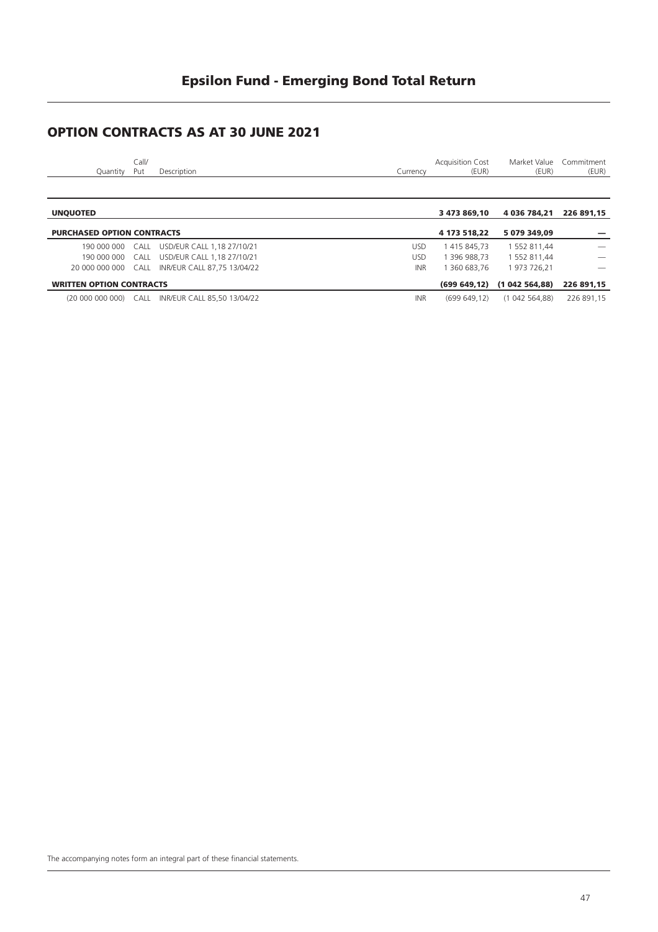### **OPTION CONTRACTS AS AT 30 JUNE 2021**

| Quantity        | Call/<br>Put | Description |  | Currency | <b>Acquisition Cost</b><br>(EUR) | (EUR)                   | Market Value Commitment<br>(EUR) |
|-----------------|--------------|-------------|--|----------|----------------------------------|-------------------------|----------------------------------|
|                 |              |             |  |          |                                  |                         |                                  |
| <b>UNQUOTED</b> |              |             |  |          | 3 473 869,10                     | 4 036 784,21 226 891,15 |                                  |

| <b>PURCHASED OPTION CONTRACTS</b> |                                                   |            | 4 173 518.22 | 5 079 349.09                           |                          |
|-----------------------------------|---------------------------------------------------|------------|--------------|----------------------------------------|--------------------------|
|                                   | 190 000 000 CALL USD/EUR CALL 1,18 27/10/21       | USD        | 1 415 845.73 | 1 552 811.44                           | $\overline{\phantom{a}}$ |
|                                   | 190 000 000 CALL USD/EUR CALL 1,18 27/10/21       | USD        | 1 396 988.73 | 1 552 811.44                           |                          |
|                                   | 20 000 000 000 CALL INR/EUR CALL 87.75 13/04/22   | INR        | 1 360 683.76 | 1973 726.21                            |                          |
| <b>WRITTEN OPTION CONTRACTS</b>   |                                                   |            |              | (699 649,12) (1 042 564,88) 226 891,15 |                          |
|                                   | (20 000 000 000) CALL INR/EUR CALL 85,50 13/04/22 | <b>INR</b> | (699649.12)  | (1042564.88)                           | 226 891.15               |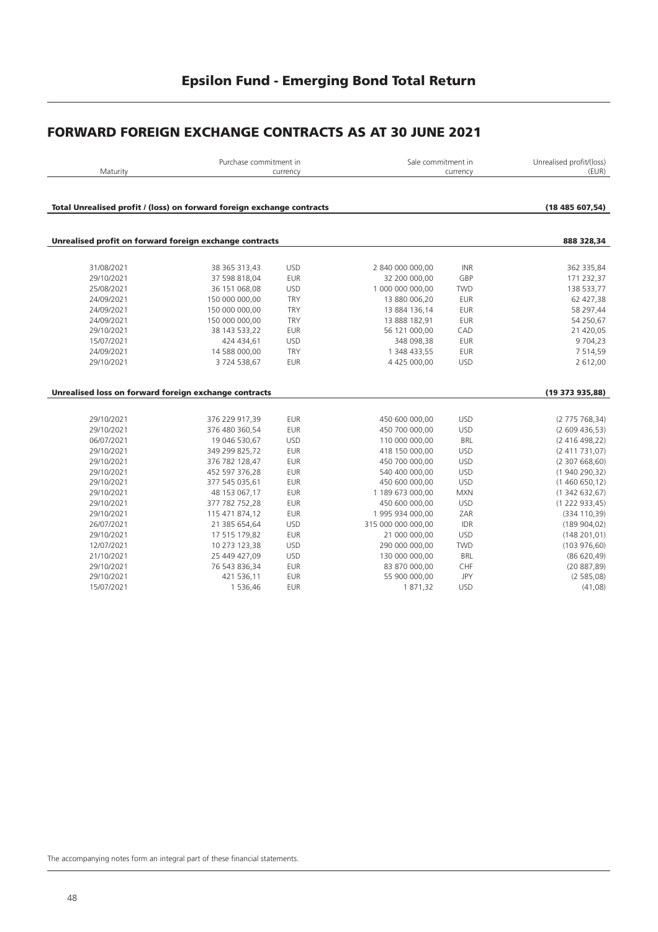#### **FORWARD FOREIGN EXCHANGE CONTRACTS AS AT 30 JUNE 2021**

| Maturity                                                               |                | Purchase commitment in<br>currency |                    | Sale commitment in<br>currency | Unrealised profit/(loss)<br>(EUR) |
|------------------------------------------------------------------------|----------------|------------------------------------|--------------------|--------------------------------|-----------------------------------|
| Total Unrealised profit / (loss) on forward foreign exchange contracts |                |                                    |                    |                                | (18485607,54)                     |
| Unrealised profit on forward foreign exchange contracts                |                |                                    |                    |                                | 888 328,34                        |
| 31/08/2021                                                             | 38 365 313,43  | <b>USD</b>                         | 2 840 000 000,00   | <b>INR</b>                     | 362 335,84                        |
| 29/10/2021                                                             | 37 598 818,04  | <b>EUR</b>                         | 32 200 000,00      | GBP                            | 171 232,37                        |
| 25/08/2021                                                             | 36 151 068,08  | <b>USD</b>                         | 1 000 000 000,00   | <b>TWD</b>                     | 138 533,77                        |
| 24/09/2021                                                             | 150 000 000,00 | <b>TRY</b>                         | 13 880 006,20      | <b>EUR</b>                     | 62 427,38                         |
| 24/09/2021                                                             | 150 000 000,00 | <b>TRY</b>                         | 13 884 136,14      | <b>EUR</b>                     | 58 297,44                         |
| 24/09/2021                                                             | 150 000 000,00 | <b>TRY</b>                         | 13 888 182,91      | <b>EUR</b>                     | 54 250,67                         |
| 29/10/2021                                                             | 38 143 533,22  | <b>EUR</b>                         | 56 121 000,00      | CAD                            | 21 420,05                         |
| 15/07/2021                                                             | 424 434,61     | <b>USD</b>                         | 348 098,38         | <b>EUR</b>                     | 9 7 04, 23                        |
| 24/09/2021                                                             | 14 588 000,00  | <b>TRY</b>                         | 1 348 433,55       | <b>EUR</b>                     | 7 5 1 4, 5 9                      |
| 29/10/2021                                                             | 3724538,67     | <b>EUR</b>                         | 4 425 000,00       | <b>USD</b>                     | 2 612,00                          |
| Unrealised loss on forward foreign exchange contracts                  |                |                                    |                    |                                | (19 373 935,88)                   |
|                                                                        |                |                                    |                    |                                |                                   |
| 29/10/2021                                                             | 376 229 917,39 | <b>EUR</b>                         | 450 600 000,00     | <b>USD</b>                     | (2775768, 34)                     |
| 29/10/2021                                                             | 376 480 360,54 | <b>EUR</b>                         | 450 700 000,00     | <b>USD</b>                     | (2609436,53)                      |
| 06/07/2021                                                             | 19 046 530,67  | <b>USD</b>                         | 110 000 000,00     | <b>BRL</b>                     | (2416498,22)                      |
| 29/10/2021                                                             | 349 299 825,72 | <b>EUR</b>                         | 418 150 000,00     | <b>USD</b>                     | (2411731,07)                      |
| 29/10/2021                                                             | 376 782 128,47 | <b>EUR</b>                         | 450 700 000,00     | <b>USD</b>                     | (2307668,60)                      |
| 29/10/2021                                                             | 452 597 376,28 | EUR                                | 540 400 000,00     | <b>USD</b>                     | (1940290,32)                      |
| 29/10/2021                                                             | 377 545 035,61 | <b>EUR</b>                         | 450 600 000,00     | <b>USD</b>                     | (1460650,12)                      |
| 29/10/2021                                                             | 48 153 067,17  | <b>EUR</b>                         | 1 189 673 000,00   | <b>MXN</b>                     | (1342632,67)                      |
| 29/10/2021                                                             | 377 782 752,28 | <b>EUR</b>                         | 450 600 000,00     | <b>USD</b>                     | (1222933,45)                      |
| 29/10/2021                                                             | 115 471 874,12 | <b>EUR</b>                         | 1 995 934 000,00   | ZAR                            | (334 110, 39)                     |
| 26/07/2021                                                             | 21 385 654,64  | <b>USD</b>                         | 315 000 000 000,00 | IDR                            | (189904,02)                       |
| 29/10/2021                                                             | 17 515 179,82  | <b>EUR</b>                         | 21 000 000,00      | <b>USD</b>                     | (148 201, 01)                     |
| 12/07/2021                                                             | 10 273 123,38  | <b>USD</b>                         | 290 000 000,00     | <b>TWD</b>                     | (103976,60)                       |
| 21/10/2021                                                             | 25 449 427,09  | <b>USD</b>                         | 130 000 000,00     | <b>BRL</b>                     | (86620,49)                        |
| 29/10/2021                                                             | 76 543 836,34  | <b>EUR</b>                         | 83 870 000,00      | CHF                            | (20887,89)                        |
| 29/10/2021                                                             | 421 536,11     | <b>EUR</b>                         | 55 900 000,00      | <b>JPY</b>                     | (2585,08)                         |
| 15/07/2021                                                             | 1 536,46       | <b>EUR</b>                         | 1871,32            | <b>USD</b>                     | (41,08)                           |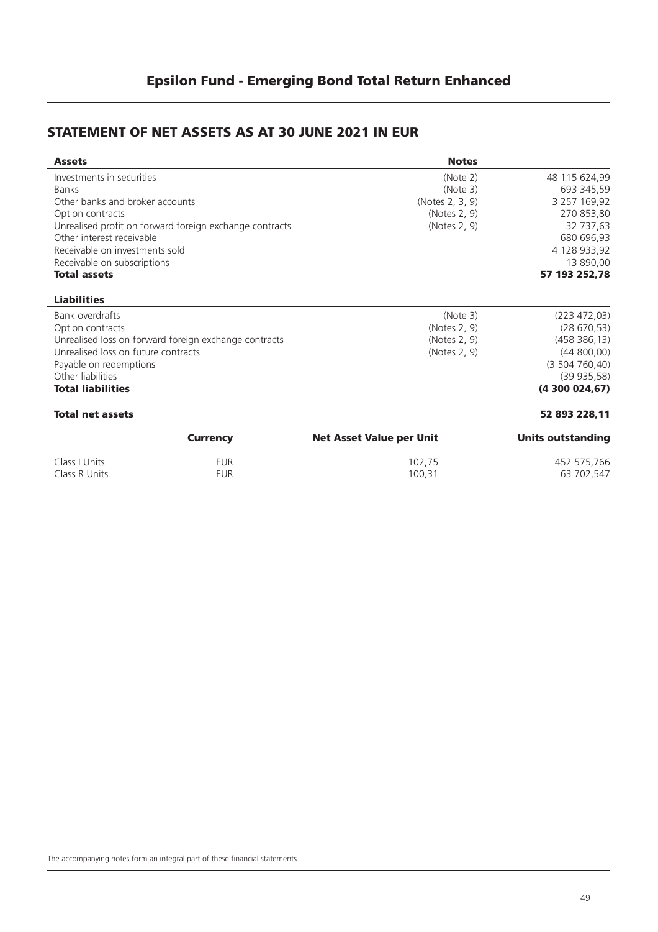### **STATEMENT OF NET ASSETS AS AT 30 JUNE 2021 IN EUR**

| <b>Assets</b>                       |                                                         | <b>Notes</b>                    |                   |
|-------------------------------------|---------------------------------------------------------|---------------------------------|-------------------|
| Investments in securities           |                                                         | (Note 2)                        | 48 115 624,99     |
| <b>Banks</b>                        |                                                         | (Note 3)                        | 693 345,59        |
| Other banks and broker accounts     |                                                         | (Notes 2, 3, 9)                 | 3 257 169,92      |
| Option contracts                    |                                                         | (Notes 2, 9)                    | 270 853,80        |
|                                     | Unrealised profit on forward foreign exchange contracts | (Notes 2, 9)                    | 32 737,63         |
| Other interest receivable           |                                                         |                                 | 680 696,93        |
| Receivable on investments sold      |                                                         |                                 | 4 128 933,92      |
| Receivable on subscriptions         |                                                         |                                 | 13 890,00         |
| <b>Total assets</b>                 |                                                         |                                 | 57 193 252,78     |
| <b>Liabilities</b>                  |                                                         |                                 |                   |
| Bank overdrafts                     |                                                         | (Note 3)                        | (223 472, 03)     |
| Option contracts                    |                                                         | (Notes 2, 9)                    | (28670,53)        |
|                                     | Unrealised loss on forward foreign exchange contracts   | (Notes 2, 9)                    | (458 386, 13)     |
| Unrealised loss on future contracts |                                                         | (Notes 2, 9)                    | (44800,00)        |
| Payable on redemptions              |                                                         |                                 | (3504760, 40)     |
| Other liabilities                   |                                                         |                                 | (39935,58)        |
| <b>Total liabilities</b>            |                                                         |                                 | (4300024,67)      |
| <b>Total net assets</b>             |                                                         |                                 | 52 893 228,11     |
|                                     | <b>Currency</b>                                         | <b>Net Asset Value per Unit</b> | Units outstanding |
| Class I Units                       | <b>EUR</b>                                              | 102,75                          | 452 575,766       |
| Class R Units                       | <b>EUR</b>                                              | 100,31                          | 63 702,547        |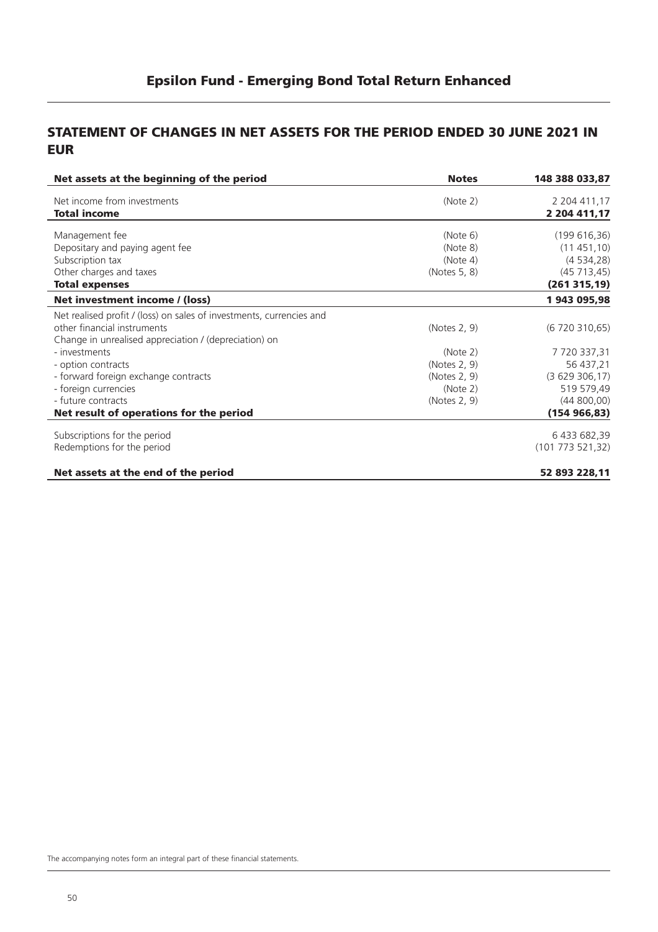#### **STATEMENT OF CHANGES IN NET ASSETS FOR THE PERIOD ENDED 30 JUNE 2021 IN EUR**

| Net assets at the beginning of the period                            | <b>Notes</b> | 148 388 033,87            |
|----------------------------------------------------------------------|--------------|---------------------------|
| Net income from investments                                          | (Note 2)     | 2 204 411,17              |
| <b>Total income</b>                                                  |              | 2 204 411,17              |
|                                                                      | (Note 6)     |                           |
| Management fee                                                       | (Note 8)     | (199616,36)<br>(11451,10) |
| Depositary and paying agent fee<br>Subscription tax                  | (Note 4)     | (4534,28)                 |
| Other charges and taxes                                              | (Notes 5, 8) | (45713, 45)               |
| <b>Total expenses</b>                                                |              | (261315,19)               |
|                                                                      |              |                           |
| Net investment income / (loss)                                       |              | 1 943 095,98              |
| Net realised profit / (loss) on sales of investments, currencies and |              |                           |
| other financial instruments                                          | (Notes 2, 9) | (6720310,65)              |
| Change in unrealised appreciation / (depreciation) on                |              |                           |
| - investments                                                        | (Note 2)     | 7720337,31                |
| - option contracts                                                   | (Notes 2, 9) | 56 437,21                 |
| - forward foreign exchange contracts                                 | (Notes 2, 9) | (3629306,17)              |
| - foreign currencies                                                 | (Note 2)     | 519 579,49                |
| - future contracts                                                   | (Notes 2, 9) | (44800,00)                |
| Net result of operations for the period                              |              | (154966, 83)              |
|                                                                      |              |                           |
| Subscriptions for the period                                         |              | 6 433 682,39              |
| Redemptions for the period                                           |              | (101 773 521,32)          |
|                                                                      |              |                           |
| Net assets at the end of the period                                  |              | 52 893 228,11             |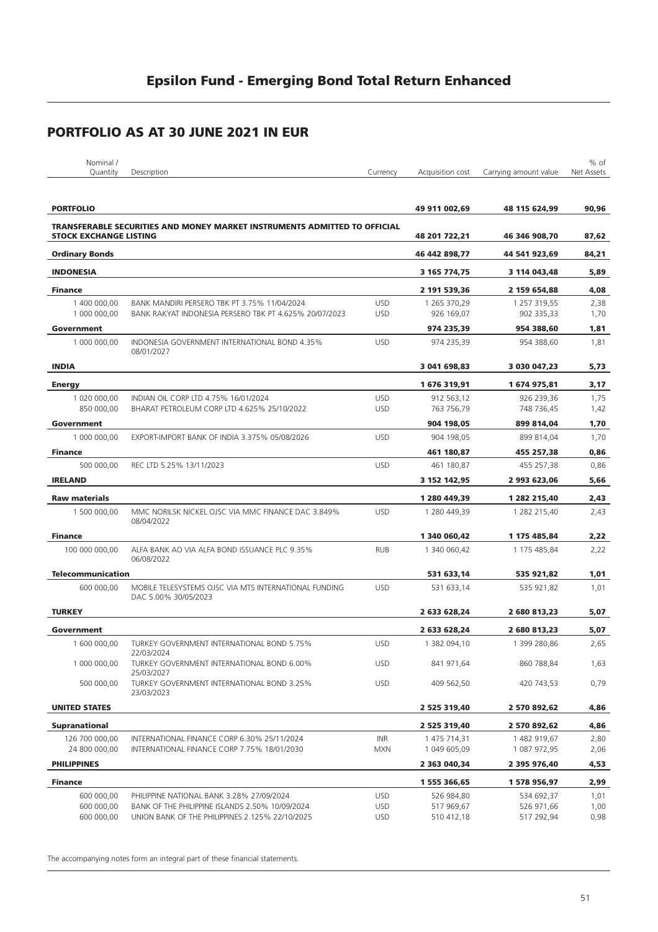| Nominal /                           |                                                                                     |                          |                              |                              | % of         |
|-------------------------------------|-------------------------------------------------------------------------------------|--------------------------|------------------------------|------------------------------|--------------|
| Quantity                            | Description                                                                         | Currency                 | Acquisition cost             | Carrying amount value        | Net Assets   |
| <b>PORTFOLIO</b>                    |                                                                                     |                          | 49 911 002,69                | 48 115 624,99                | 90,96        |
| <b>STOCK EXCHANGE LISTING</b>       | <b>TRANSFERABLE SECURITIES AND MONEY MARKET INSTRUMENTS ADMITTED TO OFFICIAL</b>    |                          | 48 201 722,21                | 46 346 908,70                | 87,62        |
| <b>Ordinary Bonds</b>               |                                                                                     |                          | 46 442 898,77                | 44 541 923,69                | 84,21        |
| <b>INDONESIA</b>                    |                                                                                     |                          | 3 165 774,75                 | 3 114 043,48                 | 5,89         |
| <b>Finance</b>                      |                                                                                     |                          | 2 191 539,36                 | 2 159 654,88                 | 4,08         |
| 1 400 000.00                        | BANK MANDIRI PERSERO TBK PT 3.75% 11/04/2024                                        | <b>USD</b>               | 1 265 370,29                 | 1 257 319,55                 | 2,38         |
| 1 000 000,00                        | BANK RAKYAT INDONESIA PERSERO TBK PT 4.625% 20/07/2023                              | <b>USD</b>               | 926 169,07                   | 902 335,33                   | 1,70         |
| Government                          |                                                                                     |                          | 974 235,39                   | 954 388,60                   | 1,81         |
| 1 000 000,00                        | INDONESIA GOVERNMENT INTERNATIONAL BOND 4.35%<br>08/01/2027                         | <b>USD</b>               | 974 235,39                   | 954 388,60                   | 1,81         |
| <b>INDIA</b>                        |                                                                                     |                          | 3 041 698,83                 | 3 030 047,23                 | 5,73         |
| <b>Energy</b>                       |                                                                                     |                          | 1676319,91                   | 1 674 975,81                 | 3,17         |
| 1 020 000.00<br>850 000,00          | INDIAN OIL CORP LTD 4.75% 16/01/2024<br>BHARAT PETROLEUM CORP LTD 4.625% 25/10/2022 | <b>USD</b><br><b>USD</b> | 912 563,12<br>763 756,79     | 926 239,36<br>748 736,45     | 1,75<br>1,42 |
| Government                          |                                                                                     |                          | 904 198,05                   | 899 814,04                   | 1,70         |
| 1 000 000,00                        | EXPORT-IMPORT BANK OF INDIA 3.375% 05/08/2026                                       | <b>USD</b>               | 904 198.05                   | 899 814,04                   | 1,70         |
| <b>Finance</b>                      |                                                                                     |                          | 461 180,87                   | 455 257,38                   | 0,86         |
| 500 000,00                          | REC LTD 5.25% 13/11/2023                                                            | <b>USD</b>               | 461 180,87                   | 455 257,38                   | 0,86         |
| <b>IRELAND</b>                      |                                                                                     |                          | 3 152 142,95                 | 2 993 623,06                 | 5,66         |
| <b>Raw materials</b>                |                                                                                     |                          | 1 280 449,39                 | 1 282 215,40                 | 2,43         |
| 1 500 000,00                        | MMC NORILSK NICKEL OJSC VIA MMC FINANCE DAC 3.849%<br>08/04/2022                    | <b>USD</b>               | 1 280 449,39                 | 1 282 215,40                 | 2,43         |
| <b>Finance</b>                      |                                                                                     |                          | 1 340 060,42                 | 1 175 485,84                 | 2,22         |
| 100 000 000,00                      | ALFA BANK AO VIA ALFA BOND ISSUANCE PLC 9.35%<br>06/08/2022                         | <b>RUB</b>               | 1 340 060,42                 | 1 175 485,84                 | 2,22         |
| <b>Telecommunication</b>            |                                                                                     |                          | 531 633,14                   | 535 921,82                   | 1,01         |
| 600 000,00                          | MOBILE TELESYSTEMS OJSC VIA MTS INTERNATIONAL FUNDING<br>DAC 5.00% 30/05/2023       | <b>USD</b>               | 531 633,14                   | 535 921,82                   | 1,01         |
| <b>TURKEY</b>                       |                                                                                     |                          | 2 633 628,24                 | 2 680 813,23                 | 5,07         |
| Government                          |                                                                                     |                          | 2 633 628,24                 | 2 680 813,23                 | 5,07         |
| 1 600 000,00                        | TURKEY GOVERNMENT INTERNATIONAL BOND 5.75%<br>22/03/2024                            | <b>USD</b>               | 1 382 094,10                 | 1 399 280,86                 | 2,65         |
| 1 000 000,00                        | TURKEY GOVERNMENT INTERNATIONAL BOND 6.00%<br>25/03/2027                            | <b>USD</b>               | 841 971,64                   | 860 788,84                   | 1,63         |
| 500 000,00                          | TURKEY GOVERNMENT INTERNATIONAL BOND 3.25%<br>23/03/2023                            | <b>USD</b>               | 409 562,50                   | 420 743,53                   | 0,79         |
| <b>UNITED STATES</b>                |                                                                                     |                          | 2 525 319,40                 | 2 570 892,62                 | 4,86         |
| <b>Supranational</b>                |                                                                                     |                          | 2 525 319,40                 | 2 570 892,62                 | 4,86         |
| 126 700 000,00                      | INTERNATIONAL FINANCE CORP 6.30% 25/11/2024                                         | INR                      | 1 475 714,31                 | 1 482 919,67                 | 2,80         |
| 24 800 000,00<br><b>PHILIPPINES</b> | INTERNATIONAL FINANCE CORP 7.75% 18/01/2030                                         | <b>MXN</b>               | 1 049 605,09<br>2 363 040,34 | 1 087 972,95<br>2 395 976,40 | 2,06<br>4,53 |
| <b>Finance</b>                      |                                                                                     |                          | 1 555 366,65                 | 1 578 956,97                 | 2,99         |
| 600 000,00                          | PHILIPPINE NATIONAL BANK 3.28% 27/09/2024                                           | <b>USD</b>               | 526 984,80                   | 534 692,37                   | 1,01         |
| 600 000,00                          | BANK OF THE PHILIPPINE ISLANDS 2.50% 10/09/2024                                     | <b>USD</b>               | 517 969,67                   | 526 971,66                   | 1,00         |
| 600 000,00                          | UNION BANK OF THE PHILIPPINES 2.125% 22/10/2025                                     | <b>USD</b>               | 510 412,18                   | 517 292,94                   | 0,98         |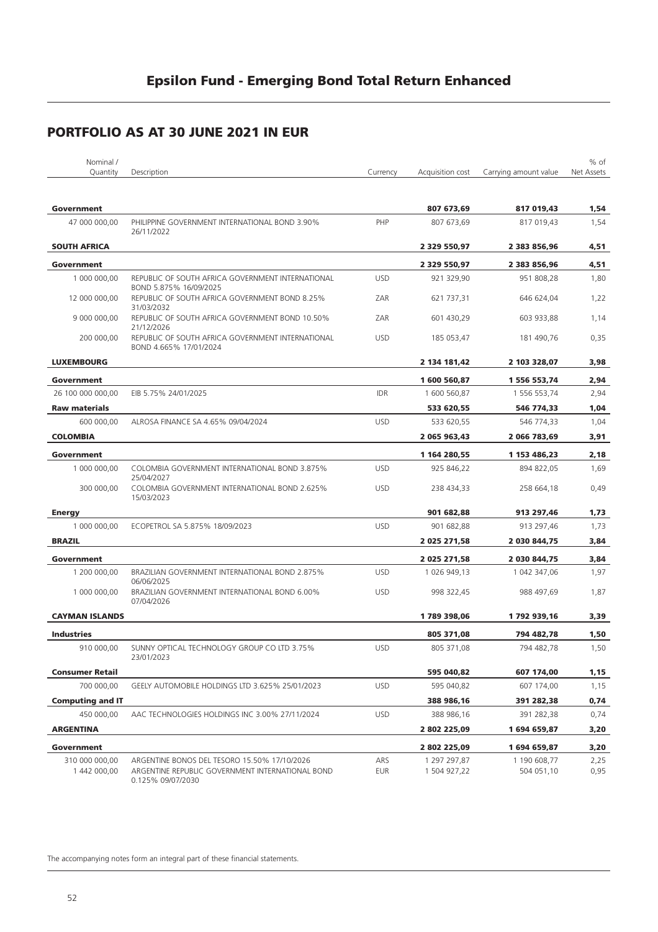| Nominal /               |                                                                             |            |                  |                       | % of       |
|-------------------------|-----------------------------------------------------------------------------|------------|------------------|-----------------------|------------|
| Quantity                | Description                                                                 | Currency   | Acquisition cost | Carrying amount value | Net Assets |
| Government              |                                                                             |            | 807 673,69       | 817 019,43            | 1,54       |
| 47 000 000,00           | PHILIPPINE GOVERNMENT INTERNATIONAL BOND 3.90%<br>26/11/2022                | PHP        | 807 673,69       | 817 019,43            | 1,54       |
| <b>SOUTH AFRICA</b>     |                                                                             |            | 2 329 550,97     | 2 383 856,96          | 4,51       |
| Government              |                                                                             |            | 2 329 550,97     | 2 383 856,96          | 4,51       |
| 1 000 000,00            | REPUBLIC OF SOUTH AFRICA GOVERNMENT INTERNATIONAL                           | <b>USD</b> | 921 329,90       | 951 808,28            | 1,80       |
| 12 000 000,00           | BOND 5.875% 16/09/2025<br>REPUBLIC OF SOUTH AFRICA GOVERNMENT BOND 8.25%    | ZAR        | 621 737,31       | 646 624,04            | 1,22       |
|                         | 31/03/2032                                                                  |            |                  |                       |            |
| 9 000 000,00            | REPUBLIC OF SOUTH AFRICA GOVERNMENT BOND 10.50%<br>21/12/2026               | ZAR        | 601 430,29       | 603 933,88            | 1,14       |
| 200 000,00              | REPUBLIC OF SOUTH AFRICA GOVERNMENT INTERNATIONAL<br>BOND 4.665% 17/01/2024 | <b>USD</b> | 185 053,47       | 181 490,76            | 0,35       |
| <b>LUXEMBOURG</b>       |                                                                             |            | 2 134 181,42     | 2 103 328,07          | 3,98       |
| Government              |                                                                             |            | 1600560,87       | 1 556 553,74          | 2,94       |
| 26 100 000 000.00       | EIB 5.75% 24/01/2025                                                        | <b>IDR</b> | 1 600 560,87     | 1 556 553,74          | 2,94       |
| <b>Raw materials</b>    |                                                                             |            | 533 620,55       | 546 774,33            | 1,04       |
| 600 000,00              | ALROSA FINANCE SA 4.65% 09/04/2024                                          | <b>USD</b> | 533 620,55       | 546 774,33            | 1,04       |
| <b>COLOMBIA</b>         |                                                                             |            | 2 065 963,43     | 2 066 783,69          | 3,91       |
| Government              |                                                                             |            | 1 164 280,55     | 1 153 486,23          | 2,18       |
| 1 000 000,00            | COLOMBIA GOVERNMENT INTERNATIONAL BOND 3.875%<br>25/04/2027                 | <b>USD</b> | 925 846,22       | 894 822,05            | 1,69       |
| 300 000,00              | COLOMBIA GOVERNMENT INTERNATIONAL BOND 2.625%<br>15/03/2023                 | <b>USD</b> | 238 434,33       | 258 664,18            | 0,49       |
| <b>Energy</b>           |                                                                             |            | 901 682,88       | 913 297,46            | 1,73       |
| 1 000 000,00            | ECOPETROL SA 5.875% 18/09/2023                                              | <b>USD</b> | 901 682,88       | 913 297,46            | 1,73       |
| <b>BRAZIL</b>           |                                                                             |            | 2 025 271,58     | 2 030 844,75          | 3,84       |
| Government              |                                                                             |            | 2 025 271,58     | 2 030 844,75          | 3,84       |
| 1 200 000,00            | BRAZILIAN GOVERNMENT INTERNATIONAL BOND 2.875%<br>06/06/2025                | <b>USD</b> | 1 026 949,13     | 1 042 347,06          | 1,97       |
| 1 000 000,00            | BRAZILIAN GOVERNMENT INTERNATIONAL BOND 6.00%<br>07/04/2026                 | <b>USD</b> | 998 322,45       | 988 497,69            | 1,87       |
| <b>CAYMAN ISLANDS</b>   |                                                                             |            | 1789398,06       | 1792939,16            | 3,39       |
| <b>Industries</b>       |                                                                             |            | 805 371,08       | 794 482,78            | 1,50       |
| 910 000,00              | SUNNY OPTICAL TECHNOLOGY GROUP CO LTD 3.75%<br>23/01/2023                   | <b>USD</b> | 805 371,08       | 794 482,78            | 1,50       |
| <b>Consumer Retail</b>  |                                                                             |            | 595 040,82       | 607 174,00            | 1,15       |
| 700 000.00              | GEELY AUTOMOBILE HOLDINGS LTD 3.625% 25/01/2023                             | <b>USD</b> | 595 040,82       | 607 174,00            | 1,15       |
| <b>Computing and IT</b> |                                                                             |            | 388 986,16       | 391 282,38            | 0,74       |
| 450 000.00              | AAC TECHNOLOGIES HOLDINGS INC 3.00% 27/11/2024                              | <b>USD</b> | 388 986,16       | 391 282,38            | 0,74       |
| <b>ARGENTINA</b>        |                                                                             |            | 2 802 225,09     | 1694659,87            | 3,20       |
| Government              |                                                                             |            | 2 802 225,09     | 1694659,87            | 3,20       |
| 310 000 000,00          | ARGENTINE BONOS DEL TESORO 15.50% 17/10/2026                                | ARS        | 1 297 297,87     | 1 190 608,77          | 2,25       |
| 1 442 000,00            | ARGENTINE REPUBLIC GOVERNMENT INTERNATIONAL BOND<br>0.125% 09/07/2030       | EUR        | 1 504 927,22     | 504 051,10            | 0,95       |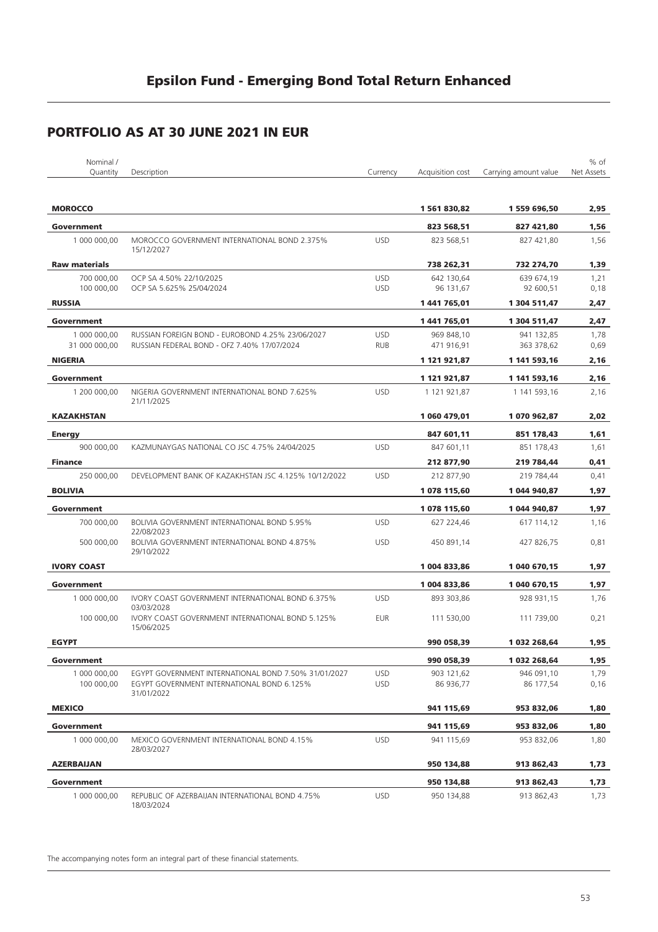| Nominal /            |                                                                              |            |                  |                       | % of       |
|----------------------|------------------------------------------------------------------------------|------------|------------------|-----------------------|------------|
| Quantity             | Description                                                                  | Currency   | Acquisition cost | Carrying amount value | Net Assets |
| <b>MOROCCO</b>       |                                                                              |            | 1561830,82       | 1 559 696,50          | 2,95       |
| Government           |                                                                              |            | 823 568,51       | 827 421,80            | 1,56       |
| 1 000 000,00         | MOROCCO GOVERNMENT INTERNATIONAL BOND 2.375%                                 | <b>USD</b> | 823 568,51       | 827 421,80            | 1,56       |
| <b>Raw materials</b> | 15/12/2027                                                                   |            | 738 262.31       | 732 274,70            | 1,39       |
| 700 000,00           | OCP SA 4.50% 22/10/2025                                                      | <b>USD</b> | 642 130,64       | 639 674,19            | 1,21       |
| 100 000,00           | OCP SA 5.625% 25/04/2024                                                     | <b>USD</b> | 96 131,67        | 92 600,51             | 0,18       |
| <b>RUSSIA</b>        |                                                                              |            | 1441765,01       | 1 304 511,47          | 2,47       |
| Government           |                                                                              |            | 1441765,01       | 1 304 511,47          | 2,47       |
| 1 000 000,00         | RUSSIAN FOREIGN BOND - EUROBOND 4.25% 23/06/2027                             | <b>USD</b> | 969 848,10       | 941 132,85            | 1,78       |
| 31 000 000,00        | RUSSIAN FEDERAL BOND - OFZ 7.40% 17/07/2024                                  | <b>RUB</b> | 471 916,91       | 363 378,62            | 0,69       |
| <b>NIGERIA</b>       |                                                                              |            | 1 121 921,87     | 1 141 593,16          | 2,16       |
| Government           |                                                                              |            | 1 121 921,87     | 1 141 593,16          | 2,16       |
| 1 200 000.00         | NIGERIA GOVERNMENT INTERNATIONAL BOND 7.625%<br>21/11/2025                   | <b>USD</b> | 1 121 921,87     | 1 141 593,16          | 2,16       |
| <b>KAZAKHSTAN</b>    |                                                                              |            | 1 060 479,01     | 1070962,87            | 2,02       |
| <b>Energy</b>        |                                                                              |            | 847 601,11       | 851 178,43            | 1,61       |
| 900 000,00           | KAZMUNAYGAS NATIONAL CO JSC 4.75% 24/04/2025                                 | <b>USD</b> | 847 601,11       | 851 178,43            | 1,61       |
| <b>Finance</b>       |                                                                              |            | 212 877,90       | 219 784,44            | 0,41       |
| 250 000,00           | DEVELOPMENT BANK OF KAZAKHSTAN JSC 4.125% 10/12/2022                         | <b>USD</b> | 212 877,90       | 219 784,44            | 0,41       |
| <b>BOLIVIA</b>       |                                                                              |            | 1078 115,60      | 1 044 940,87          | 1,97       |
| Government           |                                                                              |            | 1078 115,60      | 1 044 940,87          | 1,97       |
| 700 000,00           | BOLIVIA GOVERNMENT INTERNATIONAL BOND 5.95%                                  | <b>USD</b> | 627 224,46       | 617 114,12            | 1,16       |
| 500 000,00           | 22/08/2023<br>BOLIVIA GOVERNMENT INTERNATIONAL BOND 4.875%<br>29/10/2022     | <b>USD</b> | 450 891,14       | 427 826,75            | 0,81       |
| <b>IVORY COAST</b>   |                                                                              |            | 1 004 833,86     | 1 040 670,15          | 1,97       |
| Government           |                                                                              |            | 1 004 833,86     | 1 040 670,15          | 1,97       |
| 1 000 000.00         | IVORY COAST GOVERNMENT INTERNATIONAL BOND 6.375%                             | <b>USD</b> | 893 303,86       | 928 931,15            | 1,76       |
| 100 000,00           | 03/03/2028<br>IVORY COAST GOVERNMENT INTERNATIONAL BOND 5.125%<br>15/06/2025 | <b>EUR</b> | 111 530,00       | 111 739,00            | 0,21       |
| <b>EGYPT</b>         |                                                                              |            | 990 058,39       | 1 032 268,64          | 1,95       |
| Government           |                                                                              |            | 990 058,39       | 1 032 268,64          | 1,95       |
| 1 000 000,00         | EGYPT GOVERNMENT INTERNATIONAL BOND 7.50% 31/01/2027                         | <b>USD</b> | 903 121,62       | 946 091.10            | 1,79       |
| 100 000,00           | EGYPT GOVERNMENT INTERNATIONAL BOND 6.125%<br>31/01/2022                     | <b>USD</b> | 86 936,77        | 86 177,54             | 0,16       |
| <b>MEXICO</b>        |                                                                              |            | 941 115,69       | 953 832,06            | 1,80       |
| Government           |                                                                              |            | 941 115,69       | 953 832,06            | 1,80       |
| 1 000 000,00         | MEXICO GOVERNMENT INTERNATIONAL BOND 4.15%<br>28/03/2027                     | <b>USD</b> | 941 115,69       | 953 832,06            | 1,80       |
| <b>AZERBAIJAN</b>    |                                                                              |            | 950 134,88       | 913 862,43            | 1,73       |
| Government           |                                                                              |            | 950 134,88       | 913 862,43            | 1,73       |
| 1 000 000,00         | REPUBLIC OF AZERBAIJAN INTERNATIONAL BOND 4.75%<br>18/03/2024                | <b>USD</b> | 950 134,88       | 913 862,43            | 1,73       |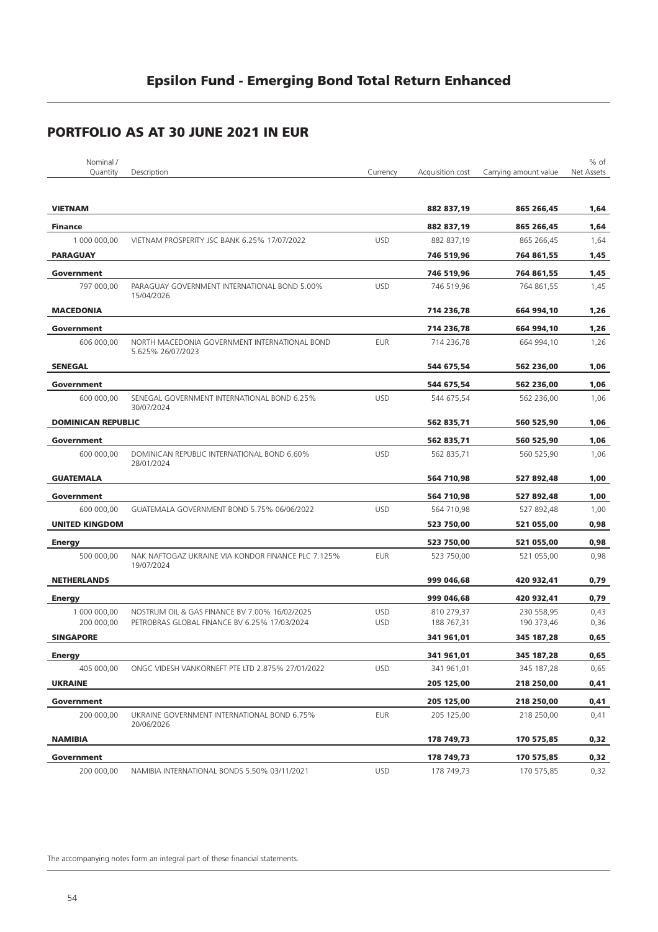| Nominal /<br>Quantity     | Description                                                        | Currency   | Acquisition cost | Carrying amount value | % of<br>Net Assets |
|---------------------------|--------------------------------------------------------------------|------------|------------------|-----------------------|--------------------|
|                           |                                                                    |            |                  |                       |                    |
| <b>VIETNAM</b>            |                                                                    |            | 882 837,19       | 865 266,45            | 1,64               |
| <b>Finance</b>            |                                                                    |            | 882 837,19       | 865 266,45            | 1,64               |
| 1 000 000,00              | VIETNAM PROSPERITY JSC BANK 6.25% 17/07/2022                       | <b>USD</b> | 882 837,19       | 865 266,45            | 1,64               |
| <b>PARAGUAY</b>           |                                                                    |            | 746 519,96       | 764 861,55            | 1,45               |
| Government                |                                                                    |            | 746 519,96       | 764 861,55            | 1,45               |
| 797 000,00                | PARAGUAY GOVERNMENT INTERNATIONAL BOND 5.00%<br>15/04/2026         | <b>USD</b> | 746 519,96       | 764 861,55            | 1,45               |
| <b>MACEDONIA</b>          |                                                                    |            | 714 236,78       | 664 994,10            | 1,26               |
| Government                |                                                                    |            | 714 236,78       | 664 994,10            | 1,26               |
| 606 000,00                | NORTH MACEDONIA GOVERNMENT INTERNATIONAL BOND<br>5.625% 26/07/2023 | <b>EUR</b> | 714 236,78       | 664 994,10            | 1,26               |
| <b>SENEGAL</b>            |                                                                    |            | 544 675,54       | 562 236,00            | 1,06               |
| Government                |                                                                    |            | 544 675,54       | 562 236,00            | 1,06               |
| 600 000,00                | SENEGAL GOVERNMENT INTERNATIONAL BOND 6.25%<br>30/07/2024          | <b>USD</b> | 544 675,54       | 562 236,00            | 1,06               |
| <b>DOMINICAN REPUBLIC</b> |                                                                    |            | 562 835,71       | 560 525,90            | 1,06               |
| Government                |                                                                    |            | 562 835,71       | 560 525,90            | 1,06               |
| 600 000,00                | DOMINICAN REPUBLIC INTERNATIONAL BOND 6.60%<br>28/01/2024          | <b>USD</b> | 562 835,71       | 560 525,90            | 1,06               |
| <b>GUATEMALA</b>          |                                                                    |            | 564 710,98       | 527 892,48            | 1,00               |
| Government                |                                                                    |            | 564 710,98       | 527 892,48            | 1,00               |
| 600 000,00                | GUATEMALA GOVERNMENT BOND 5.75% 06/06/2022                         | <b>USD</b> | 564 710,98       | 527 892,48            | 1,00               |
| <b>UNITED KINGDOM</b>     |                                                                    |            | 523 750,00       | 521 055,00            | 0,98               |
| <b>Energy</b>             |                                                                    |            | 523 750,00       | 521 055,00            | 0,98               |
| 500 000,00                | NAK NAFTOGAZ UKRAINE VIA KONDOR FINANCE PLC 7.125%<br>19/07/2024   | <b>EUR</b> | 523 750,00       | 521 055,00            | 0,98               |
| <b>NETHERLANDS</b>        |                                                                    |            | 999 046,68       | 420 932,41            | 0,79               |
| <b>Energy</b>             |                                                                    |            | 999 046,68       | 420 932,41            | 0,79               |
| 1 000 000,00              | NOSTRUM OIL & GAS FINANCE BV 7.00% 16/02/2025                      | <b>USD</b> | 810 279,37       | 230 558,95            | 0,43               |
| 200 000,00                | PETROBRAS GLOBAL FINANCE BV 6.25% 17/03/2024                       | <b>USD</b> | 188 767,31       | 190 373,46            | 0,36               |
| <b>SINGAPORE</b>          |                                                                    |            | 341 961,01       | 345 187,28            | 0,65               |
| <b>Energy</b>             |                                                                    |            | 341 961,01       | 345 187,28            | 0,65               |
| 405 000,00                | ONGC VIDESH VANKORNEFT PTE LTD 2.875% 27/01/2022                   | <b>USD</b> | 341 961,01       | 345 187,28            | 0,65               |
| <b>UKRAINE</b>            |                                                                    |            | 205 125,00       | 218 250,00            | 0,41               |
| Government                |                                                                    |            | 205 125,00       | 218 250,00            | 0,41               |
| 200 000,00                | UKRAINE GOVERNMENT INTERNATIONAL BOND 6.75%<br>20/06/2026          | <b>EUR</b> | 205 125,00       | 218 250,00            | 0,41               |
| <b>NAMIBIA</b>            |                                                                    |            | 178 749,73       | 170 575,85            | 0,32               |
| Government                |                                                                    |            | 178 749,73       | 170 575,85            | 0,32               |
| 200 000,00                | NAMIBIA INTERNATIONAL BONDS 5.50% 03/11/2021                       | <b>USD</b> | 178 749,73       | 170 575,85            | 0,32               |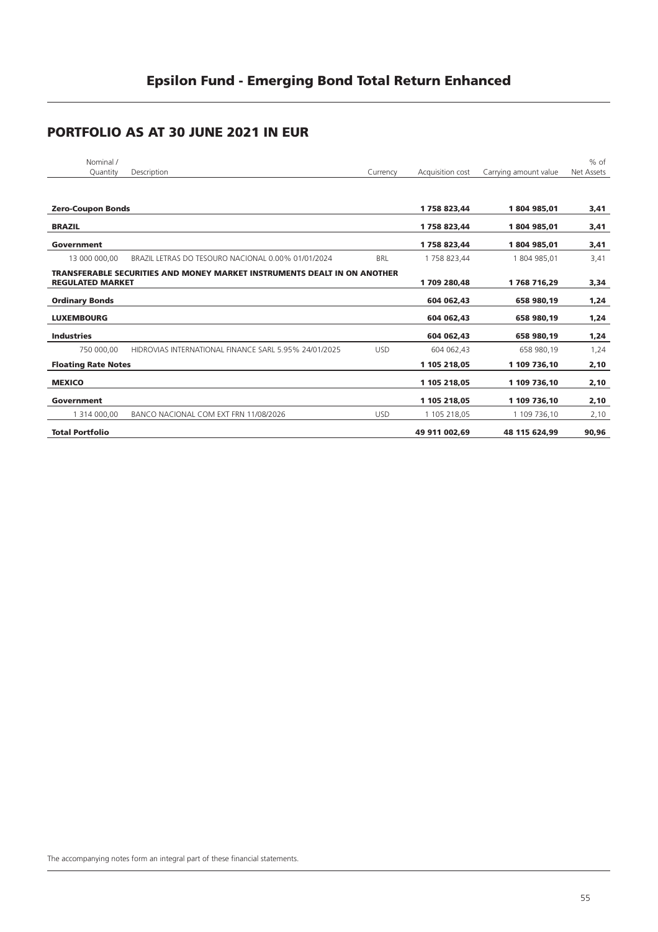| Nominal /<br>Quantity      | Description                                                              | Currency   | Acquisition cost | Carrying amount value | $%$ of<br>Net Assets |
|----------------------------|--------------------------------------------------------------------------|------------|------------------|-----------------------|----------------------|
|                            |                                                                          |            |                  |                       |                      |
|                            |                                                                          |            |                  |                       |                      |
| <b>Zero-Coupon Bonds</b>   |                                                                          |            | 1758823.44       | 1804985.01            | 3,41                 |
| <b>BRAZIL</b>              |                                                                          |            | 1758823,44       | 1804985.01            | 3,41                 |
| Government                 |                                                                          |            | 1758823,44       | 1804985,01            | 3,41                 |
| 13 000 000,00              | BRAZIL LETRAS DO TESOURO NACIONAL 0.00% 01/01/2024                       | <b>BRL</b> | 1 758 823,44     | 1 804 985,01          | 3,41                 |
| <b>REGULATED MARKET</b>    | TRANSFERABLE SECURITIES AND MONEY MARKET INSTRUMENTS DEALT IN ON ANOTHER |            | 1709 280,48      | 1768716,29            | 3,34                 |
| <b>Ordinary Bonds</b>      |                                                                          |            | 604 062,43       | 658 980,19            | 1,24                 |
| <b>LUXEMBOURG</b>          |                                                                          |            | 604 062.43       | 658 980,19            | 1,24                 |
| <b>Industries</b>          |                                                                          |            | 604 062.43       | 658 980.19            | 1,24                 |
| 750 000.00                 | HIDROVIAS INTERNATIONAL FINANCE SARL 5.95% 24/01/2025                    | <b>USD</b> | 604 062,43       | 658 980,19            | 1,24                 |
| <b>Floating Rate Notes</b> |                                                                          |            | 1 105 218,05     | 1 109 736,10          | 2,10                 |
| <b>MEXICO</b>              |                                                                          |            | 1 105 218,05     | 1 109 736,10          | 2,10                 |
| Government                 |                                                                          |            | 1 105 218,05     | 1 109 736,10          | 2,10                 |
| 1 314 000,00               | BANCO NACIONAL COM EXT FRN 11/08/2026                                    | <b>USD</b> | 1 105 218,05     | 1 109 736,10          | 2,10                 |
| <b>Total Portfolio</b>     |                                                                          |            | 49 911 002,69    | 48 115 624,99         | 90,96                |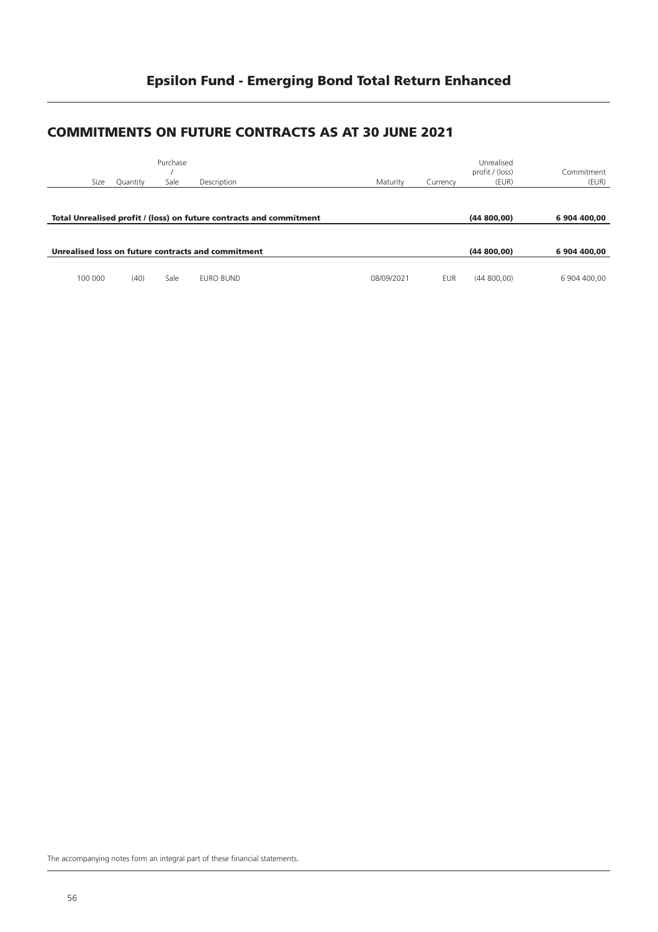#### **COMMITMENTS ON FUTURE CONTRACTS AS AT 30 JUNE 2021**

|         | Size | Quantity | Purchase<br>Sale | Description                                                         | Maturity   | Currency   | Unrealised<br>profit / (loss)<br>(EUR) | Commitment<br>(EUR) |
|---------|------|----------|------------------|---------------------------------------------------------------------|------------|------------|----------------------------------------|---------------------|
|         |      |          |                  | Total Unrealised profit / (loss) on future contracts and commitment |            |            | (44800,00)                             | 6904400.00          |
|         |      |          |                  | Unrealised loss on future contracts and commitment                  |            |            | (44800,00)                             | 6 904 400.00        |
| 100 000 |      | (40)     | Sale             | EURO BUND                                                           | 08/09/2021 | <b>EUR</b> | (44800,00)                             | 6 904 400.00        |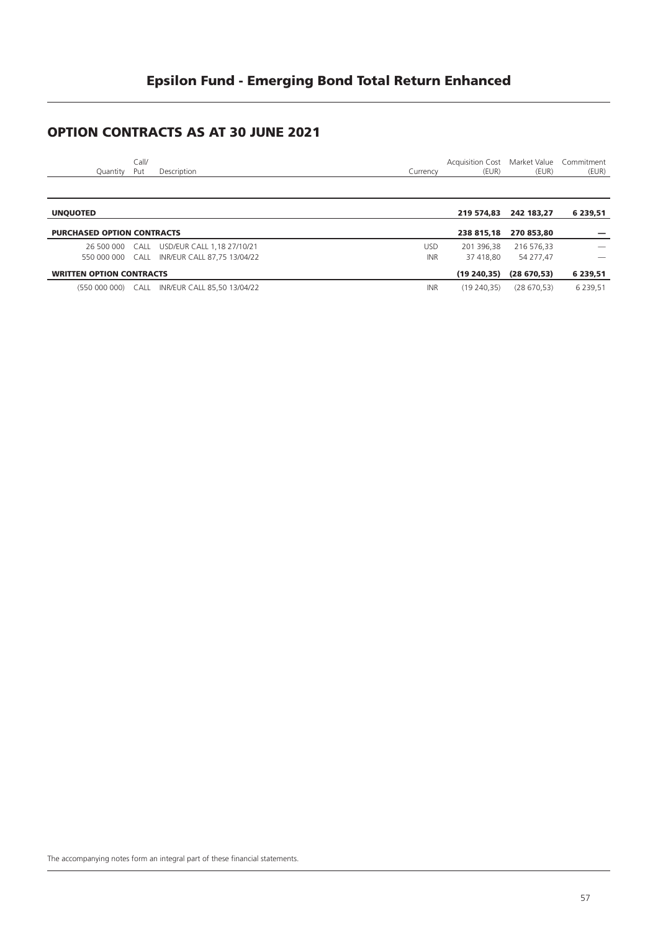### **OPTION CONTRACTS AS AT 30 JUNE 2021**

| Call/<br>Description<br>Quantity<br>Put    | Currency | Acquisition Cost Market Value Commitment<br>(EUR) | (EUR)                 | (EUR)                    |
|--------------------------------------------|----------|---------------------------------------------------|-----------------------|--------------------------|
|                                            |          |                                                   |                       |                          |
| <b>UNQUOTED</b>                            |          |                                                   | 219 574.83 242 183.27 | 6 239,51                 |
| <b>PURCHASED OPTION CONTRACTS</b>          |          |                                                   | 238 815.18 270 853.80 |                          |
| 26 500 000 CALL USD/EUR CALL 1,18 27/10/21 | USD.     | 201 396.38                                        | 216 576.33            | $\overline{\phantom{a}}$ |

|                                 | 20 JUU UUU CALLE OJD/LUI CALLEI, 10 277 IU/21<br>550 000 000    CALL    INR/EUR    CALL    87.75 13/04/22 | UJU.<br>INR. | 37 418.80 | 201300.JU 210370.JU<br>54 277.47 | $\overline{\phantom{a}}$ |
|---------------------------------|-----------------------------------------------------------------------------------------------------------|--------------|-----------|----------------------------------|--------------------------|
|                                 |                                                                                                           |              |           |                                  |                          |
|                                 |                                                                                                           |              |           |                                  |                          |
| <b>WRITTEN OPTION CONTRACTS</b> |                                                                                                           |              |           | $(19\ 240.35)$ $(28\ 670.53)$    | 6 239,51                 |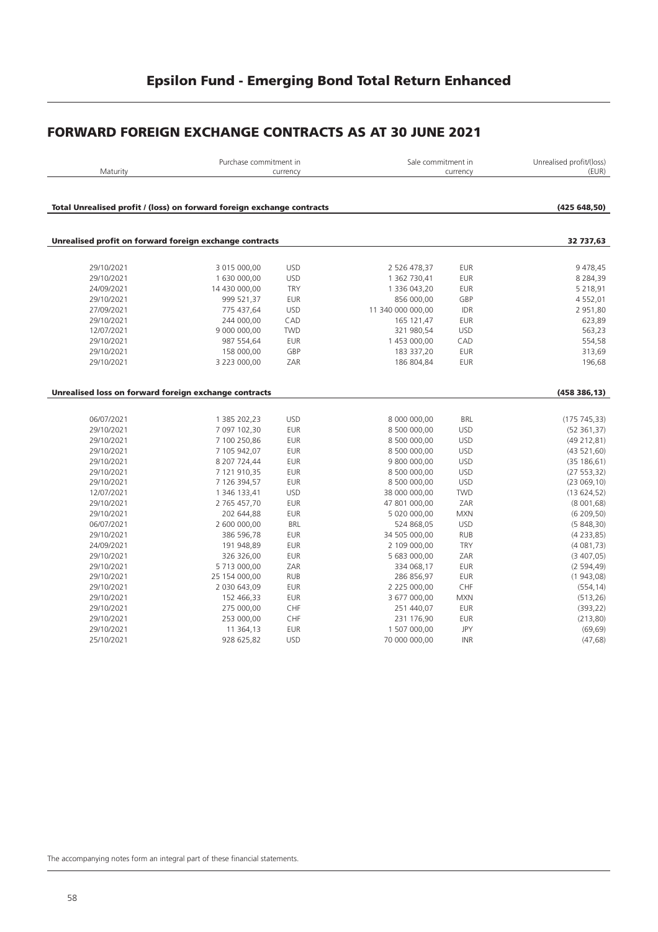#### **FORWARD FOREIGN EXCHANGE CONTRACTS AS AT 30 JUNE 2021**

| Maturity                                                               | Purchase commitment in | currency   | Sale commitment in<br>currency |            | Unrealised profit/(loss)<br>(EUR) |
|------------------------------------------------------------------------|------------------------|------------|--------------------------------|------------|-----------------------------------|
| Total Unrealised profit / (loss) on forward foreign exchange contracts |                        |            |                                |            | (425648,50)                       |
|                                                                        |                        |            |                                |            |                                   |
| Unrealised profit on forward foreign exchange contracts                |                        |            |                                |            | 32 737,63                         |
| 29/10/2021                                                             | 3 015 000,00           | <b>USD</b> | 2 526 478,37                   | <b>EUR</b> | 9 478,45                          |
| 29/10/2021                                                             | 1 630 000,00           | <b>USD</b> | 1 362 730,41                   | <b>EUR</b> | 8 2 8 4 , 3 9                     |
| 24/09/2021                                                             | 14 430 000,00          | <b>TRY</b> | 1 336 043,20                   | <b>EUR</b> | 5 2 1 8, 9 1                      |
| 29/10/2021                                                             | 999 521,37             | <b>EUR</b> | 856 000,00                     | GBP        | 4 5 5 2 , 0 1                     |
| 27/09/2021                                                             | 775 437,64             | <b>USD</b> | 11 340 000 000,00              | IDR        | 2 951,80                          |
| 29/10/2021                                                             | 244 000,00             | CAD        | 165 121,47                     | <b>EUR</b> | 623,89                            |
| 12/07/2021                                                             | 9 000 000,00           | <b>TWD</b> | 321 980,54                     | <b>USD</b> | 563,23                            |
| 29/10/2021                                                             | 987 554,64             | <b>EUR</b> | 1 453 000,00                   | CAD        | 554,58                            |
| 29/10/2021                                                             | 158 000,00             | GBP        | 183 337,20                     | <b>EUR</b> | 313,69                            |
| 29/10/2021                                                             | 3 223 000,00           | ZAR        | 186 804,84                     | <b>EUR</b> | 196,68                            |
|                                                                        |                        |            |                                |            |                                   |
|                                                                        |                        |            |                                |            |                                   |
| Unrealised loss on forward foreign exchange contracts                  |                        |            |                                |            | (458386, 13)                      |
|                                                                        |                        |            |                                |            |                                   |
| 06/07/2021                                                             | 1 385 202,23           | <b>USD</b> | 8 000 000,00                   | <b>BRL</b> | (175745,33)                       |
| 29/10/2021                                                             | 7 097 102,30           | <b>EUR</b> | 8 500 000,00                   | <b>USD</b> | (52 361, 37)                      |
| 29/10/2021                                                             | 7 100 250,86           | <b>EUR</b> | 8 500 000,00                   | <b>USD</b> | (49 212, 81)                      |
| 29/10/2021                                                             | 7 105 942,07           | <b>EUR</b> | 8 500 000,00                   | <b>USD</b> | (43521,60)                        |
| 29/10/2021                                                             | 8 207 724,44           | <b>EUR</b> | 9 800 000,00                   | <b>USD</b> | (35 186, 61)                      |
| 29/10/2021                                                             | 7 121 910,35           | <b>EUR</b> | 8 500 000,00                   | <b>USD</b> | (27 553, 32)                      |
| 29/10/2021                                                             | 7 126 394,57           | <b>EUR</b> | 8 500 000,00                   | <b>USD</b> | (23069,10)                        |
| 12/07/2021                                                             | 1 346 133,41           | <b>USD</b> | 38 000 000,00                  | <b>TWD</b> | (13624,52)                        |
| 29/10/2021                                                             | 2 765 457,70           | <b>EUR</b> | 47 801 000,00                  | ZAR        | (8001,68)                         |
| 29/10/2021                                                             | 202 644,88             | <b>EUR</b> | 5 020 000,00                   | <b>MXN</b> | (6209,50)                         |
| 06/07/2021                                                             | 2 600 000,00           | <b>BRL</b> | 524 868,05                     | <b>USD</b> | (5848,30)                         |
| 29/10/2021                                                             | 386 596,78             | <b>EUR</b> | 34 505 000,00                  | <b>RUB</b> | (4233,85)                         |
| 24/09/2021                                                             | 191 948,89             | <b>EUR</b> | 2 109 000,00                   | <b>TRY</b> | (4081,73)                         |
| 29/10/2021                                                             | 326 326,00             | <b>EUR</b> | 5 683 000,00                   | ZAR        | (3,407,05)                        |
| 29/10/2021                                                             | 5 713 000,00           | ZAR        | 334 068,17                     | <b>EUR</b> | (2594, 49)                        |
| 29/10/2021                                                             | 25 154 000,00          | <b>RUB</b> | 286 856,97                     | <b>EUR</b> | (1943,08)                         |
| 29/10/2021                                                             | 2 030 643,09           | <b>EUR</b> | 2 225 000,00                   | CHF        | (554, 14)                         |
| 29/10/2021                                                             | 152 466,33             | <b>EUR</b> | 3 677 000,00                   | <b>MXN</b> | (513, 26)                         |
| 29/10/2021                                                             | 275 000,00             | CHF        | 251 440,07                     | <b>EUR</b> | (393, 22)                         |
| 29/10/2021                                                             | 253 000,00             | CHF        | 231 176,90                     | EUR        | (213,80)                          |
| 29/10/2021                                                             | 11 364,13              | <b>EUR</b> | 1 507 000,00                   | JPY        | (69, 69)                          |
| 25/10/2021                                                             | 928 625,82             | <b>USD</b> | 70 000 000,00                  | INR        | (47, 68)                          |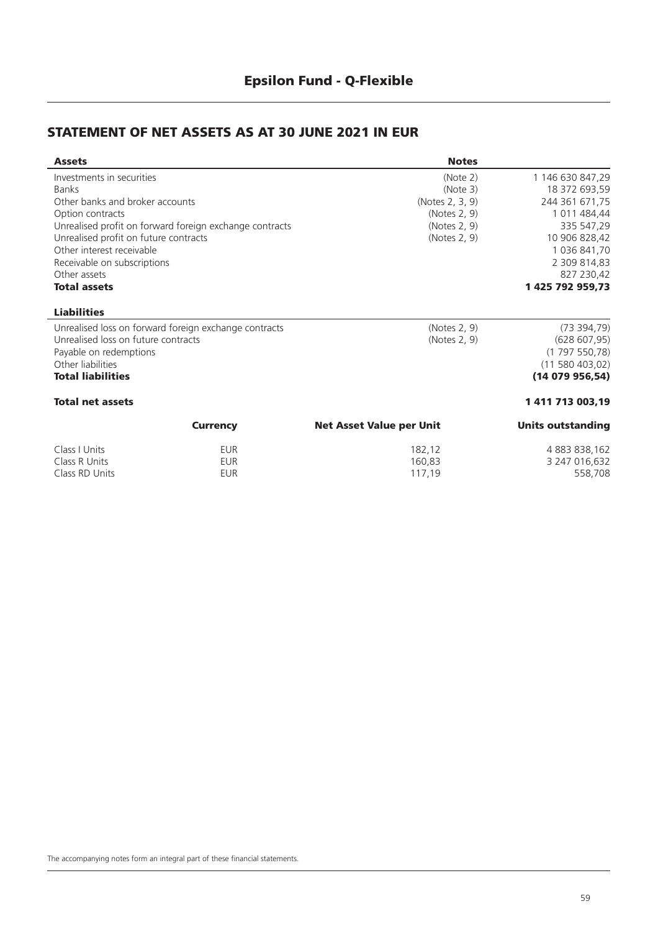### **STATEMENT OF NET ASSETS AS AT 30 JUNE 2021 IN EUR**

| <b>Assets</b>                         |                                                         | <b>Notes</b>                    |                          |
|---------------------------------------|---------------------------------------------------------|---------------------------------|--------------------------|
| Investments in securities             |                                                         | (Note 2)                        | 1 146 630 847,29         |
| <b>Banks</b>                          |                                                         | (Note 3)                        | 18 372 693,59            |
| Other banks and broker accounts       |                                                         | (Notes 2, 3, 9)                 | 244 361 671,75           |
| Option contracts                      |                                                         | (Notes 2, 9)                    | 1 011 484,44             |
|                                       | Unrealised profit on forward foreign exchange contracts | (Notes 2, 9)                    | 335 547,29               |
| Unrealised profit on future contracts |                                                         | (Notes 2, 9)                    | 10 906 828,42            |
| Other interest receivable             |                                                         |                                 | 1 036 841,70             |
| Receivable on subscriptions           |                                                         |                                 | 2 309 814,83             |
| Other assets                          |                                                         |                                 | 827 230,42               |
| <b>Total assets</b>                   |                                                         |                                 | 1 425 792 959,73         |
| <b>Liabilities</b>                    |                                                         |                                 |                          |
|                                       | Unrealised loss on forward foreign exchange contracts   | (Notes 2, 9)                    | (73394,79)               |
| Unrealised loss on future contracts   |                                                         | (Notes 2, 9)                    | (628 607, 95)            |
| Payable on redemptions                |                                                         |                                 | (1797550,78)             |
| Other liabilities                     |                                                         |                                 | (11580403,02)            |
| <b>Total liabilities</b>              |                                                         |                                 | (14079956,54)            |
| <b>Total net assets</b>               |                                                         |                                 | 1411713003,19            |
|                                       | <b>Currency</b>                                         | <b>Net Asset Value per Unit</b> | <b>Units outstanding</b> |
| Class I Units                         | <b>EUR</b>                                              | 182,12                          | 4 883 838,162            |
| Class R Units                         | <b>EUR</b>                                              | 160,83                          | 3 247 016,632            |

Class RD Units **EUR** 6 and EUR 117,19 558,708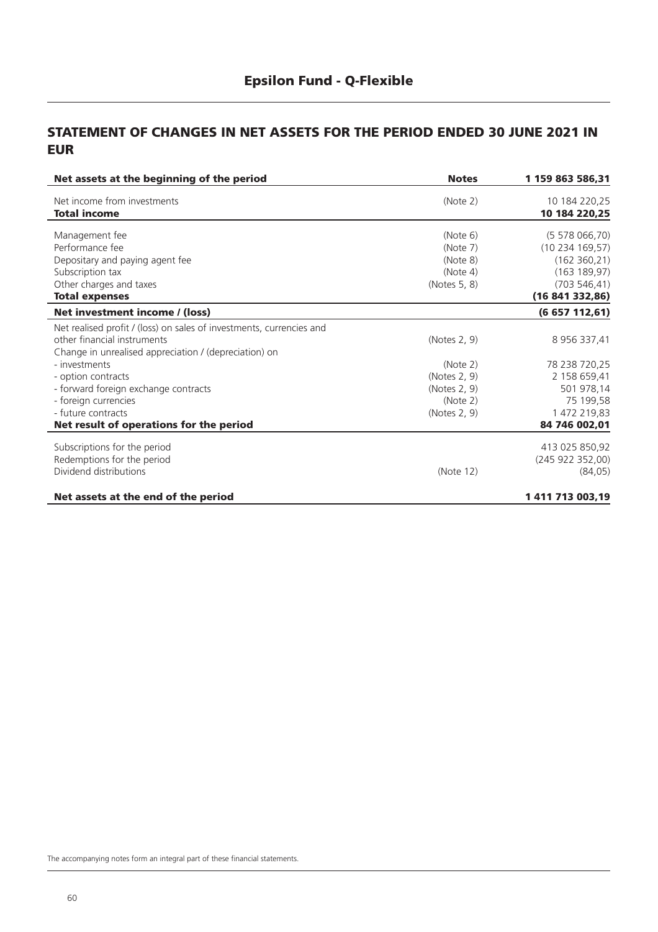#### **STATEMENT OF CHANGES IN NET ASSETS FOR THE PERIOD ENDED 30 JUNE 2021 IN EUR**

| Net assets at the beginning of the period                            | <b>Notes</b> | 1 159 863 586,31 |
|----------------------------------------------------------------------|--------------|------------------|
| Net income from investments                                          | (Note 2)     | 10 184 220,25    |
| <b>Total income</b>                                                  |              | 10 184 220,25    |
| Management fee                                                       | (Note 6)     | (5 578 066, 70)  |
| Performance fee                                                      | (Note 7)     | (10234169,57)    |
| Depositary and paying agent fee                                      | (Note 8)     | (162 360, 21)    |
| Subscription tax                                                     | (Note 4)     | (163 189, 97)    |
| Other charges and taxes                                              | (Notes 5, 8) | (703546, 41)     |
| <b>Total expenses</b>                                                |              | (16841332,86)    |
| Net investment income / (loss)                                       |              | (6657112,61)     |
| Net realised profit / (loss) on sales of investments, currencies and |              |                  |
| other financial instruments                                          | (Notes 2, 9) | 8 956 337,41     |
| Change in unrealised appreciation / (depreciation) on                |              |                  |
| - investments                                                        | (Note 2)     | 78 238 720,25    |
| - option contracts                                                   | (Notes 2, 9) | 2 158 659,41     |
| - forward foreign exchange contracts                                 | (Notes 2, 9) | 501 978,14       |
| - foreign currencies                                                 | (Note 2)     | 75 199,58        |
| - future contracts                                                   | (Notes 2, 9) | 1 472 219,83     |
| Net result of operations for the period                              |              | 84 746 002,01    |
| Subscriptions for the period                                         |              | 413 025 850,92   |
| Redemptions for the period                                           |              | (245922352,00)   |
| Dividend distributions                                               | (Note 12)    | (84, 05)         |
| Net assets at the end of the period                                  |              | 1 411 713 003,19 |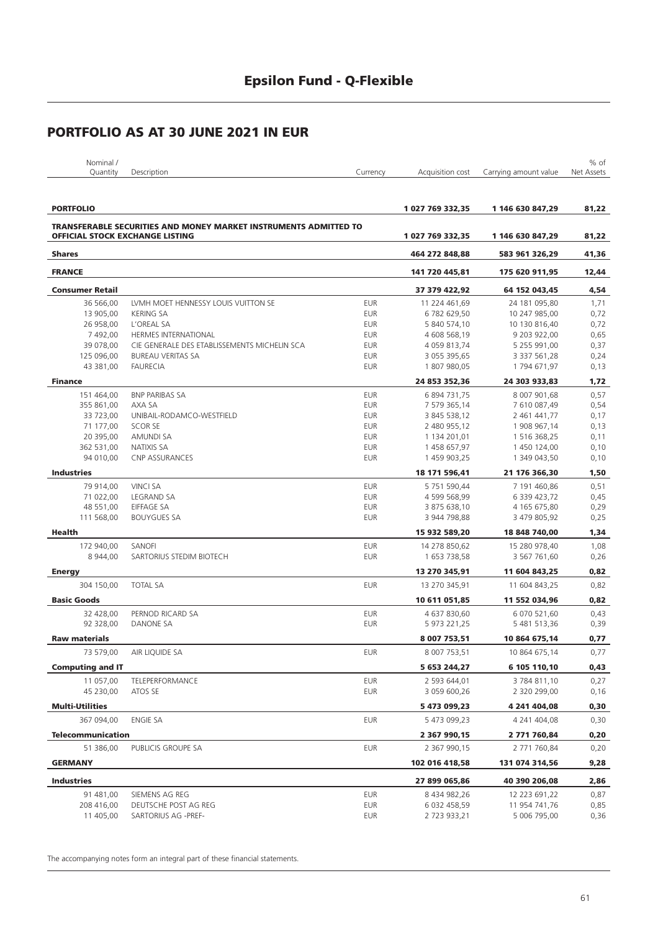| Nominal / |             |          |                  |                                  | $%$ of |
|-----------|-------------|----------|------------------|----------------------------------|--------|
| Ouantity  | Description | Iurrencv | Acquisition cost | Carrying amount value Net Assets |        |
|           |             |          |                  |                                  |        |

| <b>PORTFOLIO</b>                       |                                                                         |            | 1 027 769 332,35 | 1 146 630 847,29 | 81,22 |
|----------------------------------------|-------------------------------------------------------------------------|------------|------------------|------------------|-------|
|                                        | <b>TRANSFERABLE SECURITIES AND MONEY MARKET INSTRUMENTS ADMITTED TO</b> |            |                  |                  |       |
| <b>OFFICIAL STOCK EXCHANGE LISTING</b> |                                                                         |            | 1 027 769 332,35 | 1 146 630 847,29 | 81,22 |
| <b>Shares</b>                          |                                                                         |            | 464 272 848,88   | 583 961 326,29   | 41,36 |
| <b>FRANCE</b>                          |                                                                         |            | 141 720 445,81   | 175 620 911,95   | 12,44 |
| <b>Consumer Retail</b>                 |                                                                         |            | 37 379 422,92    | 64 152 043,45    | 4,54  |
| 36 566,00                              | LVMH MOET HENNESSY LOUIS VUITTON SE                                     | <b>EUR</b> | 11 224 461,69    | 24 181 095,80    | 1,71  |
| 13 905,00                              | <b>KERING SA</b>                                                        | <b>EUR</b> | 6782 629,50      | 10 247 985,00    | 0,72  |
| 26 958,00                              | L'OREAL SA                                                              | <b>EUR</b> | 5 840 574,10     | 10 130 816,40    | 0,72  |
| 7 492,00                               | <b>HERMES INTERNATIONAL</b>                                             | <b>EUR</b> | 4 608 568,19     | 9 203 922,00     | 0,65  |
| 39 078,00                              | CIE GENERALE DES ETABLISSEMENTS MICHELIN SCA                            | <b>EUR</b> | 4 059 813,74     | 5 255 991,00     | 0,37  |
| 125 096,00                             | <b>BUREAU VERITAS SA</b>                                                | <b>EUR</b> | 3 055 395,65     | 3 337 561,28     | 0,24  |
| 43 381,00                              | <b>FAURECIA</b>                                                         | <b>EUR</b> | 1807980,05       | 1794 671,97      | 0,13  |
| <b>Finance</b>                         |                                                                         |            | 24 853 352,36    | 24 303 933,83    | 1,72  |
| 151 464,00                             | <b>BNP PARIBAS SA</b>                                                   | <b>EUR</b> | 6 894 731,75     | 8 007 901,68     | 0,57  |
| 355 861,00                             | AXA SA                                                                  | <b>EUR</b> | 7 579 365,14     | 7 610 087,49     | 0,54  |
| 33 723,00                              | UNIBAIL-RODAMCO-WESTFIELD                                               | <b>EUR</b> | 3 845 538,12     | 2 461 441,77     | 0,17  |
| 71 177,00                              | SCOR SE                                                                 | <b>EUR</b> | 2 480 955,12     | 1 908 967,14     | 0,13  |
| 20 395,00                              | <b>AMUNDI SA</b>                                                        | <b>EUR</b> | 1 134 201,01     | 1 516 368,25     | 0,11  |
| 362 531,00                             | <b>NATIXIS SA</b>                                                       | <b>EUR</b> | 1 458 657,97     | 1 450 124,00     | 0,10  |
| 94 010,00                              | <b>CNP ASSURANCES</b>                                                   | <b>EUR</b> | 1 459 903,25     | 1 349 043,50     | 0,10  |
| <b>Industries</b>                      |                                                                         |            | 18 171 596,41    | 21 176 366,30    | 1,50  |
| 79 914,00                              | <b>VINCI SA</b>                                                         | <b>EUR</b> | 5 751 590,44     | 7 191 460,86     | 0,51  |
| 71 022,00                              | <b>LEGRAND SA</b>                                                       | <b>EUR</b> | 4 599 568,99     | 6 339 423,72     | 0,45  |
| 48 551.00                              | <b>EIFFAGE SA</b>                                                       | <b>EUR</b> | 3 875 638,10     | 4 165 675,80     | 0,29  |
| 111 568,00                             | <b>BOUYGUES SA</b>                                                      | <b>EUR</b> | 3 944 798,88     | 3 479 805,92     | 0,25  |
| Health                                 |                                                                         |            | 15 932 589,20    | 18 848 740,00    | 1,34  |
| 172 940,00                             | SANOFI                                                                  | <b>EUR</b> | 14 278 850,62    | 15 280 978,40    | 1,08  |
| 8 944,00                               | SARTORIUS STEDIM BIOTECH                                                | <b>EUR</b> | 1 653 738,58     | 3 567 761,60     | 0,26  |
| <b>Energy</b>                          |                                                                         |            | 13 270 345,91    | 11 604 843,25    | 0,82  |
| 304 150,00                             | <b>TOTAL SA</b>                                                         | <b>EUR</b> | 13 270 345,91    | 11 604 843,25    | 0,82  |
| <b>Basic Goods</b>                     |                                                                         |            | 10 611 051,85    | 11 552 034,96    | 0,82  |
| 32 428,00                              | PERNOD RICARD SA                                                        | <b>EUR</b> | 4 637 830,60     | 6 070 521,60     | 0,43  |
| 92 328,00                              | DANONE SA                                                               | <b>EUR</b> | 5 973 221,25     | 5 481 513,36     | 0,39  |
| <b>Raw materials</b>                   |                                                                         |            | 8 007 753,51     | 10 864 675,14    | 0,77  |
| 73 579,00                              | AIR LIQUIDE SA                                                          | <b>EUR</b> | 8 007 753,51     | 10 864 675,14    | 0,77  |
| <b>Computing and IT</b>                |                                                                         |            | 5 653 244,27     | 6 105 110,10     | 0,43  |
| 11 057,00                              | TELEPERFORMANCE                                                         | <b>EUR</b> | 2 593 644,01     | 3784811,10       | 0,27  |
| 45 230,00                              | ATOS SE                                                                 | <b>EUR</b> | 3 059 600,26     | 2 320 299,00     | 0,16  |
| Multi-Utilities                        |                                                                         |            | 5 473 099,23     | 4 241 404,08     | 0,30  |
| 367 094,00                             | <b>ENGIE SA</b>                                                         | <b>EUR</b> | 5 473 099,23     | 4 241 404,08     | 0,30  |
| <b>Telecommunication</b>               |                                                                         |            | 2 367 990,15     | 2 771 760,84     | 0,20  |
| 51 386,00                              | PUBLICIS GROUPE SA                                                      | <b>EUR</b> | 2 367 990,15     | 2 771 760,84     | 0,20  |
| <b>GERMANY</b>                         |                                                                         |            | 102 016 418,58   | 131 074 314,56   | 9,28  |
| <b>Industries</b>                      |                                                                         |            | 27 899 065,86    | 40 390 206,08    | 2,86  |
| 91 481,00                              | SIEMENS AG REG                                                          | <b>EUR</b> | 8 434 982,26     | 12 223 691,22    | 0,87  |
| 208 416,00                             | DEUTSCHE POST AG REG                                                    | <b>EUR</b> | 6 032 458,59     | 11 954 741,76    | 0,85  |
| 11 405,00                              | SARTORIUS AG - PREF-                                                    | <b>EUR</b> | 2723933,21       | 5 006 795,00     | 0,36  |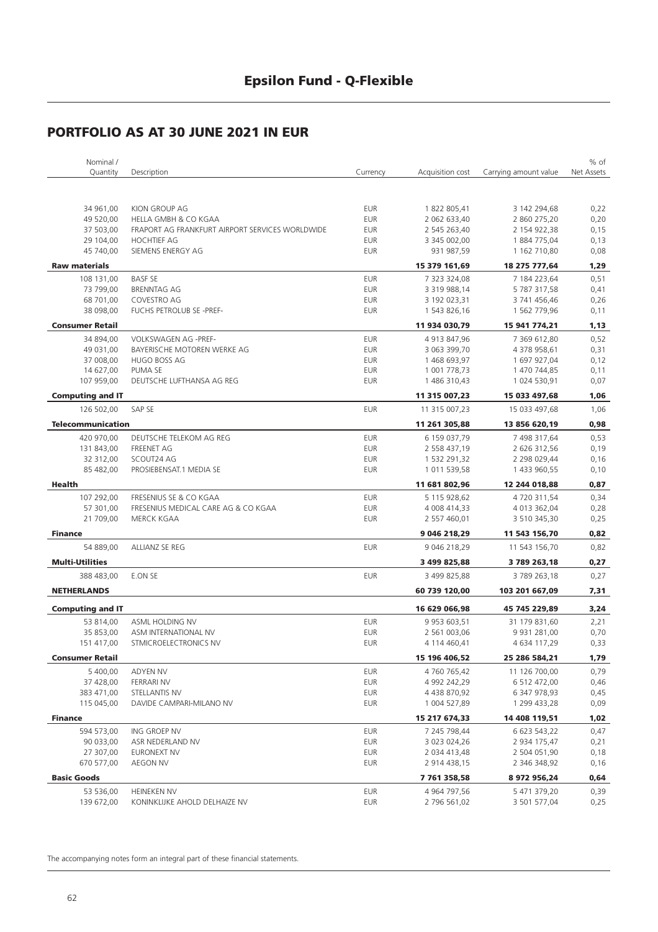| Nominal /                |                                                 |            |                     |                       | % of       |
|--------------------------|-------------------------------------------------|------------|---------------------|-----------------------|------------|
| Quantity                 | Description                                     | Currency   | Acquisition cost    | Carrying amount value | Net Assets |
|                          |                                                 |            |                     |                       |            |
|                          |                                                 |            |                     |                       |            |
| 34 961,00                | KION GROUP AG                                   | <b>EUR</b> | 1 822 805,41        | 3 142 294,68          | 0,22       |
| 49 520,00                | HELLA GMBH & CO KGAA                            | <b>EUR</b> | 2 062 633,40        | 2 860 275,20          | 0,20       |
| 37 503,00                | FRAPORT AG FRANKFURT AIRPORT SERVICES WORLDWIDE | <b>EUR</b> | 2 545 263,40        | 2 154 922,38          | 0,15       |
| 29 104,00                | <b>HOCHTIEF AG</b>                              | <b>EUR</b> | 3 345 002,00        | 1884775,04            | 0,13       |
| 45 740,00                | SIEMENS ENERGY AG                               | <b>EUR</b> | 931 987,59          | 1 162 710,80          | 0,08       |
| <b>Raw materials</b>     |                                                 |            | 15 379 161,69       | 18 275 777,64         | 1,29       |
| 108 131,00               | <b>BASF SE</b>                                  | <b>EUR</b> | 7 323 324,08        | 7 184 223,64          | 0,51       |
| 73 799,00                | <b>BRENNTAG AG</b>                              | <b>EUR</b> | 3 319 988,14        | 5 787 317,58          | 0,41       |
| 68 701,00                | COVESTRO AG                                     | <b>EUR</b> | 3 192 023,31        | 3 741 456,46          | 0,26       |
| 38 098,00                | <b>FUCHS PETROLUB SE -PREF-</b>                 | <b>EUR</b> | 1 543 826,16        | 1 562 779,96          | 0,11       |
| <b>Consumer Retail</b>   |                                                 |            | 11 934 030,79       | 15 941 774,21         | 1,13       |
| 34 894,00                | VOLKSWAGEN AG -PREF-                            | <b>EUR</b> | 4 913 847,96        | 7 369 612,80          | 0,52       |
| 49 031,00                | BAYERISCHE MOTOREN WERKE AG                     | <b>EUR</b> | 3 063 399,70        | 4 378 958,61          | 0,31       |
| 37 008,00                | HUGO BOSS AG                                    | <b>EUR</b> | 1 468 693,97        | 1 697 927,04          | 0,12       |
| 14 627,00                | PUMA SE                                         | <b>EUR</b> | 1 001 778,73        | 1 470 744,85          | 0,11       |
| 107 959,00               | DEUTSCHE LUFTHANSA AG REG                       | <b>EUR</b> | 1 486 310,43        | 1 024 530,91          | 0,07       |
| <b>Computing and IT</b>  |                                                 |            | 11 315 007,23       | 15 033 497,68         | 1,06       |
| 126 502,00               | SAP SE                                          | <b>EUR</b> | 11 315 007,23       | 15 033 497,68         | 1,06       |
|                          |                                                 |            |                     |                       |            |
| <b>Telecommunication</b> |                                                 |            | 11 261 305,88       | 13 856 620,19         | 0,98       |
| 420 970,00               | DEUTSCHE TELEKOM AG REG                         | <b>EUR</b> | 6 159 037,79        | 7 498 317,64          | 0,53       |
| 131 843,00               | <b>FREENET AG</b>                               | <b>EUR</b> | 2 558 437,19        | 2 626 312,56          | 0,19       |
| 32 312,00                | SCOUT24 AG                                      | <b>EUR</b> | 1 532 291,32        | 2 298 029,44          | 0,16       |
| 85 482,00                | PROSIEBENSAT.1 MEDIA SE                         | <b>EUR</b> | 1 011 539,58        | 1 433 960,55          | 0,10       |
| Health                   |                                                 |            | 11 681 802,96       | 12 244 018,88         | 0,87       |
| 107 292,00               | FRESENIUS SE & CO KGAA                          | <b>EUR</b> | 5 115 928,62        | 4720311,54            | 0,34       |
| 57 301,00                | FRESENIUS MEDICAL CARE AG & CO KGAA             | <b>EUR</b> | 4 008 414,33        | 4 013 362,04          | 0,28       |
| 21 709,00                | <b>MERCK KGAA</b>                               | <b>EUR</b> | 2 557 460,01        | 3 510 345,30          | 0,25       |
| <b>Finance</b>           |                                                 |            | 9 046 218,29        | 11 543 156,70         | 0,82       |
| 54 889,00                | ALLIANZ SE REG                                  | <b>EUR</b> | 9 046 218,29        | 11 543 156,70         | 0,82       |
| <b>Multi-Utilities</b>   |                                                 |            | 3 499 825,88        | 3 789 263,18          | 0,27       |
| 388 483,00               | E.ON SE                                         | <b>EUR</b> | 3 499 825,88        | 3789263,18            | 0,27       |
| <b>NETHERLANDS</b>       |                                                 |            |                     |                       |            |
|                          |                                                 |            | 60 739 120,00       | 103 201 667,09        | 7,31       |
| <b>Computing and IT</b>  |                                                 |            | 16 629 066,98       | 45 745 229,89         | 3,24       |
| 53 814,00                | ASML HOLDING NV                                 | <b>EUR</b> | 9 9 5 3 6 0 3 , 5 1 | 31 179 831,60         | 2,21       |
| 35 853,00                | ASM INTERNATIONAL NV                            | <b>EUR</b> | 2 561 003,06        | 9 9 31 2 8 1 , 0 0    | 0,70       |
| 151 417,00               | STMICROELECTRONICS NV                           | <b>EUR</b> | 4 114 460,41        | 4 634 117,29          | 0,33       |
| <b>Consumer Retail</b>   |                                                 |            | 15 196 406,52       | 25 286 584,21         | 1,79       |
| 5 400,00                 | ADYEN NV                                        | <b>EUR</b> | 4 760 765,42        | 11 126 700,00         | 0,79       |
| 37 428,00                | FERRARI NV                                      | <b>EUR</b> | 4 992 242,29        | 6 512 472,00          | 0,46       |
| 383 471,00               | STELLANTIS NV                                   | <b>EUR</b> | 4 438 870,92        | 6 347 978,93          | 0,45       |
| 115 045,00               | DAVIDE CAMPARI-MILANO NV                        | <b>EUR</b> | 1 004 527,89        | 1 299 433,28          | 0,09       |
| <b>Finance</b>           |                                                 |            | 15 217 674,33       | 14 408 119,51         | 1,02       |
| 594 573,00               | ING GROEP NV                                    | <b>EUR</b> | 7 245 798,44        | 6 623 543,22          | 0,47       |
| 90 033,00                | ASR NEDERLAND NV                                | <b>EUR</b> | 3 023 024,26        | 2 934 175,47          | 0,21       |
| 27 307,00                | EURONEXT NV                                     | <b>EUR</b> | 2 034 413,48        | 2 504 051,90          | 0,18       |
| 670 577,00               | AEGON NV                                        | <b>EUR</b> | 2 914 438,15        | 2 346 348,92          | 0,16       |
| <b>Basic Goods</b>       |                                                 |            |                     |                       |            |
|                          |                                                 |            | 7 761 358,58        | 8 972 956,24          | 0,64       |
| 53 536,00                | <b>HEINEKEN NV</b>                              | <b>EUR</b> | 4 964 797,56        | 5 471 379,20          | 0,39       |
| 139 672,00               | KONINKLIJKE AHOLD DELHAIZE NV                   | <b>EUR</b> | 2 796 561,02        | 3 501 577,04          | 0,25       |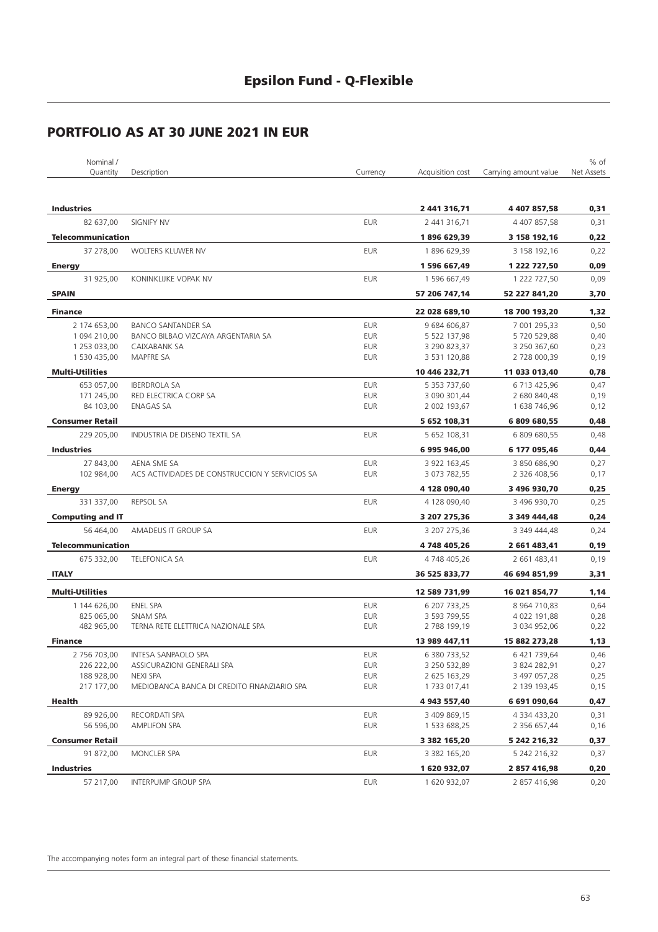| Nominal /                |                                                |            |                  |                       | % of       |
|--------------------------|------------------------------------------------|------------|------------------|-----------------------|------------|
| Quantity                 | Description                                    | Currency   | Acquisition cost | Carrying amount value | Net Assets |
|                          |                                                |            |                  |                       |            |
| <b>Industries</b>        |                                                |            | 2 441 316,71     | 4 407 857,58          | 0,31       |
| 82 637,00                | <b>SIGNIFY NV</b>                              | <b>EUR</b> | 2 441 316,71     | 4 407 857,58          | 0,31       |
| <b>Telecommunication</b> |                                                |            | 1896 629,39      | 3 158 192,16          | 0,22       |
| 37 278,00                | WOLTERS KLUWER NV                              | <b>EUR</b> | 1896 629,39      | 3 158 192,16          | 0,22       |
| <b>Energy</b>            |                                                |            | 1 596 667,49     | 1 222 727,50          | 0,09       |
| 31 925,00                | KONINKLIJKE VOPAK NV                           | <b>EUR</b> | 1 596 667,49     | 1 222 727,50          | 0,09       |
| <b>SPAIN</b>             |                                                |            | 57 206 747,14    | 52 227 841,20         | 3,70       |
| <b>Finance</b>           |                                                |            | 22 028 689,10    | 18 700 193,20         | 1,32       |
| 2 174 653,00             | BANCO SANTANDER SA                             | <b>EUR</b> | 9 684 606,87     | 7 001 295,33          | 0,50       |
| 1 094 210,00             | BANCO BILBAO VIZCAYA ARGENTARIA SA             | <b>EUR</b> | 5 522 137,98     | 5720529,88            | 0,40       |
| 1 253 033,00             | CAIXABANK SA                                   | <b>EUR</b> | 3 290 823,37     | 3 250 367,60          | 0,23       |
| 1 530 435,00             | MAPFRE SA                                      | <b>EUR</b> | 3 531 120,88     | 2 728 000,39          | 0,19       |
| <b>Multi-Utilities</b>   |                                                |            | 10 446 232,71    | 11 033 013,40         | 0,78       |
| 653 057,00               | <b>IBERDROLA SA</b>                            | <b>EUR</b> | 5 353 737,60     | 6 713 425,96          | 0,47       |
| 171 245,00               | RED ELECTRICA CORP SA                          | <b>EUR</b> | 3 090 301,44     | 2 680 840,48          | 0,19       |
| 84 103,00                | <b>ENAGAS SA</b>                               | <b>EUR</b> | 2 002 193,67     | 1 638 746,96          | 0,12       |
| <b>Consumer Retail</b>   |                                                |            | 5 652 108,31     | 6 809 680,55          | 0,48       |
| 229 205,00               | INDUSTRIA DE DISENO TEXTIL SA                  | <b>EUR</b> | 5 652 108,31     | 6 809 680,55          | 0,48       |
| <b>Industries</b>        |                                                |            | 6995946,00       | 6 177 095,46          | 0,44       |
| 27 843,00                | AENA SME SA                                    | <b>EUR</b> | 3 922 163,45     | 3 850 686,90          | 0,27       |
| 102 984,00               | ACS ACTIVIDADES DE CONSTRUCCION Y SERVICIOS SA | <b>EUR</b> | 3 073 782,55     | 2 326 408,56          | 0,17       |
| <b>Energy</b>            |                                                |            | 4 128 090,40     | 3 496 930,70          | 0,25       |
| 331 337,00               | <b>REPSOL SA</b>                               | <b>EUR</b> | 4 128 090,40     | 3 496 930,70          | 0,25       |
| <b>Computing and IT</b>  |                                                |            | 3 207 275,36     | 3 349 444,48          | 0,24       |
| 56 464,00                | AMADEUS IT GROUP SA                            | <b>EUR</b> | 3 207 275,36     | 3 349 444,48          | 0,24       |
| <b>Telecommunication</b> |                                                |            | 4748405,26       | 2 661 483,41          | 0, 19      |
| 675 332,00               | <b>TELEFONICA SA</b>                           | <b>EUR</b> | 4 748 405,26     | 2 661 483,41          | 0,19       |
| <b>ITALY</b>             |                                                |            | 36 525 833,77    | 46 694 851,99         | 3,31       |
| <b>Multi-Utilities</b>   |                                                |            | 12 589 731,99    | 16 021 854,77         | 1,14       |
| 1 144 626,00             | ENEL SPA                                       | <b>EUR</b> | 6 207 733,25     | 8 9 64 7 10,83        | 0,64       |
| 825 065,00               | SNAM SPA                                       | <b>EUR</b> | 3 593 799,55     | 4 022 191,88          | 0,28       |
| 482 965,00               | TERNA RETE ELETTRICA NAZIONALE SPA             | <b>EUR</b> | 2 788 199,19     | 3 034 952,06          | 0,22       |
| Finance                  |                                                |            | 13 989 447,11    | 15 882 273,28         | 1,13       |
| 2756703,00               | INTESA SANPAOLO SPA                            | <b>EUR</b> | 6 380 733,52     | 6 421 739,64          | 0,46       |
| 226 222,00               | ASSICURAZIONI GENERALI SPA                     | EUR        | 3 250 532,89     | 3 824 282,91          | 0,27       |
| 188 928,00               | <b>NEXI SPA</b>                                | EUR        | 2 625 163,29     | 3 497 057,28          | 0,25       |
| 217 177,00               | MEDIOBANCA BANCA DI CREDITO FINANZIARIO SPA    | EUR        | 1733 017,41      | 2 139 193,45          | 0,15       |
| Health                   |                                                |            | 4 943 557,40     | 6 691 090,64          | 0,47       |
| 89 926,00                | RECORDATI SPA                                  | EUR        | 3 409 869,15     | 4 334 433,20          | 0,31       |
| 56 596,00                | AMPLIFON SPA                                   | <b>EUR</b> | 1 533 688,25     | 2 356 657,44          | 0,16       |
| <b>Consumer Retail</b>   |                                                |            | 3 382 165,20     | 5 242 216,32          | 0,37       |
| 91 872,00                | MONCLER SPA                                    | <b>EUR</b> | 3 382 165,20     | 5 242 216,32          | 0,37       |
| <b>Industries</b>        |                                                |            | 1 620 932,07     | 2 857 416,98          | 0,20       |
| 57 217,00                | INTERPUMP GROUP SPA                            | <b>EUR</b> | 1 620 932,07     | 2 857 416,98          | 0,20       |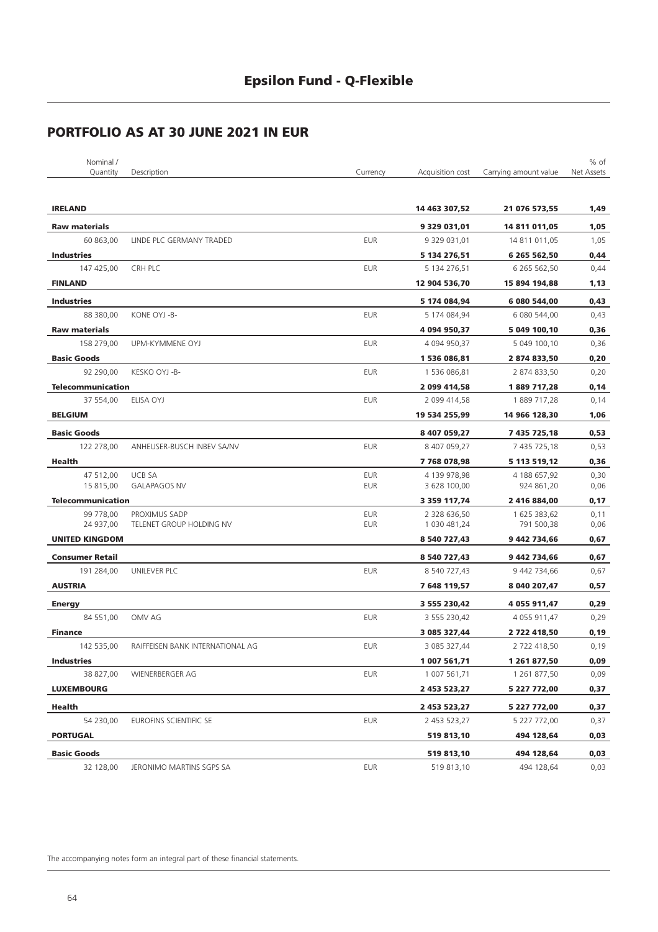| Nominal /                |                                  |            |                  |                       | % of       |
|--------------------------|----------------------------------|------------|------------------|-----------------------|------------|
| Quantity                 | Description                      | Currency   | Acquisition cost | Carrying amount value | Net Assets |
|                          |                                  |            |                  |                       |            |
| <b>IRELAND</b>           |                                  |            | 14 463 307,52    | 21 076 573,55         | 1,49       |
| <b>Raw materials</b>     |                                  |            | 9 329 031,01     | 14 811 011,05         | 1,05       |
| 60 863,00                | LINDE PLC GERMANY TRADED         | <b>EUR</b> | 9 329 031,01     | 14 811 011,05         | 1,05       |
| <b>Industries</b>        |                                  |            | 5 134 276,51     | 6 265 562,50          | 0,44       |
| 147 425,00               | CRH PLC                          | <b>EUR</b> | 5 134 276,51     | 6 265 562,50          | 0,44       |
| <b>FINLAND</b>           |                                  |            | 12 904 536,70    | 15 894 194,88         | 1,13       |
| <b>Industries</b>        |                                  |            | 5 174 084,94     | 6 080 544,00          | 0,43       |
| 88 380,00                | KONE OYJ -B-                     | <b>EUR</b> | 5 174 084,94     | 6 080 544,00          | 0,43       |
| <b>Raw materials</b>     |                                  |            | 4 094 950,37     | 5 049 100,10          | 0,36       |
| 158 279,00               | UPM-KYMMENE OYJ                  | <b>EUR</b> | 4 094 950,37     | 5 049 100,10          | 0,36       |
| <b>Basic Goods</b>       |                                  |            | 1 536 086,81     | 2 874 833,50          | 0,20       |
| 92 290,00                | KESKO OYJ -B-                    | <b>EUR</b> | 1 536 086,81     | 2 874 833,50          | 0,20       |
| <b>Telecommunication</b> |                                  |            | 2 099 414,58     | 1 889 717,28          | 0,14       |
| 37 554,00                | ELISA OYJ                        | <b>EUR</b> | 2 099 414,58     | 1889 717,28           | 0,14       |
| <b>BELGIUM</b>           |                                  |            | 19 534 255,99    | 14 966 128,30         | 1,06       |
| <b>Basic Goods</b>       |                                  |            | 8 407 059,27     | 7 435 725,18          | 0,53       |
| 122 278,00               | ANHEUSER-BUSCH INBEV SA/NV       | <b>EUR</b> | 8 407 059,27     | 7 435 725,18          | 0,53       |
| Health                   |                                  |            | 7768078,98       | 5 113 519,12          | 0,36       |
| 47 512,00                | <b>UCB SA</b>                    | <b>EUR</b> | 4 139 978,98     | 4 188 657,92          | 0,30       |
| 15 815,00                | <b>GALAPAGOS NV</b>              | <b>EUR</b> | 3 628 100,00     | 924 861,20            | 0,06       |
| <b>Telecommunication</b> |                                  |            | 3 359 117,74     | 2 416 884,00          | 0,17       |
| 99 778,00                | PROXIMUS SADP                    | <b>EUR</b> | 2 328 636,50     | 1 625 383,62          | 0,11       |
| 24 937,00                | TELENET GROUP HOLDING NV         | <b>EUR</b> | 1 030 481,24     | 791 500,38            | 0,06       |
| <b>UNITED KINGDOM</b>    |                                  |            | 8 540 727,43     | 9 442 734,66          | 0,67       |
| <b>Consumer Retail</b>   |                                  |            | 8 540 727,43     | 9 442 734,66          | 0,67       |
| 191 284,00               | UNILEVER PLC                     | <b>EUR</b> | 8 540 727,43     | 9 442 734,66          | 0,67       |
| <b>AUSTRIA</b>           |                                  |            | 7 648 119,57     | 8 040 207,47          | 0,57       |
| <b>Energy</b>            |                                  |            | 3 555 230,42     | 4 055 911,47          | 0,29       |
| 84 551,00                | OMV AG                           | <b>EUR</b> | 3 555 230,42     | 4 055 911,47          | 0,29       |
| <b>Finance</b>           |                                  |            | 3 085 327,44     | 2 722 418,50          | 0,19       |
| 142 535,00               | RAIFFEISEN BANK INTERNATIONAL AG | <b>EUR</b> | 3 085 327,44     | 2 722 418,50          | 0,19       |
| <b>Industries</b>        |                                  |            | 1 007 561,71     | 1 261 877,50          | 0,09       |
| 38 827,00                | WIENERBERGER AG                  | <b>EUR</b> | 1 007 561,71     | 1 261 877,50          | 0,09       |
| <b>LUXEMBOURG</b>        |                                  |            | 2 453 523,27     | 5 227 772,00          | 0,37       |
| Health                   |                                  |            | 2 453 523,27     | 5 227 772,00          | 0,37       |
| 54 230,00                | EUROFINS SCIENTIFIC SE           | EUR        | 2 453 523,27     | 5 227 772,00          | 0,37       |
| <b>PORTUGAL</b>          |                                  |            | 519 813,10       | 494 128,64            | 0,03       |
| <b>Basic Goods</b>       |                                  |            | 519 813,10       | 494 128,64            | 0,03       |
| 32 128,00                | JERONIMO MARTINS SGPS SA         | <b>EUR</b> | 519 813,10       | 494 128,64            | 0,03       |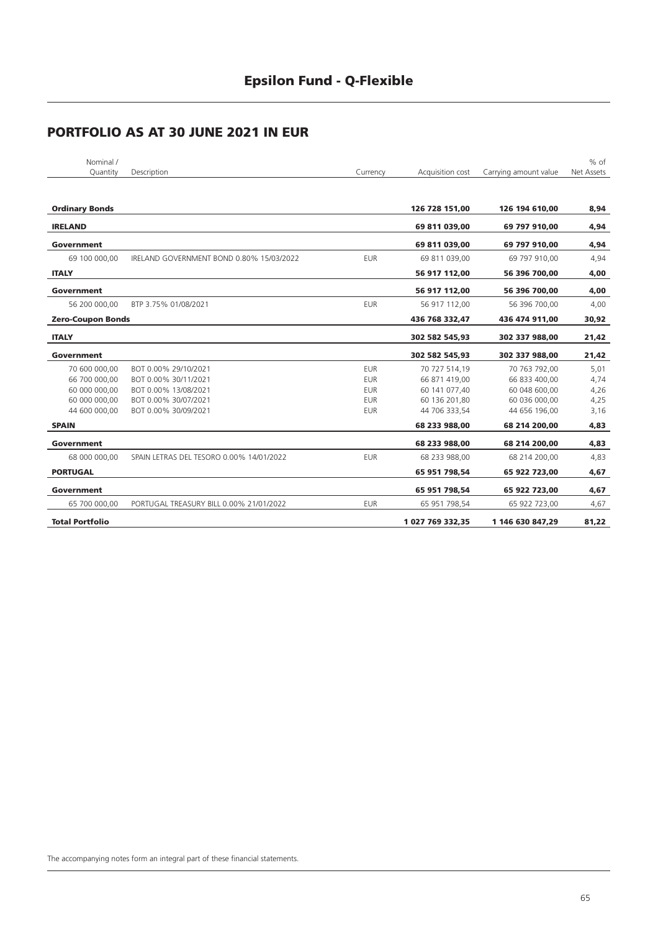| Nominal /                |                                          |            |                  |                       | $%$ of     |
|--------------------------|------------------------------------------|------------|------------------|-----------------------|------------|
| Quantity                 | Description                              | Currency   | Acquisition cost | Carrying amount value | Net Assets |
|                          |                                          |            |                  |                       |            |
| <b>Ordinary Bonds</b>    |                                          |            | 126 728 151,00   | 126 194 610,00        | 8,94       |
| <b>IRELAND</b>           |                                          |            | 69 811 039,00    | 69 797 910,00         | 4,94       |
| Government               |                                          |            | 69 811 039,00    | 69 797 910,00         | 4,94       |
| 69 100 000,00            | IRELAND GOVERNMENT BOND 0.80% 15/03/2022 | <b>EUR</b> | 69 811 039,00    | 69 797 910,00         | 4,94       |
| <b>ITALY</b>             |                                          |            | 56 917 112,00    | 56 396 700,00         | 4,00       |
| <b>Government</b>        |                                          |            | 56 917 112,00    | 56 396 700,00         | 4,00       |
| 56 200 000,00            | BTP 3.75% 01/08/2021                     | <b>EUR</b> | 56 917 112,00    | 56 396 700,00         | 4,00       |
| <b>Zero-Coupon Bonds</b> |                                          |            | 436 768 332,47   | 436 474 911,00        | 30,92      |
| <b>ITALY</b>             |                                          |            | 302 582 545,93   | 302 337 988,00        | 21,42      |
| Government               |                                          |            | 302 582 545,93   | 302 337 988,00        | 21,42      |
| 70 600 000.00            | BOT 0.00% 29/10/2021                     | <b>EUR</b> | 70 727 514.19    | 70 763 792.00         | 5,01       |
| 66 700 000,00            | BOT 0.00% 30/11/2021                     | <b>EUR</b> | 66 871 419,00    | 66 833 400,00         | 4,74       |
| 60 000 000.00            | BOT 0.00% 13/08/2021                     | <b>EUR</b> | 60 141 077.40    | 60 048 600.00         | 4,26       |
| 60 000 000,00            | BOT 0.00% 30/07/2021                     | <b>EUR</b> | 60 136 201,80    | 60 036 000,00         | 4,25       |
| 44 600 000,00            | BOT 0.00% 30/09/2021                     | <b>EUR</b> | 44 706 333.54    | 44 656 196,00         | 3,16       |
| <b>SPAIN</b>             |                                          |            | 68 233 988,00    | 68 214 200,00         | 4,83       |
| <b>Government</b>        |                                          |            | 68 233 988,00    | 68 214 200,00         | 4,83       |
| 68 000 000,00            | SPAIN LETRAS DEL TESORO 0.00% 14/01/2022 | <b>EUR</b> | 68 233 988,00    | 68 214 200,00         | 4,83       |
| <b>PORTUGAL</b>          |                                          |            | 65 951 798,54    | 65 922 723,00         | 4,67       |
| <b>Government</b>        |                                          |            | 65 951 798,54    | 65 922 723,00         | 4,67       |
| 65 700 000,00            | PORTUGAL TREASURY BILL 0.00% 21/01/2022  | <b>EUR</b> | 65 951 798,54    | 65 922 723,00         | 4,67       |
| <b>Total Portfolio</b>   |                                          |            | 1 027 769 332,35 | 1 146 630 847,29      | 81,22      |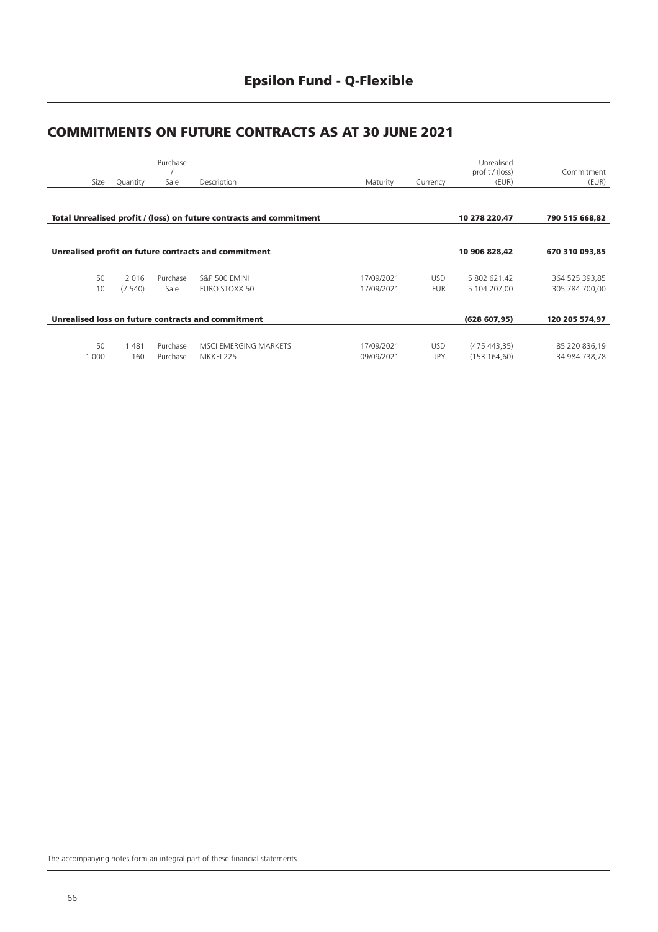# **Epsilon Fund - Q-Flexible**

### **COMMITMENTS ON FUTURE CONTRACTS AS AT 30 JUNE 2021**

|       |          | Purchase |                                                                     |            |            | Unrealised<br>profit / (loss) | Commitment     |
|-------|----------|----------|---------------------------------------------------------------------|------------|------------|-------------------------------|----------------|
| Size  | Quantity | Sale     | Description                                                         | Maturity   | Currency   | (EUR)                         | (EUR)          |
|       |          |          |                                                                     |            |            |                               |                |
|       |          |          | Total Unrealised profit / (loss) on future contracts and commitment |            |            | 10 278 220,47                 | 790 515 668,82 |
|       |          |          |                                                                     |            |            |                               |                |
|       |          |          | Unrealised profit on future contracts and commitment                |            |            | 10 906 828,42                 | 670 310 093,85 |
|       |          |          |                                                                     |            |            |                               |                |
| 50    | 2016     | Purchase | <b>S&amp;P 500 EMINI</b>                                            | 17/09/2021 | <b>USD</b> | 5 802 621,42                  | 364 525 393,85 |
| 10    | (7540)   | Sale     | EURO STOXX 50                                                       | 17/09/2021 | <b>EUR</b> | 5 104 207.00                  | 305 784 700.00 |
|       |          |          |                                                                     |            |            |                               |                |
|       |          |          | Unrealised loss on future contracts and commitment                  |            |            | (628607,95)                   | 120 205 574,97 |
|       |          |          |                                                                     |            |            |                               |                |
| 50    | 481      | Purchase | MSCI EMERGING MARKETS                                               | 17/09/2021 | <b>USD</b> | (475443,35)                   | 85 220 836,19  |
| 1 000 | 160      | Purchase | NIKKEI 225                                                          | 09/09/2021 | <b>JPY</b> | (153 164, 60)                 | 34 984 738,78  |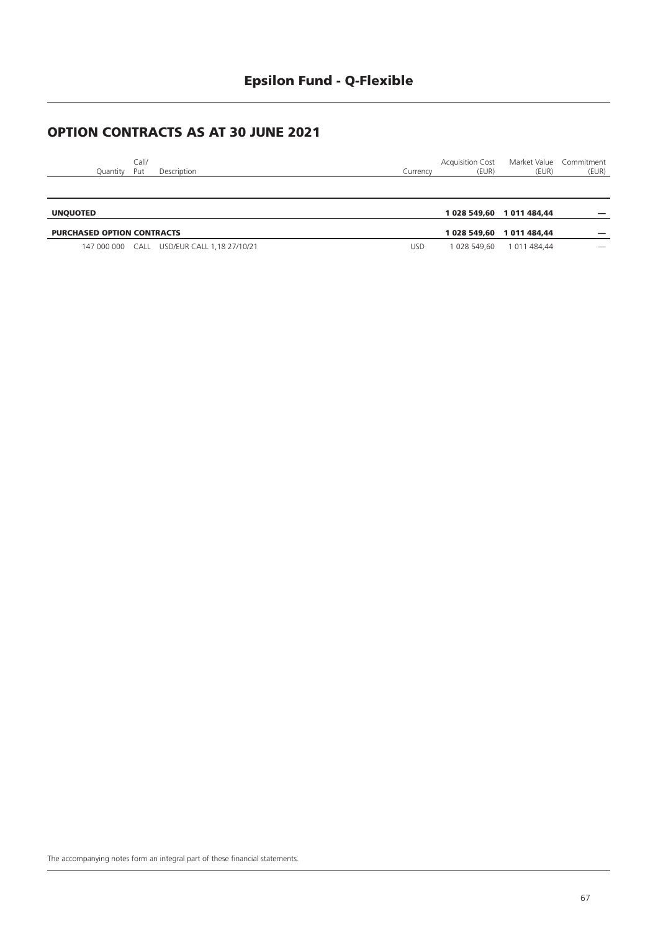### **OPTION CONTRACTS AS AT 30 JUNE 2021**

| <b>UNQUOTED</b> |              |             |  |          |                                                   | 1 028 549,60 1 011 484,44 |       |
|-----------------|--------------|-------------|--|----------|---------------------------------------------------|---------------------------|-------|
|                 |              |             |  |          |                                                   |                           |       |
| Quantity        | Call/<br>Put | Description |  | Currencv | Acquisition Cost Market Value Commitment<br>(EUR) | (EUR)                     | (EUR) |

| <b>PURCHASED OPTION CONTRACTS</b> |                                             |     |            |              |                          |
|-----------------------------------|---------------------------------------------|-----|------------|--------------|--------------------------|
|                                   | 147 000 000 CALL USD/EUR CALL 1.18 27/10/21 | JSC | 028 549.60 | 1 011 484.44 | $\overline{\phantom{a}}$ |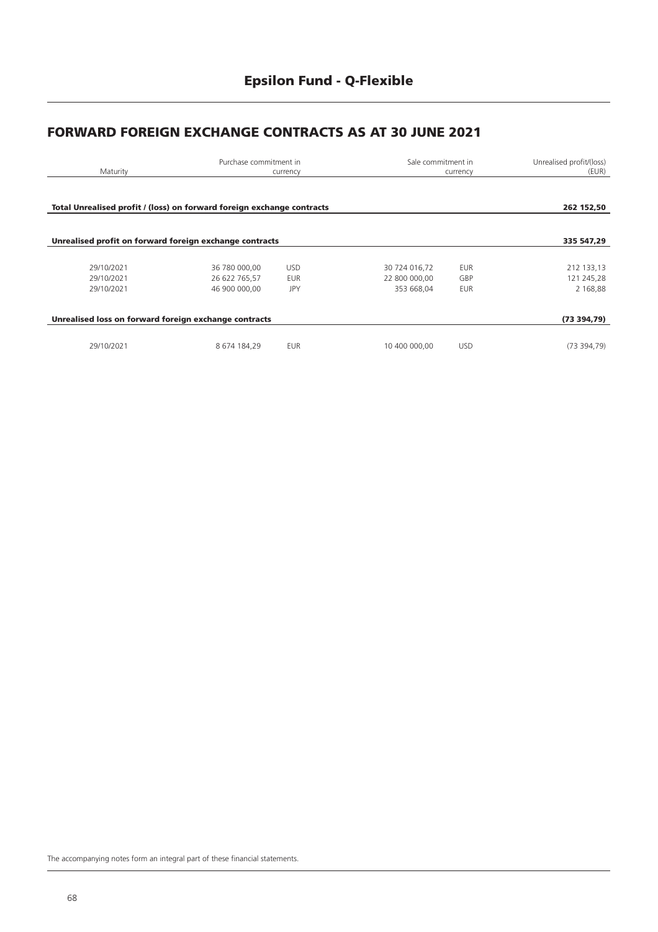### **FORWARD FOREIGN EXCHANGE CONTRACTS AS AT 30 JUNE 2021**

| Maturity                                                               | Purchase commitment in         | currency                 |                                | Sale commitment in<br>currency |                          |
|------------------------------------------------------------------------|--------------------------------|--------------------------|--------------------------------|--------------------------------|--------------------------|
| Total Unrealised profit / (loss) on forward foreign exchange contracts |                                |                          |                                |                                | 262 152,50               |
| Unrealised profit on forward foreign exchange contracts                |                                |                          |                                |                                | 335 547,29               |
| 29/10/2021<br>29/10/2021                                               | 36 780 000,00<br>26 622 765,57 | <b>USD</b><br><b>EUR</b> | 30 724 016,72<br>22 800 000,00 | <b>EUR</b><br>GBP              | 212 133,13<br>121 245,28 |
| 29/10/2021                                                             | 46 900 000,00                  | JPY                      | 353 668,04                     | <b>EUR</b>                     | 2 168,88                 |
| Unrealised loss on forward foreign exchange contracts                  |                                |                          |                                |                                | (73394,79)               |
| 29/10/2021                                                             | 8 674 184,29                   | <b>EUR</b>               | 10 400 000,00                  | <b>USD</b>                     | (73394,79)               |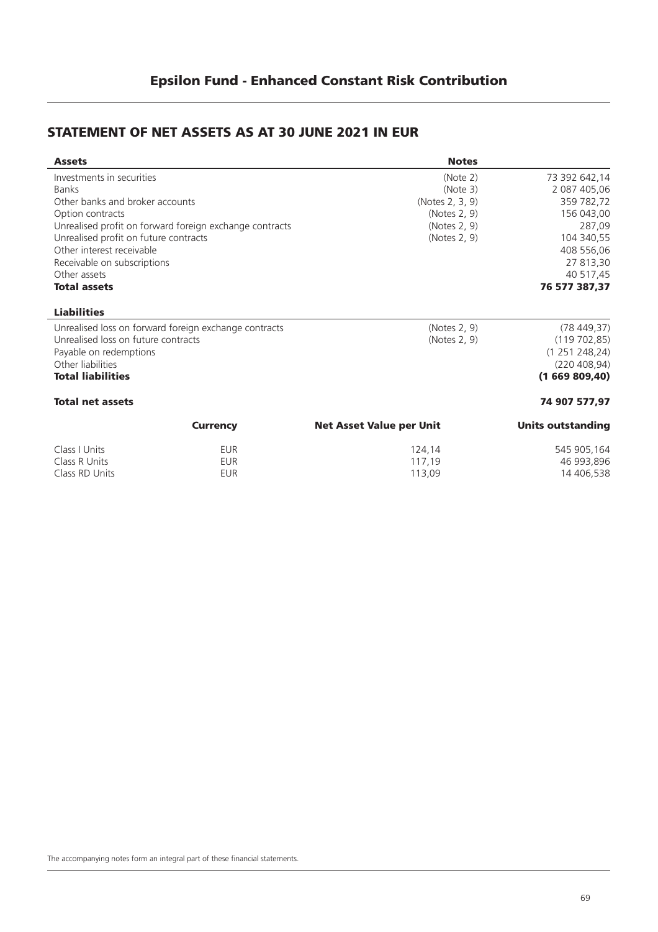#### **STATEMENT OF NET ASSETS AS AT 30 JUNE 2021 IN EUR**

| <b>Assets</b>                         |                                                         | <b>Notes</b>                    |                          |
|---------------------------------------|---------------------------------------------------------|---------------------------------|--------------------------|
| Investments in securities             |                                                         | (Note 2)                        | 73 392 642,14            |
| <b>Banks</b>                          |                                                         | (Note 3)                        | 2 087 405,06             |
| Other banks and broker accounts       |                                                         | (Notes 2, 3, 9)                 | 359 782,72               |
| Option contracts                      |                                                         | (Notes 2, 9)                    | 156 043,00               |
|                                       | Unrealised profit on forward foreign exchange contracts | (Notes 2, 9)                    | 287,09                   |
| Unrealised profit on future contracts |                                                         | (Notes 2, 9)                    | 104 340,55               |
| Other interest receivable             |                                                         |                                 | 408 556,06               |
| Receivable on subscriptions           |                                                         |                                 | 27 813,30                |
| Other assets                          |                                                         |                                 | 40 517,45                |
| <b>Total assets</b>                   |                                                         |                                 | 76 577 387,37            |
| <b>Liabilities</b>                    |                                                         |                                 |                          |
|                                       | Unrealised loss on forward foreign exchange contracts   | (Notes 2, 9)                    | (78449,37)               |
| Unrealised loss on future contracts   |                                                         | (Notes 2, 9)                    | (119702,85)              |
| Payable on redemptions                |                                                         |                                 | (1251248,24)             |
| Other liabilities                     |                                                         |                                 | (220 408, 94)            |
| <b>Total liabilities</b>              |                                                         |                                 | (1669809,40)             |
| <b>Total net assets</b>               |                                                         |                                 | 74 907 577,97            |
|                                       | <b>Currency</b>                                         | <b>Net Asset Value per Unit</b> | <b>Units outstanding</b> |
| Class I Units                         | <b>EUR</b>                                              | 124,14                          | 545 905,164              |
| Class R Units                         | <b>EUR</b>                                              | 117,19                          | 46 993,896               |

Class RD Units **EUR** 113,09 14 406,538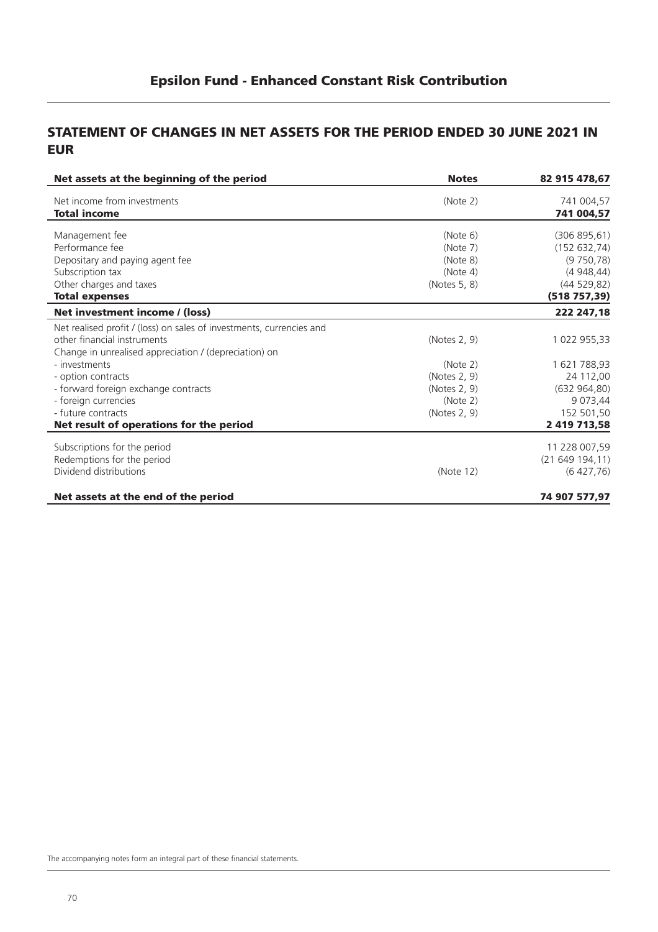#### **STATEMENT OF CHANGES IN NET ASSETS FOR THE PERIOD ENDED 30 JUNE 2021 IN EUR**

| Net assets at the beginning of the period                            | <b>Notes</b> | 82 915 478,67 |
|----------------------------------------------------------------------|--------------|---------------|
| Net income from investments                                          | (Note 2)     | 741 004,57    |
| <b>Total income</b>                                                  |              | 741 004,57    |
| Management fee                                                       | (Note 6)     | (306 895, 61) |
| Performance fee                                                      | (Note 7)     | (152 632, 74) |
| Depositary and paying agent fee                                      | (Note 8)     | (9750,78)     |
| Subscription tax                                                     | (Note 4)     | (4948, 44)    |
| Other charges and taxes                                              | (Notes 5, 8) | (44529,82)    |
| <b>Total expenses</b>                                                |              | (518757, 39)  |
| Net investment income / (loss)                                       |              | 222 247,18    |
| Net realised profit / (loss) on sales of investments, currencies and |              |               |
| other financial instruments                                          | (Notes 2, 9) | 1 022 955,33  |
| Change in unrealised appreciation / (depreciation) on                |              |               |
| - investments                                                        | (Note 2)     | 1 621 788,93  |
| - option contracts                                                   | (Notes 2, 9) | 24 112,00     |
| - forward foreign exchange contracts                                 | (Notes 2, 9) | (632964,80)   |
| - foreign currencies                                                 | (Note 2)     | 9 0 73,44     |
| - future contracts                                                   | (Notes 2, 9) | 152 501,50    |
| Net result of operations for the period                              |              | 2 419 713,58  |
| Subscriptions for the period                                         |              | 11 228 007,59 |
| Redemptions for the period                                           |              | (21649194,11) |
| Dividend distributions                                               | (Note 12)    | (6427,76)     |
| Net assets at the end of the period                                  |              | 74 907 577,97 |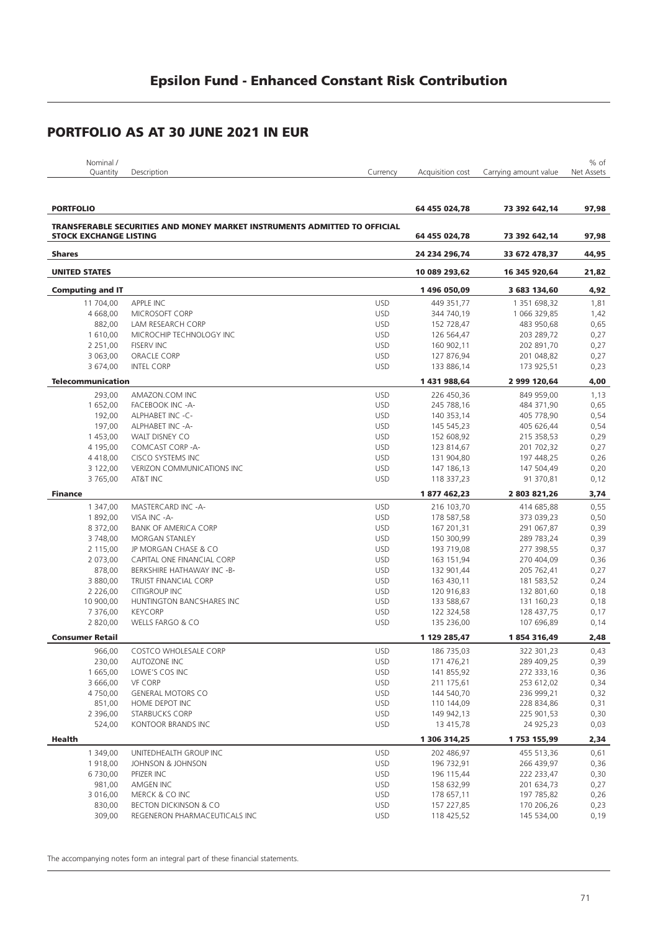| Nominal /        |             |          |                  |                       | % of       |
|------------------|-------------|----------|------------------|-----------------------|------------|
| <b>J</b> uantity | Description | Currencv | Acquisition cost | Carrying amount value | Net Assets |
|                  |             |          |                  |                       |            |

| <b>PORTFOLIO</b>              |                                                                           |            | 64 455 024,78            | 73 392 642,14            | 97,98 |
|-------------------------------|---------------------------------------------------------------------------|------------|--------------------------|--------------------------|-------|
|                               | TRANSFERABLE SECURITIES AND MONEY MARKET INSTRUMENTS ADMITTED TO OFFICIAL |            |                          |                          |       |
| <b>STOCK EXCHANGE LISTING</b> |                                                                           |            | 64 455 024,78            | 73 392 642,14            | 97,98 |
| <b>Shares</b>                 |                                                                           |            | 24 234 296,74            | 33 672 478,37            | 44,95 |
| <b>UNITED STATES</b>          |                                                                           |            | 10 089 293,62            | 16 345 920,64            | 21,82 |
| <b>Computing and IT</b>       |                                                                           |            | 1496 050,09              | 3 683 134,60             | 4,92  |
| 11 704,00                     | APPLE INC                                                                 | <b>USD</b> | 449 351,77               | 1 351 698,32             | 1,81  |
| 4 668.00                      | MICROSOFT CORP                                                            | <b>USD</b> | 344 740,19               | 1 066 329,85             | 1,42  |
| 882,00                        | LAM RESEARCH CORP                                                         | <b>USD</b> | 152 728,47               | 483 950,68               | 0,65  |
| 1 610,00                      | MICROCHIP TECHNOLOGY INC                                                  | <b>USD</b> | 126 564,47               | 203 289,72               | 0,27  |
| 2 2 5 1 , 0 0                 | <b>FISERV INC</b>                                                         | <b>USD</b> | 160 902,11               | 202 891,70               | 0,27  |
| 3 063,00                      | ORACLE CORP                                                               | <b>USD</b> | 127 876,94               | 201 048,82               | 0,27  |
| 3 674,00                      | <b>INTEL CORP</b>                                                         | <b>USD</b> | 133 886,14               | 173 925,51               | 0,23  |
| <b>Telecommunication</b>      |                                                                           |            | 1431988,64               | 2 999 120,64             | 4,00  |
| 293,00                        | AMAZON.COM INC                                                            | <b>USD</b> | 226 450,36               | 849 959,00               | 1,13  |
| 1 652,00                      | FACEBOOK INC -A-                                                          | <b>USD</b> | 245 788,16               | 484 371,90               | 0,65  |
| 192,00                        | ALPHABET INC -C-                                                          | <b>USD</b> | 140 353,14               | 405 778,90               | 0,54  |
| 197,00                        | ALPHABET INC -A-                                                          | <b>USD</b> | 145 545,23               | 405 626,44               | 0,54  |
| 1 453,00                      | <b>WALT DISNEY CO</b>                                                     | <b>USD</b> |                          |                          | 0,29  |
|                               | COMCAST CORP-A-                                                           |            | 152 608,92               | 215 358,53               |       |
| 4 195,00<br>4 4 1 8 , 0 0     | CISCO SYSTEMS INC                                                         | <b>USD</b> | 123 814,67<br>131 904,80 | 201 702,32<br>197 448,25 | 0,27  |
|                               | <b>VERIZON COMMUNICATIONS INC</b>                                         | <b>USD</b> |                          |                          | 0,26  |
| 3 122,00                      |                                                                           | <b>USD</b> | 147 186,13               | 147 504,49               | 0,20  |
| 3765,00                       | AT&T INC                                                                  | <b>USD</b> | 118 337,23               | 91 370,81                | 0,12  |
| <b>Finance</b>                |                                                                           |            | 1877462,23               | 2 803 821,26             | 3,74  |
| 1 347,00                      | MASTERCARD INC -A-                                                        | <b>USD</b> | 216 103,70               | 414 685,88               | 0,55  |
| 1892,00                       | VISA INC -A-                                                              | <b>USD</b> | 178 587,58               | 373 039,23               | 0,50  |
| 8 372,00                      | <b>BANK OF AMERICA CORP</b>                                               | <b>USD</b> | 167 201,31               | 291 067,87               | 0,39  |
| 3748,00                       | MORGAN STANLEY                                                            | <b>USD</b> | 150 300,99               | 289 783,24               | 0,39  |
| 2 115,00                      | JP MORGAN CHASE & CO                                                      | <b>USD</b> | 193 719,08               | 277 398,55               | 0,37  |
| 2 073,00                      | CAPITAL ONE FINANCIAL CORP                                                | <b>USD</b> | 163 151,94               | 270 404,09               | 0,36  |
| 878,00                        | BERKSHIRE HATHAWAY INC -B-                                                | <b>USD</b> | 132 901,44               | 205 762,41               | 0,27  |
| 3 880,00                      | <b>TRUIST FINANCIAL CORP</b>                                              | <b>USD</b> | 163 430,11               | 181 583,52               | 0,24  |
| 2 2 2 6 , 0 0                 | <b>CITIGROUP INC</b>                                                      | <b>USD</b> | 120 916,83               | 132 801,60               | 0,18  |
| 10 900,00                     | HUNTINGTON BANCSHARES INC                                                 | <b>USD</b> | 133 588,67               | 131 160,23               | 0,18  |
| 7 376,00                      | <b>KEYCORP</b>                                                            | <b>USD</b> | 122 324,58               | 128 437,75               | 0,17  |
| 2 820,00                      | WELLS FARGO & CO                                                          | <b>USD</b> | 135 236,00               | 107 696,89               | 0,14  |
| <b>Consumer Retail</b>        |                                                                           |            | 1 129 285,47             | 1854316,49               | 2,48  |
| 966,00                        | COSTCO WHOLESALE CORP                                                     | <b>USD</b> | 186 735,03               | 322 301,23               | 0,43  |
| 230,00                        | <b>AUTOZONE INC</b>                                                       | <b>USD</b> | 171 476,21               | 289 409,25               | 0,39  |
| 1 665,00                      | LOWE'S COS INC                                                            | <b>USD</b> | 141 855,92               | 272 333,16               | 0,36  |
| 3 666,00                      | <b>VF CORP</b>                                                            | <b>USD</b> | 211 175,61               | 253 612,02               | 0,34  |
| 4 750,00                      | <b>GENERAL MOTORS CO</b>                                                  | <b>USD</b> | 144 540,70               | 236 999,21               | 0,32  |
| 851,00                        | HOME DEPOT INC                                                            | <b>USD</b> | 110 144,09               | 228 834,86               | 0,31  |
| 2 396,00                      | <b>STARBUCKS CORP</b>                                                     | USD        | 149 942,13               | 225 901,53               | 0,30  |
| 524,00                        | KONTOOR BRANDS INC                                                        | <b>USD</b> | 13 415,78                | 24 925,23                | 0,03  |
|                               |                                                                           |            |                          |                          |       |
| Health                        |                                                                           |            | 1 306 314,25             | 1753 155,99              | 2,34  |
| 1 349,00                      | UNITEDHEALTH GROUP INC                                                    | <b>USD</b> | 202 486,97               | 455 513,36               | 0,61  |
| 1918,00                       | JOHNSON & JOHNSON                                                         | <b>USD</b> | 196 732,91               | 266 439,97               | 0,36  |
| 6 730,00                      | PFIZER INC                                                                | <b>USD</b> | 196 115,44               | 222 233,47               | 0,30  |
| 981,00                        | AMGEN INC                                                                 | <b>USD</b> | 158 632,99               | 201 634,73               | 0,27  |
| 3 016,00                      | MERCK & CO INC                                                            | <b>USD</b> | 178 657,11               | 197 785,82               | 0,26  |
| 830,00                        | <b>BECTON DICKINSON &amp; CO</b>                                          | <b>USD</b> | 157 227,85               | 170 206,26               | 0,23  |
| 309,00                        | REGENERON PHARMACEUTICALS INC                                             | <b>USD</b> | 118 425,52               | 145 534,00               | 0,19  |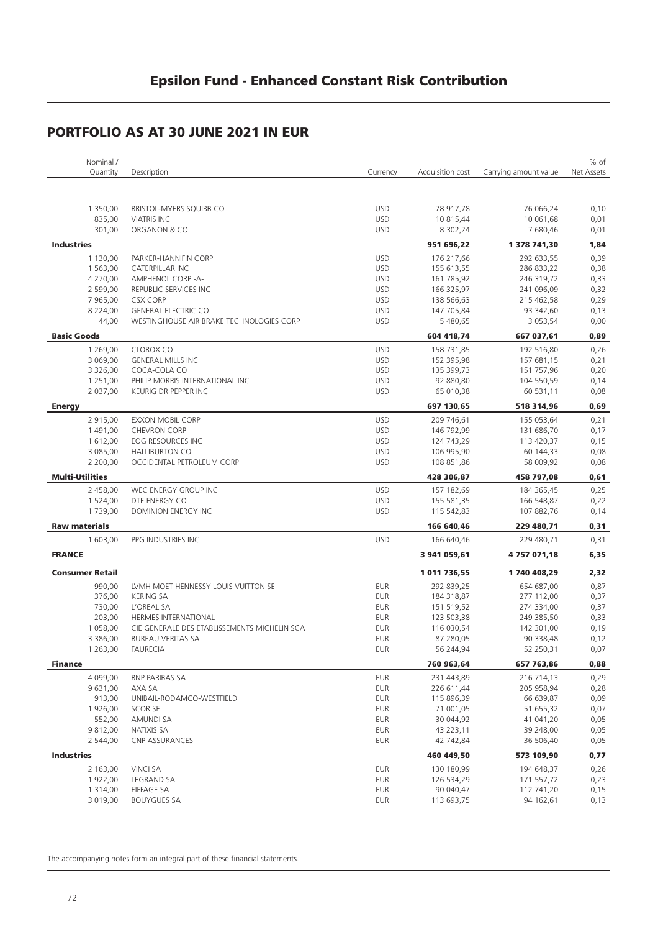| Nominal /              |                                              |            |                  |                       | % of       |
|------------------------|----------------------------------------------|------------|------------------|-----------------------|------------|
| Quantity               | Description                                  | Currency   | Acquisition cost | Carrying amount value | Net Assets |
|                        |                                              |            |                  |                       |            |
|                        |                                              |            |                  |                       |            |
| 1 350,00               | BRISTOL-MYERS SQUIBB CO                      | <b>USD</b> | 78 917,78        | 76 066,24             | 0,10       |
| 835,00                 | <b>VIATRIS INC</b>                           | <b>USD</b> | 10 815,44        | 10 061,68             | 0,01       |
| 301,00                 | ORGANON & CO                                 | <b>USD</b> | 8 302,24         | 7 680,46              | 0,01       |
| <b>Industries</b>      |                                              |            | 951 696,22       | 1 378 741,30          | 1,84       |
|                        |                                              |            |                  |                       |            |
| 1 130,00               | PARKER-HANNIFIN CORP                         | <b>USD</b> | 176 217,66       | 292 633,55            | 0,39       |
| 1 563,00               | <b>CATERPILLAR INC</b>                       | <b>USD</b> | 155 613,55       | 286 833,22            | 0,38       |
| 4 270,00               | AMPHENOL CORP -A-                            | <b>USD</b> | 161 785,92       | 246 319,72            | 0,33       |
| 2 599,00               | REPUBLIC SERVICES INC                        | <b>USD</b> | 166 325,97       | 241 096,09            | 0,32       |
| 7 965,00               | <b>CSX CORP</b>                              | <b>USD</b> | 138 566,63       | 215 462,58            | 0,29       |
| 8 2 2 4 , 0 0          | <b>GENERAL ELECTRIC CO</b>                   | <b>USD</b> | 147 705,84       | 93 342,60             | 0,13       |
| 44,00                  | WESTINGHOUSE AIR BRAKE TECHNOLOGIES CORP     | <b>USD</b> | 5 480,65         | 3 0 5 3 , 5 4         | 0,00       |
| <b>Basic Goods</b>     |                                              |            | 604 418,74       | 667 037,61            | 0,89       |
| 1 269,00               | CLOROX CO                                    | <b>USD</b> | 158 731,85       | 192 516,80            | 0,26       |
| 3 069,00               | <b>GENERAL MILLS INC</b>                     | <b>USD</b> | 152 395,98       | 157 681,15            | 0,21       |
| 3 3 2 6 , 0 0          | COCA-COLA CO                                 | <b>USD</b> | 135 399,73       | 151 757,96            | 0,20       |
| 1 251,00               | PHILIP MORRIS INTERNATIONAL INC              | <b>USD</b> | 92 880,80        | 104 550,59            | 0,14       |
| 2 037,00               | KEURIG DR PEPPER INC                         | <b>USD</b> | 65 010,38        | 60 531,11             | 0,08       |
|                        |                                              |            |                  |                       |            |
| <b>Energy</b>          |                                              |            | 697 130,65       | 518 314,96            | 0,69       |
| 2 915,00               | <b>EXXON MOBIL CORP</b>                      | <b>USD</b> | 209 746,61       | 155 053,64            | 0,21       |
| 1 491,00               | <b>CHEVRON CORP</b>                          | <b>USD</b> | 146 792,99       | 131 686,70            | 0,17       |
| 1 612,00               | EOG RESOURCES INC                            | <b>USD</b> | 124 743,29       | 113 420,37            | 0,15       |
| 3 085,00               | <b>HALLIBURTON CO</b>                        | <b>USD</b> | 106 995,90       | 60 144,33             | 0,08       |
| 2 200,00               | OCCIDENTAL PETROLEUM CORP                    | <b>USD</b> | 108 851,86       | 58 009,92             | 0,08       |
| <b>Multi-Utilities</b> |                                              |            | 428 306,87       | 458 797,08            | 0,61       |
| 2 458,00               | WEC ENERGY GROUP INC                         | <b>USD</b> | 157 182,69       | 184 365,45            | 0,25       |
| 1 524,00               | DTE ENERGY CO                                | <b>USD</b> | 155 581,35       | 166 548,87            | 0,22       |
| 1739,00                | DOMINION ENERGY INC                          | <b>USD</b> | 115 542,83       | 107 882,76            | 0,14       |
| <b>Raw materials</b>   |                                              |            | 166 640,46       | 229 480,71            | 0,31       |
|                        |                                              |            |                  |                       |            |
| 1 603,00               | PPG INDUSTRIES INC                           | <b>USD</b> | 166 640,46       | 229 480,71            | 0,31       |
| <b>FRANCE</b>          |                                              |            | 3 941 059,61     | 4757071,18            | 6,35       |
| <b>Consumer Retail</b> |                                              |            | 1011736,55       | 1740 408,29           | 2,32       |
| 990,00                 | LVMH MOET HENNESSY LOUIS VUITTON SE          | <b>EUR</b> | 292 839,25       | 654 687,00            | 0,87       |
| 376,00                 | <b>KERING SA</b>                             | <b>EUR</b> | 184 318,87       | 277 112,00            | 0,37       |
| 730,00                 | L'OREAL SA                                   | <b>EUR</b> | 151 519,52       | 274 334,00            | 0,37       |
| 203,00                 | HERMES INTERNATIONAL                         | <b>EUR</b> | 123 503,38       | 249 385,50            | 0,33       |
| 1 058,00               | CIE GENERALE DES ETABLISSEMENTS MICHELIN SCA | <b>EUR</b> | 116 030,54       | 142 301,00            | 0,19       |
| 3 386,00               | <b>BUREAU VERITAS SA</b>                     | <b>EUR</b> | 87 280,05        | 90 338,48             | 0,12       |
| 1 263,00               | <b>FAURECIA</b>                              | <b>EUR</b> | 56 244,94        | 52 250,31             | 0,07       |
|                        |                                              |            |                  |                       |            |
| <b>Finance</b>         |                                              |            | 760 963,64       | 657 763,86            | 0,88       |
| 4 099,00               | <b>BNP PARIBAS SA</b>                        | <b>EUR</b> | 231 443,89       | 216 714,13            | 0,29       |
| 9 631,00               | AXA SA                                       | <b>EUR</b> | 226 611,44       | 205 958,94            | 0,28       |
| 913,00                 | UNIBAIL-RODAMCO-WESTFIELD                    | <b>EUR</b> | 115 896,39       | 66 639,87             | 0,09       |
| 1 926,00               | <b>SCOR SE</b>                               | <b>EUR</b> | 71 001,05        | 51 655,32             | 0,07       |
| 552,00                 | AMUNDI SA                                    | <b>EUR</b> | 30 044,92        | 41 041,20             | 0,05       |
| 9 812,00               | NATIXIS SA                                   | EUR        | 43 223,11        | 39 248,00             | 0,05       |
| 2 544,00               | <b>CNP ASSURANCES</b>                        | <b>EUR</b> | 42 742,84        | 36 506,40             | 0,05       |
| <b>Industries</b>      |                                              |            | 460 449,50       | 573 109,90            | 0,77       |
| 2 163,00               | <b>VINCI SA</b>                              | <b>EUR</b> | 130 180,99       | 194 648,37            | 0,26       |
| 1 922,00               | LEGRAND SA                                   | <b>EUR</b> | 126 534,29       | 171 557,72            | 0,23       |
| 1 3 1 4 , 0 0          | <b>EIFFAGE SA</b>                            | EUR        | 90 040,47        | 112 741,20            | 0,15       |
| 3 019,00               | <b>BOUYGUES SA</b>                           | <b>EUR</b> | 113 693,75       | 94 162,61             | 0,13       |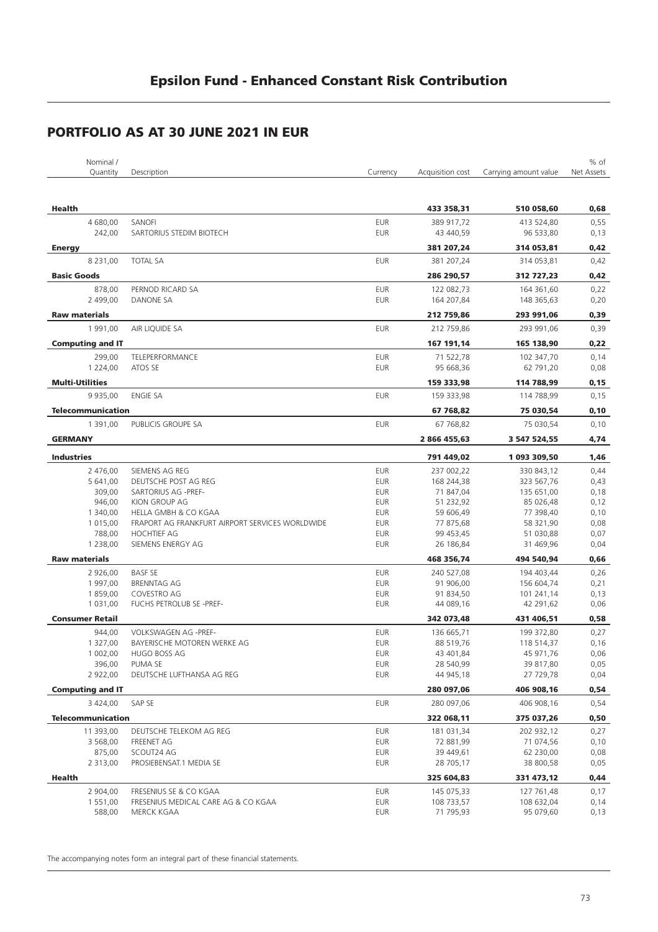|                        | Nominal /                |                                                 |                          |                  |                       | % of         |
|------------------------|--------------------------|-------------------------------------------------|--------------------------|------------------|-----------------------|--------------|
|                        | Quantity                 | Description                                     | Currency                 | Acquisition cost | Carrying amount value | Net Assets   |
|                        |                          |                                                 |                          |                  |                       |              |
|                        |                          |                                                 |                          |                  |                       |              |
| Health                 |                          |                                                 |                          | 433 358,31       | 510 058,60            | 0,68         |
|                        | 4 680,00                 | SANOFI                                          | <b>EUR</b>               | 389 917,72       | 413 524,80            | 0,55         |
|                        | 242,00                   | SARTORIUS STEDIM BIOTECH                        | <b>EUR</b>               | 43 440,59        | 96 533,80             | 0,13         |
| <b>Energy</b>          |                          |                                                 |                          | 381 207,24       | 314 053,81            | 0,42         |
|                        | 8 2 3 1 , 0 0            | <b>TOTAL SA</b>                                 | <b>EUR</b>               | 381 207,24       | 314 053,81            | 0,42         |
|                        |                          |                                                 |                          |                  |                       |              |
| <b>Basic Goods</b>     |                          |                                                 |                          | 286 290,57       | 312 727,23            | 0,42         |
|                        | 878,00                   | PERNOD RICARD SA                                | <b>EUR</b>               | 122 082,73       | 164 361,60            | 0,22         |
|                        | 2 499,00                 | DANONE SA                                       | <b>EUR</b>               | 164 207,84       | 148 365,63            | 0,20         |
| <b>Raw materials</b>   |                          |                                                 |                          | 212 759,86       | 293 991,06            | 0,39         |
|                        | 1 991,00                 | AIR LIQUIDE SA                                  | <b>EUR</b>               | 212 759,86       | 293 991,06            | 0,39         |
|                        | <b>Computing and IT</b>  |                                                 |                          | 167 191,14       | 165 138,90            | 0,22         |
|                        |                          |                                                 |                          |                  |                       |              |
|                        | 299,00<br>1 2 2 4 , 0 0  | TELEPERFORMANCE<br>ATOS SE                      | <b>EUR</b><br><b>EUR</b> | 71 522,78        | 102 347,70            | 0,14<br>0,08 |
|                        |                          |                                                 |                          | 95 668,36        | 62 791,20             |              |
| <b>Multi-Utilities</b> |                          |                                                 |                          | 159 333,98       | 114 788,99            | 0,15         |
|                        | 9 9 3 5,00               | <b>ENGIE SA</b>                                 | <b>EUR</b>               | 159 333,98       | 114 788,99            | 0,15         |
|                        | <b>Telecommunication</b> |                                                 |                          | 67 768,82        | 75 030,54             | 0, 10        |
|                        | 1 391,00                 | PUBLICIS GROUPE SA                              | <b>EUR</b>               | 67 768,82        | 75 030,54             | 0,10         |
|                        |                          |                                                 |                          |                  |                       |              |
| <b>GERMANY</b>         |                          |                                                 |                          | 2 866 455,63     | 3 547 524,55          | 4,74         |
| <b>Industries</b>      |                          |                                                 |                          | 791 449,02       | 1 093 309,50          | 1,46         |
|                        | 2 476,00                 | SIEMENS AG REG                                  | <b>EUR</b>               | 237 002,22       | 330 843,12            | 0,44         |
|                        | 5 641,00                 | DEUTSCHE POST AG REG                            | <b>EUR</b>               | 168 244,38       | 323 567,76            | 0,43         |
|                        | 309,00                   | SARTORIUS AG -PREF-                             | <b>EUR</b>               | 71 847,04        | 135 651,00            | 0,18         |
|                        | 946,00                   | KION GROUP AG                                   | <b>EUR</b>               | 51 232,92        | 85 026,48             | 0,12         |
|                        | 1 340,00                 | HELLA GMBH & CO KGAA                            | <b>EUR</b>               | 59 606,49        | 77 398,40             | 0,10         |
|                        | 1 015,00                 | FRAPORT AG FRANKFURT AIRPORT SERVICES WORLDWIDE | <b>EUR</b>               | 77 875,68        | 58 321,90             | 0,08         |
|                        | 788,00                   | <b>HOCHTIEF AG</b>                              | <b>EUR</b>               | 99 453,45        | 51 030,88             | 0,07         |
|                        | 1 2 3 8,00               | SIEMENS ENERGY AG                               | <b>EUR</b>               | 26 186,84        | 31 469,96             | 0,04         |
|                        |                          |                                                 |                          |                  |                       |              |
| <b>Raw materials</b>   |                          |                                                 |                          | 468 356,74       | 494 540,94            | 0,66         |
|                        | 2 926,00                 | <b>BASF SE</b>                                  | <b>EUR</b>               | 240 527,08       | 194 403,44            | 0,26         |
|                        | 1 997,00                 | <b>BRENNTAG AG</b>                              | <b>EUR</b>               | 91 906,00        | 156 604,74            | 0,21         |
|                        | 1859,00                  | COVESTRO AG                                     | EUR                      | 91 834,50        | 101 241,14            | 0,13         |
|                        | 1 031,00                 | FUCHS PETROLUB SE -PREF-                        | <b>EUR</b>               | 44 089,16        | 42 291,62             | 0,06         |
| <b>Consumer Retail</b> |                          |                                                 |                          | 342 073,48       | 431 406,51            | 0,58         |
|                        | 944,00                   | VOLKSWAGEN AG -PREF-                            | <b>EUR</b>               | 136 665,71       | 199 372,80            | 0,27         |
|                        | 1 327,00                 | BAYERISCHE MOTOREN WERKE AG                     | <b>EUR</b>               | 88 519,76        | 118 514,37            | 0,16         |
|                        | 1 002,00                 | HUGO BOSS AG                                    | <b>EUR</b>               | 43 401,84        | 45 971,76             | 0,06         |
|                        | 396,00                   | PUMA SE                                         | <b>EUR</b>               | 28 540,99        | 39 817,80             | 0,05         |
|                        | 2 922,00                 | DEUTSCHE LUFTHANSA AG REG                       | <b>EUR</b>               | 44 945,18        | 27 729,78             | 0,04         |
|                        | <b>Computing and IT</b>  |                                                 |                          | 280 097,06       | 406 908,16            | 0,54         |
|                        |                          |                                                 |                          |                  |                       |              |
|                        | 3 424,00                 | SAP SE                                          | <b>EUR</b>               | 280 097,06       | 406 908,16            | 0,54         |
|                        | <b>Telecommunication</b> |                                                 |                          | 322 068,11       | 375 037,26            | 0,50         |
|                        | 11 393,00                | DEUTSCHE TELEKOM AG REG                         | <b>EUR</b>               | 181 031,34       | 202 932,12            | 0,27         |
|                        | 3 568,00                 | FREENET AG                                      | <b>EUR</b>               | 72 881,99        | 71 074,56             | 0,10         |
|                        | 875,00                   | SCOUT24 AG                                      | EUR                      | 39 449,61        | 62 230,00             | 0,08         |
|                        | 2 313,00                 | PROSIEBENSAT.1 MEDIA SE                         | EUR                      | 28 705,17        | 38 800,58             | 0,05         |
| Health                 |                          |                                                 |                          | 325 604,83       | 331 473,12            | 0,44         |
|                        | 2 904,00                 | FRESENIUS SE & CO KGAA                          | <b>EUR</b>               | 145 075,33       | 127 761,48            | 0,17         |
|                        | 1 551,00                 | FRESENIUS MEDICAL CARE AG & CO KGAA             | EUR                      | 108 733,57       | 108 632,04            | 0,14         |
|                        | 588,00                   | MERCK KGAA                                      | <b>EUR</b>               | 71 795,93        | 95 079,60             | 0,13         |
|                        |                          |                                                 |                          |                  |                       |              |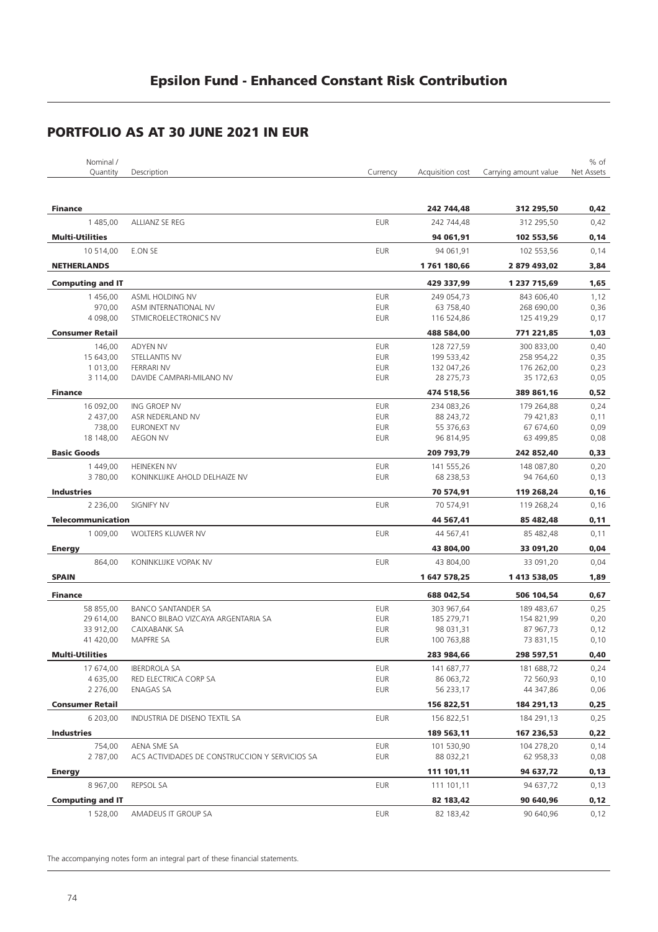| Nominal /                |                                                |                          |                         |                        | % of         |
|--------------------------|------------------------------------------------|--------------------------|-------------------------|------------------------|--------------|
| Quantity                 | Description                                    | Currency                 | Acquisition cost        | Carrying amount value  | Net Assets   |
|                          |                                                |                          |                         |                        |              |
| <b>Finance</b>           |                                                |                          | 242 744,48              | 312 295,50             | 0,42         |
| 1 485,00                 | ALLIANZ SE REG                                 | <b>EUR</b>               | 242 744,48              | 312 295,50             | 0,42         |
| <b>Multi-Utilities</b>   |                                                |                          | 94 061,91               | 102 553,56             | 0,14         |
| 10 514,00                | E.ON SE                                        | <b>EUR</b>               | 94 061,91               | 102 553,56             | 0,14         |
| <b>NETHERLANDS</b>       |                                                |                          | 1761 180,66             | 2 879 493,02           | 3,84         |
| <b>Computing and IT</b>  |                                                |                          | 429 337,99              | 1 237 715,69           | 1,65         |
| 1456,00                  | ASML HOLDING NV                                | <b>EUR</b>               | 249 054,73              | 843 606,40             | 1,12         |
| 970,00                   | ASM INTERNATIONAL NV                           | <b>EUR</b>               | 63 758,40               | 268 690,00             | 0,36         |
| 4 098,00                 | STMICROELECTRONICS NV                          | <b>EUR</b>               | 116 524,86              | 125 419,29             | 0,17         |
| <b>Consumer Retail</b>   |                                                |                          | 488 584,00              | 771 221,85             | 1,03         |
| 146,00                   | <b>ADYEN NV</b>                                | <b>EUR</b>               | 128 727,59              | 300 833,00             | 0,40         |
| 15 643,00                | STELLANTIS NV                                  | <b>EUR</b>               | 199 533,42              | 258 954,22             | 0,35         |
| 1 013,00                 | <b>FERRARI NV</b>                              | <b>EUR</b>               | 132 047,26              | 176 262,00             | 0,23         |
| 3 114,00                 | DAVIDE CAMPARI-MILANO NV                       | <b>EUR</b>               | 28 275,73               | 35 172,63              | 0,05         |
| <b>Finance</b>           |                                                |                          | 474 518,56              | 389 861,16             | 0,52         |
| 16 092,00                | ING GROEP NV                                   | <b>EUR</b>               | 234 083,26              | 179 264,88             | 0,24         |
| 2 437,00                 | ASR NEDERLAND NV                               | <b>EUR</b>               | 88 243,72               | 79 421,83              | 0,11         |
| 738,00                   | <b>EURONEXT NV</b>                             | <b>EUR</b>               | 55 376,63               | 67 674,60              | 0,09         |
| 18 148,00                | <b>AEGON NV</b>                                | <b>EUR</b>               | 96 814,95               | 63 499,85              | 0,08         |
| <b>Basic Goods</b>       |                                                |                          | 209 793,79              | 242 852,40             | 0,33         |
| 1 449,00                 | <b>HEINEKEN NV</b>                             | <b>EUR</b>               | 141 555,26              | 148 087,80             | 0,20         |
| 3780,00                  | KONINKLIJKE AHOLD DELHAIZE NV                  | <b>EUR</b>               | 68 238,53               | 94 764,60              | 0,13         |
| <b>Industries</b>        |                                                |                          | 70 574,91               | 119 268,24             | 0, 16        |
| 2 2 3 6,00               | SIGNIFY NV                                     | <b>EUR</b>               | 70 574,91               | 119 268,24             | 0,16         |
| <b>Telecommunication</b> |                                                |                          | 44 567,41               | 85 482,48              | 0,11         |
| 1 009,00                 | WOLTERS KLUWER NV                              | <b>EUR</b>               | 44 567,41               | 85 482,48              | 0,11         |
| <b>Energy</b>            |                                                |                          | 43 804,00               | 33 091,20              | 0,04         |
| 864,00                   | KONINKLIJKE VOPAK NV                           | <b>EUR</b>               | 43 804,00               | 33 091,20              | 0,04         |
| <b>SPAIN</b>             |                                                |                          | 1 647 578,25            | 1 413 538,05           | 1,89         |
|                          |                                                |                          |                         |                        |              |
| <b>Finance</b>           |                                                |                          | 688 042,54              | 506 104,54             | 0,67         |
| 58 855,00                | <b>BANCO SANTANDER SA</b>                      | <b>EUR</b>               | 303 967,64              | 189 483,67             | 0,25         |
| 29 614,00                | BANCO BILBAO VIZCAYA ARGENTARIA SA             | <b>EUR</b>               | 185 279,71              | 154 821,99             | 0,20         |
| 33 912,00<br>41 420,00   | CAIXABANK SA<br><b>MAPFRE SA</b>               | <b>EUR</b><br><b>EUR</b> | 98 031,31<br>100 763,88 | 87 967,73<br>73 831,15 | 0,12<br>0,10 |
| <b>Multi-Utilities</b>   |                                                |                          | 283 984,66              | 298 597,51             | 0,40         |
| 17 674,00                | <b>IBERDROLA SA</b>                            | <b>EUR</b>               | 141 687,77              | 181 688,72             |              |
| 4 635,00                 | RED ELECTRICA CORP SA                          | <b>EUR</b>               | 86 063,72               | 72 560,93              | 0,24<br>0,10 |
| 2 276,00                 | <b>ENAGAS SA</b>                               | EUR                      | 56 233,17               | 44 347,86              | 0,06         |
| <b>Consumer Retail</b>   |                                                |                          | 156 822,51              | 184 291,13             | 0,25         |
| 6 203,00                 |                                                | <b>EUR</b>               |                         |                        |              |
|                          | INDUSTRIA DE DISENO TEXTIL SA                  |                          | 156 822,51              | 184 291,13             | 0,25         |
| <b>Industries</b>        |                                                |                          | 189 563,11              | 167 236,53             | 0,22         |
| 754,00                   | AENA SME SA                                    | <b>EUR</b>               | 101 530,90              | 104 278,20             | 0,14         |
| 2 787,00                 | ACS ACTIVIDADES DE CONSTRUCCION Y SERVICIOS SA | <b>EUR</b>               | 88 032,21               | 62 958,33              | 0,08         |
| <b>Energy</b>            |                                                |                          | 111 101,11              | 94 637,72              | 0,13         |
| 8 967,00                 | REPSOL SA                                      | <b>EUR</b>               | 111 101,11              | 94 637,72              | 0,13         |
| <b>Computing and IT</b>  |                                                |                          | 82 183,42               | 90 640,96              | 0,12         |
| 1 528,00                 | AMADEUS IT GROUP SA                            | EUR                      | 82 183,42               | 90 640,96              | 0,12         |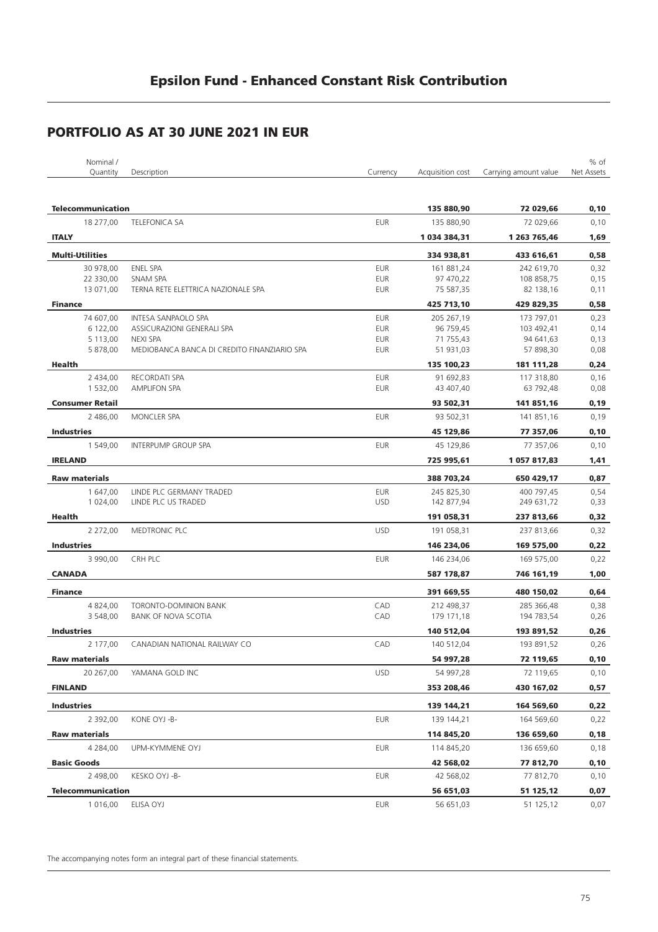| Nominal /                |                                                     |            |                  |                       | % of       |
|--------------------------|-----------------------------------------------------|------------|------------------|-----------------------|------------|
| Quantity                 | Description                                         | Currency   | Acquisition cost | Carrying amount value | Net Assets |
|                          |                                                     |            |                  |                       |            |
|                          |                                                     |            |                  |                       |            |
| <b>Telecommunication</b> |                                                     |            | 135 880,90       | 72 029,66             | 0,10       |
| 18 277,00                | <b>TELEFONICA SA</b>                                | <b>EUR</b> | 135 880,90       | 72 029,66             | 0,10       |
| <b>ITALY</b>             |                                                     |            | 1 034 384,31     | 1 263 765,46          | 1,69       |
| <b>Multi-Utilities</b>   |                                                     |            | 334 938,81       | 433 616,61            | 0,58       |
| 30 978,00                | ENEL SPA                                            | <b>EUR</b> | 161 881,24       | 242 619,70            | 0,32       |
| 22 330,00                | <b>SNAM SPA</b>                                     | <b>EUR</b> | 97 470,22        | 108 858,75            | 0,15       |
| 13 071,00                | TERNA RETE ELETTRICA NAZIONALE SPA                  | EUR        | 75 587,35        | 82 138,16             | 0,11       |
| <b>Finance</b>           |                                                     |            | 425 713,10       | 429 829,35            | 0,58       |
| 74 607,00                | INTESA SANPAOLO SPA                                 | <b>EUR</b> | 205 267,19       | 173 797,01            | 0,23       |
| 6 122,00                 | ASSICURAZIONI GENERALI SPA                          | EUR        | 96 759,45        | 103 492,41            | 0,14       |
| 5 113,00                 | <b>NEXI SPA</b>                                     | <b>EUR</b> | 71 755,43        | 94 641,63             | 0,13       |
| 5 878,00                 | MEDIOBANCA BANCA DI CREDITO FINANZIARIO SPA         | EUR        | 51 931,03        | 57 898,30             | 0,08       |
|                          |                                                     |            |                  |                       |            |
| Health                   |                                                     |            | 135 100,23       | 181 111,28            | 0,24       |
| 2 434,00                 | RECORDATI SPA                                       | <b>EUR</b> | 91 692,83        | 117 318,80            | 0,16       |
| 1 532,00                 | AMPLIFON SPA                                        | <b>EUR</b> | 43 407,40        | 63 792,48             | 0,08       |
| <b>Consumer Retail</b>   |                                                     |            | 93 502,31        | 141 851,16            | 0,19       |
| 2 486,00                 | MONCLER SPA                                         | <b>EUR</b> | 93 502,31        | 141 851,16            | 0,19       |
| <b>Industries</b>        |                                                     |            | 45 129,86        | 77 357,06             | 0,10       |
| 1 549,00                 | <b>INTERPUMP GROUP SPA</b>                          | <b>EUR</b> | 45 129,86        | 77 357,06             | 0,10       |
| <b>IRELAND</b>           |                                                     |            | 725 995,61       | 1057817,83            | 1,41       |
|                          |                                                     |            |                  |                       |            |
| <b>Raw materials</b>     |                                                     |            | 388 703,24       | 650 429,17            | 0,87       |
| 1 647,00                 | LINDE PLC GERMANY TRADED                            | <b>EUR</b> | 245 825,30       | 400 797,45            | 0,54       |
| 1 024,00                 | LINDE PLC US TRADED                                 | <b>USD</b> | 142 877,94       | 249 631,72            | 0,33       |
| Health                   |                                                     |            | 191 058,31       | 237 813,66            | 0,32       |
| 2 272,00                 | MEDTRONIC PLC                                       | <b>USD</b> | 191 058,31       | 237 813,66            | 0,32       |
| <b>Industries</b>        |                                                     |            | 146 234,06       | 169 575,00            | 0,22       |
| 3 990,00                 | CRH PLC                                             | <b>EUR</b> | 146 234,06       | 169 575,00            | 0,22       |
| <b>CANADA</b>            |                                                     |            | 587 178,87       | 746 161,19            | 1,00       |
|                          |                                                     |            |                  |                       |            |
| <b>Finance</b>           |                                                     |            | 391 669,55       | 480 150,02            | 0,64       |
| 4 824,00<br>3 548,00     | TORONTO-DOMINION BANK<br><b>BANK OF NOVA SCOTIA</b> | CAD<br>CAD | 212 498,37       | 285 366,48            | 0,38       |
|                          |                                                     |            | 179 171,18       | 194 783,54            | 0,26       |
| <b>Industries</b>        |                                                     |            | 140 512,04       | 193 891,52            | 0,26       |
| 2 177,00                 | CANADIAN NATIONAL RAILWAY CO                        | CAD        | 140 512,04       | 193 891,52            | 0,26       |
| <b>Raw materials</b>     |                                                     |            | 54 997,28        | 72 119,65             | 0,10       |
| 20 267,00                | YAMANA GOLD INC                                     | <b>USD</b> | 54 997,28        | 72 119,65             | 0,10       |
| <b>FINLAND</b>           |                                                     |            | 353 208,46       | 430 167,02            | 0,57       |
| <b>Industries</b>        |                                                     |            | 139 144,21       | 164 569,60            | 0,22       |
| 2 392,00                 | KONE OYJ -B-                                        | <b>EUR</b> | 139 144,21       | 164 569,60            | 0,22       |
|                          |                                                     |            |                  |                       |            |
| <b>Raw materials</b>     |                                                     |            | 114 845,20       | 136 659,60            | 0,18       |
| 4 2 8 4 , 0 0            | UPM-KYMMENE OYJ                                     | EUR        | 114 845,20       | 136 659,60            | 0,18       |
| <b>Basic Goods</b>       |                                                     |            | 42 568,02        | 77 812,70             | 0,10       |
| 2 498,00                 | KESKO OYJ -B-                                       | EUR        | 42 568,02        | 77 812,70             | 0,10       |
| <b>Telecommunication</b> |                                                     |            | 56 651,03        | 51 125,12             | 0,07       |
| 1 016,00                 | ELISA OYJ                                           | <b>EUR</b> | 56 651,03        | 51 125,12             | 0,07       |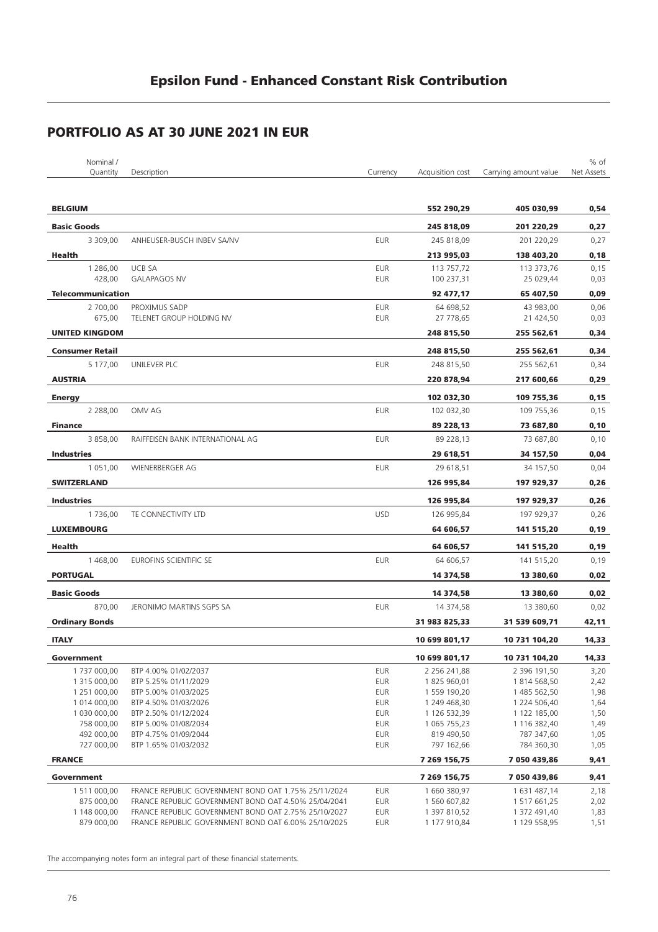| Nominal /                     |                                                      |                          |                              |                              | % of         |
|-------------------------------|------------------------------------------------------|--------------------------|------------------------------|------------------------------|--------------|
| Quantity                      | Description                                          | Currency                 | Acquisition cost             | Carrying amount value        | Net Assets   |
|                               |                                                      |                          |                              |                              |              |
| <b>BELGIUM</b>                |                                                      |                          | 552 290,29                   | 405 030,99                   | 0,54         |
| <b>Basic Goods</b>            |                                                      |                          | 245 818,09                   | 201 220,29                   | 0,27         |
| 3 309,00                      | ANHEUSER-BUSCH INBEV SA/NV                           | <b>EUR</b>               | 245 818,09                   | 201 220,29                   | 0,27         |
| Health                        |                                                      |                          | 213 995,03                   | 138 403,20                   | 0,18         |
| 1 286,00                      | <b>UCB SA</b>                                        | <b>EUR</b>               | 113 757,72                   | 113 373,76                   | 0,15         |
| 428,00                        | <b>GALAPAGOS NV</b>                                  | <b>EUR</b>               | 100 237,31                   | 25 029,44                    | 0,03         |
| <b>Telecommunication</b>      |                                                      |                          | 92 477,17                    | 65 407,50                    | 0,09         |
| 2 700,00<br>675,00            | PROXIMUS SADP                                        | <b>EUR</b><br><b>EUR</b> | 64 698,52                    | 43 983,00                    | 0,06         |
|                               | TELENET GROUP HOLDING NV                             |                          | 27 778,65                    | 21 424,50                    | 0,03         |
| <b>UNITED KINGDOM</b>         |                                                      |                          | 248 815,50                   | 255 562,61                   | 0,34         |
| <b>Consumer Retail</b>        |                                                      |                          | 248 815,50                   | 255 562,61                   | 0,34         |
| 5 177,00                      | UNILEVER PLC                                         | <b>EUR</b>               | 248 815,50                   | 255 562,61                   | 0,34         |
| <b>AUSTRIA</b>                |                                                      |                          | 220 878,94                   | 217 600,66                   | 0,29         |
| <b>Energy</b>                 |                                                      |                          | 102 032,30                   | 109 755,36                   | 0,15         |
| 2 2 88,00                     | OMV AG                                               | <b>EUR</b>               | 102 032,30                   | 109 755,36                   | 0,15         |
| <b>Finance</b>                |                                                      |                          | 89 228,13                    | 73 687,80                    | 0,10         |
| 3 858,00                      | RAIFFEISEN BANK INTERNATIONAL AG                     | <b>EUR</b>               | 89 228,13                    | 73 687,80                    | 0,10         |
| <b>Industries</b>             |                                                      |                          | 29 618,51                    | 34 157,50                    | 0,04         |
| 1 051,00                      | WIENERBERGER AG                                      | <b>EUR</b>               | 29 618,51                    | 34 157,50                    | 0,04         |
| <b>SWITZERLAND</b>            |                                                      |                          | 126 995,84                   | 197 929,37                   | 0,26         |
|                               |                                                      |                          |                              |                              |              |
| <b>Industries</b><br>1 736,00 |                                                      | <b>USD</b>               | 126 995,84                   | 197 929,37                   | 0,26         |
|                               | TE CONNECTIVITY LTD                                  |                          | 126 995,84                   | 197 929,37                   | 0,26         |
| <b>LUXEMBOURG</b>             |                                                      |                          | 64 606,57                    | 141 515,20                   | 0,19         |
| Health                        |                                                      |                          | 64 606,57                    | 141 515,20                   | 0,19         |
| 1 468,00                      | EUROFINS SCIENTIFIC SE                               | <b>EUR</b>               | 64 606,57                    | 141 515,20                   | 0,19         |
| <b>PORTUGAL</b>               |                                                      |                          | 14 374,58                    | 13 380,60                    | 0,02         |
| <b>Basic Goods</b>            |                                                      |                          | 14 374,58                    | 13 380,60                    | 0,02         |
| 870.00                        | JERONIMO MARTINS SGPS SA                             | <b>EUR</b>               | 14 374,58                    | 13 380,60                    | 0,02         |
| <b>Ordinary Bonds</b>         |                                                      |                          | 31 983 825,33                | 31 539 609,71                | 42,11        |
| <b>ITALY</b>                  |                                                      |                          | 10 699 801,17                | 10 731 104,20                | 14,33        |
| Government                    |                                                      |                          | 10 699 801,17                | 10 731 104,20                | 14,33        |
| 1737000,00                    | BTP 4.00% 01/02/2037                                 | <b>EUR</b>               | 2 256 241,88                 | 2 396 191,50                 | 3,20         |
| 1 315 000,00                  | BTP 5.25% 01/11/2029                                 | <b>EUR</b>               | 1825 960,01                  | 1814 568,50                  | 2,42         |
| 1 251 000,00                  | BTP 5.00% 01/03/2025                                 | <b>EUR</b>               | 1 559 190,20                 | 1 485 562,50                 | 1,98         |
| 1 014 000,00                  | BTP 4.50% 01/03/2026                                 | <b>EUR</b>               | 1 249 468,30                 | 1 224 506,40                 | 1,64         |
| 1 030 000,00<br>758 000,00    | BTP 2.50% 01/12/2024<br>BTP 5.00% 01/08/2034         | <b>EUR</b><br><b>EUR</b> | 1 126 532,39<br>1 065 755,23 | 1 122 185,00<br>1 116 382,40 | 1,50<br>1,49 |
| 492 000,00                    | BTP 4.75% 01/09/2044                                 | <b>EUR</b>               | 819 490,50                   | 787 347,60                   | 1,05         |
| 727 000,00                    | BTP 1.65% 01/03/2032                                 | <b>EUR</b>               | 797 162,66                   | 784 360,30                   | 1,05         |
| <b>FRANCE</b>                 |                                                      |                          | 7 269 156,75                 | 7 050 439,86                 | 9,41         |
| Government                    |                                                      |                          |                              | 7 050 439,86                 |              |
| 1511000,00                    | FRANCE REPUBLIC GOVERNMENT BOND OAT 1.75% 25/11/2024 | <b>EUR</b>               | 7 269 156,75<br>1 660 380,97 | 1 631 487,14                 | 9,41<br>2,18 |
| 875 000,00                    | FRANCE REPUBLIC GOVERNMENT BOND OAT 4.50% 25/04/2041 | <b>EUR</b>               | 1 560 607,82                 | 1 517 661,25                 | 2,02         |
| 1 148 000,00                  | FRANCE REPUBLIC GOVERNMENT BOND OAT 2.75% 25/10/2027 | <b>EUR</b>               | 1 397 810,52                 | 1 372 491,40                 | 1,83         |
| 879 000,00                    | FRANCE REPUBLIC GOVERNMENT BOND OAT 6.00% 25/10/2025 | EUR                      | 1 177 910,84                 | 1 129 558,95                 | 1,51         |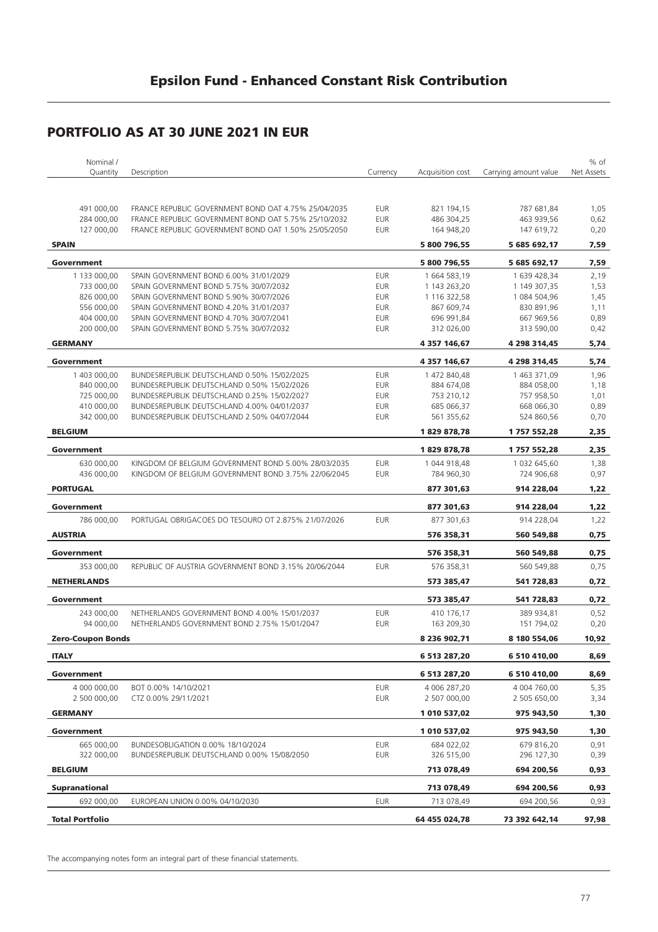| Nominal /                |                                                      |            |                  |                       | % of       |
|--------------------------|------------------------------------------------------|------------|------------------|-----------------------|------------|
| Quantity                 | Description                                          | Currency   | Acquisition cost | Carrying amount value | Net Assets |
|                          |                                                      |            |                  |                       |            |
|                          |                                                      |            |                  |                       |            |
| 491 000,00               | FRANCE REPUBLIC GOVERNMENT BOND OAT 4.75% 25/04/2035 | <b>EUR</b> | 821 194,15       | 787 681,84            | 1,05       |
| 284 000,00               | FRANCE REPUBLIC GOVERNMENT BOND OAT 5.75% 25/10/2032 | <b>EUR</b> | 486 304,25       | 463 939,56            | 0,62       |
| 127 000,00               | FRANCE REPUBLIC GOVERNMENT BOND OAT 1.50% 25/05/2050 | <b>EUR</b> | 164 948,20       | 147 619,72            | 0,20       |
| <b>SPAIN</b>             |                                                      |            | 5 800 796,55     | 5 685 692,17          | 7,59       |
| Government               |                                                      |            | 5 800 796,55     | 5 685 692,17          | 7,59       |
| 1 133 000,00             | SPAIN GOVERNMENT BOND 6.00% 31/01/2029               | <b>EUR</b> | 1 664 583,19     | 1 639 428,34          | 2,19       |
| 733 000.00               | SPAIN GOVERNMENT BOND 5.75% 30/07/2032               | <b>EUR</b> | 1 143 263,20     | 1 149 307,35          | 1,53       |
| 826 000,00               | SPAIN GOVERNMENT BOND 5.90% 30/07/2026               | <b>EUR</b> | 1 116 322,58     | 1 084 504,96          | 1,45       |
| 556 000,00               | SPAIN GOVERNMENT BOND 4.20% 31/01/2037               | <b>EUR</b> | 867 609,74       | 830 891,96            | 1,11       |
| 404 000,00               | SPAIN GOVERNMENT BOND 4.70% 30/07/2041               | <b>EUR</b> | 696 991,84       | 667 969,56            | 0,89       |
| 200 000,00               | SPAIN GOVERNMENT BOND 5.75% 30/07/2032               | <b>EUR</b> | 312 026,00       | 313 590,00            | 0,42       |
|                          |                                                      |            |                  |                       |            |
| <b>GERMANY</b>           |                                                      |            | 4 357 146,67     | 4 298 314,45          | 5,74       |
| Government               |                                                      |            | 4 357 146,67     | 4 298 314,45          | 5,74       |
| 1 403 000,00             | BUNDESREPUBLIK DEUTSCHLAND 0.50% 15/02/2025          | <b>EUR</b> | 1 472 840,48     | 1 463 371,09          | 1,96       |
| 840 000,00               | BUNDESREPUBLIK DEUTSCHLAND 0.50% 15/02/2026          | <b>EUR</b> | 884 674,08       | 884 058,00            | 1,18       |
| 725 000,00               | BUNDESREPUBLIK DEUTSCHLAND 0.25% 15/02/2027          | <b>EUR</b> | 753 210,12       | 757 958,50            | 1,01       |
| 410 000,00               | BUNDESREPUBLIK DEUTSCHLAND 4.00% 04/01/2037          | <b>EUR</b> | 685 066,37       | 668 066,30            | 0,89       |
| 342 000,00               | BUNDESREPUBLIK DEUTSCHLAND 2.50% 04/07/2044          | <b>EUR</b> | 561 355,62       | 524 860,56            | 0,70       |
| <b>BELGIUM</b>           |                                                      |            | 1829878,78       | 1757552,28            | 2,35       |
| Government               |                                                      |            | 1829878,78       | 1 757 552,28          | 2,35       |
| 630 000,00               | KINGDOM OF BELGIUM GOVERNMENT BOND 5.00% 28/03/2035  | <b>EUR</b> | 1 044 918,48     | 1 032 645,60          | 1,38       |
| 436 000,00               | KINGDOM OF BELGIUM GOVERNMENT BOND 3.75% 22/06/2045  | <b>EUR</b> | 784 960,30       | 724 906,68            | 0,97       |
| <b>PORTUGAL</b>          |                                                      |            |                  |                       |            |
|                          |                                                      |            | 877 301,63       | 914 228,04            | 1,22       |
| Government               |                                                      |            | 877 301,63       | 914 228,04            | 1,22       |
| 786 000,00               | PORTUGAL OBRIGACOES DO TESOURO OT 2.875% 21/07/2026  | <b>EUR</b> | 877 301,63       | 914 228,04            | 1,22       |
| <b>AUSTRIA</b>           |                                                      |            | 576 358,31       | 560 549,88            | 0,75       |
| Government               |                                                      |            | 576 358,31       | 560 549,88            | 0,75       |
| 353 000,00               | REPUBLIC OF AUSTRIA GOVERNMENT BOND 3.15% 20/06/2044 | <b>EUR</b> | 576 358,31       | 560 549,88            | 0,75       |
| <b>NETHERLANDS</b>       |                                                      |            | 573 385,47       | 541 728,83            | 0,72       |
|                          |                                                      |            |                  |                       |            |
| Government               |                                                      |            | 573 385,47       | 541 728,83            | 0,72       |
| 243 000.00               | NETHERLANDS GOVERNMENT BOND 4.00% 15/01/2037         | <b>EUR</b> | 410 176,17       | 389 934.81            | 0,52       |
| 94 000,00                | NETHERLANDS GOVERNMENT BOND 2.75% 15/01/2047         | <b>EUR</b> | 163 209,30       | 151 794,02            | 0,20       |
| <b>Zero-Coupon Bonds</b> |                                                      |            | 8 236 902,71     | 8 180 554,06          | 10,92      |
| <b>ITALY</b>             |                                                      |            | 6 513 287,20     | 6 510 410,00          | 8,69       |
| Government               |                                                      |            | 6 513 287,20     | 6 510 410,00          | 8,69       |
| 4 000 000,00             | BOT 0.00% 14/10/2021                                 | EUR        | 4 006 287,20     | 4 004 760,00          | 5,35       |
| 2 500 000,00             | CTZ 0.00% 29/11/2021                                 | <b>EUR</b> | 2 507 000,00     | 2 505 650,00          | 3,34       |
|                          |                                                      |            |                  |                       |            |
| <b>GERMANY</b>           |                                                      |            | 1 010 537,02     | 975 943,50            | 1,30       |
| Government               |                                                      |            | 1 010 537,02     | 975 943,50            | 1,30       |
| 665 000,00               | BUNDESOBLIGATION 0.00% 18/10/2024                    | <b>EUR</b> | 684 022,02       | 679 816,20            | 0,91       |
| 322 000,00               | BUNDESREPUBLIK DEUTSCHLAND 0.00% 15/08/2050          | EUR        | 326 515,00       | 296 127,30            | 0,39       |
| <b>BELGIUM</b>           |                                                      |            | 713 078,49       | 694 200,56            | 0,93       |
| <b>Supranational</b>     |                                                      |            | 713 078,49       | 694 200,56            | 0,93       |
| 692 000,00               | EUROPEAN UNION 0.00% 04/10/2030                      | EUR        | 713 078,49       | 694 200,56            | 0,93       |
|                          |                                                      |            |                  |                       |            |
| <b>Total Portfolio</b>   |                                                      |            | 64 455 024,78    | 73 392 642,14         | 97,98      |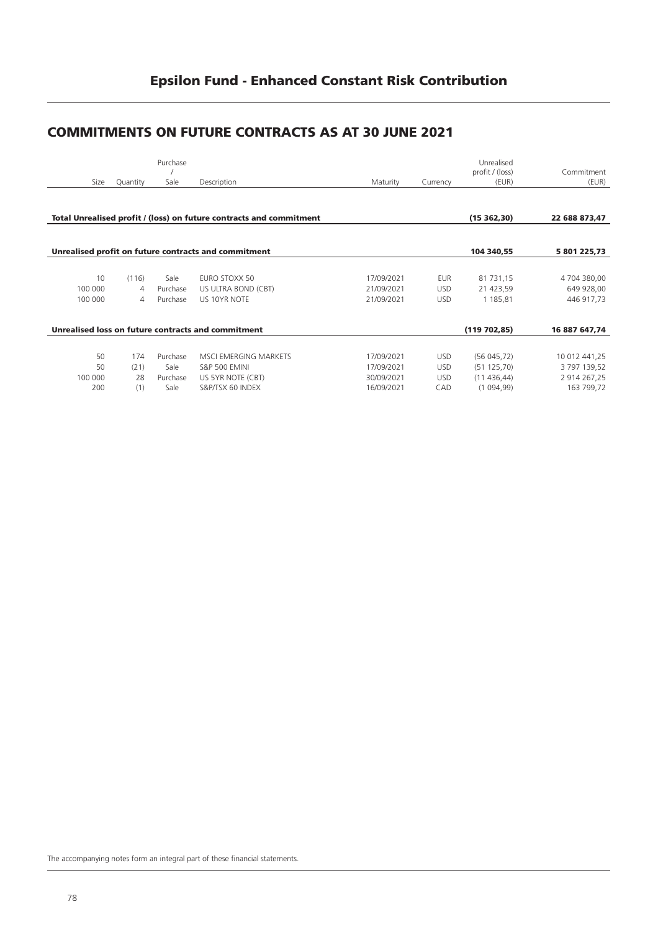# **COMMITMENTS ON FUTURE CONTRACTS AS AT 30 JUNE 2021**

|         |          | Purchase |                                                                     |            |            | Unrealised<br>profit / (loss) | Commitment    |
|---------|----------|----------|---------------------------------------------------------------------|------------|------------|-------------------------------|---------------|
| Size    | Quantity | Sale     | Description                                                         | Maturity   | Currency   | (EUR)                         | (EUR)         |
|         |          |          |                                                                     |            |            |                               |               |
|         |          |          | Total Unrealised profit / (loss) on future contracts and commitment |            |            | (15362,30)                    | 22 688 873,47 |
|         |          |          |                                                                     |            |            |                               |               |
|         |          |          | Unrealised profit on future contracts and commitment                |            |            | 104 340,55                    | 5 801 225,73  |
|         |          |          |                                                                     |            |            |                               |               |
| 10      | (116)    | Sale     | EURO STOXX 50                                                       | 17/09/2021 | <b>EUR</b> | 81 731,15                     | 4 704 380,00  |
| 100 000 | 4        | Purchase | US ULTRA BOND (CBT)                                                 | 21/09/2021 | <b>USD</b> | 21 423,59                     | 649 928,00    |
| 100 000 | 4        | Purchase | US 10YR NOTE                                                        | 21/09/2021 | <b>USD</b> | 1 185,81                      | 446 917,73    |
|         |          |          |                                                                     |            |            |                               |               |
|         |          |          | Unrealised loss on future contracts and commitment                  |            |            | (119702,85)                   | 16 887 647,74 |
|         |          |          |                                                                     |            |            |                               |               |
| 50      | 174      | Purchase | MSCI EMERGING MARKETS                                               | 17/09/2021 | <b>USD</b> | (56045,72)                    | 10 012 441,25 |
| 50      | (21)     | Sale     | <b>S&amp;P 500 EMINI</b>                                            | 17/09/2021 | <b>USD</b> | (51125,70)                    | 3 797 139,52  |
| 100 000 | 28       | Purchase | US 5YR NOTE (CBT)                                                   | 30/09/2021 | <b>USD</b> | (11436,44)                    | 2 914 267,25  |
| 200     | (1)      | Sale     | S&P/TSX 60 INDEX                                                    | 16/09/2021 | CAD        | (1094,99)                     | 163 799,72    |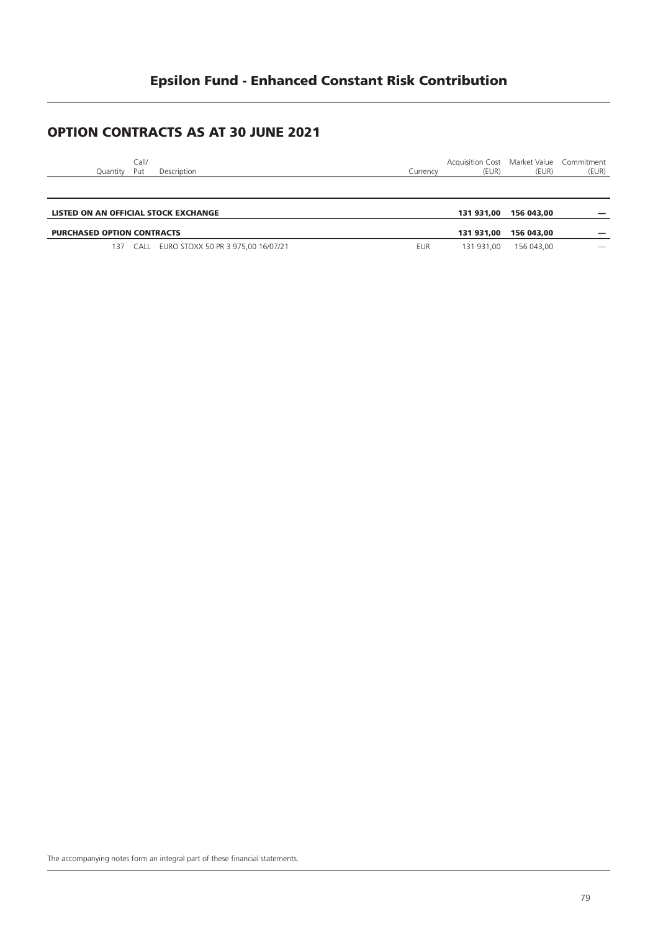# **Epsilon Fund - Enhanced Constant Risk Contribution**

### **OPTION CONTRACTS AS AT 30 JUNE 2021**

| Call/ |                          |  |               | Acquisition Cost Market Value Commitment |       |       |
|-------|--------------------------|--|---------------|------------------------------------------|-------|-------|
|       | Quantity Put Description |  | .<br>Currencv | (EUR)                                    | (EUR) | (EUR) |
|       |                          |  |               |                                          |       |       |
|       |                          |  |               |                                          |       |       |
|       |                          |  |               |                                          |       |       |

| 131 931.00 156 043.00<br>LISTED ON AN OFFICIAL STOCK EXCHANGE |  |            |                       |                          |
|---------------------------------------------------------------|--|------------|-----------------------|--------------------------|
| <b>PURCHASED OPTION CONTRACTS</b>                             |  |            | 131 931.00 156 043.00 |                          |
|                                                               |  |            |                       |                          |
| EURO STOXX 50 PR 3 975,00 16/07/21<br>CALL                    |  | 131 931.00 | 156 043.00            | $\overline{\phantom{a}}$ |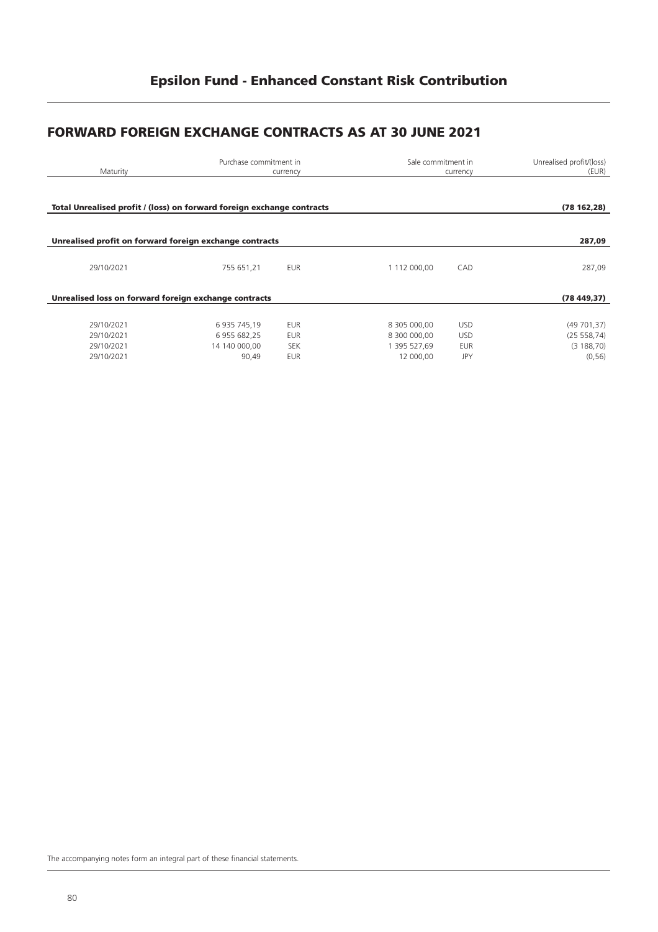# **FORWARD FOREIGN EXCHANGE CONTRACTS AS AT 30 JUNE 2021**

| Maturity                                                               |                                                        | Purchase commitment in<br>Sale commitment in<br>currency<br>currency |                                                           |                                                      | Unrealised profit/(loss)<br>(EUR)                  |
|------------------------------------------------------------------------|--------------------------------------------------------|----------------------------------------------------------------------|-----------------------------------------------------------|------------------------------------------------------|----------------------------------------------------|
| Total Unrealised profit / (loss) on forward foreign exchange contracts |                                                        |                                                                      |                                                           |                                                      | (78162, 28)                                        |
| Unrealised profit on forward foreign exchange contracts                |                                                        |                                                                      |                                                           |                                                      | 287,09                                             |
| 29/10/2021                                                             | 755 651,21                                             | <b>EUR</b>                                                           | 1 112 000,00                                              | CAD                                                  | 287,09                                             |
| Unrealised loss on forward foreign exchange contracts                  | (78449,37)                                             |                                                                      |                                                           |                                                      |                                                    |
| 29/10/2021<br>29/10/2021<br>29/10/2021<br>29/10/2021                   | 6 935 745,19<br>6 955 682,25<br>14 140 000.00<br>90,49 | <b>EUR</b><br><b>EUR</b><br><b>SEK</b><br><b>EUR</b>                 | 8 305 000,00<br>8 300 000,00<br>1 395 527.69<br>12 000.00 | <b>USD</b><br><b>USD</b><br><b>EUR</b><br><b>JPY</b> | (49701,37)<br>(25 558, 74)<br>(3188,70)<br>(0, 56) |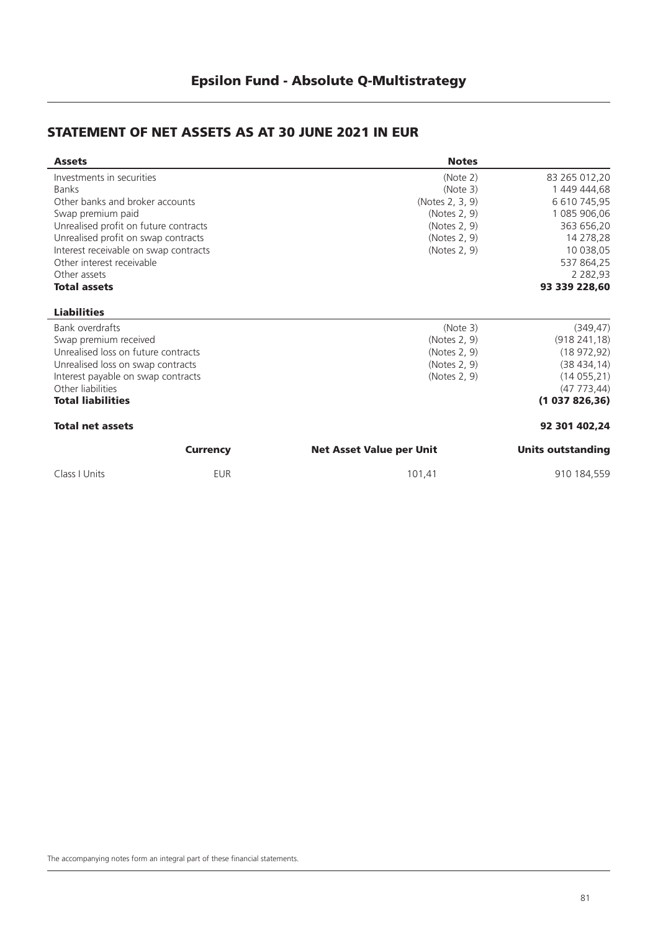### **STATEMENT OF NET ASSETS AS AT 30 JUNE 2021 IN EUR**

| <b>Assets</b>                         |                 | <b>Notes</b>                    |                   |
|---------------------------------------|-----------------|---------------------------------|-------------------|
| Investments in securities             |                 | (Note 2)                        | 83 265 012,20     |
| <b>Banks</b>                          |                 | (Note 3)                        | 1 449 444,68      |
| Other banks and broker accounts       |                 | (Notes 2, 3, 9)                 | 6 610 745,95      |
| Swap premium paid                     |                 | (Notes 2, 9)                    | 1 085 906,06      |
| Unrealised profit on future contracts |                 | (Notes 2, 9)                    | 363 656,20        |
| Unrealised profit on swap contracts   |                 | (Notes 2, 9)                    | 14 278,28         |
| Interest receivable on swap contracts |                 | (Notes 2, 9)                    | 10 038,05         |
| Other interest receivable             |                 |                                 | 537 864,25        |
| Other assets                          |                 |                                 | 2 2 8 2 , 9 3     |
| <b>Total assets</b>                   |                 |                                 | 93 339 228,60     |
| <b>Liabilities</b>                    |                 |                                 |                   |
| Bank overdrafts                       |                 | (Note 3)                        | (349, 47)         |
| Swap premium received                 |                 | (Notes 2, 9)                    | (918241,18)       |
| Unrealised loss on future contracts   |                 | (Notes 2, 9)                    | (18972,92)        |
| Unrealised loss on swap contracts     |                 | (Notes 2, 9)                    | (38434, 14)       |
| Interest payable on swap contracts    |                 | (Notes 2, 9)                    | (14055,21)        |
| Other liabilities                     |                 |                                 | (47773, 44)       |
| <b>Total liabilities</b>              |                 |                                 | (1037826,36)      |
| <b>Total net assets</b>               |                 |                                 | 92 301 402.24     |
|                                       | <b>Currency</b> | <b>Net Asset Value per Unit</b> | Units outstanding |
| Class   Units                         | <b>EUR</b>      | 101,41                          | 910 184,559       |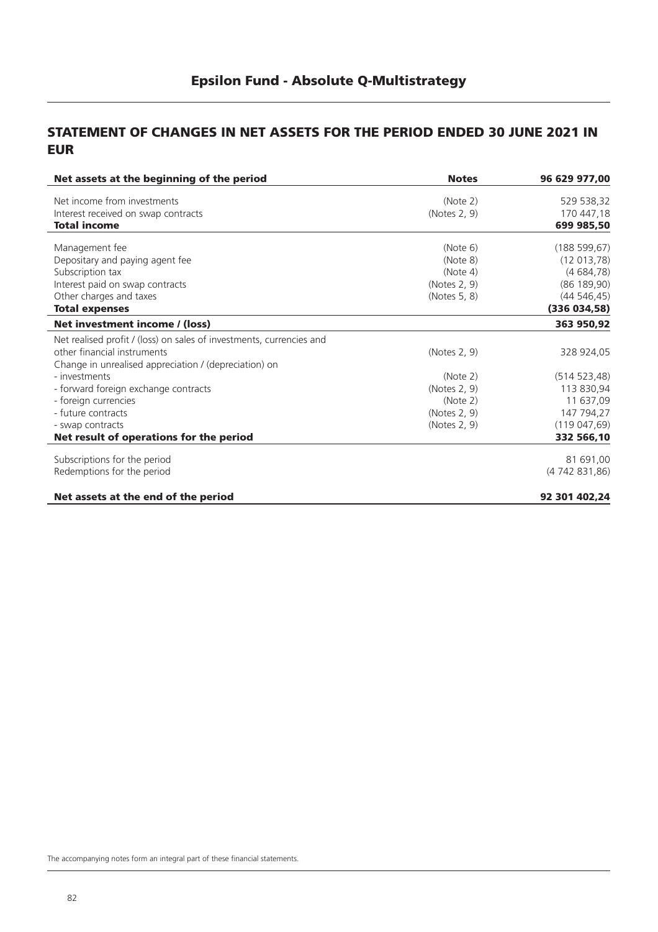### **STATEMENT OF CHANGES IN NET ASSETS FOR THE PERIOD ENDED 30 JUNE 2021 IN EUR**

| Net assets at the beginning of the period                            | <b>Notes</b> | 96 629 977,00 |
|----------------------------------------------------------------------|--------------|---------------|
| Net income from investments                                          | (Note 2)     | 529 538,32    |
| Interest received on swap contracts                                  | (Notes 2, 9) | 170 447,18    |
| <b>Total income</b>                                                  |              | 699 985,50    |
| Management fee                                                       | (Note 6)     | (188599, 67)  |
| Depositary and paying agent fee                                      | (Note 8)     | (12 013, 78)  |
| Subscription tax                                                     | (Note 4)     | (4684,78)     |
| Interest paid on swap contracts                                      | (Notes 2, 9) | (86 189, 90)  |
| Other charges and taxes                                              | (Notes 5, 8) | (44546, 45)   |
| <b>Total expenses</b>                                                |              | (336034,58)   |
| Net investment income / (loss)                                       |              | 363 950,92    |
| Net realised profit / (loss) on sales of investments, currencies and |              |               |
| other financial instruments                                          | (Notes 2, 9) | 328 924,05    |
| Change in unrealised appreciation / (depreciation) on                |              |               |
| - investments                                                        | (Note 2)     | (514523,48)   |
| - forward foreign exchange contracts                                 | (Notes 2, 9) | 113 830,94    |
| - foreign currencies                                                 | (Note 2)     | 11 637,09     |
| - future contracts                                                   | (Notes 2, 9) | 147 794,27    |
| - swap contracts                                                     | (Notes 2, 9) | (119047, 69)  |
| Net result of operations for the period                              |              | 332 566,10    |
| Subscriptions for the period                                         |              | 81 691,00     |
| Redemptions for the period                                           |              | (4742831,86)  |
| Net assets at the end of the period                                  |              | 92 301 402,24 |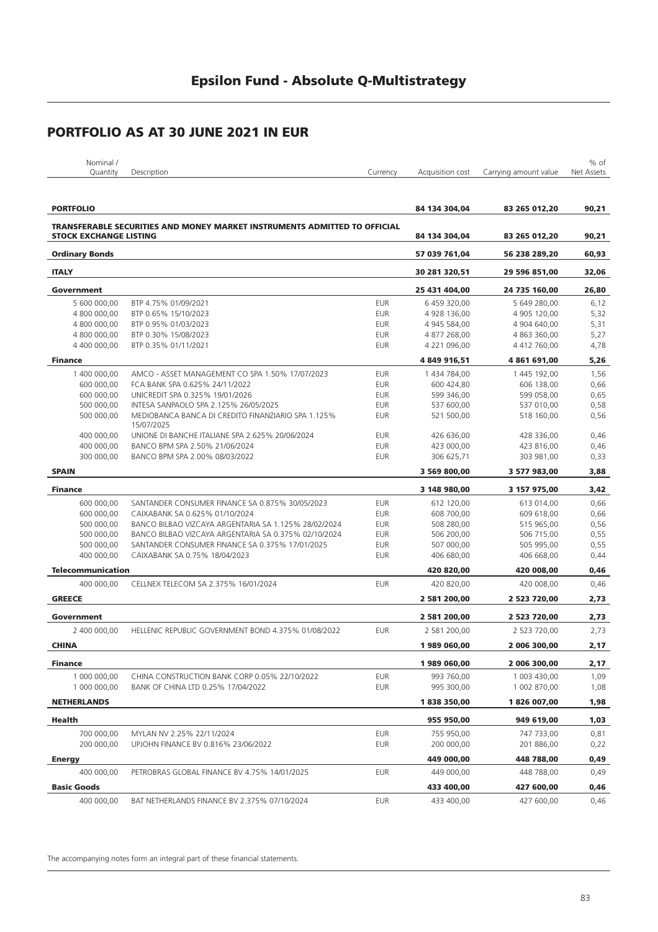| Nominal /<br>the contract of the contract of the contract of |             |          |                  |                       | $%$ of     |
|--------------------------------------------------------------|-------------|----------|------------------|-----------------------|------------|
| <b>Juantity</b>                                              | Description | Currencv | Acauisition cost | Carrying amount value | Net Assets |
|                                                              |             |          |                  |                       |            |

| <b>PORTFOLIO</b>              |                                                                                  | 84 134 304,04 | 83 265 012,20 | 90,21         |       |
|-------------------------------|----------------------------------------------------------------------------------|---------------|---------------|---------------|-------|
|                               | <b>TRANSFERABLE SECURITIES AND MONEY MARKET INSTRUMENTS ADMITTED TO OFFICIAL</b> |               |               |               |       |
| <b>STOCK EXCHANGE LISTING</b> |                                                                                  |               | 84 134 304,04 | 83 265 012,20 | 90,21 |
| <b>Ordinary Bonds</b>         |                                                                                  |               | 57 039 761,04 | 56 238 289,20 | 60,93 |
| <b>ITALY</b>                  |                                                                                  |               | 30 281 320,51 | 29 596 851,00 | 32,06 |
| Government                    |                                                                                  |               | 25 431 404,00 | 24 735 160,00 | 26,80 |
| 5 600 000,00                  | BTP 4.75% 01/09/2021                                                             | <b>EUR</b>    | 6 459 320,00  | 5 649 280,00  | 6,12  |
| 4 800 000,00                  | BTP 0.65% 15/10/2023                                                             | <b>EUR</b>    | 4 928 136,00  | 4 905 120,00  | 5,32  |
| 4 800 000,00                  | BTP 0.95% 01/03/2023                                                             | <b>EUR</b>    | 4 945 584,00  | 4 904 640,00  | 5,31  |
| 4 800 000,00                  | BTP 0.30% 15/08/2023                                                             | <b>EUR</b>    | 4 877 268,00  | 4 863 360,00  | 5,27  |
| 4 400 000.00                  | BTP 0.35% 01/11/2021                                                             | <b>EUR</b>    | 4 221 096,00  | 4 412 760,00  | 4,78  |
| <b>Finance</b>                |                                                                                  |               | 4 849 916,51  | 4 861 691,00  | 5,26  |
| 1 400 000,00                  | AMCO - ASSET MANAGEMENT CO SPA 1.50% 17/07/2023                                  | <b>EUR</b>    | 1 434 784,00  | 1 445 192,00  | 1,56  |
| 600 000,00                    | FCA BANK SPA 0.625% 24/11/2022                                                   | <b>EUR</b>    | 600 424,80    | 606 138,00    | 0,66  |
| 600 000,00                    | UNICREDIT SPA 0.325% 19/01/2026                                                  | <b>EUR</b>    | 599 346,00    | 599 058,00    | 0,65  |
| 500 000,00                    | INTESA SANPAOLO SPA 2.125% 26/05/2025                                            | <b>EUR</b>    | 537 600,00    | 537 010,00    | 0,58  |
| 500 000,00                    | MEDIOBANCA BANCA DI CREDITO FINANZIARIO SPA 1.125%                               | <b>EUR</b>    | 521 500,00    | 518 160,00    | 0,56  |
|                               | 15/07/2025                                                                       |               |               |               |       |
| 400 000,00                    | UNIONE DI BANCHE ITALIANE SPA 2.625% 20/06/2024                                  | <b>EUR</b>    | 426 636,00    | 428 336,00    | 0,46  |
| 400 000,00                    | BANCO BPM SPA 2.50% 21/06/2024                                                   | <b>EUR</b>    | 423 000,00    | 423 816,00    | 0,46  |
| 300 000,00                    | BANCO BPM SPA 2.00% 08/03/2022                                                   | <b>EUR</b>    | 306 625,71    | 303 981,00    | 0,33  |
| <b>SPAIN</b>                  |                                                                                  |               | 3 569 800,00  | 3 577 983,00  | 3,88  |
|                               |                                                                                  |               |               |               |       |
| <b>Finance</b>                |                                                                                  |               | 3 148 980,00  | 3 157 975,00  | 3,42  |
| 600 000,00                    | SANTANDER CONSUMER FINANCE SA 0.875% 30/05/2023                                  | <b>EUR</b>    | 612 120,00    | 613 014,00    | 0,66  |
| 600 000,00                    | CAIXABANK SA 0.625% 01/10/2024                                                   | <b>EUR</b>    | 608 700.00    | 609 618,00    | 0,66  |
| 500 000,00                    | BANCO BILBAO VIZCAYA ARGENTARIA SA 1.125% 28/02/2024                             | <b>EUR</b>    | 508 280,00    | 515 965,00    | 0,56  |
| 500 000,00                    | BANCO BILBAO VIZCAYA ARGENTARIA SA 0.375% 02/10/2024                             | <b>EUR</b>    | 506 200,00    | 506 715,00    | 0,55  |
| 500 000,00                    | SANTANDER CONSUMER FINANCE SA 0.375% 17/01/2025                                  | <b>EUR</b>    | 507 000,00    | 505 995,00    | 0,55  |
| 400 000,00                    | CAIXABANK SA 0.75% 18/04/2023                                                    | <b>EUR</b>    | 406 680,00    | 406 668,00    | 0,44  |
| <b>Telecommunication</b>      |                                                                                  |               | 420 820,00    | 420 008,00    | 0,46  |
| 400 000,00                    | CELLNEX TELECOM SA 2.375% 16/01/2024                                             | <b>EUR</b>    | 420 820,00    | 420 008,00    | 0,46  |
| <b>GREECE</b>                 |                                                                                  |               | 2 581 200,00  | 2 523 720,00  | 2,73  |
| Government                    |                                                                                  |               | 2 581 200,00  | 2 523 720,00  | 2,73  |
| 2 400 000,00                  | HELLENIC REPUBLIC GOVERNMENT BOND 4.375% 01/08/2022                              | <b>EUR</b>    | 2 581 200,00  | 2 523 720,00  | 2,73  |
| <b>CHINA</b>                  |                                                                                  |               | 1989060,00    | 2 006 300,00  | 2,17  |
| <b>Finance</b>                |                                                                                  |               | 1989060,00    | 2 006 300,00  | 2,17  |
| 1 000 000,00                  | CHINA CONSTRUCTION BANK CORP 0.05% 22/10/2022                                    | <b>EUR</b>    | 993 760,00    | 1 003 430,00  | 1,09  |
| 1 000 000,00                  | BANK OF CHINA LTD 0.25% 17/04/2022                                               | <b>EUR</b>    | 995 300,00    | 1 002 870,00  | 1,08  |
| <b>NETHERLANDS</b>            |                                                                                  |               | 1838350,00    | 1826 007,00   | 1,98  |
| Health                        |                                                                                  |               | 955 950,00    | 949 619,00    | 1,03  |
|                               |                                                                                  |               |               |               |       |
| 700 000,00                    | MYLAN NV 2.25% 22/11/2024                                                        | <b>EUR</b>    | 755 950,00    | 747 733,00    | 0,81  |
| 200 000,00                    | UPJOHN FINANCE BV 0.816% 23/06/2022                                              | EUR           | 200 000,00    | 201 886,00    | 0,22  |
| <b>Energy</b>                 |                                                                                  |               | 449 000,00    | 448 788,00    | 0,49  |
| 400 000,00                    | PETROBRAS GLOBAL FINANCE BV 4.75% 14/01/2025                                     | <b>EUR</b>    | 449 000,00    | 448 788,00    | 0,49  |
| <b>Basic Goods</b>            |                                                                                  |               | 433 400,00    | 427 600,00    | 0,46  |
| 400 000,00                    | BAT NETHERLANDS FINANCE BV 2.375% 07/10/2024                                     | EUR           | 433 400,00    | 427 600,00    | 0,46  |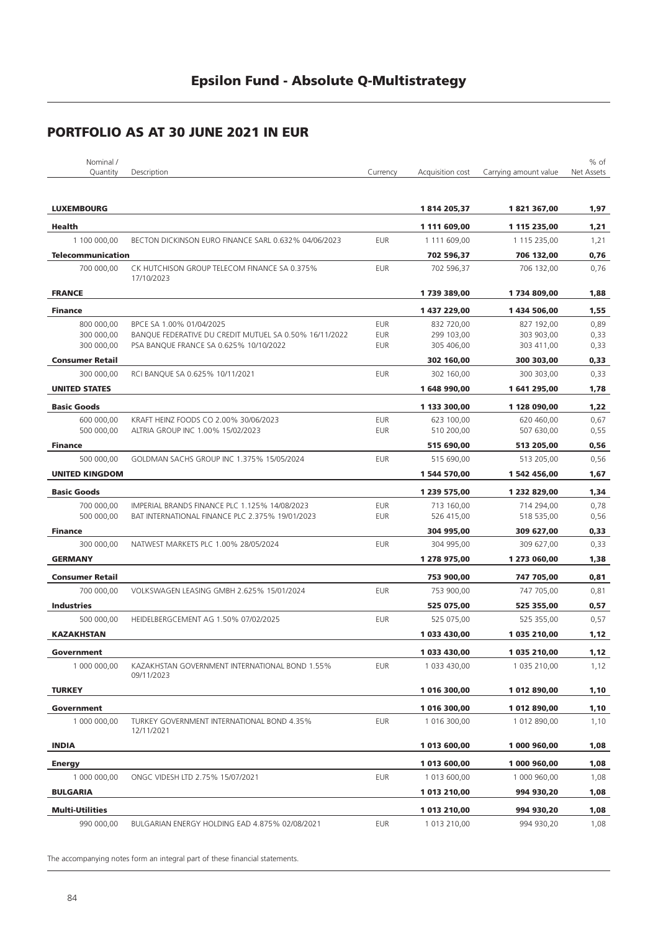| Nominal /                |                                                              |            |                  |                       | % of       |
|--------------------------|--------------------------------------------------------------|------------|------------------|-----------------------|------------|
| Quantity                 | Description                                                  | Currency   | Acquisition cost | Carrying amount value | Net Assets |
| <b>LUXEMBOURG</b>        |                                                              |            | 1814205,37       | 1821367,00            | 1,97       |
| <b>Health</b>            |                                                              |            | 1 111 609,00     | 1 115 235,00          | 1,21       |
| 1 100 000,00             | BECTON DICKINSON EURO FINANCE SARL 0.632% 04/06/2023         | <b>EUR</b> | 1 111 609,00     | 1 115 235,00          | 1,21       |
| <b>Telecommunication</b> |                                                              |            | 702 596,37       | 706 132,00            | 0,76       |
| 700 000,00               | CK HUTCHISON GROUP TELECOM FINANCE SA 0.375%<br>17/10/2023   | <b>EUR</b> | 702 596,37       | 706 132.00            | 0,76       |
| <b>FRANCE</b>            |                                                              |            | 1739389,00       | 1734809,00            | 1,88       |
| <b>Finance</b>           |                                                              |            | 1 437 229,00     | 1434 506,00           | 1,55       |
| 800 000,00               | BPCE SA 1.00% 01/04/2025                                     | <b>EUR</b> | 832 720,00       | 827 192,00            | 0,89       |
| 300 000,00               | BANQUE FEDERATIVE DU CREDIT MUTUEL SA 0.50% 16/11/2022       | <b>EUR</b> | 299 103,00       | 303 903,00            | 0,33       |
| 300 000,00               | PSA BANQUE FRANCE SA 0.625% 10/10/2022                       | <b>EUR</b> | 305 406,00       | 303 411,00            | 0,33       |
| <b>Consumer Retail</b>   |                                                              |            | 302 160,00       | 300 303,00            | 0,33       |
| 300 000,00               | RCI BANQUE SA 0.625% 10/11/2021                              | <b>EUR</b> | 302 160,00       | 300 303,00            | 0,33       |
| <b>UNITED STATES</b>     |                                                              |            | 1648990,00       | 1641295,00            | 1,78       |
| <b>Basic Goods</b>       |                                                              |            | 1 133 300,00     | 1 128 090,00          | 1,22       |
| 600 000,00               | KRAFT HEINZ FOODS CO 2.00% 30/06/2023                        | <b>EUR</b> | 623 100,00       | 620 460,00            | 0,67       |
| 500 000,00               | ALTRIA GROUP INC 1.00% 15/02/2023                            | <b>EUR</b> | 510 200,00       | 507 630,00            | 0,55       |
|                          |                                                              |            |                  |                       |            |
| <b>Finance</b>           |                                                              |            | 515 690,00       | 513 205,00            | 0,56       |
| 500 000,00               | GOLDMAN SACHS GROUP INC 1.375% 15/05/2024                    | <b>EUR</b> | 515 690,00       | 513 205,00            | 0,56       |
| <b>UNITED KINGDOM</b>    |                                                              |            | 1 544 570,00     | 1 542 456,00          | 1,67       |
| <b>Basic Goods</b>       |                                                              |            | 1 239 575,00     | 1 232 829,00          | 1,34       |
| 700 000,00               | IMPERIAL BRANDS FINANCE PLC 1.125% 14/08/2023                | <b>EUR</b> | 713 160,00       | 714 294,00            | 0,78       |
| 500 000,00               | BAT INTERNATIONAL FINANCE PLC 2.375% 19/01/2023              | <b>EUR</b> | 526 415,00       | 518 535,00            | 0,56       |
| <b>Finance</b>           |                                                              |            | 304 995,00       | 309 627,00            | 0,33       |
| 300 000,00               | NATWEST MARKETS PLC 1.00% 28/05/2024                         | <b>EUR</b> | 304 995,00       | 309 627,00            | 0,33       |
| <b>GERMANY</b>           |                                                              |            | 1 278 975,00     | 1 273 060,00          | 1,38       |
| <b>Consumer Retail</b>   |                                                              |            | 753 900,00       | 747 705,00            | 0,81       |
| 700 000,00               | VOLKSWAGEN LEASING GMBH 2.625% 15/01/2024                    | <b>EUR</b> | 753 900,00       | 747 705,00            | 0,81       |
| <b>Industries</b>        |                                                              |            | 525 075,00       | 525 355,00            | 0,57       |
| 500 000,00               | HEIDELBERGCEMENT AG 1.50% 07/02/2025                         | <b>EUR</b> | 525 075,00       | 525 355,00            | 0,57       |
| <b>KAZAKHSTAN</b>        |                                                              |            | 1 033 430,00     | 1 035 210,00          | 1,12       |
|                          |                                                              |            |                  |                       |            |
| Government               |                                                              |            | 1 033 430,00     | 1 035 210,00          | 1,12       |
| 1 000 000,00             | KAZAKHSTAN GOVERNMENT INTERNATIONAL BOND 1.55%<br>09/11/2023 | <b>EUR</b> | 1 033 430,00     | 1 035 210,00          | 1,12       |
| <b>TURKEY</b>            |                                                              |            | 1 016 300,00     | 1 012 890,00          | 1,10       |
| Government               |                                                              |            | 1 016 300,00     | 1 012 890,00          | 1,10       |
| 1 000 000,00             | TURKEY GOVERNMENT INTERNATIONAL BOND 4.35%<br>12/11/2021     | <b>EUR</b> | 1 016 300,00     | 1 012 890,00          | 1,10       |
| <b>INDIA</b>             |                                                              |            | 1 013 600,00     | 1 000 960,00          | 1,08       |
| <b>Energy</b>            |                                                              |            | 1 013 600,00     | 1 000 960,00          | 1,08       |
| 1 000 000,00             | ONGC VIDESH LTD 2.75% 15/07/2021                             | <b>EUR</b> | 1 013 600,00     | 1 000 960,00          | 1,08       |
| <b>BULGARIA</b>          |                                                              |            | 1 013 210,00     | 994 930,20            | 1,08       |
| <b>Multi-Utilities</b>   |                                                              |            | 1 013 210,00     | 994 930,20            | 1,08       |
| 990 000,00               | BULGARIAN ENERGY HOLDING EAD 4.875% 02/08/2021               | <b>EUR</b> | 1 013 210,00     | 994 930,20            | 1,08       |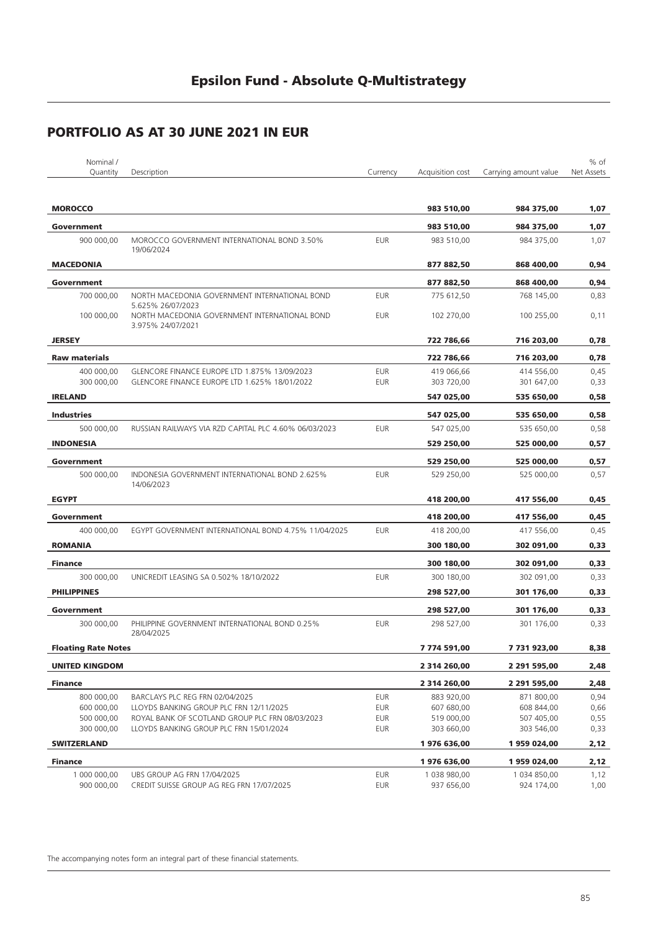| Nominal /                  |                                                                          |                   |                            |                            | % of         |
|----------------------------|--------------------------------------------------------------------------|-------------------|----------------------------|----------------------------|--------------|
| Quantity                   | Description                                                              | Currency          | Acquisition cost           | Carrying amount value      | Net Assets   |
|                            |                                                                          |                   |                            |                            |              |
| <b>MOROCCO</b>             |                                                                          |                   | 983 510,00                 | 984 375,00                 | 1,07         |
| Government                 |                                                                          |                   | 983 510,00                 | 984 375,00                 | 1,07         |
| 900 000,00                 | MOROCCO GOVERNMENT INTERNATIONAL BOND 3.50%<br>19/06/2024                | <b>EUR</b>        | 983 510,00                 | 984 375,00                 | 1,07         |
| <b>MACEDONIA</b>           |                                                                          |                   | 877 882,50                 | 868 400,00                 | 0,94         |
| Government                 |                                                                          |                   | 877 882,50                 | 868 400.00                 | 0,94         |
| 700 000,00                 | NORTH MACEDONIA GOVERNMENT INTERNATIONAL BOND<br>5.625% 26/07/2023       | <b>EUR</b>        | 775 612,50                 | 768 145,00                 | 0,83         |
| 100 000,00                 | NORTH MACEDONIA GOVERNMENT INTERNATIONAL BOND<br>3.975% 24/07/2021       | <b>EUR</b>        | 102 270,00                 | 100 255,00                 | 0,11         |
| <b>JERSEY</b>              |                                                                          |                   | 722 786,66                 | 716 203,00                 | 0,78         |
| <b>Raw materials</b>       |                                                                          |                   | 722 786,66                 | 716 203,00                 | 0,78         |
| 400 000,00                 | GLENCORE FINANCE EUROPE LTD 1.875% 13/09/2023                            | <b>EUR</b>        | 419 066,66                 | 414 556,00                 | 0,45         |
| 300 000,00                 | GLENCORE FINANCE EUROPE LTD 1.625% 18/01/2022                            | <b>EUR</b>        | 303 720,00                 | 301 647,00                 | 0,33         |
| <b>IRELAND</b>             |                                                                          |                   | 547 025,00                 | 535 650,00                 | 0,58         |
| <b>Industries</b>          |                                                                          |                   | 547 025,00                 | 535 650,00                 | 0,58         |
| 500 000.00                 | RUSSIAN RAILWAYS VIA RZD CAPITAL PLC 4.60% 06/03/2023                    | <b>EUR</b>        | 547 025,00                 | 535 650,00                 | 0,58         |
| <b>INDONESIA</b>           |                                                                          |                   | 529 250,00                 | 525 000,00                 | 0,57         |
| Government                 |                                                                          |                   | 529 250,00                 | 525 000,00                 | 0,57         |
| 500 000,00                 | INDONESIA GOVERNMENT INTERNATIONAL BOND 2.625%<br>14/06/2023             | <b>EUR</b>        | 529 250,00                 | 525 000,00                 | 0,57         |
| <b>EGYPT</b>               |                                                                          |                   | 418 200,00                 | 417 556,00                 | 0,45         |
| Government                 |                                                                          |                   | 418 200,00                 | 417 556,00                 | 0,45         |
| 400 000,00                 | EGYPT GOVERNMENT INTERNATIONAL BOND 4.75% 11/04/2025                     | <b>EUR</b>        | 418 200,00                 | 417 556,00                 | 0,45         |
| <b>ROMANIA</b>             |                                                                          |                   | 300 180,00                 | 302 091,00                 | 0,33         |
| <b>Finance</b>             |                                                                          |                   | 300 180,00                 | 302 091,00                 | 0,33         |
| 300 000,00                 | UNICREDIT LEASING SA 0.502% 18/10/2022                                   | <b>EUR</b>        | 300 180,00                 | 302 091,00                 | 0,33         |
| <b>PHILIPPINES</b>         |                                                                          |                   | 298 527,00                 | 301 176,00                 | 0,33         |
| Government                 |                                                                          |                   | 298 527,00                 | 301 176,00                 | 0,33         |
| 300 000,00                 | PHILIPPINE GOVERNMENT INTERNATIONAL BOND 0.25%<br>28/04/2025             | <b>EUR</b>        | 298 527,00                 | 301 176,00                 | 0,33         |
| <b>Floating Rate Notes</b> |                                                                          |                   | 7774 591,00                | 7731923,00                 | 8,38         |
| <b>UNITED KINGDOM</b>      |                                                                          |                   | 2 314 260,00               | 2 291 595,00               | 2,48         |
| <b>Finance</b>             |                                                                          |                   | 2 314 260,00               | 2 291 595,00               | 2,48         |
| 800 000,00                 | BARCLAYS PLC REG FRN 02/04/2025                                          | <b>EUR</b>        | 883 920,00                 | 871 800,00                 | 0,94         |
| 600 000,00                 | LLOYDS BANKING GROUP PLC FRN 12/11/2025                                  | EUR               | 607 680,00                 | 608 844,00                 | 0,66         |
| 500 000,00                 | ROYAL BANK OF SCOTLAND GROUP PLC FRN 08/03/2023                          | EUR               | 519 000,00                 | 507 405,00                 | 0,55         |
| 300 000,00                 | LLOYDS BANKING GROUP PLC FRN 15/01/2024                                  | EUR               | 303 660,00                 | 303 546,00                 | 0,33         |
| <b>SWITZERLAND</b>         |                                                                          |                   | 1976 636,00                | 1959024,00                 | 2,12         |
| <b>Finance</b>             |                                                                          |                   | 1976 636,00                | 1959024,00                 | 2,12         |
| 1 000 000,00<br>900 000,00 | UBS GROUP AG FRN 17/04/2025<br>CREDIT SUISSE GROUP AG REG FRN 17/07/2025 | <b>EUR</b><br>EUR | 1 038 980,00<br>937 656,00 | 1 034 850,00<br>924 174,00 | 1,12<br>1,00 |
|                            |                                                                          |                   |                            |                            |              |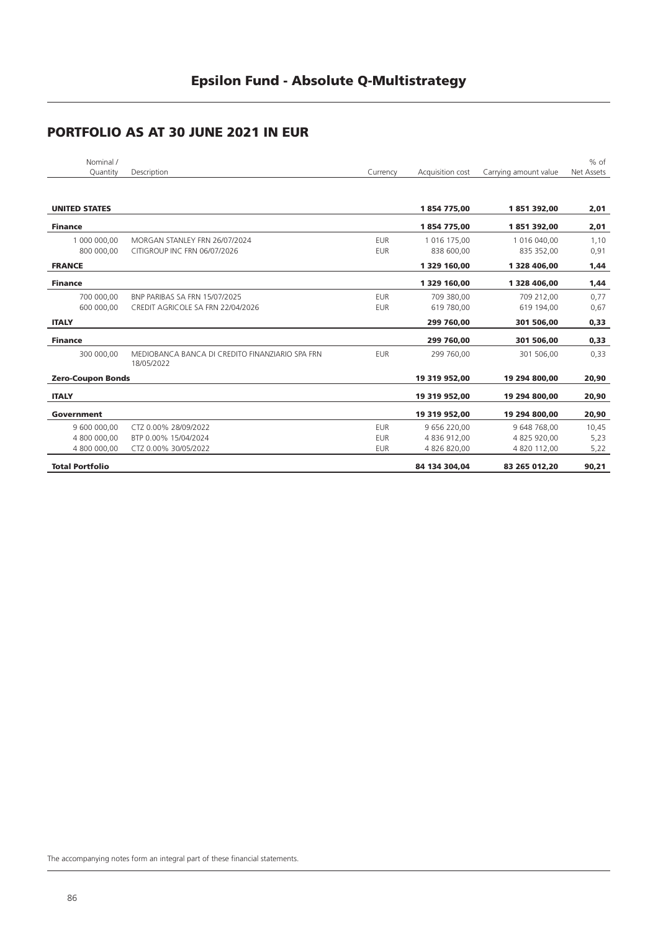| Nominal /<br>Quantity    | Description                                                   | Currency   | Acquisition cost | Carrying amount value | $%$ of<br>Net Assets |
|--------------------------|---------------------------------------------------------------|------------|------------------|-----------------------|----------------------|
|                          |                                                               |            |                  |                       |                      |
|                          |                                                               |            |                  |                       |                      |
| <b>UNITED STATES</b>     |                                                               |            | 1854775.00       | 1851392,00            | 2,01                 |
| <b>Finance</b>           |                                                               |            | 1854775,00       | 1851392,00            | 2,01                 |
| 1 000 000,00             | MORGAN STANLEY FRN 26/07/2024                                 | <b>EUR</b> | 1 016 175,00     | 1 016 040,00          | 1,10                 |
| 800 000.00               | CITIGROUP INC FRN 06/07/2026                                  | <b>EUR</b> | 838 600,00       | 835 352,00            | 0,91                 |
| <b>FRANCE</b>            |                                                               |            | 1 329 160,00     | 1 328 406,00          | 1,44                 |
| <b>Finance</b>           |                                                               |            | 1 329 160,00     | 1 328 406,00          | 1,44                 |
| 700 000,00               | BNP PARIBAS SA FRN 15/07/2025                                 | <b>EUR</b> | 709 380.00       | 709 212.00            | 0,77                 |
| 600 000.00               | CREDIT AGRICOLE SA FRN 22/04/2026                             | <b>EUR</b> | 619 780,00       | 619 194,00            | 0,67                 |
| <b>ITALY</b>             |                                                               |            | 299 760,00       | 301 506,00            | 0,33                 |
| <b>Finance</b>           |                                                               |            | 299 760,00       | 301 506,00            | 0,33                 |
| 300 000,00               | MEDIOBANCA BANCA DI CREDITO FINANZIARIO SPA FRN<br>18/05/2022 | <b>EUR</b> | 299 760,00       | 301 506,00            | 0,33                 |
| <b>Zero-Coupon Bonds</b> |                                                               |            | 19 319 952,00    | 19 294 800,00         | 20,90                |
| <b>ITALY</b>             |                                                               |            | 19 319 952,00    | 19 294 800,00         | 20,90                |
| Government               |                                                               |            | 19 319 952,00    | 19 294 800,00         | 20,90                |
| 9 600 000,00             | CTZ 0.00% 28/09/2022                                          | <b>EUR</b> | 9 656 220.00     | 9 648 768,00          | 10,45                |
| 4 800 000,00             | BTP 0.00% 15/04/2024                                          | <b>EUR</b> | 4 836 912,00     | 4 825 920,00          | 5,23                 |
| 4 800 000,00             | CTZ 0.00% 30/05/2022                                          | <b>EUR</b> | 4 826 820,00     | 4 820 112,00          | 5,22                 |
| <b>Total Portfolio</b>   |                                                               |            | 84 134 304,04    | 83 265 012,20         | 90,21                |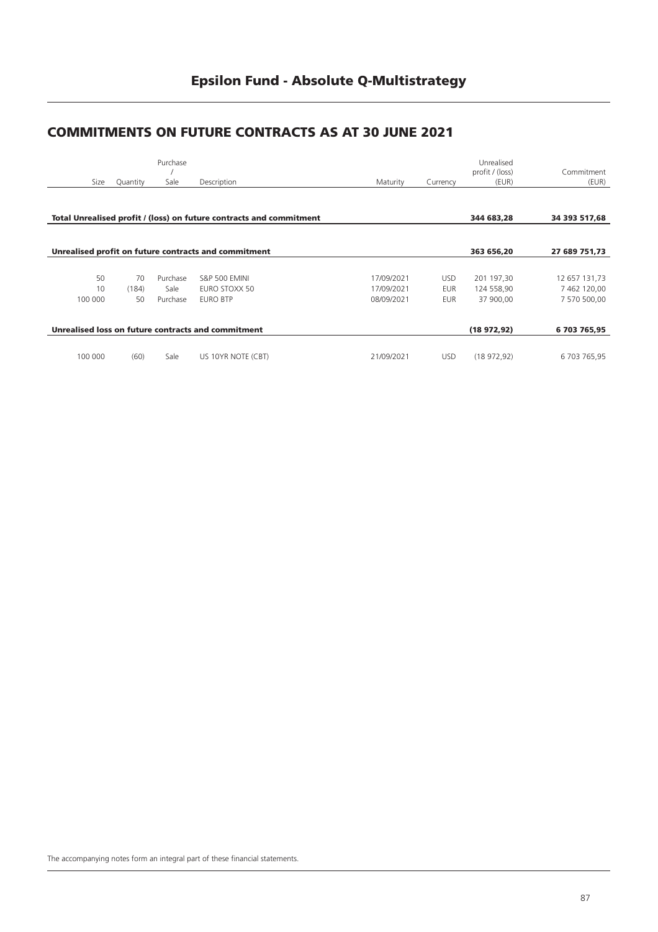# **Epsilon Fund - Absolute Q-Multistrategy**

### **COMMITMENTS ON FUTURE CONTRACTS AS AT 30 JUNE 2021**

|         |                  | Purchase |                                                                     |            |            | Unrealised<br>profit / (loss) | Commitment    |
|---------|------------------|----------|---------------------------------------------------------------------|------------|------------|-------------------------------|---------------|
|         | Size<br>Quantity | Sale     | Description                                                         | Maturity   | Currency   | (EUR)                         | (EUR)         |
|         |                  |          |                                                                     |            |            |                               |               |
|         |                  |          | Total Unrealised profit / (loss) on future contracts and commitment |            |            | 344 683,28                    | 34 393 517,68 |
|         |                  |          |                                                                     |            |            |                               |               |
|         |                  |          | Unrealised profit on future contracts and commitment                |            |            | 363 656,20                    | 27 689 751,73 |
|         |                  |          |                                                                     |            |            |                               |               |
|         | 50<br>70         | Purchase | <b>S&amp;P 500 EMINI</b>                                            | 17/09/2021 | <b>USD</b> | 201 197,30                    | 12 657 131,73 |
|         | 10<br>(184)      | Sale     | EURO STOXX 50                                                       | 17/09/2021 | <b>EUR</b> | 124 558,90                    | 7 462 120,00  |
| 100 000 | 50               | Purchase | <b>EURO BTP</b>                                                     | 08/09/2021 | <b>EUR</b> | 37 900,00                     | 7 570 500,00  |
|         |                  |          | Unrealised loss on future contracts and commitment                  |            |            | (18972,92)                    | 6 703 765,95  |
|         |                  |          |                                                                     |            |            |                               |               |
| 100 000 | (60)             | Sale     | US 10YR NOTE (CBT)                                                  | 21/09/2021 | <b>USD</b> | (18972,92)                    | 6 703 765,95  |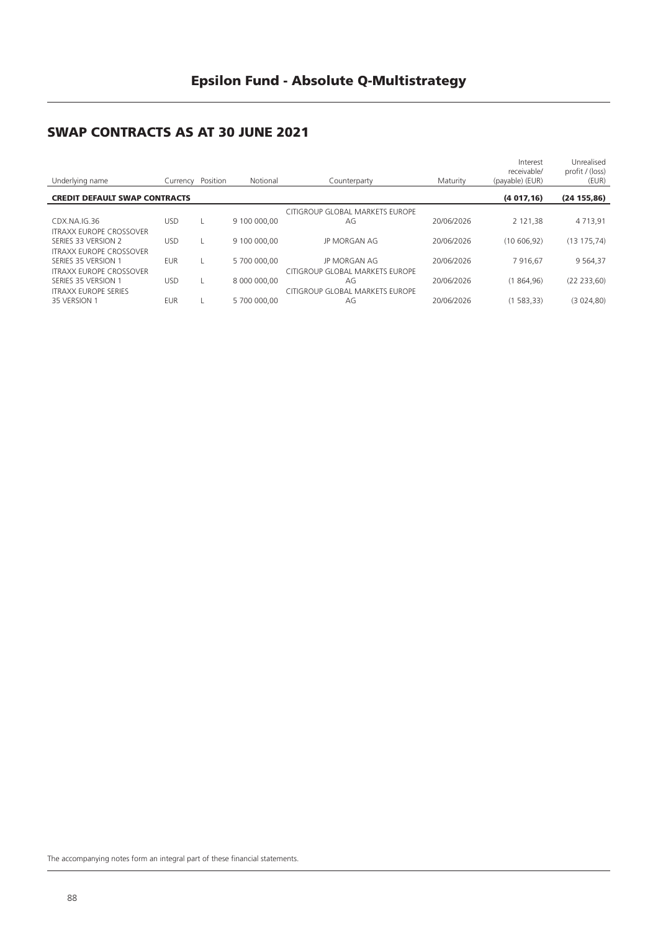# **SWAP CONTRACTS AS AT 30 JUNE 2021**

| Underlying name                                    | Currency   | Position | Notional     | Counterparty                    | Maturity   | Interest<br>receivable/<br>(payable) (EUR) | Unrealised<br>profit / (loss)<br>(EUR) |
|----------------------------------------------------|------------|----------|--------------|---------------------------------|------------|--------------------------------------------|----------------------------------------|
| (4017, 16)<br><b>CREDIT DEFAULT SWAP CONTRACTS</b> |            |          |              |                                 |            |                                            | (24155,86)                             |
|                                                    |            |          |              | CITIGROUP GLOBAL MARKETS EUROPE |            |                                            |                                        |
| CDX.NA.IG.36                                       | <b>USD</b> |          | 9 100 000,00 | AG                              | 20/06/2026 | 2 121.38                                   | 4 7 1 3 . 9 1                          |
| <b>ITRAXX EUROPE CROSSOVER</b>                     |            |          |              |                                 |            |                                            |                                        |
| SERIES 33 VERSION 2                                | <b>USD</b> |          | 9 100 000,00 | <b>JP MORGAN AG</b>             | 20/06/2026 | (10606.92)                                 | (13175,74)                             |
| <b>ITRAXX EUROPE CROSSOVER</b>                     |            |          |              |                                 |            |                                            |                                        |
| SERIES 35 VERSION 1                                | <b>EUR</b> |          | 5 700 000,00 | <b>JP MORGAN AG</b>             | 20/06/2026 | 7916.67                                    | 9 5 6 4 . 3 7                          |
| <b>ITRAXX EUROPE CROSSOVER</b>                     |            |          |              | CITIGROUP GLOBAL MARKETS EUROPE |            |                                            |                                        |
| SERIES 35 VERSION 1                                | <b>USD</b> |          | 8 000 000,00 | AG                              | 20/06/2026 | (1864.96)                                  | (22 233, 60)                           |
| <b>ITRAXX EUROPE SERIES</b>                        |            |          |              | CITIGROUP GLOBAL MARKETS EUROPE |            |                                            |                                        |
| 35 VERSION 1                                       | <b>EUR</b> |          | 5 700 000,00 | AG                              | 20/06/2026 | (1583,33)                                  | (3024,80)                              |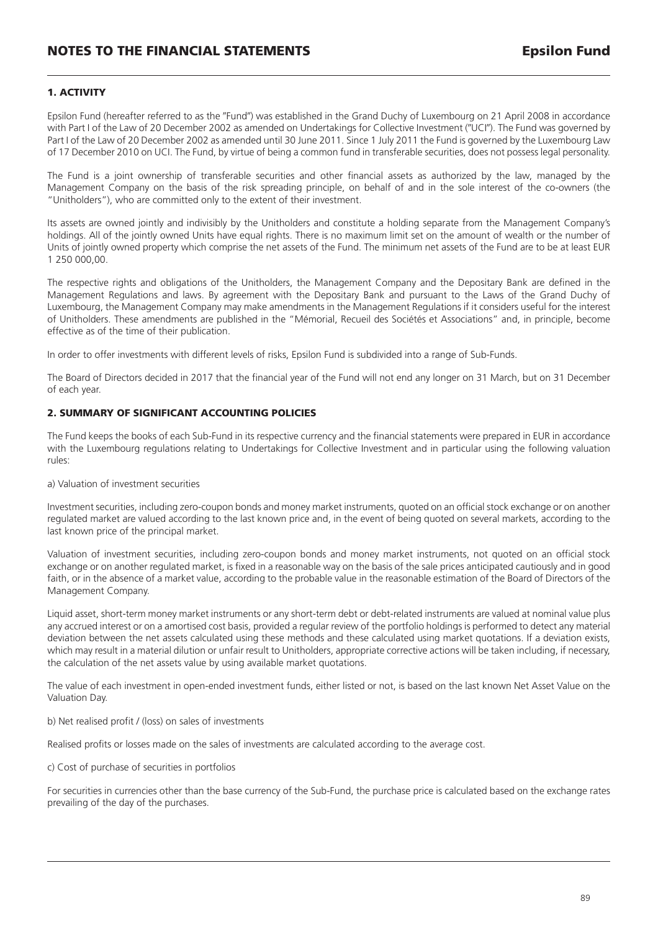### **1. ACTIVITY**

Epsilon Fund (hereafter referred to as the "Fund") was established in the Grand Duchy of Luxembourg on 21 April 2008 in accordance with Part I of the Law of 20 December 2002 as amended on Undertakings for Collective Investment ("UCI"). The Fund was governed by Part I of the Law of 20 December 2002 as amended until 30 June 2011. Since 1 July 2011 the Fund is governed by the Luxembourg Law of 17 December 2010 on UCI. The Fund, by virtue of being a common fund in transferable securities, does not possess legal personality.

The Fund is a joint ownership of transferable securities and other financial assets as authorized by the law, managed by the Management Company on the basis of the risk spreading principle, on behalf of and in the sole interest of the co-owners (the "Unitholders"), who are committed only to the extent of their investment.

Its assets are owned jointly and indivisibly by the Unitholders and constitute a holding separate from the Management Company's holdings. All of the jointly owned Units have equal rights. There is no maximum limit set on the amount of wealth or the number of Units of jointly owned property which comprise the net assets of the Fund. The minimum net assets of the Fund are to be at least EUR 1 250 000,00.

The respective rights and obligations of the Unitholders, the Management Company and the Depositary Bank are defined in the Management Regulations and laws. By agreement with the Depositary Bank and pursuant to the Laws of the Grand Duchy of Luxembourg, the Management Company may make amendments in the Management Regulations if it considers useful for the interest of Unitholders. These amendments are published in the "Mémorial, Recueil des Sociétés et Associations" and, in principle, become effective as of the time of their publication.

In order to offer investments with different levels of risks, Epsilon Fund is subdivided into a range of Sub-Funds.

The Board of Directors decided in 2017 that the financial year of the Fund will not end any longer on 31 March, but on 31 December of each year.

### **2. SUMMARY OF SIGNIFICANT ACCOUNTING POLICIES**

The Fund keeps the books of each Sub-Fund in its respective currency and the financial statements were prepared in EUR in accordance with the Luxembourg regulations relating to Undertakings for Collective Investment and in particular using the following valuation rules:

a) Valuation of investment securities

Investment securities, including zero-coupon bonds and money market instruments, quoted on an official stock exchange or on another regulated market are valued according to the last known price and, in the event of being quoted on several markets, according to the last known price of the principal market.

Valuation of investment securities, including zero-coupon bonds and money market instruments, not quoted on an official stock exchange or on another regulated market, is fixed in a reasonable way on the basis of the sale prices anticipated cautiously and in good faith, or in the absence of a market value, according to the probable value in the reasonable estimation of the Board of Directors of the Management Company.

Liquid asset, short-term money market instruments or any short-term debt or debt-related instruments are valued at nominal value plus any accrued interest or on a amortised cost basis, provided a regular review of the portfolio holdings is performed to detect any material deviation between the net assets calculated using these methods and these calculated using market quotations. If a deviation exists, which may result in a material dilution or unfair result to Unitholders, appropriate corrective actions will be taken including, if necessary, the calculation of the net assets value by using available market quotations.

The value of each investment in open-ended investment funds, either listed or not, is based on the last known Net Asset Value on the Valuation Day.

b) Net realised profit / (loss) on sales of investments

Realised profits or losses made on the sales of investments are calculated according to the average cost.

c) Cost of purchase of securities in portfolios

For securities in currencies other than the base currency of the Sub-Fund, the purchase price is calculated based on the exchange rates prevailing of the day of the purchases.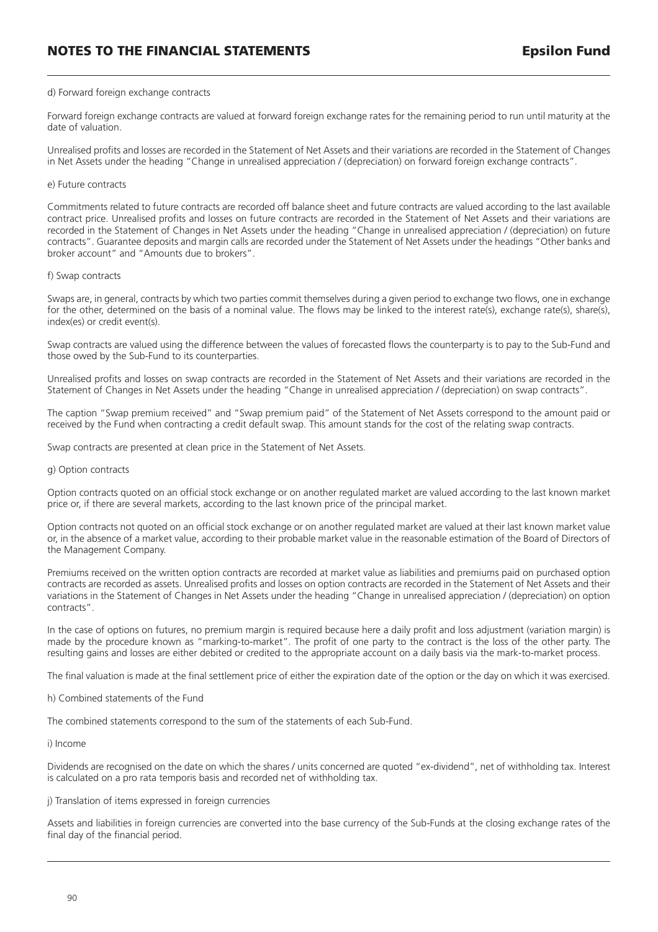#### d) Forward foreign exchange contracts

Forward foreign exchange contracts are valued at forward foreign exchange rates for the remaining period to run until maturity at the date of valuation.

Unrealised profits and losses are recorded in the Statement of Net Assets and their variations are recorded in the Statement of Changes in Net Assets under the heading "Change in unrealised appreciation / (depreciation) on forward foreign exchange contracts".

#### e) Future contracts

Commitments related to future contracts are recorded off balance sheet and future contracts are valued according to the last available contract price. Unrealised profits and losses on future contracts are recorded in the Statement of Net Assets and their variations are recorded in the Statement of Changes in Net Assets under the heading "Change in unrealised appreciation / (depreciation) on future contracts". Guarantee deposits and margin calls are recorded under the Statement of Net Assets under the headings "Other banks and broker account" and "Amounts due to brokers".

#### f) Swap contracts

Swaps are, in general, contracts by which two parties commit themselves during a given period to exchange two flows, one in exchange for the other, determined on the basis of a nominal value. The flows may be linked to the interest rate(s), exchange rate(s), share(s), index(es) or credit event(s).

Swap contracts are valued using the difference between the values of forecasted flows the counterparty is to pay to the Sub-Fund and those owed by the Sub-Fund to its counterparties.

Unrealised profits and losses on swap contracts are recorded in the Statement of Net Assets and their variations are recorded in the Statement of Changes in Net Assets under the heading "Change in unrealised appreciation / (depreciation) on swap contracts".

The caption "Swap premium received" and "Swap premium paid" of the Statement of Net Assets correspond to the amount paid or received by the Fund when contracting a credit default swap. This amount stands for the cost of the relating swap contracts.

Swap contracts are presented at clean price in the Statement of Net Assets.

#### g) Option contracts

Option contracts quoted on an official stock exchange or on another regulated market are valued according to the last known market price or, if there are several markets, according to the last known price of the principal market.

Option contracts not quoted on an official stock exchange or on another regulated market are valued at their last known market value or, in the absence of a market value, according to their probable market value in the reasonable estimation of the Board of Directors of the Management Company.

Premiums received on the written option contracts are recorded at market value as liabilities and premiums paid on purchased option contracts are recorded as assets. Unrealised profits and losses on option contracts are recorded in the Statement of Net Assets and their variations in the Statement of Changes in Net Assets under the heading "Change in unrealised appreciation / (depreciation) on option contracts".

In the case of options on futures, no premium margin is required because here a daily profit and loss adjustment (variation margin) is made by the procedure known as "marking-to-market". The profit of one party to the contract is the loss of the other party. The resulting gains and losses are either debited or credited to the appropriate account on a daily basis via the mark-to-market process.

The final valuation is made at the final settlement price of either the expiration date of the option or the day on which it was exercised.

#### h) Combined statements of the Fund

The combined statements correspond to the sum of the statements of each Sub-Fund.

i) Income

Dividends are recognised on the date on which the shares / units concerned are quoted "ex-dividend", net of withholding tax. Interest is calculated on a pro rata temporis basis and recorded net of withholding tax.

j) Translation of items expressed in foreign currencies

Assets and liabilities in foreign currencies are converted into the base currency of the Sub-Funds at the closing exchange rates of the final day of the financial period.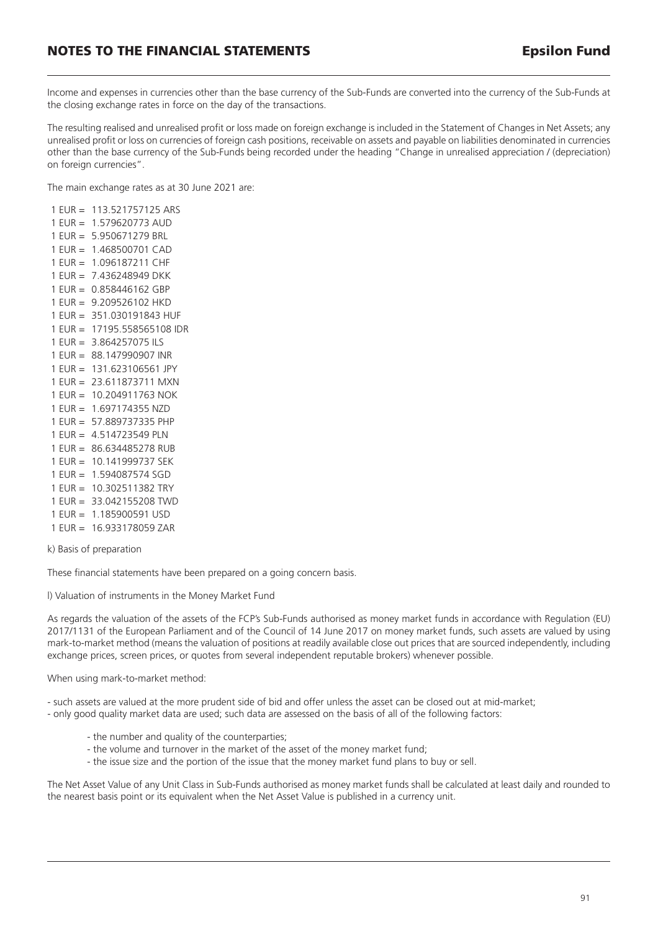Income and expenses in currencies other than the base currency of the Sub-Funds are converted into the currency of the Sub-Funds at the closing exchange rates in force on the day of the transactions.

The resulting realised and unrealised profit or loss made on foreign exchange is included in the Statement of Changes in Net Assets; any unrealised profit or loss on currencies of foreign cash positions, receivable on assets and payable on liabilities denominated in currencies other than the base currency of the Sub-Funds being recorded under the heading "Change in unrealised appreciation / (depreciation) on foreign currencies".

The main exchange rates as at 30 June 2021 are:

1 EUR = 113.521757125 ARS 1 EUR = 1.579620773 AUD 1 EUR = 5.950671279 BRL 1 EUR = 1.468500701 CAD 1 EUR = 1.096187211 CHF 1 EUR = 7.436248949 DKK  $1$  FUR = 0.858446162 GBP 1 EUR = 9.209526102 HKD 1 EUR = 351.030191843 HUF 1 EUR = 17195.558565108 IDR 1 EUR = 3.864257075 ILS 1 EUR = 88.147990907 INR 1 EUR = 131.623106561 JPY 1 EUR = 23.611873711 MXN 1 EUR = 10.204911763 NOK  $1$  FUR = 1.697174355 NZD 1 EUR = 57.889737335 PHP 1 EUR = 4.514723549 PLN 1 EUR = 86.634485278 RUB 1 EUR = 10.141999737 SEK 1 EUR = 1.594087574 SGD 1 EUR = 10.302511382 TRY 1 EUR = 33.042155208 TWD 1 EUR = 1.185900591 USD 1 EUR = 16.933178059 ZAR

k) Basis of preparation

These financial statements have been prepared on a going concern basis.

l) Valuation of instruments in the Money Market Fund

As regards the valuation of the assets of the FCP's Sub-Funds authorised as money market funds in accordance with Regulation (EU) 2017/1131 of the European Parliament and of the Council of 14 June 2017 on money market funds, such assets are valued by using mark-to-market method (means the valuation of positions at readily available close out prices that are sourced independently, including exchange prices, screen prices, or quotes from several independent reputable brokers) whenever possible.

When using mark-to-market method:

- such assets are valued at the more prudent side of bid and offer unless the asset can be closed out at mid-market;

- only good quality market data are used; such data are assessed on the basis of all of the following factors:

- the number and quality of the counterparties;
- the volume and turnover in the market of the asset of the money market fund;
- the issue size and the portion of the issue that the money market fund plans to buy or sell.

The Net Asset Value of any Unit Class in Sub-Funds authorised as money market funds shall be calculated at least daily and rounded to the nearest basis point or its equivalent when the Net Asset Value is published in a currency unit.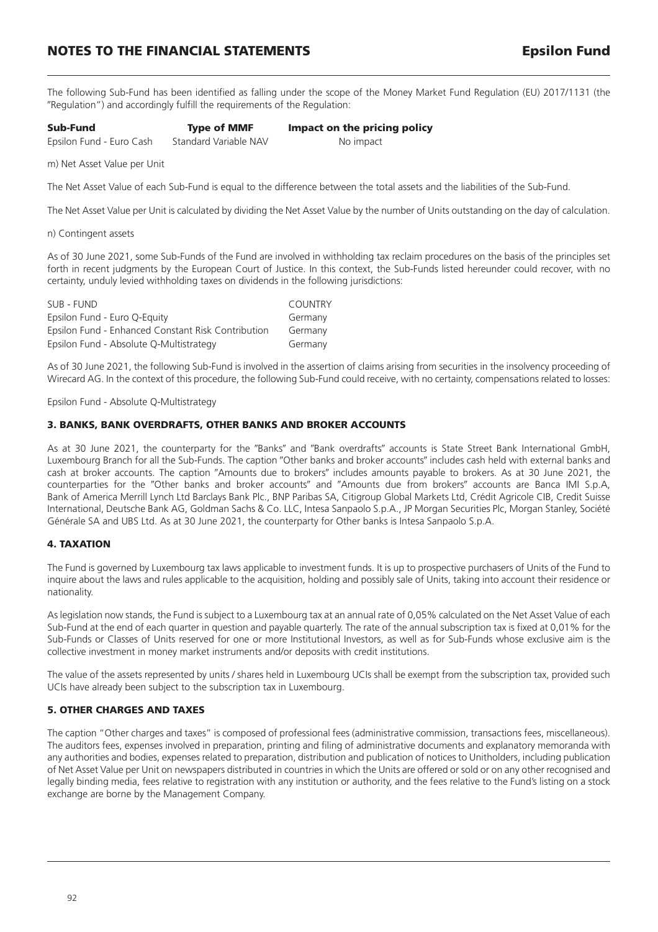### **NOTES TO THE FINANCIAL STATEMENTS Epsilon Fund**

The following Sub-Fund has been identified as falling under the scope of the Money Market Fund Regulation (EU) 2017/1131 (the -Regulation") and accordingly fulfill the requirements of the Regulation:

| Sub-Fund                 | <b>Type of MMF</b>    | Impact on the pricing policy |
|--------------------------|-----------------------|------------------------------|
| Epsilon Fund - Euro Cash | Standard Variable NAV | No impact                    |

m) Net Asset Value per Unit

The Net Asset Value of each Sub-Fund is equal to the difference between the total assets and the liabilities of the Sub-Fund.

The Net Asset Value per Unit is calculated by dividing the Net Asset Value by the number of Units outstanding on the day of calculation.

#### n) Contingent assets

As of 30 June 2021, some Sub-Funds of the Fund are involved in withholding tax reclaim procedures on the basis of the principles set forth in recent judgments by the European Court of Justice. In this context, the Sub-Funds listed hereunder could recover, with no certainty, unduly levied withholding taxes on dividends in the following jurisdictions:

| SUB - FUND                                         | <b>COUNTRY</b> |
|----------------------------------------------------|----------------|
| Epsilon Fund - Euro Q-Equity                       | Germany        |
| Epsilon Fund - Enhanced Constant Risk Contribution | Germany        |
| Epsilon Fund - Absolute Q-Multistrategy            | Germany        |

As of 30 June 2021, the following Sub-Fund is involved in the assertion of claims arising from securities in the insolvency proceeding of Wirecard AG. In the context of this procedure, the following Sub-Fund could receive, with no certainty, compensations related to losses:

Epsilon Fund - Absolute Q-Multistrategy

### **3. BANKS, BANK OVERDRAFTS, OTHER BANKS AND BROKER ACCOUNTS**

As at 30 June 2021, the counterparty for the "Banks" and "Bank overdrafts" accounts is State Street Bank International GmbH, Luxembourg Branch for all the Sub-Funds. The caption "Other banks and broker accounts" includes cash held with external banks and cash at broker accounts. The caption "Amounts due to brokers" includes amounts payable to brokers. As at 30 June 2021, the counterparties for the "Other banks and broker accounts" and "Amounts due from brokers" accounts are Banca IMI S.p.A, Bank of America Merrill Lynch Ltd Barclays Bank Plc., BNP Paribas SA, Citigroup Global Markets Ltd, Crédit Agricole CIB, Credit Suisse International, Deutsche Bank AG, Goldman Sachs & Co. LLC, Intesa Sanpaolo S.p.A., JP Morgan Securities Plc, Morgan Stanley, Société Générale SA and UBS Ltd. As at 30 June 2021, the counterparty for Other banks is Intesa Sanpaolo S.p.A.

### **4. TAXATION**

The Fund is governed by Luxembourg tax laws applicable to investment funds. It is up to prospective purchasers of Units of the Fund to inquire about the laws and rules applicable to the acquisition, holding and possibly sale of Units, taking into account their residence or nationality.

As legislation now stands, the Fund is subject to a Luxembourg tax at an annual rate of 0,05% calculated on the Net Asset Value of each Sub-Fund at the end of each quarter in question and payable quarterly. The rate of the annual subscription tax is fixed at 0,01% for the Sub-Funds or Classes of Units reserved for one or more Institutional Investors, as well as for Sub-Funds whose exclusive aim is the collective investment in money market instruments and/or deposits with credit institutions.

The value of the assets represented by units / shares held in Luxembourg UCIs shall be exempt from the subscription tax, provided such UCIs have already been subject to the subscription tax in Luxembourg.

### **5. OTHER CHARGES AND TAXES**

The caption "Other charges and taxes" is composed of professional fees (administrative commission, transactions fees, miscellaneous). The auditors fees, expenses involved in preparation, printing and filing of administrative documents and explanatory memoranda with any authorities and bodies, expenses related to preparation, distribution and publication of notices to Unitholders, including publication of Net Asset Value per Unit on newspapers distributed in countries in which the Units are offered or sold or on any other recognised and legally binding media, fees relative to registration with any institution or authority, and the fees relative to the Fund's listing on a stock exchange are borne by the Management Company.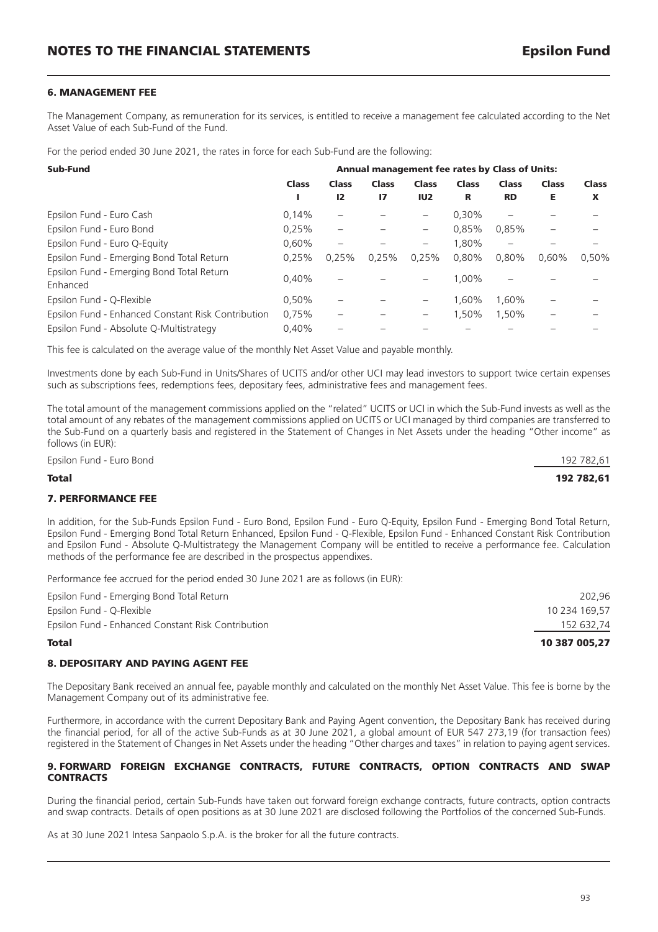### **6. MANAGEMENT FEE**

The Management Company, as remuneration for its services, is entitled to receive a management fee calculated according to the Net Asset Value of each Sub-Fund of the Fund.

For the period ended 30 June 2021, the rates in force for each Sub-Fund are the following:

| Sub-Fund                                              | <b>Annual management fee rates by Class of Units:</b> |              |              |                   |              |              |              |              |
|-------------------------------------------------------|-------------------------------------------------------|--------------|--------------|-------------------|--------------|--------------|--------------|--------------|
|                                                       | <b>Class</b>                                          | <b>Class</b> | Class        | <b>Class</b>      | <b>Class</b> | <b>Class</b> | <b>Class</b> | <b>Class</b> |
|                                                       |                                                       | 12           | $\mathbf{I}$ | IU <sub>2</sub>   | R            | <b>RD</b>    | Е            | X            |
| Epsilon Fund - Euro Cash                              | 0.14%                                                 |              |              | -                 | $0.30\%$     |              |              |              |
| Epsilon Fund - Euro Bond                              | 0.25%                                                 |              |              | $\qquad \qquad -$ | 0.85%        | 0,85%        |              |              |
| Epsilon Fund - Euro Q-Equity                          | 0.60%                                                 |              |              | $\qquad \qquad -$ | 1.80%        | —            |              |              |
| Epsilon Fund - Emerging Bond Total Return             | 0.25%                                                 | 0.25%        | 0.25%        | 0.25%             | 0,80%        | 0,80%        | 0.60%        | 0.50%        |
| Epsilon Fund - Emerging Bond Total Return<br>Enhanced | 0.40%                                                 |              |              |                   | 1.00%        |              |              |              |
| Epsilon Fund - Q-Flexible                             | 0.50%                                                 |              |              |                   | 1.60%        | 1.60%        |              |              |
| Epsilon Fund - Enhanced Constant Risk Contribution    | 0,75%                                                 |              |              | —                 | 1.50%        | 1,50%        |              |              |
| Epsilon Fund - Absolute Q-Multistrategy               | 0.40%                                                 |              |              |                   |              |              |              |              |

This fee is calculated on the average value of the monthly Net Asset Value and payable monthly.

Investments done by each Sub-Fund in Units/Shares of UCITS and/or other UCI may lead investors to support twice certain expenses such as subscriptions fees, redemptions fees, depositary fees, administrative fees and management fees.

The total amount of the management commissions applied on the "related" UCITS or UCI in which the Sub-Fund invests as well as the total amount of any rebates of the management commissions applied on UCITS or UCI managed by third companies are transferred to the Sub-Fund on a quarterly basis and registered in the Statement of Changes in Net Assets under the heading "Other income" as follows (in EUR):

Epsilon Fund - Euro Bond 192 782,61

### **Total 192 782,61**

### **7. PERFORMANCE FEE**

In addition, for the Sub-Funds Epsilon Fund - Euro Bond, Epsilon Fund - Euro Q-Equity, Epsilon Fund - Emerging Bond Total Return, Epsilon Fund - Emerging Bond Total Return Enhanced, Epsilon Fund - Q-Flexible, Epsilon Fund - Enhanced Constant Risk Contribution and Epsilon Fund - Absolute Q-Multistrategy the Management Company will be entitled to receive a performance fee. Calculation methods of the performance fee are described in the prospectus appendixes.

Performance fee accrued for the period ended 30 June 2021 are as follows (in EUR):

| 10 387 005.27 |                                                    | <b>Total</b> |
|---------------|----------------------------------------------------|--------------|
| 152 632,74    | Epsilon Fund - Enhanced Constant Risk Contribution |              |
| 10 234 169.57 | Epsilon Fund - Q-Flexible                          |              |
| 202.96        | Epsilon Fund - Emerging Bond Total Return          |              |
|               |                                                    |              |

#### **8. DEPOSITARY AND PAYING AGENT FEE**

The Depositary Bank received an annual fee, payable monthly and calculated on the monthly Net Asset Value. This fee is borne by the Management Company out of its administrative fee.

Furthermore, in accordance with the current Depositary Bank and Paying Agent convention, the Depositary Bank has received during the financial period, for all of the active Sub-Funds as at 30 June 2021, a global amount of EUR 547 273,19 (for transaction fees) registered in the Statement of Changes in Net Assets under the heading "Other charges and taxes" in relation to paying agent services.

### **9. FORWARD FOREIGN EXCHANGE CONTRACTS, FUTURE CONTRACTS, OPTION CONTRACTS AND SWAP CONTRACTS**

During the financial period, certain Sub-Funds have taken out forward foreign exchange contracts, future contracts, option contracts and swap contracts. Details of open positions as at 30 June 2021 are disclosed following the Portfolios of the concerned Sub-Funds.

As at 30 June 2021 Intesa Sanpaolo S.p.A. is the broker for all the future contracts.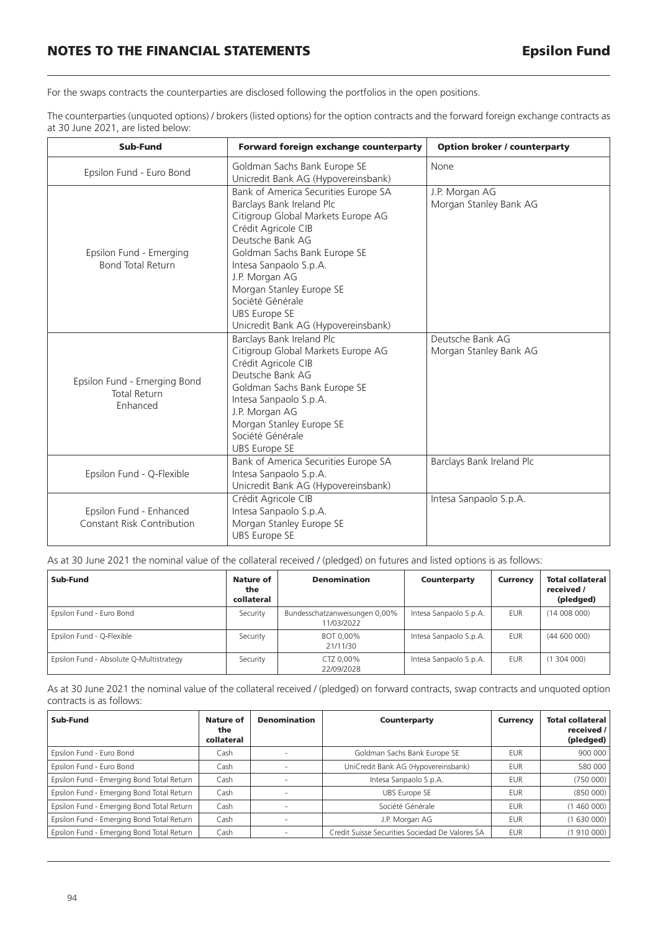For the swaps contracts the counterparties are disclosed following the portfolios in the open positions.

The counterparties (unquoted options) / brokers (listed options) for the option contracts and the forward foreign exchange contracts as at 30 June 2021, are listed below:

| Sub-Fund                                                        | Forward foreign exchange counterparty                                                                                                                                                                                                                                                                                                         | <b>Option broker / counterparty</b>        |  |  |
|-----------------------------------------------------------------|-----------------------------------------------------------------------------------------------------------------------------------------------------------------------------------------------------------------------------------------------------------------------------------------------------------------------------------------------|--------------------------------------------|--|--|
| Epsilon Fund - Euro Bond                                        | Goldman Sachs Bank Europe SE<br>Unicredit Bank AG (Hypovereinsbank)                                                                                                                                                                                                                                                                           | None                                       |  |  |
| Epsilon Fund - Emerging<br><b>Bond Total Return</b>             | Bank of America Securities Europe SA<br>Barclays Bank Ireland Plc<br>Citigroup Global Markets Europe AG<br>Crédit Agricole CIB<br>Deutsche Bank AG<br>Goldman Sachs Bank Europe SE<br>Intesa Sanpaolo S.p.A.<br>J.P. Morgan AG<br>Morgan Stanley Europe SE<br>Société Générale<br><b>UBS Europe SE</b><br>Unicredit Bank AG (Hypovereinsbank) | J.P. Morgan AG<br>Morgan Stanley Bank AG   |  |  |
| Epsilon Fund - Emerging Bond<br><b>Total Return</b><br>Enhanced | Barclays Bank Ireland Plc<br>Citigroup Global Markets Europe AG<br>Crédit Agricole CIB<br>Deutsche Bank AG<br>Goldman Sachs Bank Europe SE<br>Intesa Sanpaolo S.p.A.<br>J.P. Morgan AG<br>Morgan Stanley Europe SE<br>Société Générale<br><b>UBS Europe SE</b>                                                                                | Deutsche Bank AG<br>Morgan Stanley Bank AG |  |  |
| Epsilon Fund - Q-Flexible                                       | Bank of America Securities Europe SA<br>Intesa Sanpaolo S.p.A.<br>Unicredit Bank AG (Hypovereinsbank)                                                                                                                                                                                                                                         | Barclays Bank Ireland Plc                  |  |  |
| Epsilon Fund - Enhanced<br><b>Constant Risk Contribution</b>    | Crédit Agricole CIB<br>Intesa Sanpaolo S.p.A.<br>Morgan Stanley Europe SE<br><b>UBS Europe SE</b>                                                                                                                                                                                                                                             | Intesa Sanpaolo S.p.A.                     |  |  |

As at 30 June 2021 the nominal value of the collateral received / (pledged) on futures and listed options is as follows:

| Sub-Fund                                | Nature of<br>the<br>collateral | <b>Denomination</b>                         | Counterparty           | <b>Currency</b> | <b>Total collateral</b><br>received /<br>(pledged) |
|-----------------------------------------|--------------------------------|---------------------------------------------|------------------------|-----------------|----------------------------------------------------|
| Epsilon Fund - Euro Bond                | Security                       | Bundesschatzanweisungen 0,00%<br>11/03/2022 | Intesa Sanpaolo S.p.A. | <b>EUR</b>      | (14008000)                                         |
| Epsilon Fund - Q-Flexible               | Security                       | BOT 0,00%<br>21/11/30                       | Intesa Sanpaolo S.p.A. | <b>EUR</b>      | (44600000)                                         |
| Epsilon Fund - Absolute Q-Multistrategy | Security                       | CTZ 0.00%<br>22/09/2028                     | Intesa Sanpaolo S.p.A. | <b>EUR</b>      | (1304000)                                          |

As at 30 June 2021 the nominal value of the collateral received / (pledged) on forward contracts, swap contracts and unquoted option contracts is as follows:

| Sub-Fund                                  | Nature of<br>the<br>collateral | <b>Denomination</b> | Counterparty                                    | <b>Currency</b> | Total collateral<br>received $/$<br>(pledged) |
|-------------------------------------------|--------------------------------|---------------------|-------------------------------------------------|-----------------|-----------------------------------------------|
| Epsilon Fund - Euro Bond                  | Cash                           |                     | Goldman Sachs Bank Europe SE                    | <b>EUR</b>      | 900000                                        |
| Epsilon Fund - Euro Bond                  | Cash                           |                     | UniCredit Bank AG (Hypovereinsbank)             | <b>EUR</b>      | 580 000                                       |
| Epsilon Fund - Emerging Bond Total Return | Cash                           |                     | Intesa Sanpaolo S.p.A.                          | <b>EUR</b>      | (750000)                                      |
| Epsilon Fund - Emerging Bond Total Return | Cash                           |                     | UBS Europe SE                                   | <b>EUR</b>      | (850000)                                      |
| Epsilon Fund - Emerging Bond Total Return | Cash                           |                     | Société Générale                                | <b>EUR</b>      | (1460000)                                     |
| Epsilon Fund - Emerging Bond Total Return | Cash                           |                     | J.P. Morgan AG                                  | <b>EUR</b>      | (1630000)                                     |
| Epsilon Fund - Emerging Bond Total Return | Cash                           |                     | Credit Suisse Securities Sociedad De Valores SA | <b>EUR</b>      | (1910000)                                     |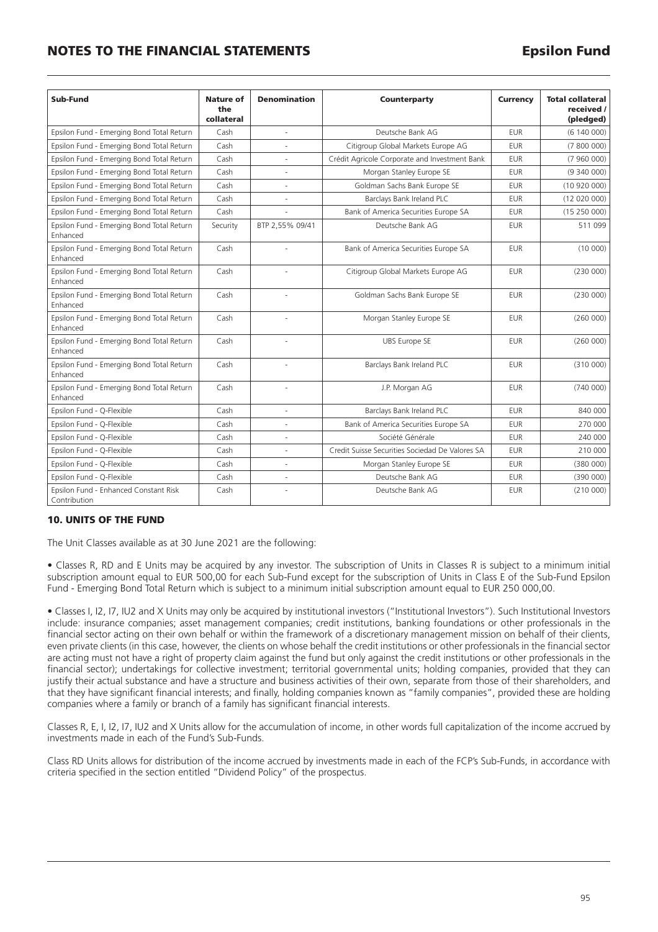### **NOTES TO THE FINANCIAL STATEMENTS Epsilon Fund**

| Sub-Fund                                              | Nature of<br>the<br>collateral | <b>Denomination</b> | Counterparty                                    | <b>Currency</b> | <b>Total collateral</b><br>received /<br>(pledged) |
|-------------------------------------------------------|--------------------------------|---------------------|-------------------------------------------------|-----------------|----------------------------------------------------|
| Epsilon Fund - Emerging Bond Total Return             | Cash                           | ÷,                  | Deutsche Bank AG                                | <b>EUR</b>      | (6140000)                                          |
| Epsilon Fund - Emerging Bond Total Return             | Cash                           |                     | Citigroup Global Markets Europe AG              | <b>EUR</b>      | (7800000)                                          |
| Epsilon Fund - Emerging Bond Total Return             | Cash                           |                     | Crédit Agricole Corporate and Investment Bank   | <b>EUR</b>      | (7960000)                                          |
| Epsilon Fund - Emerging Bond Total Return             | Cash                           | ÷,                  | Morgan Stanley Europe SE                        | <b>EUR</b>      | (9,340,000)                                        |
| Epsilon Fund - Emerging Bond Total Return             | Cash                           |                     | Goldman Sachs Bank Europe SE                    | <b>EUR</b>      | (10920000)                                         |
| Epsilon Fund - Emerging Bond Total Return             | Cash                           |                     | Barclays Bank Ireland PLC                       | <b>EUR</b>      | (12 020 000)                                       |
| Epsilon Fund - Emerging Bond Total Return             | Cash                           |                     | Bank of America Securities Europe SA            | <b>EUR</b>      | (15250000)                                         |
| Epsilon Fund - Emerging Bond Total Return<br>Enhanced | Security                       | BTP 2.55% 09/41     | Deutsche Bank AG                                | <b>EUR</b>      | 511 099                                            |
| Epsilon Fund - Emerging Bond Total Return<br>Enhanced | Cash                           |                     | Bank of America Securities Europe SA            | <b>EUR</b>      | (10000)                                            |
| Epsilon Fund - Emerging Bond Total Return<br>Enhanced | Cash                           |                     | Citigroup Global Markets Europe AG              | <b>EUR</b>      | (230000)                                           |
| Epsilon Fund - Emerging Bond Total Return<br>Enhanced | Cash                           |                     | Goldman Sachs Bank Europe SE                    | <b>EUR</b>      | (230000)                                           |
| Epsilon Fund - Emerging Bond Total Return<br>Enhanced | Cash                           |                     | Morgan Stanley Europe SE                        | <b>EUR</b>      | (260000)                                           |
| Epsilon Fund - Emerging Bond Total Return<br>Enhanced | Cash                           |                     | <b>UBS Europe SE</b>                            | <b>EUR</b>      | (260000)                                           |
| Epsilon Fund - Emerging Bond Total Return<br>Enhanced | Cash                           | ä,                  | Barclays Bank Ireland PLC                       | <b>EUR</b>      | (310000)                                           |
| Epsilon Fund - Emerging Bond Total Return<br>Enhanced | Cash                           | ä,                  | J.P. Morgan AG                                  | <b>EUR</b>      | (740000)                                           |
| Epsilon Fund - Q-Flexible                             | Cash                           |                     | Barclays Bank Ireland PLC                       | <b>EUR</b>      | 840 000                                            |
| Epsilon Fund - Q-Flexible                             | Cash                           |                     | Bank of America Securities Europe SA            | <b>EUR</b>      | 270 000                                            |
| Epsilon Fund - Q-Flexible                             | Cash                           |                     | Société Générale                                | <b>EUR</b>      | 240 000                                            |
| Epsilon Fund - Q-Flexible                             | Cash                           | ä,                  | Credit Suisse Securities Sociedad De Valores SA | <b>EUR</b>      | 210 000                                            |
| Epsilon Fund - Q-Flexible                             | Cash                           |                     | Morgan Stanley Europe SE                        | <b>EUR</b>      | (380000)                                           |
| Epsilon Fund - Q-Flexible                             | Cash                           | $\sim$              | Deutsche Bank AG                                | <b>EUR</b>      | (390000)                                           |
| Epsilon Fund - Enhanced Constant Risk<br>Contribution | Cash                           |                     | Deutsche Bank AG                                | <b>EUR</b>      | (210000)                                           |

### **10. UNITS OF THE FUND**

The Unit Classes available as at 30 June 2021 are the following:

• Classes R, RD and E Units may be acquired by any investor. The subscription of Units in Classes R is subject to a minimum initial subscription amount equal to EUR 500,00 for each Sub-Fund except for the subscription of Units in Class E of the Sub-Fund Epsilon Fund - Emerging Bond Total Return which is subject to a minimum initial subscription amount equal to EUR 250 000,00.

• Classes I, I2, I7, IU2 and X Units may only be acquired by institutional investors ("Institutional Investors"). Such Institutional Investors include: insurance companies; asset management companies; credit institutions, banking foundations or other professionals in the financial sector acting on their own behalf or within the framework of a discretionary management mission on behalf of their clients, even private clients (in this case, however, the clients on whose behalf the credit institutions or other professionals in the financial sector are acting must not have a right of property claim against the fund but only against the credit institutions or other professionals in the financial sector); undertakings for collective investment; territorial governmental units; holding companies, provided that they can justify their actual substance and have a structure and business activities of their own, separate from those of their shareholders, and that they have significant financial interests; and finally, holding companies known as "family companies", provided these are holding companies where a family or branch of a family has significant financial interests.

Classes R, E, I, I2, I7, IU2 and X Units allow for the accumulation of income, in other words full capitalization of the income accrued by investments made in each of the Fund's Sub-Funds.

Class RD Units allows for distribution of the income accrued by investments made in each of the FCP's Sub-Funds, in accordance with criteria specified in the section entitled "Dividend Policy" of the prospectus.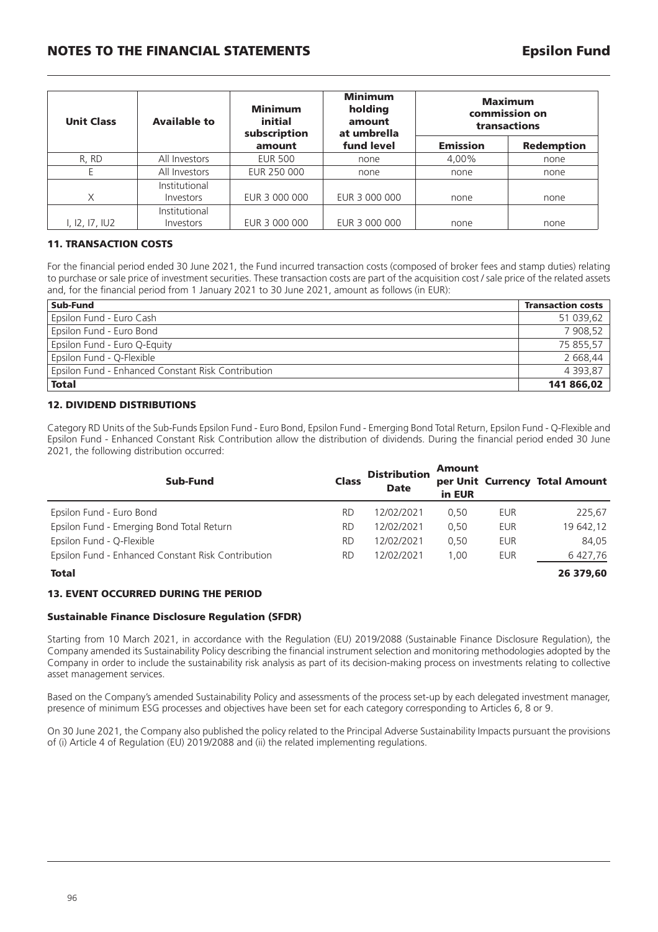### **NOTES TO THE FINANCIAL STATEMENTS Epsilon Fund**

| <b>Unit Class</b> | <b>Available to</b> | Minimum<br>initial<br>subscription | <b>Minimum</b><br>holding<br>amount<br>at umbrella | <b>Maximum</b><br>commission on<br>transactions |                   |  |
|-------------------|---------------------|------------------------------------|----------------------------------------------------|-------------------------------------------------|-------------------|--|
|                   |                     | amount                             | fund level                                         | <b>Emission</b>                                 | <b>Redemption</b> |  |
| R, RD             | All Investors       | <b>EUR 500</b>                     | none                                               | 4,00%                                           | none              |  |
|                   | All Investors       | EUR 250 000                        | none                                               | none                                            | none              |  |
|                   | Institutional       |                                    |                                                    |                                                 |                   |  |
| X                 | Investors           | EUR 3 000 000                      | EUR 3 000 000                                      | none                                            | none              |  |
|                   | Institutional       |                                    |                                                    |                                                 |                   |  |
| 1, 12, 17, 102    | Investors           | EUR 3 000 000                      | EUR 3 000 000                                      | none                                            | none              |  |

### **11. TRANSACTION COSTS**

For the financial period ended 30 June 2021, the Fund incurred transaction costs (composed of broker fees and stamp duties) relating to purchase or sale price of investment securities. These transaction costs are part of the acquisition cost / sale price of the related assets and, for the financial period from 1 January 2021 to 30 June 2021, amount as follows (in EUR):

| Sub-Fund                                           | <b>Transaction costs</b> |
|----------------------------------------------------|--------------------------|
| Epsilon Fund - Euro Cash                           | 51 039,62                |
| Epsilon Fund - Euro Bond                           | 7 908,52                 |
| Epsilon Fund - Euro Q-Equity                       | 75 855,57                |
| Epsilon Fund - Q-Flexible                          | 2 668,44                 |
| Epsilon Fund - Enhanced Constant Risk Contribution | 4 3 9 3 .8 7             |
| <b>Total</b>                                       | 141 866,02               |

### **12. DIVIDEND DISTRIBUTIONS**

Category RD Units of the Sub-Funds Epsilon Fund - Euro Bond, Epsilon Fund - Emerging Bond Total Return, Epsilon Fund - Q-Flexible and Epsilon Fund - Enhanced Constant Risk Contribution allow the distribution of dividends. During the financial period ended 30 June 2021, the following distribution occurred:

| Sub-Fund                                           | <b>Class</b> | <b>Distribution</b><br><b>Date</b> | <b>Amount</b><br>in EUR |            | per Unit Currency Total Amount |
|----------------------------------------------------|--------------|------------------------------------|-------------------------|------------|--------------------------------|
| Epsilon Fund - Euro Bond                           | RD.          | 12/02/2021                         | 0.50                    | EUR        | 225,67                         |
| Epsilon Fund - Emerging Bond Total Return          | RD.          | 12/02/2021                         | 0.50                    | EUR        | 19 642,12                      |
| Epsilon Fund - Q-Flexible                          | RD.          | 12/02/2021                         | 0.50                    | <b>EUR</b> | 84.05                          |
| Epsilon Fund - Enhanced Constant Risk Contribution | <b>RD</b>    | 12/02/2021                         | 1.00                    | EUR        | 6 427,76                       |
| <b>Total</b>                                       |              |                                    |                         |            | 26 379.60                      |

### **13. EVENT OCCURRED DURING THE PERIOD**

### **Sustainable Finance Disclosure Regulation (SFDR)**

Starting from 10 March 2021, in accordance with the Regulation (EU) 2019/2088 (Sustainable Finance Disclosure Regulation), the Company amended its Sustainability Policy describing the financial instrument selection and monitoring methodologies adopted by the Company in order to include the sustainability risk analysis as part of its decision-making process on investments relating to collective asset management services.

Based on the Company's amended Sustainability Policy and assessments of the process set-up by each delegated investment manager, presence of minimum ESG processes and objectives have been set for each category corresponding to Articles 6, 8 or 9.

On 30 June 2021, the Company also published the policy related to the Principal Adverse Sustainability Impacts pursuant the provisions of (i) Article 4 of Regulation (EU) 2019/2088 and (ii) the related implementing regulations.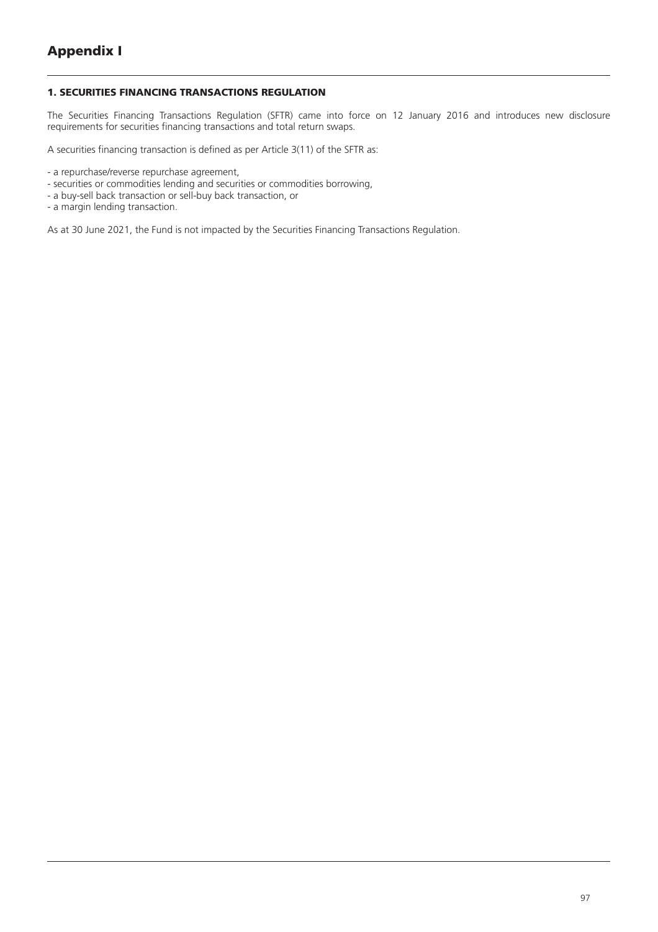### **1. SECURITIES FINANCING TRANSACTIONS REGULATION**

The Securities Financing Transactions Regulation (SFTR) came into force on 12 January 2016 and introduces new disclosure requirements for securities financing transactions and total return swaps.

A securities financing transaction is defined as per Article 3(11) of the SFTR as:

- securities or commodities lending and securities or commodities borrowing,
- a buy-sell back transaction or sell-buy back transaction, or
- a margin lending transaction.

As at 30 June 2021, the Fund is not impacted by the Securities Financing Transactions Regulation.

<sup>-</sup> a repurchase/reverse repurchase agreement,